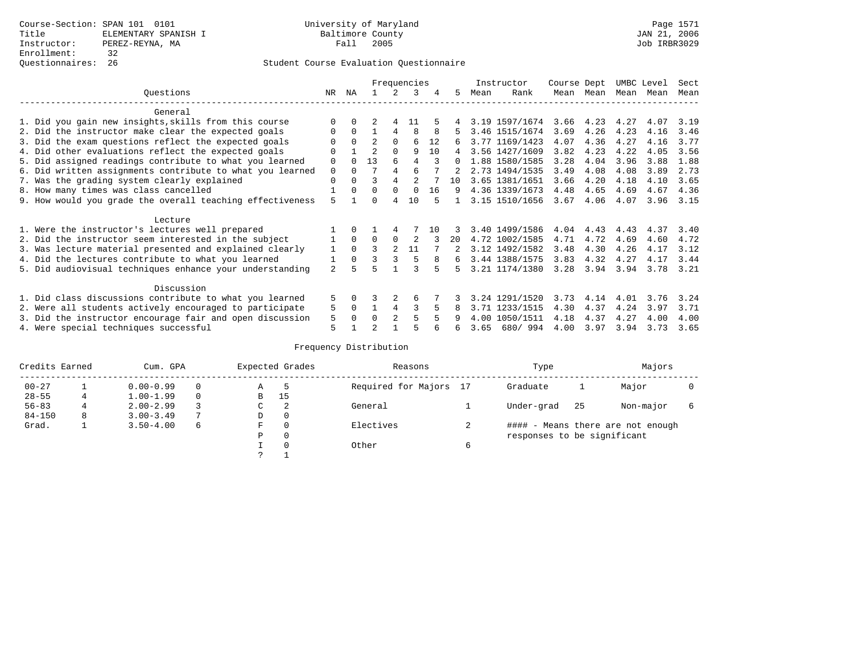|                                                           |                |             |                |                | Frequencies |     |          |      | Instructor     | Course Dept |           | UMBC Level |      | Sect |
|-----------------------------------------------------------|----------------|-------------|----------------|----------------|-------------|-----|----------|------|----------------|-------------|-----------|------------|------|------|
| Ouestions                                                 | NR.            | ΝA          |                |                | 3           | 4   | 5.       | Mean | Rank           |             | Mean Mean | Mean Mean  |      | Mean |
| General                                                   |                |             |                |                |             |     |          |      |                |             |           |            |      |      |
| 1. Did you gain new insights, skills from this course     |                |             |                |                | 11          |     |          |      | 3.19 1597/1674 | 3.66        | 4.23      | 4.27       | 4.07 | 3.19 |
| 2. Did the instructor make clear the expected goals       | O              | $\Omega$    |                |                | 8           |     |          |      | 3.46 1515/1674 | 3.69        | 4.26      | 4.23       | 4.16 | 3.46 |
| 3. Did the exam questions reflect the expected goals      | U              | $\Omega$    | $\mathfrak{D}$ | $\Omega$       | 6           | 12  | 6        |      | 3.77 1169/1423 | 4.07        | 4.36      | 4.27       | 4.16 | 3.77 |
| 4. Did other evaluations reflect the expected goals       | $\Omega$       |             | $\overline{a}$ | $\Omega$       | 9           | 10  | 4        |      | 3.56 1427/1609 | 3.82        | 4.23      | 4.22       | 4.05 | 3.56 |
| 5. Did assigned readings contribute to what you learned   | $\Omega$       |             | 13             | 6              | 4           |     | $\Omega$ |      | 1.88 1580/1585 | 3.28        | 4.04      | 3.96       | 3.88 | 1.88 |
| 6. Did written assignments contribute to what you learned | $\mathbf 0$    | $\Omega$    |                |                | б           |     |          |      | 2.73 1494/1535 | 3.49        | 4.08      | 4.08       | 3.89 | 2.73 |
| 7. Was the grading system clearly explained               | $\mathbf 0$    | $\Omega$    | ς              | $\overline{4}$ |             |     | 10       |      | 3.65 1381/1651 | 3.66        | 4.20      | 4.18       | 4.10 | 3.65 |
| 8. How many times was class cancelled                     |                | $\Omega$    | $\Omega$       | $\Omega$       | $\Omega$    | 16  | 9        |      | 4.36 1339/1673 | 4.48        | 4.65      | 4.69       | 4.67 | 4.36 |
| 9. How would you grade the overall teaching effectiveness | 5              |             | U              | 4              | 10          |     |          |      | 3.15 1510/1656 | 3.67        | 4.06      | 4.07       | 3.96 | 3.15 |
| Lecture                                                   |                |             |                |                |             |     |          |      |                |             |           |            |      |      |
| 1. Were the instructor's lectures well prepared           |                | $\Omega$    |                |                |             | 1 N |          |      | 3.40 1499/1586 | 4.04        | 4.43      | 4.43       | 4.37 | 3.40 |
| 2. Did the instructor seem interested in the subject      |                | $\Omega$    | $\Omega$       | $\Omega$       | 2           |     | 20       |      | 4.72 1002/1585 | 4.71        | 4.72      | 4.69       | 4.60 | 4.72 |
| 3. Was lecture material presented and explained clearly   | 1              | $\Omega$    | 3              | $\mathfrak{D}$ | 11          |     |          |      | 3.12 1492/1582 | 3.48        | 4.30      | 4.26       | 4.17 | 3.12 |
| 4. Did the lectures contribute to what you learned        |                | $\mathbf 0$ |                |                |             | 8   | 6        |      | 3.44 1388/1575 | 3.83        | 4.32      | 4.27       | 4.17 | 3.44 |
| 5. Did audiovisual techniques enhance your understanding  | $\mathfrak{D}$ |             |                |                |             |     | 5.       |      | 3.21 1174/1380 | 3.28        | 3.94      | 3.94       | 3.78 | 3.21 |
| Discussion                                                |                |             |                |                |             |     |          |      |                |             |           |            |      |      |
| 1. Did class discussions contribute to what you learned   | 5              | 0           |                |                | 6           |     |          |      | 3.24 1291/1520 | 3.73        | 4.14      | 4.01       | 3.76 | 3.24 |
| 2. Were all students actively encouraged to participate   | 5              | $\Omega$    |                | $\overline{4}$ | ς           |     |          |      | 3.71 1233/1515 | 4.30        | 4.37      | 4.24       | 3.97 | 3.71 |
| 3. Did the instructor encourage fair and open discussion  | 5              | $\Omega$    | $\Omega$       |                |             |     |          | 4.00 | 1050/1511      | 4.18        | 4.37      | 4.27       | 4.00 | 4.00 |
| 4. Were special techniques successful                     | 5              |             |                |                |             |     | 6        | 3.65 | 680/994        | 4.00        | 3.97      | 3.94       | 3.73 | 3.65 |

| Credits Earned |   | Cum. GPA      |   |   | Expected Grades | Reasons                |   | Type                        |     | Majors                            |  |  |
|----------------|---|---------------|---|---|-----------------|------------------------|---|-----------------------------|-----|-----------------------------------|--|--|
| $00 - 27$      |   | $0.00 - 0.99$ |   | Α | 5               | Required for Majors 17 |   | Graduate                    |     | Major                             |  |  |
| $28 - 55$      | 4 | $1.00 - 1.99$ |   | B | 15              |                        |   |                             |     |                                   |  |  |
| $56 - 83$      |   | $2.00 - 2.99$ |   | C | 2               | General                |   | Under-grad                  | -25 | Non-major                         |  |  |
| $84 - 150$     | 8 | $3.00 - 3.49$ |   | D | 0               |                        |   |                             |     |                                   |  |  |
| Grad.          |   | $3.50 - 4.00$ | 6 | F | 0               | Electives              |   |                             |     | #### - Means there are not enough |  |  |
|                |   |               |   | Ρ | 0               |                        |   | responses to be significant |     |                                   |  |  |
|                |   |               |   |   | $\Omega$        | Other                  | 6 |                             |     |                                   |  |  |
|                |   |               |   | C |                 |                        |   |                             |     |                                   |  |  |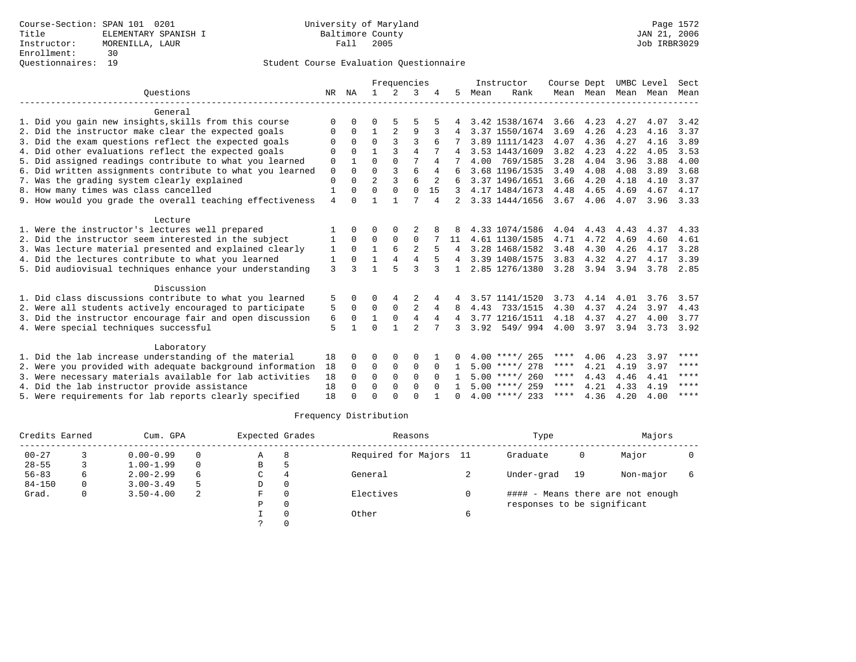|                                                           |              |          |                | Frequencies    |                |                |              |      | Instructor       | Course Dept |           |      | UMBC Level | Sect          |
|-----------------------------------------------------------|--------------|----------|----------------|----------------|----------------|----------------|--------------|------|------------------|-------------|-----------|------|------------|---------------|
| Ouestions                                                 | NR           | ΝA       | $\mathbf{1}$   | $\mathfrak{D}$ | 3              |                | 5.           | Mean | Rank             |             | Mean Mean | Mean | Mean       | Mean          |
| General                                                   |              |          |                |                |                |                |              |      |                  |             |           |      |            |               |
| 1. Did you gain new insights, skills from this course     | $\Omega$     | $\Omega$ | O              |                | 5              |                | 4            |      | 3.42 1538/1674   | 3.66        | 4.23      | 4.27 | 4.07       | 3.42          |
| 2. Did the instructor make clear the expected goals       | 0            | $\Omega$ | $\mathbf{1}$   | $\overline{2}$ | 9              |                |              |      | 3.37 1550/1674   | 3.69        | 4.26      | 4.23 | 4.16       | 3.37          |
| 3. Did the exam questions reflect the expected goals      |              | $\Omega$ | $\Omega$       |                | ς              | б              |              |      | 3.89 1111/1423   | 4.07        | 4.36      | 4.27 | 4.16       | 3.89          |
| 4. Did other evaluations reflect the expected goals       | 0            | $\Omega$ | $\mathbf{1}$   | ζ              | 4              |                | 4            |      | 3.53 1443/1609   | 3.82        | 4.23      | 4.22 | 4.05       | 3.53          |
| 5. Did assigned readings contribute to what you learned   | $\mathbf 0$  |          | $\Omega$       | $\Omega$       | 7              | 4              |              | 4.00 | 769/1585         | 3.28        | 4.04      | 3.96 | 3.88       | 4.00          |
| 6. Did written assignments contribute to what you learned | $\mathbf 0$  | $\Omega$ | $\Omega$       | 3              | 6              | 4              |              |      | 3.68 1196/1535   | 3.49        | 4.08      | 4.08 | 3.89       | 3.68          |
| 7. Was the grading system clearly explained               | $\mathbf{0}$ | $\Omega$ | $\overline{2}$ | ঽ              | 6              |                | 6            |      | 3.37 1496/1651   | 3.66        | 4.20      | 4.18 | 4.10       | 3.37          |
| 8. How many times was class cancelled                     | 1            | $\Omega$ | $\Omega$       | $\Omega$       | $\Omega$       | 15             |              |      | 4.17 1484/1673   | 4.48        | 4.65      | 4.69 | 4.67       | 4.17          |
| 9. How would you grade the overall teaching effectiveness | 4            | $\Omega$ |                |                |                | $\overline{4}$ |              |      | 3.33 1444/1656   | 3.67        | 4.06      | 4.07 | 3.96       | 3.33          |
| Lecture                                                   |              |          |                |                |                |                |              |      |                  |             |           |      |            |               |
| 1. Were the instructor's lectures well prepared           |              | $\cap$   | U              | $\Omega$       |                |                | 8            |      | 4.33 1074/1586   | 4.04        | 4.43      | 4.43 | 4.37       | 4.33          |
| 2. Did the instructor seem interested in the subject      | 1            | $\Omega$ | $\Omega$       | $\Omega$       | $\Omega$       |                | 11           |      | 4.61 1130/1585   | 4.71        | 4.72      | 4.69 | 4.60       | 4.61          |
| 3. Was lecture material presented and explained clearly   | 1            | $\Omega$ | $\mathbf{1}$   | 6              | $\overline{2}$ |                |              |      | 3.28 1468/1582   | 3.48        | 4.30      | 4.26 | 4.17       | 3.28          |
| 4. Did the lectures contribute to what you learned        | 1            | $\Omega$ | 1              | $\overline{4}$ | 4              |                |              |      | 3.39 1408/1575   | 3.83        | 4.32      | 4.27 | 4.17       | 3.39          |
| 5. Did audiovisual techniques enhance your understanding  | 3            | ર        | 1              |                | ς              | 3              | $\mathbf{1}$ |      | 2.85 1276/1380   | 3.28        | 3.94      | 3.94 | 3.78       | 2.85          |
| Discussion                                                |              |          |                |                |                |                |              |      |                  |             |           |      |            |               |
| 1. Did class discussions contribute to what you learned   | 5            | 0        | 0              | 4              |                |                | 4            |      | 3.57 1141/1520   | 3.73        | 4.14      | 4.01 | 3.76       | 3.57          |
| 2. Were all students actively encouraged to participate   | 5            | $\Omega$ | $\Omega$       | $\Omega$       | $\overline{a}$ | 4              | 8            | 4.43 | 733/1515         | 4.30        | 4.37      | 4.24 | 3.97       | 4.43          |
| 3. Did the instructor encourage fair and open discussion  | 6            | $\Omega$ | $\mathbf 1$    | $\mathbf 0$    | $\overline{4}$ | 4              | 4            |      | 3.77 1216/1511   | 4.18        | 4.37      | 4.27 | 4.00       | 3.77          |
| 4. Were special techniques successful                     | 5            | 1        | $\Omega$       | 1              | $\overline{a}$ |                | 3            |      | 3.92 549/994     | 4.00        | 3.97      | 3.94 |            | $3.73$ $3.92$ |
| Laboratory                                                |              |          |                |                |                |                |              |      |                  |             |           |      |            |               |
| 1. Did the lab increase understanding of the material     | 18           | $\Omega$ | O              | $\Omega$       | 0              |                |              |      | $4.00$ ****/ 265 | ****        | 4.06      | 4.23 | 3.97       | ****          |
| 2. Were you provided with adequate background information | 18           | $\Omega$ | $\Omega$       | $\mathbf 0$    | $\mathbf 0$    | $\Omega$       | -1.          |      | $5.00$ ****/ 278 | ****        | 4.21      | 4.19 | 3.97       | ****          |
| 3. Were necessary materials available for lab activities  | 18           | $\Omega$ | $\Omega$       | $\Omega$       | $\Omega$       | $\Omega$       |              |      | $5.00$ ****/ 260 | ****        | 4.43      | 4.46 | 4.41       | ****          |
| 4. Did the lab instructor provide assistance              | 18           | $\Omega$ | $\Omega$       | $\Omega$       | $\Omega$       | $\Omega$       |              |      | $5.00$ ****/ 259 | ****        | 4.21      | 4.33 | 4.19       | ****          |
| 5. Were requirements for lab reports clearly specified    | 18           | U        | $\Omega$       | ∩              | $\cap$         |                | <sup>n</sup> |      | $4.00$ ****/ 233 | ****        | 4.36      | 4.20 | 4.00       | ****          |

| Credits Earned |    | Cum. GPA      |     | Expected Grades |          | Reasons                | Type                        |    | Majors                            |  |  |
|----------------|----|---------------|-----|-----------------|----------|------------------------|-----------------------------|----|-----------------------------------|--|--|
| $00 - 27$      |    | $0.00 - 0.99$ |     | Α               | 8        | Required for Majors 11 | Graduate                    | 0  | Major                             |  |  |
| $28 - 55$      |    | $1.00 - 1.99$ | 0   | B               | h        |                        |                             |    |                                   |  |  |
| $56 - 83$      | 6. | $2.00 - 2.99$ | 6   | C               | 4        | General                | Under-grad                  | 19 | Non-major                         |  |  |
| $84 - 150$     | 0  | $3.00 - 3.49$ | 5   | D               | $\Omega$ |                        |                             |    |                                   |  |  |
| Grad.          | 0  | $3.50 - 4.00$ | -2. | F.              | $\Omega$ | Electives              |                             |    | #### - Means there are not enough |  |  |
|                |    |               |     | P               | $\Omega$ |                        | responses to be significant |    |                                   |  |  |
|                |    |               |     |                 |          | Other                  |                             |    |                                   |  |  |
|                |    |               |     |                 |          |                        |                             |    |                                   |  |  |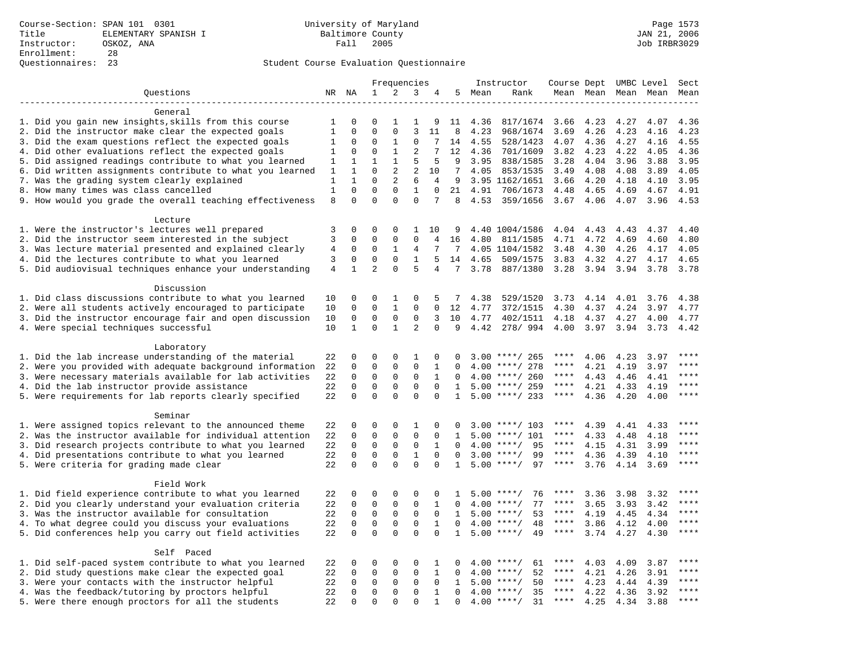|                                                                                                               |              |              |                |              | Frequencies    |                |              |      | Instructor                 | Course Dept UMBC Level |      |                     |              | Sect        |
|---------------------------------------------------------------------------------------------------------------|--------------|--------------|----------------|--------------|----------------|----------------|--------------|------|----------------------------|------------------------|------|---------------------|--------------|-------------|
| Questions                                                                                                     |              | NR NA        | 1              | 2            | 3              | 4              | 5            | Mean | Rank                       |                        |      | Mean Mean Mean Mean |              | Mean        |
|                                                                                                               |              |              |                |              |                |                |              |      |                            |                        |      |                     |              |             |
| General                                                                                                       |              |              |                |              |                |                |              |      |                            |                        |      |                     |              |             |
| 1. Did you gain new insights, skills from this course                                                         | 1            | $\Omega$     | 0              | 1            | 1              | 9              | 11           | 4.36 | 817/1674                   | 3.66                   | 4.23 | 4.27                | 4.07         | 4.36        |
| 2. Did the instructor make clear the expected goals                                                           | $\mathbf{1}$ | $\mathbf 0$  | $\Omega$       | $\mathbf 0$  | 3              | 11             | 8            | 4.23 | 968/1674                   | 3.69                   | 4.26 | 4.23                | 4.16         | 4.23        |
| 3. Did the exam questions reflect the expected goals                                                          | 1            | 0            | $\Omega$       | 1            | $\Omega$       | 7              | 14           | 4.55 | 528/1423                   | 4.07                   | 4.36 | 4.27                | 4.16         | 4.55        |
| 4. Did other evaluations reflect the expected goals                                                           | 1            | $\Omega$     | $\Omega$       | $\mathbf{1}$ | $\overline{2}$ | 7              | 12           | 4.36 | 701/1609                   | 3.82                   | 4.23 | 4.22                | 4.05         | 4.36        |
| 5. Did assigned readings contribute to what you learned                                                       | 1            | $\mathbf{1}$ | $\mathbf 1$    | $\mathbf{1}$ | 5              | 5              | 9            | 3.95 | 838/1585                   | 3.28                   | 4.04 | 3.96                | 3.88         | 3.95        |
| 6. Did written assignments contribute to what you learned                                                     | 1            | $\mathbf{1}$ | $\mathbf 0$    | $\mathbf{2}$ | $\overline{2}$ | 10             | 7            | 4.05 | 853/1535                   | 3.49                   | 4.08 | 4.08                | 3.89         | 4.05        |
| 7. Was the grading system clearly explained                                                                   | $\mathbf{1}$ | $\mathbf{1}$ | $\Omega$       | 2            | 6              | $\overline{4}$ | 9            |      | 3.95 1162/1651             | 3.66                   | 4.20 | 4.18                | 4.10         | 3.95        |
| 8. How many times was class cancelled                                                                         | $1\,$        | $\mathbf 0$  | $\mathbf{0}$   | $\mathbf 0$  | 1              | $\mathbf 0$    | 21           | 4.91 | 706/1673                   | 4.48                   | 4.65 | 4.69                | 4.67         | 4.91        |
| 9. How would you grade the overall teaching effectiveness                                                     | 8            | $\Omega$     | $\Omega$       | $\Omega$     | $\Omega$       | 7              | 8            | 4.53 | 359/1656                   | $3.67$ 4.06            |      | 4.07                | 3.96         | 4.53        |
|                                                                                                               |              |              |                |              |                |                |              |      |                            |                        |      |                     |              |             |
| Lecture                                                                                                       | 3            | $\Omega$     | $\Omega$       | $\Omega$     | $\mathbf{1}$   |                | 9            |      | 4.40 1004/1586             | 4.04                   | 4.43 | 4.43                | 4.37         | 4.40        |
| 1. Were the instructor's lectures well prepared                                                               | 3            | $\mathbf 0$  | $\mathbf 0$    | $\mathsf 0$  | $\Omega$       | 10             |              |      |                            |                        | 4.72 |                     |              | 4.80        |
| 2. Did the instructor seem interested in the subject                                                          |              | 0            | $\mathbf 0$    | 1            | 4              | 4<br>7         | 16<br>7      | 4.80 | 811/1585                   | 4.71<br>3.48           | 4.30 | 4.69<br>4.26        | 4.60<br>4.17 | 4.05        |
| 3. Was lecture material presented and explained clearly<br>4. Did the lectures contribute to what you learned | 4<br>3       | $\mathbf 0$  | $\mathbf{0}$   | $\mathbf 0$  | $\mathbf{1}$   | 5              | 14           | 4.65 | 4.05 1104/1582<br>509/1575 | 3.83                   | 4.32 | 4.27                | 4.17         | 4.65        |
|                                                                                                               | 4            | $\mathbf{1}$ | $\overline{2}$ | $\Omega$     | 5              | 4              | 7            | 3.78 |                            |                        |      |                     |              | 3.78        |
| 5. Did audiovisual techniques enhance your understanding                                                      |              |              |                |              |                |                |              |      | 887/1380                   | 3.28                   | 3.94 | 3.94                | 3.78         |             |
| Discussion                                                                                                    |              |              |                |              |                |                |              |      |                            |                        |      |                     |              |             |
| 1. Did class discussions contribute to what you learned                                                       | 10           | 0            | 0              | 1            | 0              | 5              | 7            | 4.38 | 529/1520                   | 3.73                   | 4.14 | 4.01                | 3.76         | 4.38        |
| 2. Were all students actively encouraged to participate                                                       | 10           | $\Omega$     | $\Omega$       | $\mathbf{1}$ | $\Omega$       | $\Omega$       | 12           | 4.77 | 372/1515                   | 4.30                   | 4.37 | 4.24                | 3.97         | 4.77        |
| 3. Did the instructor encourage fair and open discussion                                                      | 10           | $\mathbf 0$  | $\mathbf 0$    | $\mathsf 0$  | $\mathsf 0$    | 3              | 10           | 4.77 | 402/1511                   | 4.18                   | 4.37 | 4.27                | 4.00         | 4.77        |
| 4. Were special techniques successful                                                                         | 10           | $\mathbf{1}$ | $\mathbf 0$    | $\mathbf{1}$ | $\overline{2}$ | $\mathbf 0$    | 9            | 4.42 | 278/994                    | 4.00                   | 3.97 | 3.94                | 3.73         | 4.42        |
|                                                                                                               |              |              |                |              |                |                |              |      |                            |                        |      |                     |              |             |
| Laboratory                                                                                                    |              |              |                |              |                |                |              |      |                            |                        |      |                     |              |             |
| 1. Did the lab increase understanding of the material                                                         | 22           | 0            | $\mathbf{0}$   | $\mathbf 0$  | 1              | $\mathbf 0$    | $\Omega$     |      | $3.00$ ****/ 265           | ****                   | 4.06 | 4.23                | 3.97         | ****        |
| 2. Were you provided with adequate background information                                                     | 22           | 0            | $\mathbf{0}$   | $\mathbf 0$  | $\mathbf{0}$   | 1              | $\Omega$     | 4.00 | ****/ 278                  | ****                   | 4.21 | 4.19                | 3.97         | $***$       |
| 3. Were necessary materials available for lab activities                                                      | 22           | $\mathbf 0$  | $\mathbf 0$    | $\mathbf 0$  | $\mathbf 0$    | $\mathbf{1}$   | $\Omega$     |      | $4.00$ ****/ 260           | $***$ * * *            | 4.43 | 4.46                | 4.41         | $***$       |
| 4. Did the lab instructor provide assistance                                                                  | 22           | $\Omega$     | $\Omega$       | $\Omega$     | $\Omega$       | $\Omega$       | $\mathbf{1}$ |      | $5.00$ ****/ 259           | ****                   | 4.21 | 4.33                | 4.19         | $***$ * * * |
| 5. Were requirements for lab reports clearly specified                                                        | 22           | $\mathbf 0$  | $\mathbf 0$    | $\mathbf 0$  | $\mathbf 0$    | $\mathbf 0$    | $\mathbf{1}$ |      | $5.00$ ****/ 233           | $***$ * *              | 4.36 | 4.20                | 4.00         | ****        |
|                                                                                                               |              |              |                |              |                |                |              |      |                            |                        |      |                     |              |             |
| Seminar                                                                                                       |              |              |                |              |                |                |              |      |                            |                        |      |                     |              |             |
| 1. Were assigned topics relevant to the announced theme                                                       | 22           | 0            | $\mathbf 0$    | $\Omega$     | 1              | $\Omega$       | $\Omega$     |      | $3.00$ ****/ 103           | ****                   | 4.39 | 4.41                | 4.33         | $***$       |
| 2. Was the instructor available for individual attention                                                      | 22           | $\mathbf 0$  | $\mathbf 0$    | $\mathbf 0$  | $\mathbf{0}$   | 0              | 1            |      | $5.00$ ****/ 101           | ****                   | 4.33 | 4.48                | 4.18         | ****        |
| 3. Did research projects contribute to what you learned                                                       | 22           | $\mathbf 0$  | $\mathbf{0}$   | $\mathbf 0$  | $\mathbf{0}$   | 1              | $\Omega$     |      | $4.00$ ****/<br>95         | ****                   | 4.15 | 4.31                | 3.99         | ****        |
| 4. Did presentations contribute to what you learned                                                           | 22           | $\mathbf 0$  | $\mathbf 0$    | $\mathbf 0$  | $\mathbf{1}$   | $\Omega$       | $\Omega$     |      | $3.00$ ****/<br>99         | $***$ * *              | 4.36 | 4.39                | 4.10         | $***$       |
| 5. Were criteria for grading made clear                                                                       | 22           | $\Omega$     | $\Omega$       | $\Omega$     | $\Omega$       | $\Omega$       | $\mathbf{1}$ |      | $5.00$ ****/<br>97         | ****                   | 3.76 | 4.14                | 3.69         | ****        |
|                                                                                                               |              |              |                |              |                |                |              |      |                            |                        |      |                     |              |             |
| Field Work                                                                                                    |              |              |                |              |                |                |              |      |                            |                        |      |                     |              | ****        |
| 1. Did field experience contribute to what you learned                                                        | 22           | 0            | 0              | $\mathbf 0$  | 0              | 0              | 1            |      | 76<br>$5.00$ ****/         | ****                   | 3.36 | 3.98                | 3.32         | $***$ * * * |
| 2. Did you clearly understand your evaluation criteria                                                        | 22           | $\mathbf 0$  | $\mathbf{0}$   | $\mathbf 0$  | $\Omega$       | 1              | $\Omega$     | 4.00 | $***/$<br>77               | ****                   | 3.65 | 3.93                | 3.42         |             |
| 3. Was the instructor available for consultation                                                              | 22           | $\mathbf 0$  | $\mathbf 0$    | $\mathbf 0$  | $\mathbf{0}$   | 0              | $\mathbf{1}$ |      | $5.00$ ****/<br>53         | ****                   | 4.19 | 4.45                | 4.34         | ****        |
| 4. To what degree could you discuss your evaluations                                                          | 22           | $\mathbf 0$  | $\mathbf{0}$   | $\mathbf 0$  | $\mathbf{0}$   | 1              | $\Omega$     | 4.00 | $***$ /<br>48              | $***$ * * *            | 3.86 | 4.12                | 4.00         | ****        |
| 5. Did conferences help you carry out field activities                                                        | 22           | $\Omega$     | $\Omega$       | $\Omega$     | $\Omega$       | $\Omega$       | $\mathbf{1}$ | 5.00 | $***$ /<br>49              | $***$ * * *            | 3.74 | 4.27                | 4.30         | ****        |
| Self Paced                                                                                                    |              |              |                |              |                |                |              |      |                            |                        |      |                     |              |             |
| 1. Did self-paced system contribute to what you learned                                                       | 22           | 0            | $\mathbf 0$    | $\mathbf 0$  | $\mathbf{0}$   | 1              | 0            |      | $4.00$ ****/<br>61         |                        | 4.03 |                     | 3.87         | $***$ * * * |
| 2. Did study questions make clear the expected goal                                                           | 22           | $\mathbf 0$  | $\mathbf 0$    | $\mathbf 0$  | $\mathbf{0}$   | 1              | 0            | 4.00 | 52<br>$***/$               | ****                   | 4.21 | 4.09<br>4.26        | 3.91         | ****        |
| 3. Were your contacts with the instructor helpful                                                             | 22           | $\mathbf 0$  | $\mathbf{0}$   | $\mathbf 0$  | $\Omega$       | $\Omega$       | $\mathbf{1}$ | 5.00 | $***/$<br>50               | $***$ * *              | 4.23 | 4.44                | 4.39         | $***$ * * * |
| 4. Was the feedback/tutoring by proctors helpful                                                              | 22           | $\mathbf 0$  | $\mathbf{0}$   | $\mathbf 0$  | $\mathbf{0}$   | $\mathbf{1}$   | $\Omega$     |      | 35<br>$4.00$ ****/         | ****                   | 4.22 | 4.36                | 3.92         | $***$       |
| 5. Were there enough proctors for all the students                                                            | 22           | $\Omega$     | $\Omega$       | $\Omega$     | $\Omega$       | 1              | $\Omega$     |      | $4.00$ ****/<br>31         | $***$ * *              | 4.25 | 4.34                | 3.88         | $***$       |
|                                                                                                               |              |              |                |              |                |                |              |      |                            |                        |      |                     |              |             |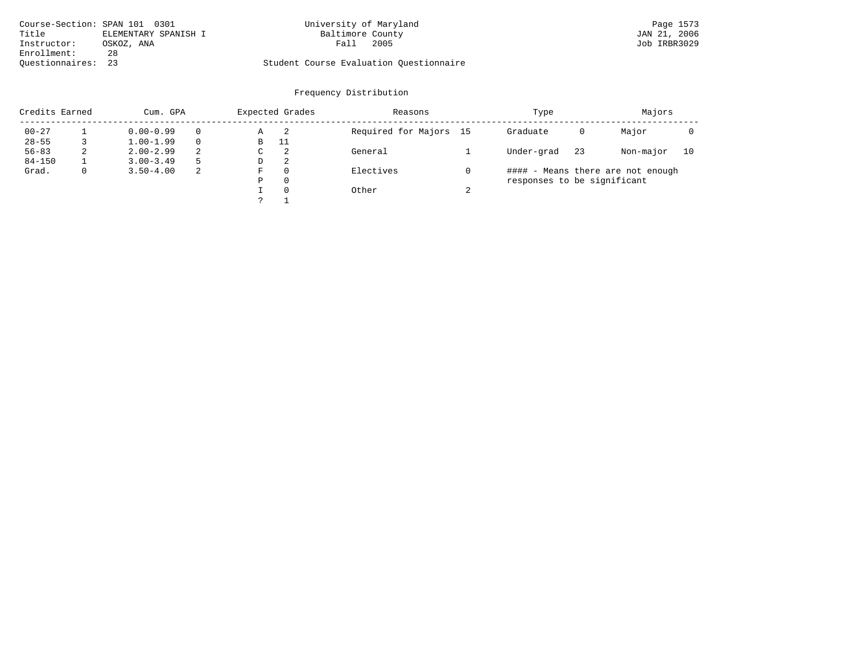|                    | Course-Section: SPAN 101 0301 | University of Maryland                  | Page 1573    |
|--------------------|-------------------------------|-----------------------------------------|--------------|
| Title              | ELEMENTARY SPANISH I          | Baltimore County                        | JAN 21, 2006 |
| Instructor:        | OSKOZ, ANA                    | 2005<br>Fall                            | Job IRBR3029 |
| Enrollment:        | 28                            |                                         |              |
| Ouestionnaires: 23 |                               | Student Course Evaluation Questionnaire |              |

| Credits Earned |   | Cum. GPA      |          |   | Expected Grades | Reasons                |        | Type                        |    | Majors                            |    |  |
|----------------|---|---------------|----------|---|-----------------|------------------------|--------|-----------------------------|----|-----------------------------------|----|--|
| $00 - 27$      |   | $0.00 - 0.99$ | $\Omega$ | Α | - 2             | Required for Majors 15 |        | Graduate                    | 0  | Major                             |    |  |
| $28 - 55$      |   | $1.00 - 1.99$ | $\Omega$ | В | 11              |                        |        |                             |    |                                   |    |  |
| $56 - 83$      | 2 | $2.00 - 2.99$ | 2        | С | 2               | General                |        | Under-grad                  | 23 | Non-major                         | 10 |  |
| $84 - 150$     |   | $3.00 - 3.49$ | 5        | D | -2              |                        |        |                             |    |                                   |    |  |
| Grad.          | 0 | $3.50 - 4.00$ | 2        | F | 0               | Electives              |        |                             |    | #### - Means there are not enough |    |  |
|                |   |               |          | Ρ | 0               |                        |        | responses to be significant |    |                                   |    |  |
|                |   |               |          |   | $\Omega$        | Other                  | $\sim$ |                             |    |                                   |    |  |
|                |   |               |          |   |                 |                        |        |                             |    |                                   |    |  |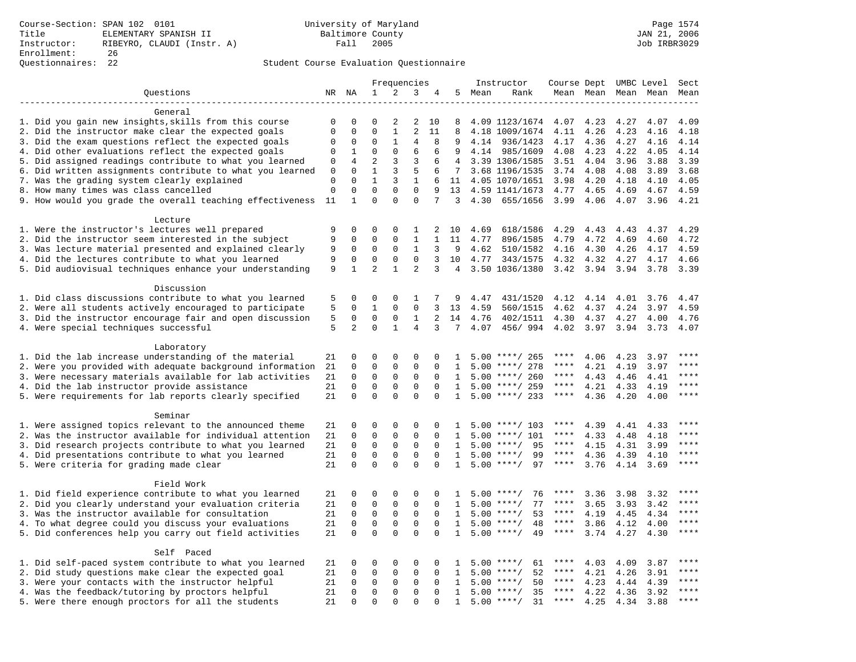|                                                           |             |                |                |              | Frequencies    |              |              |        | Instructor         | Course Dept UMBC Level |      |                     |      | Sect        |
|-----------------------------------------------------------|-------------|----------------|----------------|--------------|----------------|--------------|--------------|--------|--------------------|------------------------|------|---------------------|------|-------------|
| Questions                                                 |             | NR NA          | $\mathbf{1}$   | 2            | 3              | 4            |              | 5 Mean | Rank               |                        |      | Mean Mean Mean Mean |      | Mean        |
|                                                           |             |                |                |              |                |              |              |        |                    |                        |      |                     |      |             |
| General                                                   |             |                |                |              |                |              |              |        |                    |                        |      |                     |      |             |
| 1. Did you gain new insights, skills from this course     | 0           | 0              | 0              | 2            | 2              | 10           | 8            |        | 4.09 1123/1674     | 4.07                   | 4.23 | 4.27                | 4.07 | 4.09        |
| 2. Did the instructor make clear the expected goals       | $\mathbf 0$ | $\mathbf 0$    | $\mathbf 0$    | $\mathbf{1}$ | $\overline{a}$ | 11           | 8            |        | 4.18 1009/1674     | 4.11                   | 4.26 | 4.23                | 4.16 | 4.18        |
| 3. Did the exam questions reflect the expected goals      | 0           | $\mathbf 0$    | $\Omega$       | $\mathbf{1}$ | 4              | 8            | 9            |        | 4.14 936/1423      | 4.17                   | 4.36 | 4.27                | 4.16 | 4.14        |
| 4. Did other evaluations reflect the expected goals       | 0           | $\mathbf{1}$   | $\Omega$       | $\Omega$     | 6              | 6            | 9            |        | 4.14 985/1609      | 4.08                   | 4.23 | 4.22                | 4.05 | 4.14        |
| 5. Did assigned readings contribute to what you learned   | 0           | $\overline{4}$ | $\overline{2}$ | 3            | 3              | 6            | 4            |        | 3.39 1306/1585     | 3.51                   | 4.04 | 3.96                | 3.88 | 3.39        |
| 6. Did written assignments contribute to what you learned | 0           | $\mathbf 0$    | $\mathbf{1}$   | 3            | 5              | 6            | 7            |        | 3.68 1196/1535     | 3.74                   | 4.08 | 4.08                | 3.89 | 3.68        |
| 7. Was the grading system clearly explained               | 0           | $\mathbf 0$    | $\mathbf{1}$   | 3            | $\mathbf{1}$   | 6            | 11           |        | 4.05 1070/1651     | 3.98                   | 4.20 | 4.18                | 4.10 | 4.05        |
| 8. How many times was class cancelled                     | $\mathbf 0$ | $\mathbf 0$    | $\overline{0}$ | $\mathbf 0$  | $\mathbf 0$    | 9            | 13           |        | 4.59 1141/1673     | 4.77                   | 4.65 | 4.69                | 4.67 | 4.59        |
| 9. How would you grade the overall teaching effectiveness | 11          | $\mathbf{1}$   | $\Omega$       | $\Omega$     | $\Omega$       | 7            | 3            |        | 4.30 655/1656      | 3.99                   | 4.06 | 4.07                | 3.96 | 4.21        |
| Lecture                                                   |             |                |                |              |                |              |              |        |                    |                        |      |                     |      |             |
| 1. Were the instructor's lectures well prepared           | 9           | $\Omega$       | $\Omega$       | $\Omega$     | 1              | 2            | 10           | 4.69   | 618/1586           | 4.29                   | 4.43 | 4.43                | 4.37 | 4.29        |
| 2. Did the instructor seem interested in the subject      | 9           | $\mathbf 0$    | $\mathsf 0$    | $\mathsf 0$  | $\mathbf{1}$   | $\mathbf{1}$ | 11           | 4.77   | 896/1585           | 4.79                   | 4.72 | 4.69                | 4.60 | 4.72        |
| 3. Was lecture material presented and explained clearly   | 9           | $\mathbf 0$    | $\mathsf 0$    | $\mathsf 0$  | $\mathbf{1}$   | 3            | 9            | 4.62   | 510/1582           | 4.16                   | 4.30 | 4.26                | 4.17 | 4.59        |
| 4. Did the lectures contribute to what you learned        | 9           | $\mathbf 0$    | $\mathbf 0$    | $\mathbf{0}$ | $\mathbf 0$    | 3            | 10           | 4.77   | 343/1575           | 4.32                   | 4.32 | 4.27                | 4.17 | 4.66        |
| 5. Did audiovisual techniques enhance your understanding  | 9           | $\mathbf{1}$   | $\overline{2}$ | $\mathbf{1}$ | $\overline{2}$ | 3            | 4            |        | 3.50 1036/1380     | 3.42                   | 3.94 | 3.94                | 3.78 | 3.39        |
|                                                           |             |                |                |              |                |              |              |        |                    |                        |      |                     |      |             |
| Discussion                                                |             |                |                |              |                |              |              |        |                    |                        |      |                     |      |             |
| 1. Did class discussions contribute to what you learned   | 5           | 0              | 0              | $\mathbf 0$  | 1              | 7            | 9            | 4.47   | 431/1520           | 4.12                   | 4.14 | 4.01                | 3.76 | 4.47        |
| 2. Were all students actively encouraged to participate   | 5           | $\Omega$       | $\mathbf{1}$   | $\Omega$     | $\Omega$       | 3            | 13           | 4.59   | 560/1515           | 4.62                   | 4.37 | 4.24                | 3.97 | 4.59        |
| 3. Did the instructor encourage fair and open discussion  | 5           | 0              | $\mathsf 0$    | $\mathsf 0$  | $\mathbf{1}$   | 2            | 14           | 4.76   | 402/1511           | 4.30                   | 4.37 | 4.27                | 4.00 | 4.76        |
| 4. Were special techniques successful                     | 5           | $\overline{2}$ | $\mathbf 0$    | $\mathbf{1}$ | 4              | 3            | 7            | 4.07   | 456/994            | 4.02                   | 3.97 | 3.94                | 3.73 | 4.07        |
| Laboratory                                                |             |                |                |              |                |              |              |        |                    |                        |      |                     |      |             |
| 1. Did the lab increase understanding of the material     | 21          | 0              | 0              | $\mathbf 0$  | 0              | 0            | 1            |        | $5.00$ ****/ 265   | ****                   | 4.06 | 4.23                | 3.97 | ****        |
| 2. Were you provided with adequate background information | 21          | 0              | 0              | $\mathbf 0$  | 0              | $\Omega$     | 1            |        | $5.00$ ****/ 278   | ****                   | 4.21 | 4.19                | 3.97 | $***$       |
| 3. Were necessary materials available for lab activities  | 21          | $\mathbf 0$    | $\mathbf 0$    | $\mathbf{0}$ | $\mathbf 0$    | $\mathbf 0$  | 1            |        | $5.00$ ****/ 260   | ****                   | 4.43 | 4.46                | 4.41 | ****        |
| 4. Did the lab instructor provide assistance              | 21          | $\Omega$       | $\Omega$       | $\Omega$     | $\Omega$       | $\Omega$     | 1            |        | $5.00$ ****/ 259   | $***$ * * *            | 4.21 | 4.33                | 4.19 | ****        |
| 5. Were requirements for lab reports clearly specified    | 21          | $\mathbf 0$    | $\mathbf 0$    | $\Omega$     | $\mathbf 0$    | $\mathbf 0$  | $\mathbf{1}$ |        | $5.00$ ****/ 233   | $***$ * * *            | 4.36 | 4.20                | 4.00 | ****        |
| Seminar                                                   |             |                |                |              |                |              |              |        |                    |                        |      |                     |      |             |
| 1. Were assigned topics relevant to the announced theme   | 21          | 0              | 0              | 0            | 0              | $\Omega$     | -1           |        | $5.00$ ****/ 103   | ****                   | 4.39 | 4.41                | 4.33 | ****        |
| 2. Was the instructor available for individual attention  | 21          | 0              | $\mathbf 0$    | $\mathbf 0$  | 0              | $\mathbf 0$  | 1            |        | $5.00$ ****/ 101   | ****                   | 4.33 | 4.48                | 4.18 | ****        |
| 3. Did research projects contribute to what you learned   | 21          | $\mathbf 0$    | $\mathsf 0$    | $\mathbf 0$  | $\mathbf 0$    | $\mathbf 0$  | 1            |        | $5.00$ ****/<br>95 | $***$ * * *            | 4.15 | 4.31                | 3.99 | ****        |
| 4. Did presentations contribute to what you learned       | 21          | $\Omega$       | $\mathbf 0$    | $\mathbf{0}$ | $\mathbf 0$    | $\Omega$     | 1            |        | $5.00$ ****/<br>99 | $***$ * * *            | 4.36 | 4.39                | 4.10 | $***$       |
| 5. Were criteria for grading made clear                   | 21          | $\Omega$       | $\Omega$       | $\Omega$     | $\Omega$       | $\Omega$     | $\mathbf{1}$ |        | $5.00$ ****/<br>97 | $***$ * * *            | 3.76 | 4.14                | 3.69 | $***$       |
|                                                           |             |                |                |              |                |              |              |        |                    |                        |      |                     |      |             |
| Field Work                                                |             |                |                |              |                |              |              |        |                    |                        |      |                     |      |             |
| 1. Did field experience contribute to what you learned    | 21          | 0              | 0              | 0            | 0              | 0            | 1            |        | 76<br>$5.00$ ****/ | ****                   | 3.36 | 3.98                | 3.32 | ****        |
| 2. Did you clearly understand your evaluation criteria    | 21          | 0              | $\mathbf 0$    | $\mathbf 0$  | 0              | $\Omega$     | $\mathbf{1}$ |        | $5.00$ ****/<br>77 | ****                   | 3.65 | 3.93                | 3.42 | $***$       |
| 3. Was the instructor available for consultation          | 21          | $\mathbf 0$    | $\mathbf 0$    | $\mathbf{0}$ | $\mathbf 0$    | $\mathbf 0$  | $\mathbf{1}$ |        | 53<br>$5.00$ ****/ | ****                   | 4.19 | 4.45                | 4.34 | ****        |
| 4. To what degree could you discuss your evaluations      | 21          | $\mathbf 0$    | $\mathbf 0$    | $\mathbf{0}$ | 0              | $\mathbf 0$  | 1            |        | 48<br>$5.00$ ****/ | $***$ * * *            | 3.86 | 4.12                | 4.00 | ****        |
| 5. Did conferences help you carry out field activities    | 21          | $\Omega$       | $\Omega$       | $\Omega$     | $\Omega$       | $\Omega$     | 1            |        | $5.00$ ****/<br>49 | $***$ * * *            | 3.74 | 4.27                | 4.30 | $***$       |
| Self Paced                                                |             |                |                |              |                |              |              |        |                    |                        |      |                     |      |             |
| 1. Did self-paced system contribute to what you learned   | 21          | 0              | $\mathsf 0$    | $\mathsf 0$  | 0              | $\mathbf 0$  | 1            |        | $5.00$ ****/<br>61 | ****                   | 4.03 | 4.09                | 3.87 | ****        |
| 2. Did study questions make clear the expected goal       | 21          | $\mathbf 0$    | $\mathsf 0$    | $\mathbf{0}$ | 0              | $\mathbf 0$  | $\mathbf{1}$ |        | 52<br>$5.00$ ****/ | ****                   | 4.21 | 4.26                | 3.91 | ****        |
| 3. Were your contacts with the instructor helpful         | 21          | 0              | $\mathbf 0$    | $\mathbf 0$  | 0              | $\Omega$     | $\mathbf{1}$ |        | $5.00$ ****/<br>50 | $***$ * * *            | 4.23 | 4.44                | 4.39 | $***$ * * * |
| 4. Was the feedback/tutoring by proctors helpful          | 21          | $\Omega$       | $\mathbf 0$    | $\mathbf 0$  | 0              | $\Omega$     | $\mathbf{1}$ |        | 35<br>$5.00$ ****/ | ****                   | 4.22 | 4.36                | 3.92 | $***$       |
| 5. Were there enough proctors for all the students        | 21          | $\Omega$       | $\Omega$       | $\Omega$     | $\Omega$       | $\Omega$     | $\mathbf{1}$ |        | $5.00$ ****/<br>31 | $***$ * * *            | 4.25 | 4.34                | 3.88 | $***$       |
|                                                           |             |                |                |              |                |              |              |        |                    |                        |      |                     |      |             |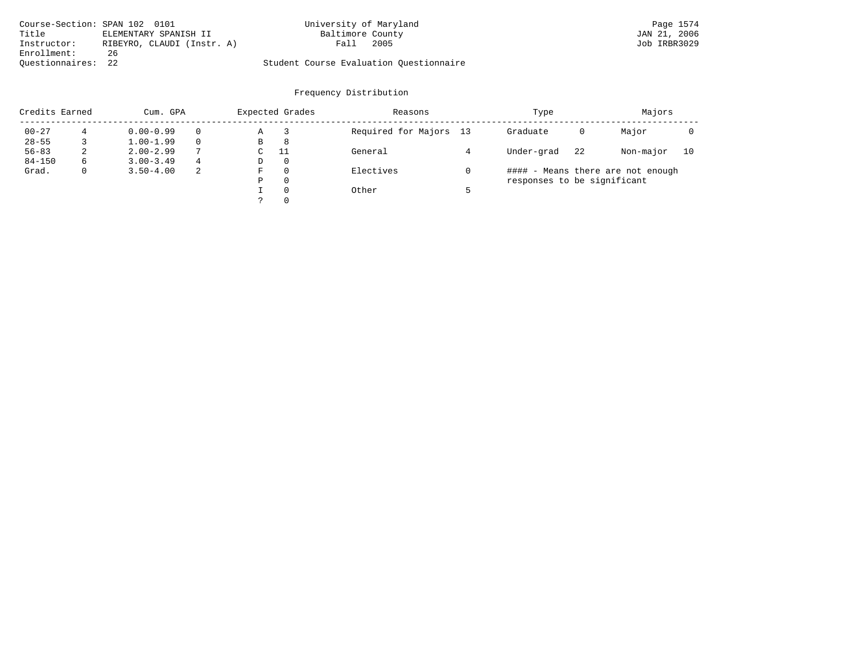| Course-Section: SPAN 102 0101 |                            | University of Maryland                  | Page 1574    |
|-------------------------------|----------------------------|-----------------------------------------|--------------|
| Title                         | ELEMENTARY SPANISH II      | Baltimore County                        | JAN 21, 2006 |
| Instructor:                   | RIBEYRO, CLAUDI (Instr. A) | 2005<br>Fall                            | Job IRBR3029 |
| Enrollment:                   | 26                         |                                         |              |
| Ouestionnaires: 22            |                            | Student Course Evaluation Ouestionnaire |              |

| Credits Earned |   | Cum. GPA      |              | Expected Grades |          | Reasons                | Type                        |    | Majors                            |    |  |
|----------------|---|---------------|--------------|-----------------|----------|------------------------|-----------------------------|----|-----------------------------------|----|--|
| $00 - 27$      | 4 | $0.00 - 0.99$ | $\Omega$     | Α               |          | Required for Majors 13 | Graduate                    | 0  | Major                             |    |  |
| $28 - 55$      |   | $1.00 - 1.99$ | $\Omega$     | В               | 8        |                        |                             |    |                                   |    |  |
| $56 - 83$      | 2 | $2.00 - 2.99$ | $\mathbf{r}$ | С               | 11       | General                | Under-grad                  | 22 | Non-major                         | 10 |  |
| $84 - 150$     | 6 | $3.00 - 3.49$ | 4            | D               | $\circ$  |                        |                             |    |                                   |    |  |
| Grad.          | 0 | $3.50 - 4.00$ | -2           | F               | 0        | Electives              |                             |    | #### - Means there are not enough |    |  |
|                |   |               |              | Ρ               | 0        |                        | responses to be significant |    |                                   |    |  |
|                |   |               |              |                 | $\Omega$ | Other                  |                             |    |                                   |    |  |
|                |   |               |              |                 | 0        |                        |                             |    |                                   |    |  |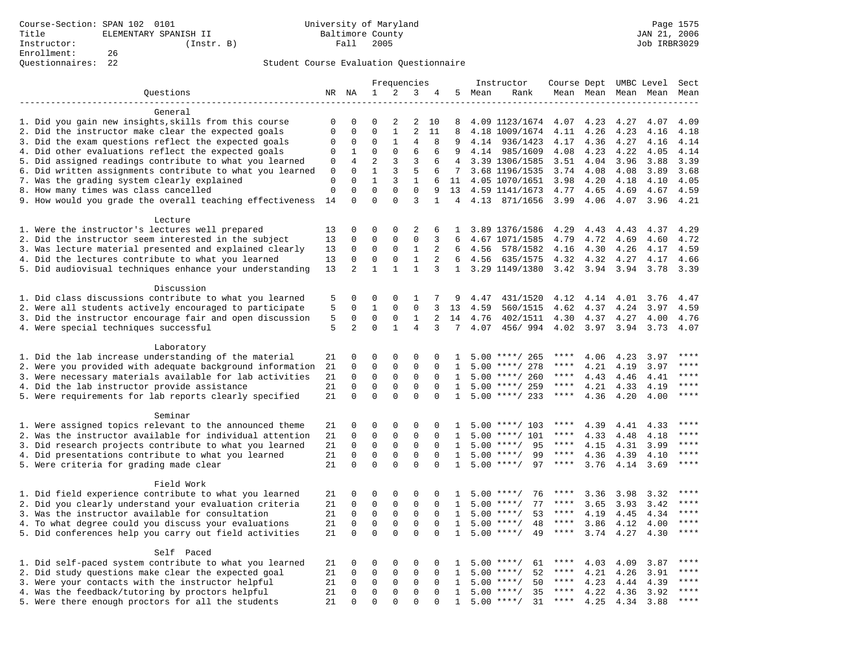# Questionnaires: 22 Student Course Evaluation Questionnaire

|                                                           |                  |                         |                             | Frequencies       |                             |                   |                      |        | Instructor                      | Course Dept UMBC Level |              |              |              | Sect                   |
|-----------------------------------------------------------|------------------|-------------------------|-----------------------------|-------------------|-----------------------------|-------------------|----------------------|--------|---------------------------------|------------------------|--------------|--------------|--------------|------------------------|
| Questions                                                 |                  | NR NA                   | $\mathbf 1$                 | 2                 | 3                           | 4                 |                      | 5 Mean | Rank                            |                        | Mean Mean    |              | Mean Mean    | Mean                   |
|                                                           |                  |                         |                             |                   |                             |                   |                      |        |                                 |                        |              |              |              |                        |
| General                                                   |                  |                         |                             |                   |                             |                   |                      |        |                                 |                        |              |              |              |                        |
| 1. Did you gain new insights, skills from this course     | 0                | 0                       | $\Omega$                    | 2                 | 2                           | 10                | 8                    |        | 4.09 1123/1674                  | 4.07                   | 4.23         | 4.27         | 4.07         | 4.09                   |
| 2. Did the instructor make clear the expected goals       | $\mathbf 0$      | $\mathbf 0$             | $\Omega$                    | $\mathbf{1}$      | $\overline{a}$              | 11                | 8                    |        | 4.18 1009/1674                  | 4.11                   | 4.26         | 4.23         | 4.16         | 4.18                   |
| 3. Did the exam questions reflect the expected goals      | 0                | 0                       | $\Omega$                    | $\mathbf{1}$      | 4                           | 8                 | 9                    |        | 4.14 936/1423                   | 4.17                   | 4.36         | 4.27         | 4.16         | 4.14                   |
| 4. Did other evaluations reflect the expected goals       | 0                | 1                       | $\mathbf 0$                 | $\mathbf 0$       | 6                           | 6                 | 9                    |        | 4.14 985/1609                   | 4.08                   | 4.23         | 4.22         | 4.05         | 4.14                   |
| 5. Did assigned readings contribute to what you learned   | $\mathbf 0$      | 4                       | $\overline{2}$              | $\overline{3}$    | 3                           | 6                 | 4                    |        | 3.39 1306/1585                  | 3.51                   | 4.04         | 3.96         | 3.88         | 3.39                   |
| 6. Did written assignments contribute to what you learned | $\mathbf 0$      | $\Omega$                | $\mathbf{1}$                | 3                 | 5                           | 6                 | 7                    |        | 3.68 1196/1535                  | 3.74                   | 4.08         | 4.08         | 3.89         | 3.68                   |
| 7. Was the grading system clearly explained               | 0<br>$\mathbf 0$ | $\Omega$<br>$\mathbf 0$ | $\mathbf{1}$<br>$\mathbf 0$ | 3<br>$\mathbf{0}$ | $\mathbf{1}$<br>$\mathbf 0$ | 6                 |                      |        | 11 4.05 1070/1651               | 3.98                   | 4.20         | 4.18         | 4.10         | 4.05                   |
| 8. How many times was class cancelled                     | 14               | $\Omega$                | $\Omega$                    | $\Omega$          | 3                           | 9<br>$\mathbf{1}$ | 13<br>$\overline{4}$ |        | 4.59 1141/1673<br>4.13 871/1656 | 4.77<br>3.99           | 4.65<br>4.06 | 4.69<br>4.07 | 4.67<br>3.96 | 4.59<br>4.21           |
| 9. How would you grade the overall teaching effectiveness |                  |                         |                             |                   |                             |                   |                      |        |                                 |                        |              |              |              |                        |
| Lecture                                                   |                  |                         |                             |                   |                             |                   |                      |        |                                 |                        |              |              |              |                        |
| 1. Were the instructor's lectures well prepared           | 13               | 0                       | $\Omega$                    | $\mathbf 0$       | 2                           | 6                 | $\mathbf{1}$         |        | 3.89 1376/1586                  | 4.29                   | 4.43         | 4.43         | 4.37         | 4.29                   |
| 2. Did the instructor seem interested in the subject      | 13               | 0                       | $\mathbf 0$                 | $\mathbf 0$       | $\mathbf 0$                 | 3                 | 6                    |        | 4.67 1071/1585                  | 4.79                   | 4.72         | 4.69         | 4.60         | 4.72                   |
| 3. Was lecture material presented and explained clearly   | 13               | 0                       | $\mathbf 0$                 | $\mathbf 0$       | 1                           | 2                 | 6                    | 4.56   | 578/1582                        | 4.16                   | 4.30         | 4.26         | 4.17         | 4.59                   |
| 4. Did the lectures contribute to what you learned        | 13               | $\Omega$                | $\Omega$                    | $\Omega$          | $\mathbf{1}$                | 2                 | 6                    | 4.56   | 635/1575                        | 4.32                   | 4.32         | 4.27         | 4.17         | 4.66                   |
| 5. Did audiovisual techniques enhance your understanding  | 13               | $\overline{a}$          | $\mathbf{1}$                | $\mathbf{1}$      | $\mathbf{1}$                | 3                 | $\mathbf{1}$         |        | 3.29 1149/1380                  | 3.42                   | 3.94         | 3.94         | 3.78         | 3.39                   |
|                                                           |                  |                         |                             |                   |                             |                   |                      |        |                                 |                        |              |              |              |                        |
| Discussion                                                |                  |                         |                             |                   |                             |                   |                      |        |                                 |                        |              |              |              |                        |
| 1. Did class discussions contribute to what you learned   | 5                | 0                       | 0                           | $\mathbf 0$       | 1                           | 7                 | 9                    | 4.47   | 431/1520                        | 4.12                   | 4.14         | 4.01         | 3.76         | 4.47                   |
| 2. Were all students actively encouraged to participate   | 5                | 0                       | $\mathbf{1}$                | $\mathbf 0$       | $\mathbf 0$                 | 3                 | 13                   | 4.59   | 560/1515                        | 4.62                   | 4.37         | 4.24         | 3.97         | 4.59                   |
| 3. Did the instructor encourage fair and open discussion  | 5                | 0                       | $\mathbf 0$                 | $\mathbf 0$       | $\mathbf{1}$                | 2                 | 14                   | 4.76   | 402/1511                        | 4.30                   | 4.37         | 4.27         | 4.00         | 4.76                   |
| 4. Were special techniques successful                     | 5                | $\overline{2}$          | $\Omega$                    | $\mathbf{1}$      | $\overline{4}$              | 3                 | 7                    | 4.07   | 456/994                         | 4.02                   | 3.97         | 3.94         | 3.73         | 4.07                   |
|                                                           |                  |                         |                             |                   |                             |                   |                      |        |                                 |                        |              |              |              |                        |
| Laboratory                                                |                  |                         |                             |                   |                             |                   |                      |        |                                 |                        |              |              |              |                        |
| 1. Did the lab increase understanding of the material     | 21               | $\Omega$                | $\Omega$                    | $\Omega$          | $\Omega$                    | $\Omega$          | $\mathbf{1}$         |        | $5.00$ ****/ 265                | ****                   | 4.06         | 4.23         | 3.97         |                        |
| 2. Were you provided with adequate background information | 21               | $\mathsf 0$             | $\mathbf 0$                 | $\mathsf 0$       | 0                           | 0                 | 1                    | 5.00   | ****/ 278                       | ****                   | 4.21         | 4.19         | 3.97         | ****                   |
| 3. Were necessary materials available for lab activities  | 21               | $\mathbf 0$             | $\mathbf 0$                 | $\mathsf 0$       | $\mathbf 0$                 | $\mathbf 0$       | $\mathbf{1}$         |        | $5.00$ ****/ 260                | ****                   | 4.43         | 4.46         | 4.41         | $***$                  |
| 4. Did the lab instructor provide assistance              | 21               | $\Omega$                | $\mathbf 0$                 | 0                 | $\Omega$                    | $\Omega$          | $\mathbf{1}$         |        | $5.00$ ****/ 259                | ****                   | 4.21         | 4.33         | 4.19         | $\star\star\star\star$ |
| 5. Were requirements for lab reports clearly specified    | 21               | $\mathbf 0$             | $\mathbf 0$                 | $\Omega$          | $\Omega$                    | $\Omega$          | $\mathbf{1}$         |        | $5.00$ ****/ 233                | $***$ * * *            | 4.36         | 4.20         | 4.00         | ****                   |
| Seminar                                                   |                  |                         |                             |                   |                             |                   |                      |        |                                 |                        |              |              |              |                        |
| 1. Were assigned topics relevant to the announced theme   | 21               | 0                       | 0                           | $\Omega$          | $\Omega$                    | $\Omega$          | -1.                  |        | $5.00$ ****/ 103                | ****                   | 4.39         | 4.41         | 4.33         | $***$                  |
| 2. Was the instructor available for individual attention  | 21               | $\mathbf 0$             | $\mathbf 0$                 | $\mathbf{0}$      | $\mathbf 0$                 | $\Omega$          | $\mathbf{1}$         |        | $5.00$ ****/ 101                | ****                   | 4.33         | 4.48         | 4.18         | ****                   |
| 3. Did research projects contribute to what you learned   | 21               | $\mathbf 0$             | $\mathsf 0$                 | $\mathbf 0$       | $\mathbf 0$                 | $\mathbf 0$       | 1                    |        | $5.00$ ****/<br>95              | ****                   | 4.15         | 4.31         | 3.99         | ****                   |
| 4. Did presentations contribute to what you learned       | 21               | $\mathbf 0$             | $\mathsf 0$                 | $\mathbf 0$       | $\mathbf 0$                 | $\mathbf 0$       | $\mathbf{1}$         |        | 99<br>$5.00$ ****/              | $***$ * * *            | 4.36         | 4.39         | 4.10         | $***$                  |
| 5. Were criteria for grading made clear                   | 21               | $\Omega$                | $\Omega$                    | $\Omega$          | $\Omega$                    | $\Omega$          | $\mathbf{1}$         |        | $5.00$ ****/<br>97              | $***$ * * *            | 3.76         | 4.14         | 3.69         | ****                   |
|                                                           |                  |                         |                             |                   |                             |                   |                      |        |                                 |                        |              |              |              |                        |
| Field Work                                                |                  |                         |                             |                   |                             |                   |                      |        |                                 |                        |              |              |              |                        |
| 1. Did field experience contribute to what you learned    | 21               | 0                       | 0                           | 0                 | 0                           | 0                 | 1                    |        | $5.00$ ****/<br>76              | ****                   | 3.36         | 3.98         | 3.32         | ****                   |
| 2. Did you clearly understand your evaluation criteria    | 21               | $\mathbf 0$             | $\mathbf 0$                 | $\mathbf 0$       | $\mathbf 0$                 | $\Omega$          | $\mathbf{1}$         |        | 77<br>$5.00$ ****/              | ****                   | 3.65         | 3.93         | 3.42         | ****                   |
| 3. Was the instructor available for consultation          | 21               | $\Omega$                | $\mathbf 0$                 | $\mathbf{0}$      | $\mathbf 0$                 | $\Omega$          | $\mathbf{1}$         |        | 53<br>$5.00$ ****/              | ****                   | 4.19         | 4.45         | 4.34         | ****                   |
| 4. To what degree could you discuss your evaluations      | 21               | $\mathbf 0$             | $\mathbf 0$                 | $\mathbf 0$       | $\mathbf 0$                 | $\Omega$          | $\mathbf{1}$         | 5.00   | $***/$<br>48                    | $***$ * * *            | 3.86         | 4.12         | 4.00         | ****                   |
| 5. Did conferences help you carry out field activities    | 21               | $\Omega$                | $\Omega$                    | $\Omega$          | $\Omega$                    | $\Omega$          | $\mathbf{1}$         |        | $5.00$ ****/<br>49              | $***$ * * *            | 3.74         | 4.27         | 4.30         | $***$                  |
|                                                           |                  |                         |                             |                   |                             |                   |                      |        |                                 |                        |              |              |              |                        |
| Self Paced                                                |                  |                         |                             |                   |                             |                   |                      |        |                                 |                        |              |              |              |                        |
| 1. Did self-paced system contribute to what you learned   | 21               | 0                       | 0                           | 0                 | $\mathbf 0$                 | $\Omega$          | $\mathbf{1}$         |        | $5.00$ ****/<br>61              |                        | 4.03         | 4.09         | 3.87         | ****                   |
| 2. Did study questions make clear the expected goal       | 21               | $\mathbf 0$             | $\mathbf 0$                 | 0                 | $\mathbf 0$                 | $\mathbf 0$       | 1                    |        | 52<br>$5.00$ ****/              | ****                   | 4.21         | 4.26         | 3.91         | $***$                  |
| 3. Were your contacts with the instructor helpful         | 21               | $\Omega$                | 0                           | 0                 | 0                           | $\Omega$          | $\mathbf{1}$         | 5.00   | 50<br>$***$ /                   | $***$ * * *            | 4.23         | 4.44         | 4.39         | $***$ * * *            |
| 4. Was the feedback/tutoring by proctors helpful          | 21               | $\Omega$                | $\mathbf 0$                 | $\mathbf{0}$      | $\Omega$                    | $\Omega$          | $\mathbf{1}$         |        | 35<br>$5.00$ ****/              | ****                   | 4.22         | 4.36         | 3.92         | $***$                  |
| 5. Were there enough proctors for all the students        | 21               | $\Omega$                | $\Omega$                    | $\Omega$          | $\Omega$                    | $\Omega$          | $\mathbf{1}$         |        | $5.00$ ****/<br>31              | $***$ * * *            | 4.25         | 4.34         | 3.88         | $***$                  |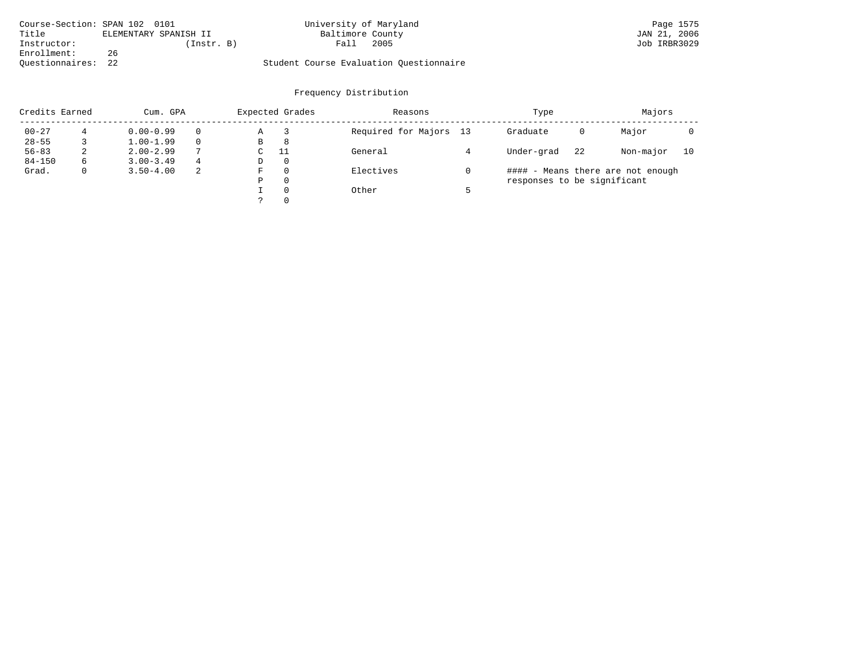| Course-Section: SPAN 102 0101 |                       | University of Maryland                  | Page 1575    |
|-------------------------------|-----------------------|-----------------------------------------|--------------|
| Title                         | ELEMENTARY SPANISH II | Baltimore County                        | JAN 21, 2006 |
| Instructor:                   | (Instr. B)            | 2005<br>Fall                            | Job IRBR3029 |
| Enrollment:                   | 26                    |                                         |              |
| Ouestionnaires:               | 2.2                   | Student Course Evaluation Questionnaire |              |

| Credits Earned |   | Cum. GPA      |   |             | Expected Grades | Reasons                | Type                        |    | Majors                            |    |
|----------------|---|---------------|---|-------------|-----------------|------------------------|-----------------------------|----|-----------------------------------|----|
| $00 - 27$      |   | $0.00 - 0.99$ |   | Α           |                 | Required for Majors 13 | Graduate                    | 0  | Major                             |    |
| $28 - 55$      |   | $1.00 - 1.99$ |   | В           | 8               |                        |                             |    |                                   |    |
| $56 - 83$      | 2 | $2.00 - 2.99$ | 7 | $\sim$<br>◡ | -11             | General                | Under-grad                  | 22 | Non-major                         | 10 |
| $84 - 150$     | 6 | $3.00 - 3.49$ | 4 | D           | 0               |                        |                             |    |                                   |    |
| Grad.          | 0 | $3.50 - 4.00$ | 2 | F           | 0               | Electives              |                             |    | #### - Means there are not enough |    |
|                |   |               |   | Ρ           | 0               |                        | responses to be significant |    |                                   |    |
|                |   |               |   |             | $\Omega$        | Other                  |                             |    |                                   |    |
|                |   |               |   | っ           | 0               |                        |                             |    |                                   |    |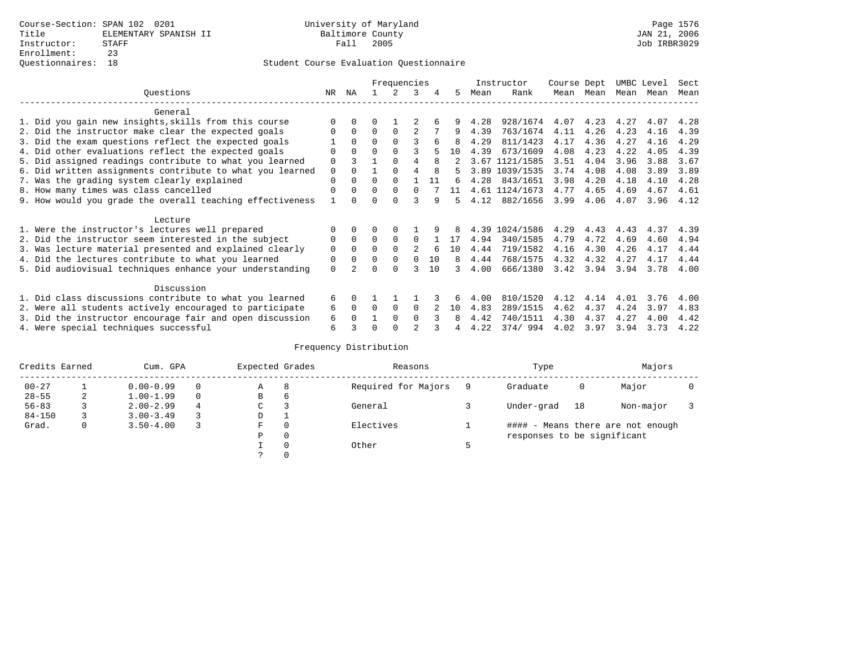|                                                           |             |              |          | Frequencies |          |              |    |      | Instructor     | Course Dept |      | UMBC Level |      | Sect |
|-----------------------------------------------------------|-------------|--------------|----------|-------------|----------|--------------|----|------|----------------|-------------|------|------------|------|------|
| Ouestions                                                 | NR.         | ΝA           |          |             | 3        |              | 5. | Mean | Rank           | Mean        | Mean | Mean       | Mean | Mean |
| General                                                   |             |              |          |             |          |              |    |      |                |             |      |            |      |      |
| 1. Did you gain new insights, skills from this course     |             | $\Omega$     | O        |             |          |              |    | 4.28 | 928/1674       | 4.07        | 4.23 | 4.27       | 4.07 | 4.28 |
| 2. Did the instructor make clear the expected goals       | O           | $\Omega$     | $\Omega$ | $\Omega$    |          |              | 9  | 4.39 | 763/1674       | 4.11        | 4.26 | 4.23       | 4.16 | 4.39 |
| 3. Did the exam questions reflect the expected goals      |             | $\Omega$     | $\Omega$ | $\Omega$    | ς        | 6            |    | 4.29 | 811/1423       | 4.17        | 4.36 | 4.27       | 4.16 | 4.29 |
| 4. Did other evaluations reflect the expected goals       | O           | $\Omega$     | $\Omega$ |             |          |              | 10 | 4.39 | 673/1609       | 4.08        | 4.23 | 4.22       | 4.05 | 4.39 |
| 5. Did assigned readings contribute to what you learned   | $\mathbf 0$ |              |          |             | 4        | 8            |    |      | 3.67 1121/1585 | 3.51        | 4.04 | 3.96       | 3.88 | 3.67 |
| 6. Did written assignments contribute to what you learned | $\mathbf 0$ | $\cap$       |          |             |          | $\mathsf{R}$ | 5  |      | 3.89 1039/1535 | 3.74        | 4.08 | 4.08       | 3.89 | 3.89 |
| 7. Was the grading system clearly explained               | $\Omega$    | $\Omega$     | $\Omega$ | $\Omega$    |          | 11           | б. | 4.28 | 843/1651       | 3.98        | 4.20 | 4.18       | 4.10 | 4.28 |
| 8. How many times was class cancelled                     | $\Omega$    | $\Omega$     | $\Omega$ | $\Omega$    | $\Omega$ |              | 11 |      | 4.61 1124/1673 | 4.77        | 4.65 | 4.69       | 4.67 | 4.61 |
| 9. How would you grade the overall teaching effectiveness |             | <sup>n</sup> | U        | ∩           |          | q            | 5  | 4.12 | 882/1656       | 3.99        | 4.06 | 4.07       | 3.96 | 4.12 |
|                                                           |             |              |          |             |          |              |    |      |                |             |      |            |      |      |
| Lecture                                                   |             |              |          |             |          |              |    |      |                |             |      |            |      |      |
| 1. Were the instructor's lectures well prepared           |             |              |          |             |          |              |    | 4.39 | 1024/1586      | 4.29        | 4.43 | 4.43       | 4.37 | 4.39 |
| 2. Did the instructor seem interested in the subject      | 0           | $\Omega$     | $\Omega$ | $\Omega$    | $\Omega$ |              | 17 | 4.94 | 340/1585       | 4.79        | 4.72 | 4.69       | 4.60 | 4.94 |
| 3. Was lecture material presented and explained clearly   | $\mathbf 0$ | $\Omega$     | $\Omega$ |             |          |              | 10 | 4.44 | 719/1582       | 4.16        | 4.30 | 4.26       | 4.17 | 4.44 |
| 4. Did the lectures contribute to what you learned        | 0           | $\Omega$     | $\Omega$ | $\Omega$    | $\Omega$ | 10           | 8  | 4.44 | 768/1575       | 4.32        | 4.32 | 4.27       | 4.17 | 4.44 |
| 5. Did audiovisual techniques enhance your understanding  | $\Omega$    |              |          | ∩           |          | 10           |    | 4.00 | 666/1380       | 3.42        | 3.94 | 3.94       | 3.78 | 4.00 |
|                                                           |             |              |          |             |          |              |    |      |                |             |      |            |      |      |
| Discussion                                                |             |              |          |             |          |              |    |      |                |             |      |            |      |      |
| 1. Did class discussions contribute to what you learned   | 6           | $\Omega$     |          |             |          |              | 6  | 4.00 | 810/1520       | 4.12        | 4.14 | 4.01       | 3.76 | 4.00 |
| 2. Were all students actively encouraged to participate   | 6           | $\Omega$     | $\Omega$ | $\Omega$    | $\Omega$ |              | 10 | 4.83 | 289/1515       | 4.62        | 4.37 | 4.24       | 3.97 | 4.83 |
| 3. Did the instructor encourage fair and open discussion  | 6           |              |          | $\Omega$    | $\Omega$ |              | 8  | 4.42 | 740/1511       | 4.30        | 4.37 | 4.27       | 4.00 | 4.42 |
| 4. Were special techniques successful                     | 6           |              |          |             |          |              |    | 4.22 | 374/994        | 4.02        | 3.97 | 3.94       | 3.73 | 4.22 |

| Credits Earned |   | Cum. GPA      |   | Expected Grades |   | Reasons             | Type                        |    | Majors                            |  |
|----------------|---|---------------|---|-----------------|---|---------------------|-----------------------------|----|-----------------------------------|--|
| $00 - 27$      |   | $0.00 - 0.99$ |   | Α               | 8 | Required for Majors | Graduate                    | 0  | Major                             |  |
| $28 - 55$      | 2 | $1.00 - 1.99$ |   | B               | 6 |                     |                             |    |                                   |  |
| $56 - 83$      |   | $2.00 - 2.99$ | 4 | $\sim$<br>◡     |   | General             | Under-grad                  | 18 | Non-major                         |  |
| $84 - 150$     |   | $3.00 - 3.49$ |   | D               |   |                     |                             |    |                                   |  |
| Grad.          | 0 | $3.50 - 4.00$ |   | F               | 0 | Electives           |                             |    | #### - Means there are not enough |  |
|                |   |               |   | Ρ               | 0 |                     | responses to be significant |    |                                   |  |
|                |   |               |   |                 | 0 | Other               |                             |    |                                   |  |
|                |   |               |   | $\mathcal{L}$   |   |                     |                             |    |                                   |  |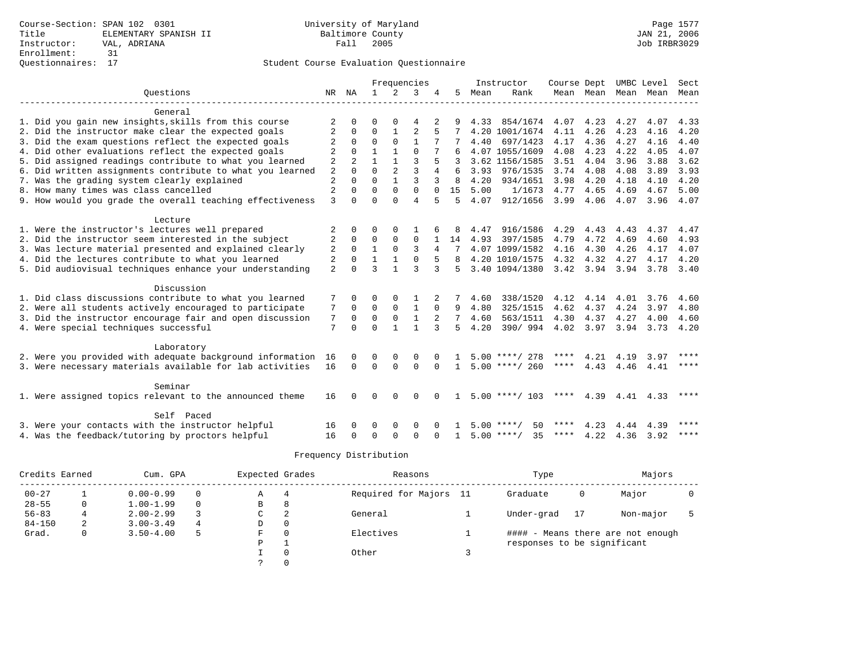|                                                           |                |                |              |                | Frequencies    |                |              |      | Instructor         | Course Dept UMBC Level |                |      |           | Sect        |
|-----------------------------------------------------------|----------------|----------------|--------------|----------------|----------------|----------------|--------------|------|--------------------|------------------------|----------------|------|-----------|-------------|
| Ouestions                                                 |                | NR NA          | $\mathbf{1}$ | 2              | 3              |                | 5            | Mean | Rank               |                        | Mean Mean Mean |      | Mean Mean |             |
| General                                                   |                |                |              |                |                |                |              |      |                    |                        |                |      |           |             |
| 1. Did you gain new insights, skills from this course     |                |                | $\Omega$     |                | 4              |                |              | 4.33 | 854/1674           | 4.07                   | 4.23           | 4.27 | 4.07      | 4.33        |
| 2. Did the instructor make clear the expected goals       | 2              | $\Omega$       | $\Omega$     |                | $\overline{2}$ |                |              |      | 4.20 1001/1674     | 4.11                   | 4.26           | 4.23 | 4.16      | 4.20        |
| 3. Did the exam questions reflect the expected goals      | 2              | $\Omega$       | $\Omega$     | $\Omega$       | $\mathbf{1}$   |                |              | 4.40 | 697/1423           | 4.17                   | 4.36           | 4.27 | 4.16      | 4.40        |
| 4. Did other evaluations reflect the expected goals       |                | $\Omega$       | 1            | $\mathbf{1}$   | $\Omega$       |                |              |      | 4.07 1055/1609     | 4.08                   | 4.23           | 4.22 | 4.05      | 4.07        |
| 5. Did assigned readings contribute to what you learned   | 2              | $\mathfrak{D}$ | 1            | $\mathbf{1}$   | 3              |                |              |      | 3.62 1156/1585     | 3.51                   | 4.04           | 3.96 | 3.88      | 3.62        |
| 6. Did written assignments contribute to what you learned | $\overline{2}$ | $\Omega$       | $\Omega$     | $\overline{2}$ | 3              | 4              |              | 3.93 | 976/1535           | 3.74                   | 4.08           | 4.08 | 3.89      | 3.93        |
| 7. Was the grading system clearly explained               | $\overline{2}$ | $\Omega$       | $\Omega$     | $\mathbf{1}$   | 3              | 3              | $\mathsf{R}$ | 4.20 | 934/1651           | 3.98                   | 4.20           | 4.18 | 4.10      | 4.20        |
| 8. How many times was class cancelled                     | $\overline{2}$ | $\Omega$       | $\Omega$     | $\Omega$       | $\Omega$       | $\Omega$       | 15           | 5.00 | 1/1673             | 4.77                   | 4.65           | 4.69 | 4.67      | 5.00        |
| 9. How would you grade the overall teaching effectiveness | 3              | $\Omega$       | $\cap$       | $\cap$         | 4              |                | 5            | 4.07 | 912/1656           | 3.99                   | 4.06           | 4.07 | 3.96      | 4.07        |
|                                                           |                |                |              |                |                |                |              |      |                    |                        |                |      |           |             |
| Lecture                                                   |                |                |              |                |                |                |              |      |                    |                        |                |      |           |             |
| 1. Were the instructor's lectures well prepared           |                | $\Omega$       | O            | $\Omega$       |                |                |              | 4.47 | 916/1586           | 4.29                   | 4.43           | 4.43 | 4.37      | 4.47        |
| 2. Did the instructor seem interested in the subject      |                | $\Omega$       | $\Omega$     | $\Omega$       | 0              |                | 14           | 4.93 | 397/1585           | 4.79                   | 4.72           | 4.69 | 4.60      | 4.93        |
| 3. Was lecture material presented and explained clearly   | 2              | $\Omega$       | $\mathbf{1}$ | $\Omega$       | 3              | $\overline{4}$ |              |      | 4.07 1099/1582     | 4.16                   | 4.30           | 4.26 | 4.17      | 4.07        |
| 4. Did the lectures contribute to what you learned        | 2              | $\Omega$       | $\mathbf{1}$ | $\mathbf{1}$   | $\Omega$       | 5              |              |      | 4.20 1010/1575     | 4.32                   | 4.32           | 4.27 | 4.17      | 4.20        |
| 5. Did audiovisual techniques enhance your understanding  | $\overline{a}$ | $\cap$         | ς            | $\mathbf{1}$   | ς              | 3              | 5.           |      | 3.40 1094/1380     |                        | 3.42 3.94      | 3.94 | 3.78      | 3.40        |
| Discussion                                                |                |                |              |                |                |                |              |      |                    |                        |                |      |           |             |
| 1. Did class discussions contribute to what you learned   |                | $\Omega$       | 0            | $\Omega$       | 1              |                |              | 4.60 | 338/1520           | 4.12                   | 4.14           | 4.01 | 3.76      | 4.60        |
| 2. Were all students actively encouraged to participate   | 7              | 0              | 0            | $\mathbf 0$    | 1              | $\mathbf 0$    | 9            | 4.80 | 325/1515           | 4.62                   | 4.37           | 4.24 | 3.97      | 4.80        |
| 3. Did the instructor encourage fair and open discussion  | 7              | 0              | $\mathbf 0$  | $\mathbf 0$    | $\mathbf{1}$   |                |              | 4.60 | 563/1511           | 4.30                   | 4.37           | 4.27 | 4.00      | 4.60        |
| 4. Were special techniques successful                     | 7              | $\Omega$       | $\Omega$     | $\mathbf{1}$   | $\mathbf{1}$   | 3              | 5.           | 4.20 | 390/994            | 4.02                   | 3.97           | 3.94 | 3.73      | 4.20        |
|                                                           |                |                |              |                |                |                |              |      |                    |                        |                |      |           |             |
| Laboratory                                                |                |                |              |                |                |                |              |      |                    |                        |                |      |           |             |
| 2. Were you provided with adequate background information | 16             | $\Omega$       | $\Omega$     | 0              | $\Omega$       |                |              |      | $5.00$ ****/ 278   | ****                   | 4.21           | 4.19 | 3.97      | ****        |
| 3. Were necessary materials available for lab activities  | 16             | $\Omega$       | $\Omega$     | $\Omega$       | $\Omega$       | $\Omega$       | $\mathbf{1}$ |      | $5.00$ ****/ 260   | ****                   | 4.43           | 4.46 | 4.41      | $***$ * * * |
|                                                           |                |                |              |                |                |                |              |      |                    |                        |                |      |           |             |
| Seminar                                                   |                | U              |              |                | U              |                |              |      |                    | ****                   |                |      |           | ****        |
| 1. Were assigned topics relevant to the announced theme   | 16             |                | $\Omega$     | $\Omega$       |                |                |              |      | $5.00$ ****/ 103   |                        | 4.39           | 4.41 | 4.33      |             |
| Self Paced                                                |                |                |              |                |                |                |              |      |                    |                        |                |      |           |             |
| 3. Were your contacts with the instructor helpful         | 16             |                | O            | 0              | $\Omega$       |                |              |      | 50<br>5.00 ****/   | ****                   | 4.23           | 4.44 | 4.39      | ****        |
| 4. Was the feedback/tutoring by proctors helpful          | 16             | $\Omega$       | $\Omega$     | $\cap$         | $\Omega$       | $\Omega$       |              |      | $5.00$ ****/<br>35 | ****                   | 4.22           | 4.36 | 3.92      | ****        |

| Credits Earned |   | Cum. GPA      |   | Expected Grades |   | Reasons                | Type                        |    | Majors                            |  |
|----------------|---|---------------|---|-----------------|---|------------------------|-----------------------------|----|-----------------------------------|--|
| $00 - 27$      |   | $0.00 - 0.99$ | 0 | Α               |   | Required for Majors 11 | Graduate                    | 0  | Major                             |  |
| $28 - 55$      |   | $1.00 - 1.99$ | 0 | В               | 8 |                        |                             |    |                                   |  |
| $56 - 83$      |   | $2.00 - 2.99$ |   | C               | 2 | General                | Under-grad                  | 17 | Non-major                         |  |
| $84 - 150$     | 2 | $3.00 - 3.49$ | 4 | D               | 0 |                        |                             |    |                                   |  |
| Grad.          |   | $3.50 - 4.00$ |   | F               |   | Electives              |                             |    | #### - Means there are not enough |  |
|                |   |               |   | P               |   |                        | responses to be significant |    |                                   |  |
|                |   |               |   |                 |   | Other                  |                             |    |                                   |  |
|                |   |               |   |                 |   |                        |                             |    |                                   |  |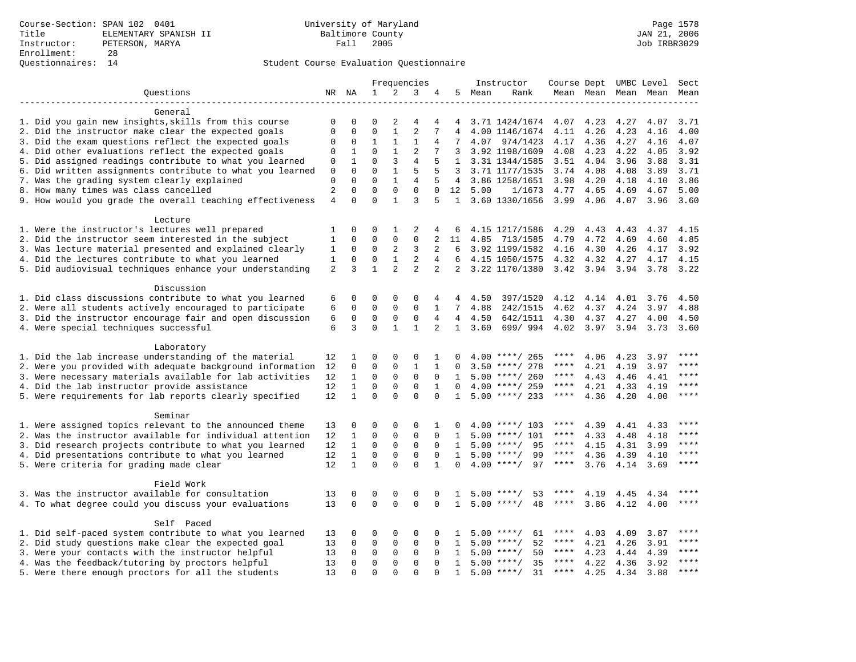|                                                           |                |                  |                            |                            | Frequencies      |                |                 |      | Instructor                  | Course Dept UMBC Level |      |      |                          | Sect        |
|-----------------------------------------------------------|----------------|------------------|----------------------------|----------------------------|------------------|----------------|-----------------|------|-----------------------------|------------------------|------|------|--------------------------|-------------|
| Questions                                                 |                | NR NA            | $\mathbf 1$                | 2                          | 3                | 4              | 5               | Mean | Rank                        |                        |      |      | Mean Mean Mean Mean Mean |             |
|                                                           |                |                  |                            |                            |                  |                |                 |      |                             |                        |      |      |                          |             |
| General                                                   |                |                  |                            |                            |                  |                |                 |      |                             |                        |      |      |                          |             |
| 1. Did you gain new insights, skills from this course     | 0              | $\Omega$         | $\Omega$                   | 2                          | $\overline{4}$   | 4              | 4               |      | 3.71 1424/1674 4.07         |                        | 4.23 | 4.27 | 4.07                     | 3.71        |
| 2. Did the instructor make clear the expected goals       | 0              | $\mathbf 0$      | $\mathbf{0}$               | $\mathbf{1}$               | $\overline{2}$   | 7              | 4               |      | 4.00 1146/1674              | 4.11                   | 4.26 | 4.23 | 4.16                     | 4.00        |
| 3. Did the exam questions reflect the expected goals      | 0              | $\mathbf 0$      | $\mathbf{1}$               | $\mathbf{1}$               | 1                | 4              | 7               |      | 4.07 974/1423               | 4.17                   | 4.36 | 4.27 | 4.16                     | 4.07        |
| 4. Did other evaluations reflect the expected goals       | 0              | $\mathbf{1}$     | $\Omega$                   | $\mathbf{1}$               | $\overline{2}$   |                | 3               |      | 3.92 1198/1609              | 4.08                   | 4.23 | 4.22 | 4.05                     | 3.92        |
| 5. Did assigned readings contribute to what you learned   | 0              | 1                | $\Omega$                   | 3                          | 4                | 5              | 1               |      | 3.31 1344/1585              | 3.51                   | 4.04 | 3.96 | 3.88                     | 3.31        |
| 6. Did written assignments contribute to what you learned | 0              | $\Omega$         | $\Omega$                   | $\mathbf{1}$               | 5                | 5              |                 |      | 3.71 1177/1535              | 3.74                   | 4.08 | 4.08 | 3.89                     | 3.71        |
| 7. Was the grading system clearly explained               | $\Omega$       | $\Omega$         | $\Omega$                   | $\mathbf{1}$               | 4                | 5              | $\overline{4}$  |      | 3.86 1258/1651              | 3.98                   | 4.20 | 4.18 | 4.10                     | 3.86        |
| 8. How many times was class cancelled                     | $\overline{a}$ | $\mathbf 0$      | $\mathbf 0$                | $\mathbf 0$                | $\mathbf 0$      | $\mathbf 0$    | 12              | 5.00 | 1/1673                      | 4.77                   | 4.65 | 4.69 | 4.67                     | 5.00        |
| 9. How would you grade the overall teaching effectiveness | $\overline{4}$ | $\Omega$         | $\Omega$                   | $\mathbf{1}$               | 3                | 5              |                 |      | 1 3.60 1330/1656            | 3.99                   | 4.06 | 4.07 | 3.96                     | 3.60        |
|                                                           |                |                  |                            |                            |                  |                |                 |      |                             |                        |      |      |                          |             |
| Lecture                                                   |                |                  |                            |                            |                  |                |                 |      |                             |                        |      |      |                          |             |
| 1. Were the instructor's lectures well prepared           | 1              | 0                | $\mathbf 0$                | 1                          | 2                | 4              | 6               |      | 4.15 1217/1586              | 4.29                   | 4.43 | 4.43 | 4.37                     | 4.15        |
| 2. Did the instructor seem interested in the subject      | 1              | $\mathbf 0$      | $\mathbf{0}$               | $\mathbf 0$                | $\mathbf{0}$     | 2              | 11              |      | 4.85 713/1585               | 4.79                   | 4.72 | 4.69 | 4.60                     | 4.85        |
| 3. Was lecture material presented and explained clearly   | 1              | 0                | $\mathbf{0}$               | 2                          | 3                | 2              | 6               |      | 3.92 1199/1582              | 4.16                   | 4.30 | 4.26 | 4.17                     | 3.92        |
| 4. Did the lectures contribute to what you learned        | 1              | 0                | $\mathbf 0$                | $\mathbf{1}$               | 2                | 4              | 6               |      | 4.15 1050/1575              | 4.32                   | 4.32 | 4.27 | 4.17                     | 4.15        |
| 5. Did audiovisual techniques enhance your understanding  | 2              | 3                | $\mathbf{1}$               | $\overline{a}$             | $\overline{2}$   | $\overline{a}$ | 2               |      | 3.22 1170/1380              | 3.42 3.94 3.94         |      |      | 3.78                     | 3.22        |
|                                                           |                |                  |                            |                            |                  |                |                 |      |                             |                        |      |      |                          |             |
| Discussion                                                |                |                  |                            |                            |                  |                |                 |      |                             |                        |      |      |                          |             |
| 1. Did class discussions contribute to what you learned   | 6              | 0                | $\mathbf 0$                | $\mathbf 0$                | 0                | 4              | 4               | 4.50 | 397/1520                    | 4.12                   | 4.14 | 4.01 | 3.76                     | 4.50        |
| 2. Were all students actively encouraged to participate   | 6              | 0                | $\mathbf 0$                | $\mathbf 0$                | 0                | $\mathbf 1$    | 7               | 4.88 | 242/1515                    | 4.62                   | 4.37 | 4.24 | 3.97                     | 4.88        |
| 3. Did the instructor encourage fair and open discussion  | 6              | $\mathbf 0$      | $\mathsf 0$                | $\mathsf 0$                | $\mathsf 0$      | $\overline{4}$ | $4\overline{ }$ | 4.50 | 642/1511                    |                        |      |      | 4.00                     | 4.50        |
|                                                           | 6              | 3                | $\Omega$                   | $\mathbf{1}$               | $\mathbf{1}$     | $\overline{2}$ | $\mathbf{1}$    |      |                             | 4.30                   | 4.37 | 4.27 |                          |             |
| 4. Were special techniques successful                     |                |                  |                            |                            |                  |                |                 | 3.60 | 699/994 4.02 3.97 3.94 3.73 |                        |      |      |                          | 3.60        |
|                                                           |                |                  |                            |                            |                  |                |                 |      |                             |                        |      |      |                          |             |
| Laboratory                                                |                |                  |                            |                            |                  |                |                 |      |                             |                        |      |      |                          | ****        |
| 1. Did the lab increase understanding of the material     | 12             | 1<br>$\mathbf 0$ | $\mathbf 0$<br>$\mathbf 0$ | $\mathbf 0$                | 0                | 1              | $\Omega$        |      | $4.00$ ****/ 265            | ****<br>****           | 4.06 | 4.23 | 3.97                     | $***$       |
| 2. Were you provided with adequate background information | 12             |                  |                            | $\mathsf 0$                | $1\,$            | $\mathbf{1}$   | $\Omega$        |      | $3.50$ ****/ 278            | $***$ * *              | 4.21 | 4.19 | 3.97                     | ****        |
| 3. Were necessary materials available for lab activities  | 12             | $\mathbf{1}$     | $\Omega$                   | $\mathbf 0$                | $\mathbf{0}$     | $\Omega$       | 1               |      | $5.00$ ****/ 260            |                        | 4.43 | 4.46 | 4.41                     | $***$       |
| 4. Did the lab instructor provide assistance              | 12             | $\mathbf{1}$     | $\mathbf 0$                | $\mathbf 0$                | $\mathbf 0$      | $\mathbf{1}$   | $\Omega$        |      | $4.00$ ****/ 259            | ****                   | 4.21 | 4.33 | 4.19                     | $***$       |
| 5. Were requirements for lab reports clearly specified    | 12             | $\mathbf{1}$     | $\Omega$                   | $\Omega$                   | $\Omega$         | $\Omega$       | $\mathbf{1}$    |      | $5.00$ ****/ 233            | $***$ * *              | 4.36 | 4.20 | 4.00                     |             |
|                                                           |                |                  |                            |                            |                  |                |                 |      |                             |                        |      |      |                          |             |
| Seminar                                                   |                |                  |                            |                            |                  |                |                 |      |                             |                        |      |      |                          | $***$ * * * |
| 1. Were assigned topics relevant to the announced theme   | 13             | 0                | $\mathbf 0$                | $\mathbf 0$                | 0                | 1              | $\Omega$        |      | $4.00$ ****/ 103            | ****                   | 4.39 | 4.41 | 4.33                     |             |
| 2. Was the instructor available for individual attention  | 12             | 1                | $\mathbf{0}$               | $\mathbf 0$                | $\mathbf{0}$     | $\mathbf 0$    | 1               | 5.00 | $***/101$                   | ****                   | 4.33 | 4.48 | 4.18                     | ****        |
| 3. Did research projects contribute to what you learned   | 12             | $\mathbf{1}$     | $\mathsf 0$                | $\mathbf 0$                | $\mathsf 0$      | $\mathbf 0$    | 1               |      | $5.00$ ****/<br>95          | $***$ * * *            | 4.15 | 4.31 | 3.99                     | $***$       |
| 4. Did presentations contribute to what you learned       | 12             | $\mathbf{1}$     | $\mathbf{0}$               | $\mathbf 0$                | $\mathbf 0$      | $\mathbf 0$    | 1               |      | $5.00$ ****/<br>99          | $***$ * * *            | 4.36 | 4.39 | 4.10                     | $***$       |
| 5. Were criteria for grading made clear                   | 12             | $\mathbf{1}$     | $\mathbf 0$                | $\Omega$                   | $\Omega$         | $\mathbf{1}$   | $\Omega$        |      | 97<br>$4.00$ ****/          | $***$ * * *            | 3.76 | 4.14 | 3.69                     | $***$       |
|                                                           |                |                  |                            |                            |                  |                |                 |      |                             |                        |      |      |                          |             |
| Field Work                                                |                |                  |                            |                            |                  |                |                 |      |                             |                        |      |      |                          |             |
| 3. Was the instructor available for consultation          | 13             | 0                | $\mathbf 0$                | $\mathbf 0$                | 0                | 0              |                 | 5.00 | $***$ /<br>53               |                        | 4.19 | 4.45 | 4.34                     | ****        |
| 4. To what degree could you discuss your evaluations      | 13             | $\Omega$         | $\mathbf 0$                | $\Omega$                   | $\Omega$         | $\Omega$       | $\mathbf{1}$    | 5.00 | $***/$<br>48                | ****                   | 3.86 | 4.12 | 4.00                     | $***$       |
|                                                           |                |                  |                            |                            |                  |                |                 |      |                             |                        |      |      |                          |             |
| Self Paced                                                |                |                  |                            |                            |                  |                |                 |      |                             |                        |      |      |                          | ****        |
| 1. Did self-paced system contribute to what you learned   | 13             | $\Omega$         | $\mathbf 0$<br>$\mathbf 0$ | $\mathbf 0$<br>$\mathbf 0$ | 0<br>$\mathbf 0$ | $\Omega$       |                 | 5.00 | $***$ /<br>61               | ****<br>****           | 4.03 | 4.09 | 3.87                     | ****        |
| 2. Did study questions make clear the expected goal       | 13             | $\mathbf 0$      |                            |                            |                  | $\mathbf 0$    | 1               | 5.00 | 52<br>****/                 |                        | 4.21 | 4.26 | 3.91                     | ****        |
| 3. Were your contacts with the instructor helpful         | 13             | $\Omega$         | $\mathbf 0$                | $\mathbf 0$                | $\mathbf{0}$     | $\Omega$       | 1               |      | $5.00$ ****/<br>50          | ****<br>$***$ * *      | 4.23 | 4.44 | 4.39                     | $***$       |
| 4. Was the feedback/tutoring by proctors helpful          | 13             | $\mathbf 0$      | $\mathbf{0}$               | $\mathbf 0$                | $\mathbf 0$      | $\Omega$       | 1               |      | $5.00$ ****/<br>35          |                        | 4.22 | 4.36 | 3.92                     |             |
| 5. Were there enough proctors for all the students        | 13             | $\cap$           | $\Omega$                   | $\cap$                     | $\cap$           | $\cap$         | $\mathbf{1}$    |      | 31<br>$5.00$ ****/          | $***$ * * *            | 4.25 | 4.34 | 3.88                     | $***$ * * * |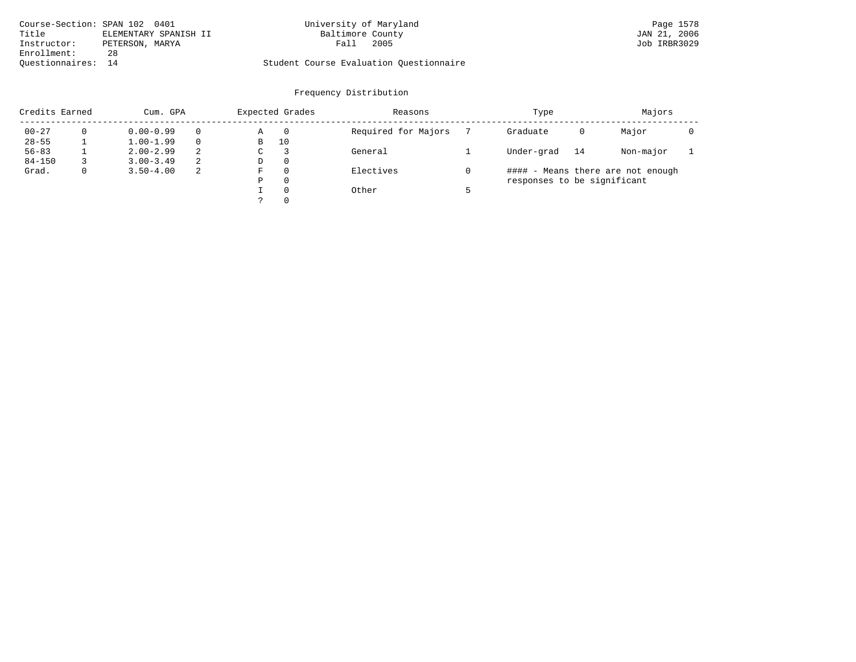| Course-Section: SPAN 102 0401 |                       | University of Maryland                  | Page 1578    |
|-------------------------------|-----------------------|-----------------------------------------|--------------|
| Title                         | ELEMENTARY SPANISH II | Baltimore County                        | JAN 21, 2006 |
| Instructor:                   | PETERSON, MARYA       | 2005<br>$_{\rm{Fall}}$                  | Job IRBR3029 |
| Enrollment:                   | 28                    |                                         |              |
| Ouestionnaires: 14            |                       | Student Course Evaluation Questionnaire |              |

| Credits Earned |   | Cum. GPA      |          |   | Expected Grades | Reasons             | Type                        |    | Majors                            |  |
|----------------|---|---------------|----------|---|-----------------|---------------------|-----------------------------|----|-----------------------------------|--|
| $00 - 27$      |   | $0.00 - 0.99$ | $\Omega$ | Α | $\overline{0}$  | Required for Majors | Graduate                    | 0  | Major                             |  |
| $28 - 55$      |   | $1.00 - 1.99$ | $\Omega$ | В | 10              |                     |                             |    |                                   |  |
| $56 - 83$      |   | $2.00 - 2.99$ | 2        | С |                 | General             | Under-grad                  | 14 | Non-major                         |  |
| $84 - 150$     |   | $3.00 - 3.49$ | -2       | D | 0               |                     |                             |    |                                   |  |
| Grad.          | 0 | $3.50 - 4.00$ | -2       | F | 0               | Electives           |                             |    | #### - Means there are not enough |  |
|                |   |               |          | Ρ | 0               |                     | responses to be significant |    |                                   |  |
|                |   |               |          |   | 0               | Other               |                             |    |                                   |  |
|                |   |               |          |   | 0               |                     |                             |    |                                   |  |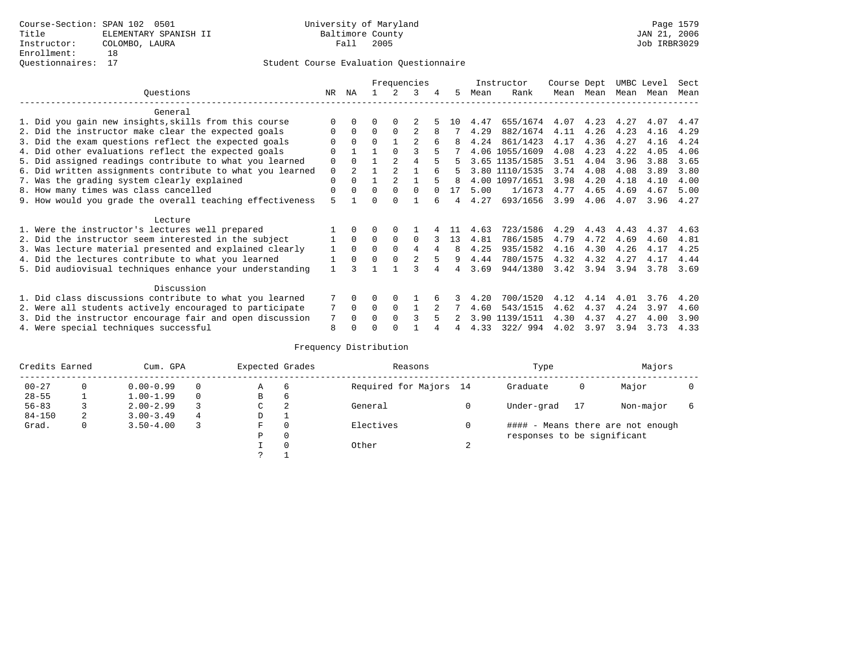|                                                           | Frequencies |          |          |                |          |     |      | Instructor     | Course Dept |           | UMBC Level |      | Sect |
|-----------------------------------------------------------|-------------|----------|----------|----------------|----------|-----|------|----------------|-------------|-----------|------------|------|------|
| Ouestions                                                 | NR.         | ΝA       |          |                | κ        | 5.  | Mean | Rank           |             | Mean Mean | Mean       | Mean | Mean |
| General                                                   |             |          |          |                |          |     |      |                |             |           |            |      |      |
| 1. Did you gain new insights, skills from this course     |             |          |          |                |          | 1 O | 4.47 | 655/1674       | 4.07        | 4.23      | 4.27       | 4.07 | 4.47 |
| 2. Did the instructor make clear the expected goals       | O           | $\Omega$ | $\Omega$ | $\Omega$       |          |     | 4.29 | 882/1674       | 4.11        | 4.26      | 4.23       | 4.16 | 4.29 |
| 3. Did the exam questions reflect the expected goals      |             | $\Omega$ | $\Omega$ |                | 2        | 8   | 4.24 | 861/1423       | 4.17        | 4.36      | 4.27       | 4.16 | 4.24 |
| 4. Did other evaluations reflect the expected goals       | U           |          |          | $\cap$         |          |     |      | 4.06 1055/1609 | 4.08        | 4.23      | 4.22       | 4.05 | 4.06 |
| 5. Did assigned readings contribute to what you learned   | $\mathbf 0$ | $\Omega$ |          | $\overline{2}$ | 4        |     |      | 3.65 1135/1585 | 3.51        | 4.04      | 3.96       | 3.88 | 3.65 |
| 6. Did written assignments contribute to what you learned | $\mathbf 0$ |          |          |                |          |     |      | 3.80 1110/1535 | 3.74        | 4.08      | 4.08       | 3.89 | 3.80 |
| 7. Was the grading system clearly explained               | $\mathbf 0$ | $\Omega$ |          |                |          |     | 4.00 | 1097/1651      | 3.98        | 4.20      | 4.18       | 4.10 | 4.00 |
| 8. How many times was class cancelled                     | 0           | $\Omega$ | O        | $\Omega$       |          | 17  | 5.00 | 1/1673         | 4.77        | 4.65      | 4.69       | 4.67 | 5.00 |
| 9. How would you grade the overall teaching effectiveness | 5           |          |          |                |          |     | 4.27 | 693/1656       | 3.99        | 4.06      | 4.07       | 3.96 | 4.27 |
| Lecture                                                   |             |          |          |                |          |     |      |                |             |           |            |      |      |
| 1. Were the instructor's lectures well prepared           |             |          |          | $\Omega$       |          |     | 4.63 | 723/1586       | 4.29        | 4.43      | 4.43       | 4.37 | 4.63 |
| 2. Did the instructor seem interested in the subject      |             | $\Omega$ | $\Omega$ | $\Omega$       | $\Omega$ | 13  | 4.81 | 786/1585       | 4.79        | 4.72      | 4.69       | 4.60 | 4.81 |
| 3. Was lecture material presented and explained clearly   | 1           | $\Omega$ | $\Omega$ | $\Omega$       | 4        | 8   | 4.25 | 935/1582       | 4.16        | 4.30      | 4.26       | 4.17 | 4.25 |
| 4. Did the lectures contribute to what you learned        |             | $\Omega$ | O        | $\Omega$       |          | 9   | 4.44 | 780/1575       | 4.32        | 4.32      | 4.27       | 4.17 | 4.44 |
| 5. Did audiovisual techniques enhance your understanding  |             |          |          |                |          |     | 3.69 | 944/1380       | 3.42        | 3.94      | 3.94       | 3.78 | 3.69 |
| Discussion                                                |             |          |          |                |          |     |      |                |             |           |            |      |      |
| 1. Did class discussions contribute to what you learned   |             | 0        | 0        | $\Omega$       |          |     | 4.20 | 700/1520       | 4.12        | 4.14      | 4.01       | 3.76 | 4.20 |
| 2. Were all students actively encouraged to participate   |             | $\Omega$ | $\Omega$ | $\Omega$       |          |     | 4.60 | 543/1515       | 4.62        | 4.37      | 4.24       | 3.97 | 4.60 |
| 3. Did the instructor encourage fair and open discussion  | 7           | $\Omega$ | O        | $\Omega$       |          |     | 3.90 | 1139/1511      | 4.30        | 4.37      | 4.27       | 4.00 | 3.90 |
| 4. Were special techniques successful                     | 8           |          |          |                |          |     | 4.33 | 322/994        | 4.02        | 3.97      | 3.94       | 3.73 | 4.33 |

| Credits Earned |          | Cum. GPA      |   | Expected Grades |          | Reasons                |        | Type                        |    | Majors                            |  |
|----------------|----------|---------------|---|-----------------|----------|------------------------|--------|-----------------------------|----|-----------------------------------|--|
| $00 - 27$      | $\Omega$ | $0.00 - 0.99$ |   | А               | 6        | Required for Majors 14 |        | Graduate                    | 0  | Major                             |  |
| $28 - 55$      | ᅩ        | $1.00 - 1.99$ |   | В               | 6        |                        |        |                             |    |                                   |  |
| $56 - 83$      |          | $2.00 - 2.99$ |   | C               | 2        | General                |        | Under-grad                  | 17 | Non-major                         |  |
| $84 - 150$     | 2        | $3.00 - 3.49$ | 4 | D               | <b>.</b> |                        |        |                             |    |                                   |  |
| Grad.          | 0        | $3.50 - 4.00$ |   | F               | 0        | Electives              | 0      |                             |    | #### - Means there are not enough |  |
|                |          |               |   | Ρ               | 0        |                        |        | responses to be significant |    |                                   |  |
|                |          |               |   |                 | $\Omega$ | Other                  | $\sim$ |                             |    |                                   |  |
|                |          |               |   | C               |          |                        |        |                             |    |                                   |  |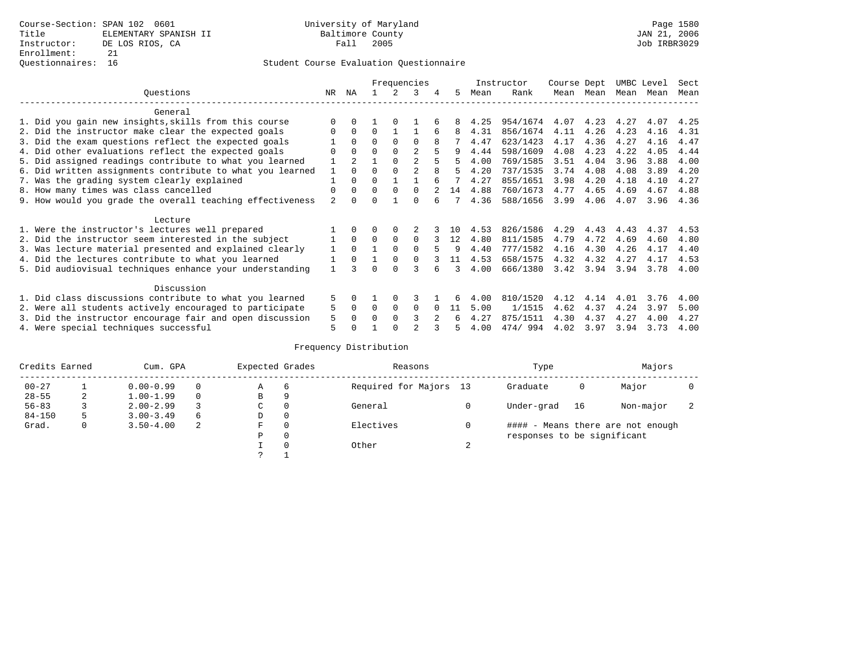|                                                           | Frequencies  |                |          |          |                |   | Instructor | Course Dept |          | UMBC Level |           | Sect |      |      |
|-----------------------------------------------------------|--------------|----------------|----------|----------|----------------|---|------------|-------------|----------|------------|-----------|------|------|------|
| Ouestions                                                 | NR.          | ΝA             |          |          | 3              | 4 | 5.         | Mean        | Rank     |            | Mean Mean | Mean | Mean | Mean |
| General                                                   |              |                |          |          |                |   |            |             |          |            |           |      |      |      |
| 1. Did you gain new insights, skills from this course     |              | $\Omega$       |          |          |                |   |            | 4.25        | 954/1674 | 4.07       | 4.23      | 4.27 | 4.07 | 4.25 |
| 2. Did the instructor make clear the expected goals       | O            | $\Omega$       | $\Omega$ |          |                |   | 8          | 4.31        | 856/1674 | 4.11       | 4.26      | 4.23 | 4.16 | 4.31 |
| 3. Did the exam questions reflect the expected goals      |              | $\Omega$       | $\Omega$ | $\Omega$ | $\Omega$       |   |            | 4.47        | 623/1423 | 4.17       | 4.36      | 4.27 | 4.16 | 4.47 |
| 4. Did other evaluations reflect the expected goals       | O            | $\Omega$       | $\Omega$ | $\Omega$ | $\overline{a}$ |   | 9          | 4.44        | 598/1609 | 4.08       | 4.23      | 4.22 | 4.05 | 4.44 |
| 5. Did assigned readings contribute to what you learned   |              | $\mathfrak{D}$ |          |          | $\mathfrak{D}$ |   |            | 4.00        | 769/1585 | 3.51       | 4.04      | 3.96 | 3.88 | 4.00 |
| 6. Did written assignments contribute to what you learned | $\mathbf{1}$ | $\Omega$       | $\Omega$ |          | $\mathfrak{D}$ | 8 | 5          | 4.20        | 737/1535 | 3.74       | 4.08      | 4.08 | 3.89 | 4.20 |
| 7. Was the grading system clearly explained               |              | $\Omega$       | $\Omega$ |          |                |   |            | 4.27        | 855/1651 | 3.98       | 4.20      | 4.18 | 4.10 | 4.27 |
| 8. How many times was class cancelled                     | 0            | $\Omega$       | $\Omega$ | $\Omega$ | $\Omega$       |   | 14         | 4.88        | 760/1673 | 4.77       | 4.65      | 4.69 | 4.67 | 4.88 |
| 9. How would you grade the overall teaching effectiveness | 2            | <sup>n</sup>   | ∩        |          | U              |   |            | 4.36        | 588/1656 | 3.99       | 4.06      | 4.07 | 3.96 | 4.36 |
| Lecture                                                   |              |                |          |          |                |   |            |             |          |            |           |      |      |      |
| 1. Were the instructor's lectures well prepared           |              |                |          | $\Omega$ |                |   | 1 N        | 4.53        | 826/1586 | 4.29       | 4.43      | 4.43 | 4.37 | 4.53 |
| 2. Did the instructor seem interested in the subject      |              | $\Omega$       | $\Omega$ | $\Omega$ | $\Omega$       |   | 12         | 4.80        | 811/1585 | 4.79       | 4.72      | 4.69 | 4.60 | 4.80 |
| 3. Was lecture material presented and explained clearly   | 1            | $\Omega$       |          | $\Omega$ | $\Omega$       |   |            | 4.40        | 777/1582 | 4.16       | 4.30      | 4.26 | 4.17 | 4.40 |
| 4. Did the lectures contribute to what you learned        |              | $\Omega$       |          | $\Omega$ | $\Omega$       |   | 11         | 4.53        | 658/1575 | 4.32       | 4.32      | 4.27 | 4.17 | 4.53 |
| 5. Did audiovisual techniques enhance your understanding  |              |                | ∩        | $\cap$   |                |   | ર          | 4.00        | 666/1380 | 3.42       | 3.94      | 3.94 | 3.78 | 4.00 |
| Discussion                                                |              |                |          |          |                |   |            |             |          |            |           |      |      |      |
| 1. Did class discussions contribute to what you learned   | 5            | 0              |          | $\Omega$ | κ              |   |            | 4.00        | 810/1520 | 4.12       | 4.14      | 4.01 | 3.76 | 4.00 |
| 2. Were all students actively encouraged to participate   | 5            | $\Omega$       | $\Omega$ | $\Omega$ | $\Omega$       |   | 11         | 5.00        | 1/1515   | 4.62       | 4.37      | 4.24 | 3.97 | 5.00 |
| 3. Did the instructor encourage fair and open discussion  | 5            | $\Omega$       | O        | $\Omega$ |                |   |            | 4.27        | 875/1511 | 4.30       | 4.37      | 4.27 | 4.00 | 4.27 |
| 4. Were special techniques successful                     | 5            |                |          |          |                |   |            | 4.00        | 474/994  | 4.02       | 3.97      | 3.94 | 3.73 | 4.00 |

| Credits Earned |   | Cum. GPA      |   | Expected Grades |          | Reasons                |        | Type                        |    | Majors                            |  |
|----------------|---|---------------|---|-----------------|----------|------------------------|--------|-----------------------------|----|-----------------------------------|--|
| $00 - 27$      |   | $0.00 - 0.99$ |   | А               | 6        | Required for Majors 13 |        | Graduate                    | 0  | Major                             |  |
| $28 - 55$      | 2 | $1.00 - 1.99$ |   | B               | 9        |                        |        |                             |    |                                   |  |
| $56 - 83$      |   | $2.00 - 2.99$ |   | $\sim$<br>◡     | 0        | General                |        | Under-grad                  | 16 | Non-major                         |  |
| $84 - 150$     | 5 | $3.00 - 3.49$ | 6 | D               | 0        |                        |        |                             |    |                                   |  |
| Grad.          | 0 | $3.50 - 4.00$ | 2 | F               | 0        | Electives              | 0      |                             |    | #### - Means there are not enough |  |
|                |   |               |   | Ρ               | 0        |                        |        | responses to be significant |    |                                   |  |
|                |   |               |   |                 | $\Omega$ | Other                  | $\sim$ |                             |    |                                   |  |
|                |   |               |   | C               |          |                        |        |                             |    |                                   |  |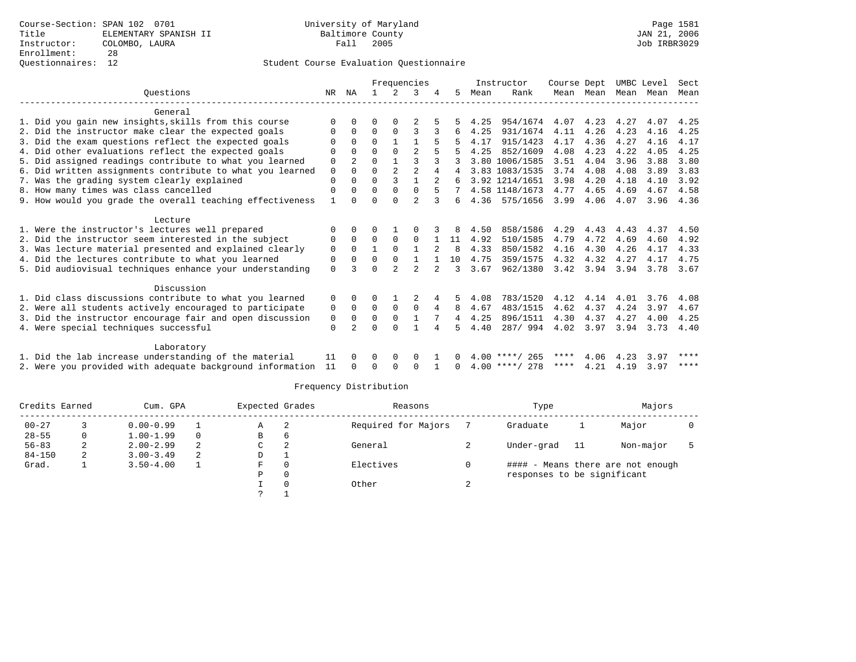|                                                                                                               |             |                | Frequencies |                |                |                |         |      | Instructor       | Course Dept |           | UMBC Level |      | Sect |
|---------------------------------------------------------------------------------------------------------------|-------------|----------------|-------------|----------------|----------------|----------------|---------|------|------------------|-------------|-----------|------------|------|------|
| Ouestions                                                                                                     | NR.         | ΝA             |             | $\overline{2}$ |                |                | 5       | Mean | Rank             |             | Mean Mean | Mean Mean  |      | Mean |
|                                                                                                               |             |                |             |                |                |                |         |      |                  |             |           |            |      |      |
| General                                                                                                       |             |                |             |                |                |                |         |      |                  |             |           |            |      |      |
| 1. Did you gain new insights, skills from this course                                                         |             |                |             |                |                |                |         | 4.25 | 954/1674         | 4.07        | 4.23      | 4.27       | 4.07 | 4.25 |
| 2. Did the instructor make clear the expected goals                                                           |             | $\Omega$       | 0           | $\Omega$       | 3              |                | 6       | 4.25 | 931/1674         | 4.11        | 4.26      | 4.23       | 4.16 | 4.25 |
| 3. Did the exam questions reflect the expected goals                                                          |             | $\Omega$       | $\Omega$    |                |                | 5              |         | 4.17 | 915/1423         | 4.17        | 4.36      | 4.27       | 4.16 | 4.17 |
| 4. Did other evaluations reflect the expected goals                                                           |             | $\Omega$       | U           | $\Omega$       | $\mathfrak{D}$ | 5              |         | 4.25 | 852/1609         | 4.08        | 4.23      | 4.22       | 4.05 | 4.25 |
| 5. Did assigned readings contribute to what you learned                                                       | 0           |                | 0           |                | ς              |                |         |      | 3.80 1006/1585   | 3.51        | 4.04      | 3.96       | 3.88 | 3.80 |
| 6. Did written assignments contribute to what you learned                                                     | $\mathbf 0$ | $\Omega$       | 0           | $\overline{2}$ | $\mathfrak{D}$ | 4              |         |      | 3.83 1083/1535   | 3.74        | 4.08      | 4.08       | 3.89 | 3.83 |
| 7. Was the grading system clearly explained                                                                   | 0           | 0              | 0           | 3              |                | $\overline{2}$ |         |      | 3.92 1214/1651   | 3.98        | 4.20      | 4.18       | 4.10 | 3.92 |
| 8. How many times was class cancelled                                                                         | $\Omega$    | $\Omega$       | U           | $\Omega$       | $\Omega$       | 5              |         |      | 4.58 1148/1673   | 4.77        | 4.65      | 4.69       | 4.67 | 4.58 |
| 9. How would you grade the overall teaching effectiveness                                                     |             | 0              | U           | $\cap$         | $\mathfrak{D}$ | 3              | б.      |      | 4.36 575/1656    | 3.99        | 4.06      | 4.07       | 3.96 | 4.36 |
| Lecture                                                                                                       |             |                |             |                |                |                |         |      |                  |             |           |            |      |      |
|                                                                                                               | O           | 0              |             |                |                |                | 8       | 4.50 | 858/1586         | 4.29        | 4.43      | 4.43       | 4.37 | 4.50 |
| 1. Were the instructor's lectures well prepared                                                               |             | $\Omega$       | 0           | $\Omega$       | $\Omega$       |                |         | 4.92 | 510/1585         | 4.79        | 4.72      | 4.69       | 4.60 | 4.92 |
| 2. Did the instructor seem interested in the subject                                                          | 0           | $\Omega$       |             | $\Omega$       |                |                | 11<br>8 | 4.33 | 850/1582         | 4.16        | 4.30      | 4.26       | 4.17 | 4.33 |
| 3. Was lecture material presented and explained clearly<br>4. Did the lectures contribute to what you learned | 0           | $\Omega$       | 0           | $\Omega$       |                |                | 10      | 4.75 | 359/1575         | 4.32        | 4.32      | 4.27       | 4.17 |      |
|                                                                                                               | 0           |                |             |                |                |                |         |      |                  |             |           |            |      | 4.75 |
| 5. Did audiovisual techniques enhance your understanding                                                      | $\Omega$    |                |             | $\mathfrak{D}$ | $\overline{2}$ |                | ς       | 3.67 | 962/1380         | 3.42        | 3.94      | 3.94       | 3.78 | 3.67 |
| Discussion                                                                                                    |             |                |             |                |                |                |         |      |                  |             |           |            |      |      |
| 1. Did class discussions contribute to what you learned                                                       | 0           | 0              |             |                |                |                | 5       | 4.08 | 783/1520         | 4.12        | 4.14      | 4.01       | 3.76 | 4.08 |
| 2. Were all students actively encouraged to participate                                                       | 0           | 0              | 0           | 0              | 0              | 4              | 8       | 4.67 | 483/1515         | 4.62        | 4.37      | 4.24       | 3.97 | 4.67 |
| 3. Did the instructor encourage fair and open discussion                                                      | 0           | $\Omega$       | 0           | $\Omega$       |                |                | 4       | 4.25 | 896/1511         | 4.30        | 4.37      | 4.27       | 4.00 | 4.25 |
| 4. Were special techniques successful                                                                         | 0           | $\mathfrak{D}$ | U           | <sup>0</sup>   |                |                |         | 4.40 | 287/994          | 4.02        | 3.97      | 3.94       | 3.73 | 4.40 |
|                                                                                                               |             |                |             |                |                |                |         |      |                  |             |           |            |      |      |
| Laboratory                                                                                                    |             |                |             |                |                |                |         |      |                  |             |           |            |      |      |
| 1. Did the lab increase understanding of the material                                                         | 11          | <sup>0</sup>   | U           | 0              | 0              |                | 0       |      | $4.00$ ****/ 265 | ****        | 4.06      | 4.23       | 3.97 | **** |
| 2. Were you provided with adequate background information                                                     | 11          |                |             | <sup>0</sup>   | $\Omega$       |                |         |      | $4.00$ ****/ 278 | ****        | 4.21      | 4.19       | 3.97 | **** |
|                                                                                                               |             |                |             |                |                |                |         |      |                  |             |           |            |      |      |

| Credits Earned |    | Cum. GPA      |                | Expected Grades |      | Reasons             |            | Type                        |     | Majors                            |  |
|----------------|----|---------------|----------------|-----------------|------|---------------------|------------|-----------------------------|-----|-----------------------------------|--|
| $00 - 27$      |    | $0.00 - 0.99$ |                | Α               | - 2. | Required for Majors |            | Graduate                    |     | Major                             |  |
| $28 - 55$      |    | $1.00 - 1.99$ | $\Omega$       | в               | b    |                     |            |                             |     |                                   |  |
| $56 - 83$      | z. | $2.00 - 2.99$ | $\mathfrak{D}$ | C               | 2    | General             |            | Under-grad                  | -11 | Non-major                         |  |
| $84 - 150$     | 2  | $3.00 - 3.49$ | $\mathfrak{D}$ | D               |      |                     |            |                             |     |                                   |  |
| Grad.          |    | $3.50 - 4.00$ |                | F               |      | Electives           |            |                             |     | #### - Means there are not enough |  |
|                |    |               |                | Ρ               |      |                     |            | responses to be significant |     |                                   |  |
|                |    |               |                |                 |      | Other               | $\epsilon$ |                             |     |                                   |  |
|                |    |               |                |                 |      |                     |            |                             |     |                                   |  |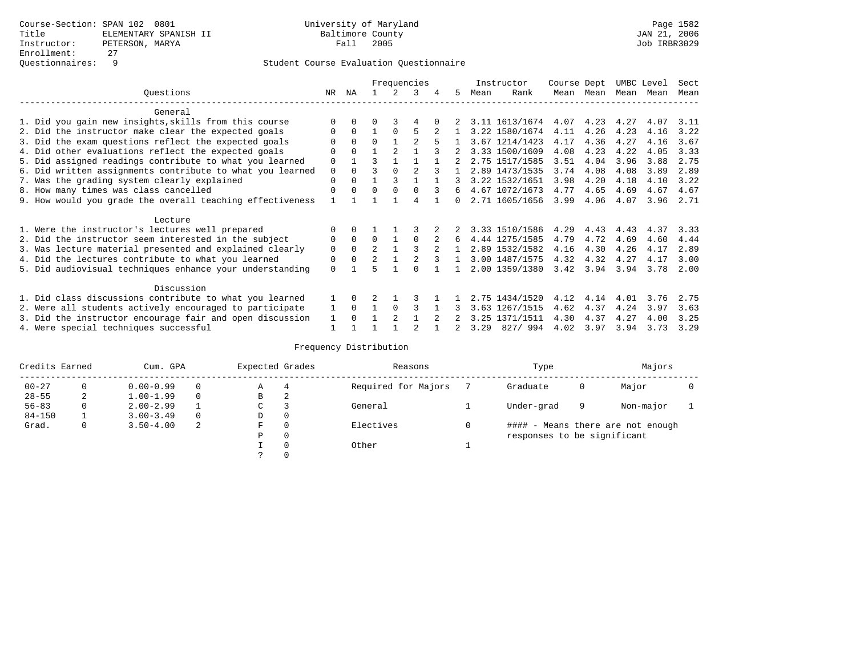|                                                           |             | Frequencies |                |                |          |   |              |      | Instructor     | Course Dept |      | UMBC Level |      | Sect |
|-----------------------------------------------------------|-------------|-------------|----------------|----------------|----------|---|--------------|------|----------------|-------------|------|------------|------|------|
| Ouestions                                                 | NR.         | ΝA          |                |                | 3        |   | 5.           | Mean | Rank           | Mean        | Mean | Mean       | Mean | Mean |
| General                                                   |             |             |                |                |          |   |              |      |                |             |      |            |      |      |
| 1. Did you gain new insights, skills from this course     |             | $\Omega$    | U              |                | 4        |   |              |      | 3.11 1613/1674 | 4.07        | 4.23 | 4.27       | 4.07 | 3.11 |
| 2. Did the instructor make clear the expected goals       | O           | $\Omega$    |                | $\Omega$       | 5        |   |              |      | 3.22 1580/1674 | 4.11        | 4.26 | 4.23       | 4.16 | 3.22 |
| 3. Did the exam questions reflect the expected goals      |             | $\Omega$    | $\Omega$       |                |          |   |              |      | 3.67 1214/1423 | 4.17        | 4.36 | 4.27       | 4.16 | 3.67 |
| 4. Did other evaluations reflect the expected goals       | O           | $\Omega$    |                | $\mathfrak{D}$ |          |   |              |      | 3.33 1500/1609 | 4.08        | 4.23 | 4.22       | 4.05 | 3.33 |
| 5. Did assigned readings contribute to what you learned   | $\mathbf 0$ |             | ς              |                |          |   |              |      | 2.75 1517/1585 | 3.51        | 4.04 | 3.96       | 3.88 | 2.75 |
| 6. Did written assignments contribute to what you learned | $\mathbf 0$ | $\Omega$    |                |                |          |   |              |      | 2.89 1473/1535 | 3.74        | 4.08 | 4.08       | 3.89 | 2.89 |
| 7. Was the grading system clearly explained               | $\Omega$    | $\Omega$    |                |                |          |   |              |      | 3.22 1532/1651 | 3.98        | 4.20 | 4.18       | 4.10 | 3.22 |
| 8. How many times was class cancelled                     | $\Omega$    | $\Omega$    | $\Omega$       | $\Omega$       |          | 3 | б.           |      | 4.67 1072/1673 | 4.77        | 4.65 | 4.69       | 4.67 | 4.67 |
| 9. How would you grade the overall teaching effectiveness |             |             |                |                | 4        |   | <sup>n</sup> |      | 2.71 1605/1656 | 3.99        | 4.06 | 4.07       | 3.96 | 2.71 |
| Lecture                                                   |             |             |                |                |          |   |              |      |                |             |      |            |      |      |
| 1. Were the instructor's lectures well prepared           | $\Omega$    |             |                |                |          |   |              |      | 3.33 1510/1586 | 4.29        | 4.43 | 4.43       | 4.37 | 3.33 |
| 2. Did the instructor seem interested in the subject      | 0           | $\Omega$    | $\Omega$       |                | $\Omega$ |   | 6            |      | 4.44 1275/1585 | 4.79        | 4.72 | 4.69       | 4.60 | 4.44 |
| 3. Was lecture material presented and explained clearly   | $\mathbf 0$ | $\Omega$    | $\mathfrak{D}$ |                |          |   |              |      | 2.89 1532/1582 | 4.16        | 4.30 | 4.26       | 4.17 | 2.89 |
| 4. Did the lectures contribute to what you learned        | 0           | $\Omega$    | $\mathfrak{D}$ |                |          |   |              |      | 3.00 1487/1575 | 4.32        | 4.32 | 4.27       | 4.17 | 3.00 |
| 5. Did audiovisual techniques enhance your understanding  | $\Omega$    |             |                |                |          |   |              |      | 2.00 1359/1380 | 3.42        | 3.94 | 3.94       | 3.78 | 2.00 |
|                                                           |             |             |                |                |          |   |              |      |                |             |      |            |      |      |
| Discussion                                                |             |             |                |                |          |   |              |      |                |             |      |            |      |      |
| 1. Did class discussions contribute to what you learned   |             | $\Omega$    |                |                |          |   |              |      | 2.75 1434/1520 | 4.12        | 4.14 | 4.01       | 3.76 | 2.75 |
| 2. Were all students actively encouraged to participate   |             | $\Omega$    |                | $\Omega$       |          |   |              |      | 3.63 1267/1515 | 4.62        | 4.37 | 4.24       | 3.97 | 3.63 |
| 3. Did the instructor encourage fair and open discussion  | 1           | $\Omega$    |                | $\mathfrak{D}$ |          |   |              |      | 3.25 1371/1511 | 4.30        | 4.37 | 4.27       | 4.00 | 3.25 |
| 4. Were special techniques successful                     |             |             |                |                |          |   |              | 3.29 | 827/994        | 4.02        | 3.97 | 3.94       | 3.73 | 3.29 |

| Credits Earned |          | Cum. GPA      |          | Expected Grades |              | Reasons             | Type                        |   | Majors                            |  |
|----------------|----------|---------------|----------|-----------------|--------------|---------------------|-----------------------------|---|-----------------------------------|--|
| $00 - 27$      | $^{(1)}$ | $0.00 - 0.99$ | $\Omega$ | Α               | 4            | Required for Majors | Graduate                    | 0 | Major                             |  |
| $28 - 55$      | 2        | $1.00 - 1.99$ | $\Omega$ | В               | 2            |                     |                             |   |                                   |  |
| $56 - 83$      |          | $2.00 - 2.99$ |          | С               |              | General             | Under-grad                  | 9 | Non-major                         |  |
| $84 - 150$     |          | $3.00 - 3.49$ | $\Omega$ | D               | 0            |                     |                             |   |                                   |  |
| Grad.          | 0        | $3.50 - 4.00$ | 2        | F               | 0            | Electives           |                             |   | #### - Means there are not enough |  |
|                |          |               |          | Ρ               | $\mathbf{0}$ |                     | responses to be significant |   |                                   |  |
|                |          |               |          |                 | 0            | Other               |                             |   |                                   |  |
|                |          |               |          |                 | 0            |                     |                             |   |                                   |  |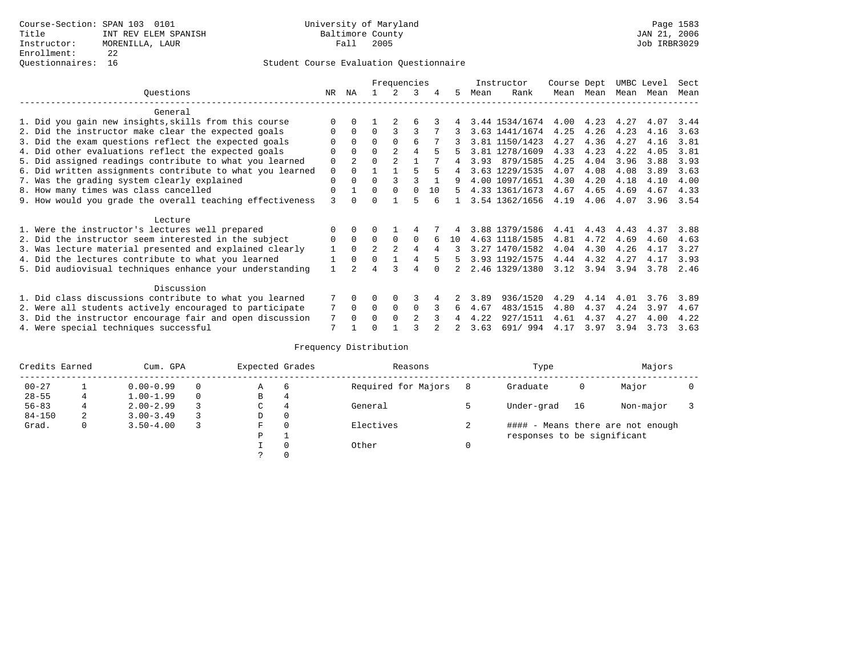|                                                           |              | Frequencies |                |                |                |    |    |      | Instructor     | Course Dept |      | UMBC Level |      | Sect |
|-----------------------------------------------------------|--------------|-------------|----------------|----------------|----------------|----|----|------|----------------|-------------|------|------------|------|------|
| Ouestions                                                 | NR.          | ΝA          |                |                | 3              | 4  | 5. | Mean | Rank           | Mean        | Mean | Mean       | Mean | Mean |
| General                                                   |              |             |                |                |                |    |    |      |                |             |      |            |      |      |
| 1. Did you gain new insights, skills from this course     |              | $\Omega$    |                |                | б              |    |    |      | 3.44 1534/1674 | 4.00        | 4.23 | 4.27       | 4.07 | 3.44 |
| 2. Did the instructor make clear the expected goals       | 0            | $\Omega$    | $\Omega$       |                | 3              |    |    |      | 3.63 1441/1674 | 4.25        | 4.26 | 4.23       | 4.16 | 3.63 |
| 3. Did the exam questions reflect the expected goals      | O            | $\Omega$    | $\Omega$       | $\Omega$       | 6              |    |    |      | 3.81 1150/1423 | 4.27        | 4.36 | 4.27       | 4.16 | 3.81 |
| 4. Did other evaluations reflect the expected goals       | 0            | $\Omega$    | $\Omega$       | $\mathfrak{D}$ | 4              |    |    |      | 3.81 1278/1609 | 4.33        | 4.23 | 4.22       | 4.05 | 3.81 |
| 5. Did assigned readings contribute to what you learned   | $\mathbf 0$  |             | $\Omega$       |                |                |    |    | 3.93 | 879/1585       | 4.25        | 4.04 | 3.96       | 3.88 | 3.93 |
| 6. Did written assignments contribute to what you learned | $\mathbf 0$  | $\Omega$    |                |                |                | 5  | 4  |      | 3.63 1229/1535 | 4.07        | 4.08 | 4.08       | 3.89 | 3.63 |
| 7. Was the grading system clearly explained               | $\Omega$     | $\Omega$    | $\Omega$       | 3              |                |    |    |      | 4.00 1097/1651 | 4.30        | 4.20 | 4.18       | 4.10 | 4.00 |
| 8. How many times was class cancelled                     | $\Omega$     |             | $\Omega$       | $\Omega$       | $\Omega$       | 10 | 5. |      | 4.33 1361/1673 | 4.67        | 4.65 | 4.69       | 4.67 | 4.33 |
| 9. How would you grade the overall teaching effectiveness | 3            |             | $\Omega$       |                | 5              |    |    |      | 3.54 1362/1656 | 4.19        | 4.06 | 4.07       | 3.96 | 3.54 |
| Lecture                                                   |              |             |                |                |                |    |    |      |                |             |      |            |      |      |
| 1. Were the instructor's lectures well prepared           |              | $\Omega$    |                |                | 4              |    | 4  |      | 3.88 1379/1586 | 4.41        | 4.43 | 4.43       | 4.37 | 3.88 |
| 2. Did the instructor seem interested in the subject      | 0            | $\Omega$    | $\Omega$       | $\Omega$       | $\Omega$       | 6  | 10 |      | 4.63 1118/1585 | 4.81        | 4.72 | 4.69       | 4.60 | 4.63 |
| 3. Was lecture material presented and explained clearly   | $\mathbf{1}$ | $\Omega$    | $\mathfrak{D}$ | $\mathfrak{D}$ | 4              | 4  | 3  |      | 3.27 1470/1582 | 4.04        | 4.30 | 4.26       | 4.17 | 3.27 |
| 4. Did the lectures contribute to what you learned        | 1            | $\Omega$    | $\Omega$       | $\mathbf{1}$   | 4              | 5  | 5. |      | 3.93 1192/1575 | 4.44        | 4.32 | 4.27       | 4.17 | 3.93 |
| 5. Did audiovisual techniques enhance your understanding  | $\mathbf{1}$ |             | 4              | ς              | 4              |    |    |      | 2.46 1329/1380 | 3.12        | 3.94 | 3.94       | 3.78 | 2.46 |
| Discussion                                                |              |             |                |                |                |    |    |      |                |             |      |            |      |      |
| 1. Did class discussions contribute to what you learned   |              | $\Omega$    | 0              | $\Omega$       |                |    | 2  | 3.89 | 936/1520       | 4.29        | 4.14 | 4.01       | 3.76 | 3.89 |
| 2. Were all students actively encouraged to participate   | 7            | $\Omega$    | $\Omega$       | $\Omega$       | $\Omega$       | 3  | 6  | 4.67 | 483/1515       | 4.80        | 4.37 | 4.24       | 3.97 | 4.67 |
| 3. Did the instructor encourage fair and open discussion  | 7            | $\Omega$    | $\Omega$       | $\Omega$       | $\mathfrak{D}$ |    | 4  | 4.22 | 927/1511       | 4.61        | 4.37 | 4.27       | 4.00 | 4.22 |
| 4. Were special techniques successful                     | 7            |             | $\Omega$       |                |                |    |    | 3.63 | 691/994        | 4.17        | 3.97 | 3.94       | 3.73 | 3.63 |

| Credits Earned |   | Cum. GPA      |          | Expected Grades |          | Reasons             |   | Type                        |    | Majors                            |  |
|----------------|---|---------------|----------|-----------------|----------|---------------------|---|-----------------------------|----|-----------------------------------|--|
| $00 - 27$      |   | $0.00 - 0.99$ |          | Α               | 6        | Required for Majors | 8 | Graduate                    | 0  | Major                             |  |
| $28 - 55$      |   | $1.00 - 1.99$ | $\Omega$ | В               | 4        |                     |   |                             |    |                                   |  |
| $56 - 83$      |   | $2.00 - 2.99$ |          | С               | 4        | General             |   | Under-grad                  | 16 | Non-major                         |  |
| $84 - 150$     | 2 | $3.00 - 3.49$ |          | D               | 0        |                     |   |                             |    |                                   |  |
| Grad.          | 0 | $3.50 - 4.00$ |          | F               | $\Omega$ | Electives           |   |                             |    | #### - Means there are not enough |  |
|                |   |               |          | Ρ               |          |                     |   | responses to be significant |    |                                   |  |
|                |   |               |          |                 | $\Omega$ | Other               |   |                             |    |                                   |  |
|                |   |               |          |                 |          |                     |   |                             |    |                                   |  |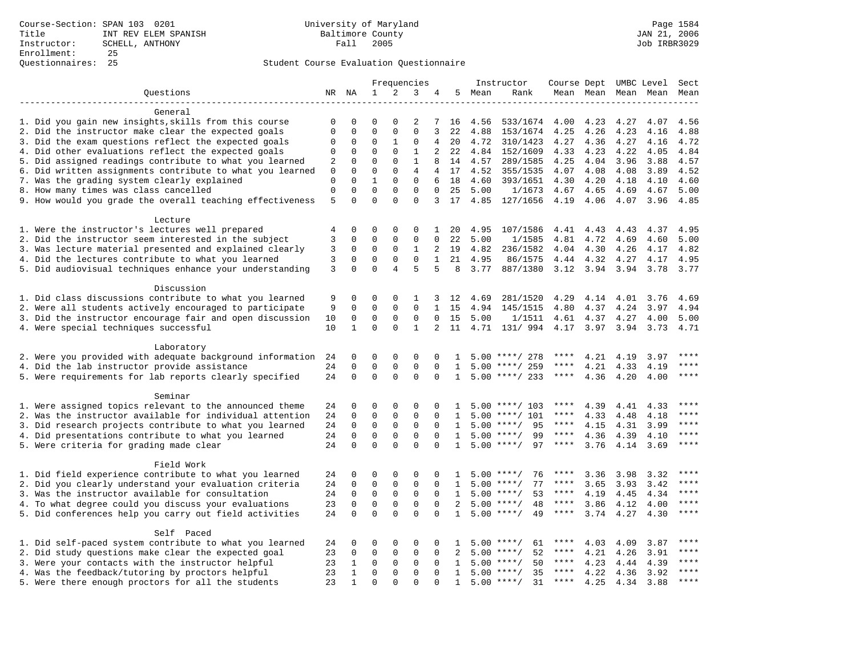| $\mathbf{1}$<br>2<br>3<br>Questions<br>NR NA<br>4<br>5 Mean<br>Rank<br>Mean Mean Mean Mean Mean<br>General<br>1. Did you gain new insights, skills from this course<br>0<br>$\Omega$<br>$\Omega$<br>$\Omega$<br>2<br>7<br>16<br>4.56<br>533/1674<br>4.00<br>4.23<br>4.27<br>4.07<br>4.56<br>2. Did the instructor make clear the expected goals<br>$\mathbf 0$<br>$\Omega$<br>$\Omega$<br>$\Omega$<br>3<br>$\Omega$<br>22<br>4.88<br>153/1674<br>4.26<br>4.23<br>4.16<br>4.88<br>4.25<br>3. Did the exam questions reflect the expected goals<br>0<br>0<br>1<br>0<br>20<br>4.72<br>310/1423<br>4.27<br>4.36<br>4.27<br>4.16<br>4.72<br>$\Omega$<br>4<br>$\mathbf{1}$<br>4. Did other evaluations reflect the expected goals<br>$\mathbf 0$<br>$\Omega$<br>$\Omega$<br>$\overline{2}$<br>22<br>152/1609<br>4.23<br>4.22<br>4.84<br>0<br>4.84<br>4.33<br>4.05<br>5. Did assigned readings contribute to what you learned<br>$\mathbf 0$<br>$\mathbf 0$<br>$\mathbf{0}$<br>$\mathbf{1}$<br>4.25<br>4.04<br>4.57<br>2<br>8<br>14<br>4.57<br>289/1585<br>3.96<br>3.88<br>$\Omega$<br>6. Did written assignments contribute to what you learned<br>$\mathbf 0$<br>$\mathbf 0$<br>$\mathbf{0}$<br>$\overline{4}$<br>4<br>17<br>4.52<br>355/1535<br>4.07<br>4.08<br>4.08<br>3.89<br>4.52<br>$\mathbf{1}$<br>7. Was the grading system clearly explained<br>$\mathbf 0$<br>$\mathbf 0$<br>$\mathbf{0}$<br>$\mathbf 0$<br>6<br>18<br>4.20<br>4.60<br>4.60<br>393/1651<br>4.30<br>4.18<br>4.10<br>8. How many times was class cancelled<br>$\mathbf 0$<br>$\mathbf 0$<br>$\Omega$<br>$\Omega$<br>$\Omega$<br>$\Omega$<br>25<br>5.00<br>1/1673<br>4.67<br>4.65<br>4.69<br>4.67<br>5.00<br>$\Omega$<br>$\Omega$<br>$\Omega$<br>9. How would you grade the overall teaching effectiveness<br>5<br>$\Omega$<br>3<br>17<br>4.85 127/1656<br>4.19 4.06<br>4.07<br>3.96<br>4.85<br>Lecture<br>1. Were the instructor's lectures well prepared<br>$\Omega$<br>$\Omega$<br>$\Omega$<br>$\Omega$<br>4.95<br>107/1586<br>$\mathbf{1}$<br>20<br>4.41<br>4.43<br>4.43<br>4.37<br>4.95<br>4<br>2. Did the instructor seem interested in the subject<br>3<br>$\mathbf 0$<br>$\mathbf 0$<br>$\mathbf{0}$<br>$\mathbf 0$<br>4.81<br>0<br>22<br>5.00<br>1/1585<br>4.72<br>4.69<br>4.60<br>5.00<br>3. Was lecture material presented and explained clearly<br>3<br>$\mathbf 0$<br>$\mathbf 0$<br>0<br>1<br>2<br>19<br>4.82<br>236/1582<br>4.04<br>4.30<br>4.26<br>4.17<br>4.82<br>3<br>$\mathbf 0$<br>4. Did the lectures contribute to what you learned<br>$\mathbf 0$<br>$\mathbf 0$<br>$\mathbf{0}$<br>$\mathbf{1}$<br>21 4.95<br>86/1575<br>4.44 4.32<br>4.27<br>4.17<br>4.95<br>5. Did audiovisual techniques enhance your understanding<br>3<br>$\Omega$<br>$\Omega$<br>$\overline{4}$<br>5<br>5<br>8<br>3.77<br>887/1380<br>3.12 3.94 3.94<br>3.78<br>3.77<br>Discussion<br>1. Did class discussions contribute to what you learned<br>$\Omega$<br>4.29<br>4.01<br>9<br>$\Omega$<br>$\Omega$<br>1<br>3<br>12<br>4.69<br>281/1520<br>4.14<br>3.76<br>4.69<br>2. Were all students actively encouraged to participate<br>9<br>$\Omega$<br>$\Omega$<br>$\Omega$<br>$\Omega$<br>$\mathbf{1}$<br>15<br>4.37<br>4.24<br>4.94<br>145/1515<br>4.80<br>3.97<br>4.94<br>3. Did the instructor encourage fair and open discussion<br>$\mathsf 0$<br>$\mathsf 0$<br>$\mathsf 0$<br>$\mathbf 0$<br>15<br>5.00<br>5.00<br>10<br>0<br>1/1511<br>4.61<br>4.37<br>4.27<br>4.00<br>$\mathbf 0$<br>$\Omega$<br>$\mathbf{1}$<br>4. Were special techniques successful<br>10<br>$\mathbf{1}$<br>2<br>11<br>4.71<br>131/ 994<br>4.17<br>3.97<br>3.94<br>3.73<br>4.71<br>Laboratory<br>$***$<br>2. Were you provided with adequate background information<br>$\Omega$<br>0<br>4.21<br>3.97<br>24<br>0<br>0<br>$\Omega$<br>$5.00$ ****/ 278<br>****<br>4.19<br>1<br>4. Did the lab instructor provide assistance<br>$\mathbf 0$<br>$5.00$ ****/ 259<br>4.21<br>$***$<br>24<br>$\Omega$<br>0<br>0<br>$\Omega$<br>1<br>****<br>4.33<br>4.19<br>$\Omega$<br>$\Omega$<br>5. Were requirements for lab reports clearly specified<br>24<br>$\Omega$<br>$\Omega$<br>$***$ * * *<br>$***$<br>$\Omega$<br>$\mathbf{1}$<br>$5.00$ ****/ 233<br>4.36<br>4.20<br>4.00<br>Seminar<br>1. Were assigned topics relevant to the announced theme<br>****<br>24<br>0<br>$\Omega$<br>$\mathbf 0$<br>$\Omega$<br>$\Omega$<br>$5.00$ ****/ 103<br>4.39<br>4.41<br>$\mathbf{1}$<br>4.33<br>2. Was the instructor available for individual attention<br>$\mathbf 0$<br>$\mathbf 0$<br>$\mathbf 0$<br>$***$<br>24<br>$\mathbf 0$<br>$\Omega$<br>$5.00$ ****/ 101<br>$***$ * * *<br>4.33<br>4.18<br>$\mathbf{1}$<br>4.48<br>3. Did research projects contribute to what you learned<br>$\mathbf 0$<br>$\mathbf 0$<br>$***$ * * *<br>$***$<br>24<br>$\mathbf 0$<br>$\mathbf 0$<br>$5.00$ ****/<br>95<br>4.15<br>3.99<br>$\Omega$<br>$\mathbf{1}$<br>4.31<br>$\mathbf 0$<br>$\Omega$<br>$\mathbf 0$<br>$5.00$ ****/<br>99<br>****<br>4.36<br>****<br>4. Did presentations contribute to what you learned<br>24<br>$\mathbf 0$<br>$\Omega$<br>4.39<br>4.10<br>$\mathbf{1}$<br>$\Omega$<br>5. Were criteria for grading made clear<br>$\Omega$<br>$\Omega$<br>$\Omega$<br>$5.00$ ****/<br>97<br>$***$ * *<br>****<br>24<br>$\Omega$<br>$\mathbf{1}$<br>3.76<br>4.14 3.69<br>Field Work<br>1. Did field experience contribute to what you learned<br>$\Omega$<br>****<br>24<br>0<br>$\Omega$<br>$\mathbf 0$<br>0<br>$5.00$ ****/<br>76<br>3.36<br>3.98<br>3.32<br>$\mathbf{1}$<br>****<br>$\mathbf 0$<br>2. Did you clearly understand your evaluation criteria<br>24<br>$\mathbf 0$<br>$\mathbf 0$<br>$\mathbf{0}$<br>77<br>3.65<br>3.42<br>****<br>$\mathbf 0$<br>1<br>$5.00$ ****/<br>****<br>3.93<br>$***$<br>3. Was the instructor available for consultation<br>24<br>$\mathbf 0$<br>$\mathbf 0$<br>$\mathbf{0}$<br>$\mathbf 0$<br>53<br>$***$ * * *<br>4.19<br>4.34<br>$\Omega$<br>$\mathbf{1}$<br>$5.00$ ****/<br>4.45<br>$***$<br>4. To what degree could you discuss your evaluations<br>$\mathbf 0$<br>$\mathbf 0$<br>$\mathbf 0$<br>$\mathbf 0$<br>$5.00$ ****/<br>48<br>$***$ * * *<br>23<br>$\Omega$<br>2<br>3.86<br>4.12<br>4.00<br>$\Omega$<br>$***$<br>5. Did conferences help you carry out field activities<br>24<br>$\Omega$<br>$\Omega$<br>$\Omega$<br>$5.00$ ****/<br>49<br>$***$ * *<br>3.74<br>$\Omega$<br>$\mathbf{1}$<br>4.27<br>4.30<br>Self Paced<br>1. Did self-paced system contribute to what you learned<br>$***$<br>24<br>0<br>$\Omega$<br>$\Omega$<br>$\Omega$<br>0<br>61<br>4.03<br>4.09<br>3.87<br>$\mathbf{1}$<br>$5.00$ ****/<br>****<br>2. Did study questions make clear the expected goal<br>23<br>$\mathbf 0$<br>$\mathbf 0$<br>$\mathbf{0}$<br>0<br>52<br>4.21<br>$***$<br>0<br>2<br>5.00<br>****<br>4.26<br>3.91<br>$***/$<br>$***$ * * *<br>3. Were your contacts with the instructor helpful<br>23<br>$\mathbf 0$<br>$\mathbf 0$<br>$5.00$ ****/<br>50<br>****<br>4.23<br>1<br>0<br>0<br>$\mathbf{1}$<br>4.44<br>4.39<br>23<br>$\mathbf 0$<br>$\mathbf 0$<br>$\Omega$<br>$***$<br>4. Was the feedback/tutoring by proctors helpful<br>$\mathbf{1}$<br>$\Omega$<br>$5.00$ ****/<br>35<br>****<br>4.22<br>4.36<br>3.92<br>$\mathbf{1}$ |  |  | Frequencies |  | Instructor |  | Course Dept UMBC Level Sect |  |
|-------------------------------------------------------------------------------------------------------------------------------------------------------------------------------------------------------------------------------------------------------------------------------------------------------------------------------------------------------------------------------------------------------------------------------------------------------------------------------------------------------------------------------------------------------------------------------------------------------------------------------------------------------------------------------------------------------------------------------------------------------------------------------------------------------------------------------------------------------------------------------------------------------------------------------------------------------------------------------------------------------------------------------------------------------------------------------------------------------------------------------------------------------------------------------------------------------------------------------------------------------------------------------------------------------------------------------------------------------------------------------------------------------------------------------------------------------------------------------------------------------------------------------------------------------------------------------------------------------------------------------------------------------------------------------------------------------------------------------------------------------------------------------------------------------------------------------------------------------------------------------------------------------------------------------------------------------------------------------------------------------------------------------------------------------------------------------------------------------------------------------------------------------------------------------------------------------------------------------------------------------------------------------------------------------------------------------------------------------------------------------------------------------------------------------------------------------------------------------------------------------------------------------------------------------------------------------------------------------------------------------------------------------------------------------------------------------------------------------------------------------------------------------------------------------------------------------------------------------------------------------------------------------------------------------------------------------------------------------------------------------------------------------------------------------------------------------------------------------------------------------------------------------------------------------------------------------------------------------------------------------------------------------------------------------------------------------------------------------------------------------------------------------------------------------------------------------------------------------------------------------------------------------------------------------------------------------------------------------------------------------------------------------------------------------------------------------------------------------------------------------------------------------------------------------------------------------------------------------------------------------------------------------------------------------------------------------------------------------------------------------------------------------------------------------------------------------------------------------------------------------------------------------------------------------------------------------------------------------------------------------------------------------------------------------------------------------------------------------------------------------------------------------------------------------------------------------------------------------------------------------------------------------------------------------------------------------------------------------------------------------------------------------------------------------------------------------------------------------------------------------------------------------------------------------------------------------------------------------------------------------------------------------------------------------------------------------------------------------------------------------------------------------------------------------------------------------------------------------------------------------------------------------------------------------------------------------------------------------------------------------------------------------------------------------------------------------------------------------------------------------------------------------------------------------------------------------------------------------------------------------------------------------------------------------------------------------------------------------------------------------------------------------------------------------------------------------------------------------------------------------------------------------------------------------------------------------------------------------------------------------------------------------------------------------------------------------------------------------------------------------------------------------------------------------------------------------------------------------------------------------------------------------------------------------------------------------------------------------------------------------------------------------------------------------------------------------------------------------------------------------------------------------------------------------------------------------------------------------------------------------------------------------------------------------------------------------------------------------------------------------------------------------------------------------------------------------------------------------------------------------------------------------------------------------------------------------------------------------------------------------------------------------------------------------------------------------------------------------------------------------------------------------------------------------------------------------------------------------------------------------------------------------------------------------------------------------|--|--|-------------|--|------------|--|-----------------------------|--|
|                                                                                                                                                                                                                                                                                                                                                                                                                                                                                                                                                                                                                                                                                                                                                                                                                                                                                                                                                                                                                                                                                                                                                                                                                                                                                                                                                                                                                                                                                                                                                                                                                                                                                                                                                                                                                                                                                                                                                                                                                                                                                                                                                                                                                                                                                                                                                                                                                                                                                                                                                                                                                                                                                                                                                                                                                                                                                                                                                                                                                                                                                                                                                                                                                                                                                                                                                                                                                                                                                                                                                                                                                                                                                                                                                                                                                                                                                                                                                                                                                                                                                                                                                                                                                                                                                                                                                                                                                                                                                                                                                                                                                                                                                                                                                                                                                                                                                                                                                                                                                                                                                                                                                                                                                                                                                                                                                                                                                                                                                                                                                                                                                                                                                                                                                                                                                                                                                                                                                                                                                                                                                                                                                                                                                                                                                                                                                                                                                                                                                                                                                                                                                                                                                                                                                                                                                                                                                                                                                                                                                                                                                                                                                                                                       |  |  |             |  |            |  |                             |  |
|                                                                                                                                                                                                                                                                                                                                                                                                                                                                                                                                                                                                                                                                                                                                                                                                                                                                                                                                                                                                                                                                                                                                                                                                                                                                                                                                                                                                                                                                                                                                                                                                                                                                                                                                                                                                                                                                                                                                                                                                                                                                                                                                                                                                                                                                                                                                                                                                                                                                                                                                                                                                                                                                                                                                                                                                                                                                                                                                                                                                                                                                                                                                                                                                                                                                                                                                                                                                                                                                                                                                                                                                                                                                                                                                                                                                                                                                                                                                                                                                                                                                                                                                                                                                                                                                                                                                                                                                                                                                                                                                                                                                                                                                                                                                                                                                                                                                                                                                                                                                                                                                                                                                                                                                                                                                                                                                                                                                                                                                                                                                                                                                                                                                                                                                                                                                                                                                                                                                                                                                                                                                                                                                                                                                                                                                                                                                                                                                                                                                                                                                                                                                                                                                                                                                                                                                                                                                                                                                                                                                                                                                                                                                                                                                       |  |  |             |  |            |  |                             |  |
|                                                                                                                                                                                                                                                                                                                                                                                                                                                                                                                                                                                                                                                                                                                                                                                                                                                                                                                                                                                                                                                                                                                                                                                                                                                                                                                                                                                                                                                                                                                                                                                                                                                                                                                                                                                                                                                                                                                                                                                                                                                                                                                                                                                                                                                                                                                                                                                                                                                                                                                                                                                                                                                                                                                                                                                                                                                                                                                                                                                                                                                                                                                                                                                                                                                                                                                                                                                                                                                                                                                                                                                                                                                                                                                                                                                                                                                                                                                                                                                                                                                                                                                                                                                                                                                                                                                                                                                                                                                                                                                                                                                                                                                                                                                                                                                                                                                                                                                                                                                                                                                                                                                                                                                                                                                                                                                                                                                                                                                                                                                                                                                                                                                                                                                                                                                                                                                                                                                                                                                                                                                                                                                                                                                                                                                                                                                                                                                                                                                                                                                                                                                                                                                                                                                                                                                                                                                                                                                                                                                                                                                                                                                                                                                                       |  |  |             |  |            |  |                             |  |
|                                                                                                                                                                                                                                                                                                                                                                                                                                                                                                                                                                                                                                                                                                                                                                                                                                                                                                                                                                                                                                                                                                                                                                                                                                                                                                                                                                                                                                                                                                                                                                                                                                                                                                                                                                                                                                                                                                                                                                                                                                                                                                                                                                                                                                                                                                                                                                                                                                                                                                                                                                                                                                                                                                                                                                                                                                                                                                                                                                                                                                                                                                                                                                                                                                                                                                                                                                                                                                                                                                                                                                                                                                                                                                                                                                                                                                                                                                                                                                                                                                                                                                                                                                                                                                                                                                                                                                                                                                                                                                                                                                                                                                                                                                                                                                                                                                                                                                                                                                                                                                                                                                                                                                                                                                                                                                                                                                                                                                                                                                                                                                                                                                                                                                                                                                                                                                                                                                                                                                                                                                                                                                                                                                                                                                                                                                                                                                                                                                                                                                                                                                                                                                                                                                                                                                                                                                                                                                                                                                                                                                                                                                                                                                                                       |  |  |             |  |            |  |                             |  |
|                                                                                                                                                                                                                                                                                                                                                                                                                                                                                                                                                                                                                                                                                                                                                                                                                                                                                                                                                                                                                                                                                                                                                                                                                                                                                                                                                                                                                                                                                                                                                                                                                                                                                                                                                                                                                                                                                                                                                                                                                                                                                                                                                                                                                                                                                                                                                                                                                                                                                                                                                                                                                                                                                                                                                                                                                                                                                                                                                                                                                                                                                                                                                                                                                                                                                                                                                                                                                                                                                                                                                                                                                                                                                                                                                                                                                                                                                                                                                                                                                                                                                                                                                                                                                                                                                                                                                                                                                                                                                                                                                                                                                                                                                                                                                                                                                                                                                                                                                                                                                                                                                                                                                                                                                                                                                                                                                                                                                                                                                                                                                                                                                                                                                                                                                                                                                                                                                                                                                                                                                                                                                                                                                                                                                                                                                                                                                                                                                                                                                                                                                                                                                                                                                                                                                                                                                                                                                                                                                                                                                                                                                                                                                                                                       |  |  |             |  |            |  |                             |  |
|                                                                                                                                                                                                                                                                                                                                                                                                                                                                                                                                                                                                                                                                                                                                                                                                                                                                                                                                                                                                                                                                                                                                                                                                                                                                                                                                                                                                                                                                                                                                                                                                                                                                                                                                                                                                                                                                                                                                                                                                                                                                                                                                                                                                                                                                                                                                                                                                                                                                                                                                                                                                                                                                                                                                                                                                                                                                                                                                                                                                                                                                                                                                                                                                                                                                                                                                                                                                                                                                                                                                                                                                                                                                                                                                                                                                                                                                                                                                                                                                                                                                                                                                                                                                                                                                                                                                                                                                                                                                                                                                                                                                                                                                                                                                                                                                                                                                                                                                                                                                                                                                                                                                                                                                                                                                                                                                                                                                                                                                                                                                                                                                                                                                                                                                                                                                                                                                                                                                                                                                                                                                                                                                                                                                                                                                                                                                                                                                                                                                                                                                                                                                                                                                                                                                                                                                                                                                                                                                                                                                                                                                                                                                                                                                       |  |  |             |  |            |  |                             |  |
|                                                                                                                                                                                                                                                                                                                                                                                                                                                                                                                                                                                                                                                                                                                                                                                                                                                                                                                                                                                                                                                                                                                                                                                                                                                                                                                                                                                                                                                                                                                                                                                                                                                                                                                                                                                                                                                                                                                                                                                                                                                                                                                                                                                                                                                                                                                                                                                                                                                                                                                                                                                                                                                                                                                                                                                                                                                                                                                                                                                                                                                                                                                                                                                                                                                                                                                                                                                                                                                                                                                                                                                                                                                                                                                                                                                                                                                                                                                                                                                                                                                                                                                                                                                                                                                                                                                                                                                                                                                                                                                                                                                                                                                                                                                                                                                                                                                                                                                                                                                                                                                                                                                                                                                                                                                                                                                                                                                                                                                                                                                                                                                                                                                                                                                                                                                                                                                                                                                                                                                                                                                                                                                                                                                                                                                                                                                                                                                                                                                                                                                                                                                                                                                                                                                                                                                                                                                                                                                                                                                                                                                                                                                                                                                                       |  |  |             |  |            |  |                             |  |
|                                                                                                                                                                                                                                                                                                                                                                                                                                                                                                                                                                                                                                                                                                                                                                                                                                                                                                                                                                                                                                                                                                                                                                                                                                                                                                                                                                                                                                                                                                                                                                                                                                                                                                                                                                                                                                                                                                                                                                                                                                                                                                                                                                                                                                                                                                                                                                                                                                                                                                                                                                                                                                                                                                                                                                                                                                                                                                                                                                                                                                                                                                                                                                                                                                                                                                                                                                                                                                                                                                                                                                                                                                                                                                                                                                                                                                                                                                                                                                                                                                                                                                                                                                                                                                                                                                                                                                                                                                                                                                                                                                                                                                                                                                                                                                                                                                                                                                                                                                                                                                                                                                                                                                                                                                                                                                                                                                                                                                                                                                                                                                                                                                                                                                                                                                                                                                                                                                                                                                                                                                                                                                                                                                                                                                                                                                                                                                                                                                                                                                                                                                                                                                                                                                                                                                                                                                                                                                                                                                                                                                                                                                                                                                                                       |  |  |             |  |            |  |                             |  |
|                                                                                                                                                                                                                                                                                                                                                                                                                                                                                                                                                                                                                                                                                                                                                                                                                                                                                                                                                                                                                                                                                                                                                                                                                                                                                                                                                                                                                                                                                                                                                                                                                                                                                                                                                                                                                                                                                                                                                                                                                                                                                                                                                                                                                                                                                                                                                                                                                                                                                                                                                                                                                                                                                                                                                                                                                                                                                                                                                                                                                                                                                                                                                                                                                                                                                                                                                                                                                                                                                                                                                                                                                                                                                                                                                                                                                                                                                                                                                                                                                                                                                                                                                                                                                                                                                                                                                                                                                                                                                                                                                                                                                                                                                                                                                                                                                                                                                                                                                                                                                                                                                                                                                                                                                                                                                                                                                                                                                                                                                                                                                                                                                                                                                                                                                                                                                                                                                                                                                                                                                                                                                                                                                                                                                                                                                                                                                                                                                                                                                                                                                                                                                                                                                                                                                                                                                                                                                                                                                                                                                                                                                                                                                                                                       |  |  |             |  |            |  |                             |  |
|                                                                                                                                                                                                                                                                                                                                                                                                                                                                                                                                                                                                                                                                                                                                                                                                                                                                                                                                                                                                                                                                                                                                                                                                                                                                                                                                                                                                                                                                                                                                                                                                                                                                                                                                                                                                                                                                                                                                                                                                                                                                                                                                                                                                                                                                                                                                                                                                                                                                                                                                                                                                                                                                                                                                                                                                                                                                                                                                                                                                                                                                                                                                                                                                                                                                                                                                                                                                                                                                                                                                                                                                                                                                                                                                                                                                                                                                                                                                                                                                                                                                                                                                                                                                                                                                                                                                                                                                                                                                                                                                                                                                                                                                                                                                                                                                                                                                                                                                                                                                                                                                                                                                                                                                                                                                                                                                                                                                                                                                                                                                                                                                                                                                                                                                                                                                                                                                                                                                                                                                                                                                                                                                                                                                                                                                                                                                                                                                                                                                                                                                                                                                                                                                                                                                                                                                                                                                                                                                                                                                                                                                                                                                                                                                       |  |  |             |  |            |  |                             |  |
|                                                                                                                                                                                                                                                                                                                                                                                                                                                                                                                                                                                                                                                                                                                                                                                                                                                                                                                                                                                                                                                                                                                                                                                                                                                                                                                                                                                                                                                                                                                                                                                                                                                                                                                                                                                                                                                                                                                                                                                                                                                                                                                                                                                                                                                                                                                                                                                                                                                                                                                                                                                                                                                                                                                                                                                                                                                                                                                                                                                                                                                                                                                                                                                                                                                                                                                                                                                                                                                                                                                                                                                                                                                                                                                                                                                                                                                                                                                                                                                                                                                                                                                                                                                                                                                                                                                                                                                                                                                                                                                                                                                                                                                                                                                                                                                                                                                                                                                                                                                                                                                                                                                                                                                                                                                                                                                                                                                                                                                                                                                                                                                                                                                                                                                                                                                                                                                                                                                                                                                                                                                                                                                                                                                                                                                                                                                                                                                                                                                                                                                                                                                                                                                                                                                                                                                                                                                                                                                                                                                                                                                                                                                                                                                                       |  |  |             |  |            |  |                             |  |
|                                                                                                                                                                                                                                                                                                                                                                                                                                                                                                                                                                                                                                                                                                                                                                                                                                                                                                                                                                                                                                                                                                                                                                                                                                                                                                                                                                                                                                                                                                                                                                                                                                                                                                                                                                                                                                                                                                                                                                                                                                                                                                                                                                                                                                                                                                                                                                                                                                                                                                                                                                                                                                                                                                                                                                                                                                                                                                                                                                                                                                                                                                                                                                                                                                                                                                                                                                                                                                                                                                                                                                                                                                                                                                                                                                                                                                                                                                                                                                                                                                                                                                                                                                                                                                                                                                                                                                                                                                                                                                                                                                                                                                                                                                                                                                                                                                                                                                                                                                                                                                                                                                                                                                                                                                                                                                                                                                                                                                                                                                                                                                                                                                                                                                                                                                                                                                                                                                                                                                                                                                                                                                                                                                                                                                                                                                                                                                                                                                                                                                                                                                                                                                                                                                                                                                                                                                                                                                                                                                                                                                                                                                                                                                                                       |  |  |             |  |            |  |                             |  |
|                                                                                                                                                                                                                                                                                                                                                                                                                                                                                                                                                                                                                                                                                                                                                                                                                                                                                                                                                                                                                                                                                                                                                                                                                                                                                                                                                                                                                                                                                                                                                                                                                                                                                                                                                                                                                                                                                                                                                                                                                                                                                                                                                                                                                                                                                                                                                                                                                                                                                                                                                                                                                                                                                                                                                                                                                                                                                                                                                                                                                                                                                                                                                                                                                                                                                                                                                                                                                                                                                                                                                                                                                                                                                                                                                                                                                                                                                                                                                                                                                                                                                                                                                                                                                                                                                                                                                                                                                                                                                                                                                                                                                                                                                                                                                                                                                                                                                                                                                                                                                                                                                                                                                                                                                                                                                                                                                                                                                                                                                                                                                                                                                                                                                                                                                                                                                                                                                                                                                                                                                                                                                                                                                                                                                                                                                                                                                                                                                                                                                                                                                                                                                                                                                                                                                                                                                                                                                                                                                                                                                                                                                                                                                                                                       |  |  |             |  |            |  |                             |  |
|                                                                                                                                                                                                                                                                                                                                                                                                                                                                                                                                                                                                                                                                                                                                                                                                                                                                                                                                                                                                                                                                                                                                                                                                                                                                                                                                                                                                                                                                                                                                                                                                                                                                                                                                                                                                                                                                                                                                                                                                                                                                                                                                                                                                                                                                                                                                                                                                                                                                                                                                                                                                                                                                                                                                                                                                                                                                                                                                                                                                                                                                                                                                                                                                                                                                                                                                                                                                                                                                                                                                                                                                                                                                                                                                                                                                                                                                                                                                                                                                                                                                                                                                                                                                                                                                                                                                                                                                                                                                                                                                                                                                                                                                                                                                                                                                                                                                                                                                                                                                                                                                                                                                                                                                                                                                                                                                                                                                                                                                                                                                                                                                                                                                                                                                                                                                                                                                                                                                                                                                                                                                                                                                                                                                                                                                                                                                                                                                                                                                                                                                                                                                                                                                                                                                                                                                                                                                                                                                                                                                                                                                                                                                                                                                       |  |  |             |  |            |  |                             |  |
|                                                                                                                                                                                                                                                                                                                                                                                                                                                                                                                                                                                                                                                                                                                                                                                                                                                                                                                                                                                                                                                                                                                                                                                                                                                                                                                                                                                                                                                                                                                                                                                                                                                                                                                                                                                                                                                                                                                                                                                                                                                                                                                                                                                                                                                                                                                                                                                                                                                                                                                                                                                                                                                                                                                                                                                                                                                                                                                                                                                                                                                                                                                                                                                                                                                                                                                                                                                                                                                                                                                                                                                                                                                                                                                                                                                                                                                                                                                                                                                                                                                                                                                                                                                                                                                                                                                                                                                                                                                                                                                                                                                                                                                                                                                                                                                                                                                                                                                                                                                                                                                                                                                                                                                                                                                                                                                                                                                                                                                                                                                                                                                                                                                                                                                                                                                                                                                                                                                                                                                                                                                                                                                                                                                                                                                                                                                                                                                                                                                                                                                                                                                                                                                                                                                                                                                                                                                                                                                                                                                                                                                                                                                                                                                                       |  |  |             |  |            |  |                             |  |
|                                                                                                                                                                                                                                                                                                                                                                                                                                                                                                                                                                                                                                                                                                                                                                                                                                                                                                                                                                                                                                                                                                                                                                                                                                                                                                                                                                                                                                                                                                                                                                                                                                                                                                                                                                                                                                                                                                                                                                                                                                                                                                                                                                                                                                                                                                                                                                                                                                                                                                                                                                                                                                                                                                                                                                                                                                                                                                                                                                                                                                                                                                                                                                                                                                                                                                                                                                                                                                                                                                                                                                                                                                                                                                                                                                                                                                                                                                                                                                                                                                                                                                                                                                                                                                                                                                                                                                                                                                                                                                                                                                                                                                                                                                                                                                                                                                                                                                                                                                                                                                                                                                                                                                                                                                                                                                                                                                                                                                                                                                                                                                                                                                                                                                                                                                                                                                                                                                                                                                                                                                                                                                                                                                                                                                                                                                                                                                                                                                                                                                                                                                                                                                                                                                                                                                                                                                                                                                                                                                                                                                                                                                                                                                                                       |  |  |             |  |            |  |                             |  |
|                                                                                                                                                                                                                                                                                                                                                                                                                                                                                                                                                                                                                                                                                                                                                                                                                                                                                                                                                                                                                                                                                                                                                                                                                                                                                                                                                                                                                                                                                                                                                                                                                                                                                                                                                                                                                                                                                                                                                                                                                                                                                                                                                                                                                                                                                                                                                                                                                                                                                                                                                                                                                                                                                                                                                                                                                                                                                                                                                                                                                                                                                                                                                                                                                                                                                                                                                                                                                                                                                                                                                                                                                                                                                                                                                                                                                                                                                                                                                                                                                                                                                                                                                                                                                                                                                                                                                                                                                                                                                                                                                                                                                                                                                                                                                                                                                                                                                                                                                                                                                                                                                                                                                                                                                                                                                                                                                                                                                                                                                                                                                                                                                                                                                                                                                                                                                                                                                                                                                                                                                                                                                                                                                                                                                                                                                                                                                                                                                                                                                                                                                                                                                                                                                                                                                                                                                                                                                                                                                                                                                                                                                                                                                                                                       |  |  |             |  |            |  |                             |  |
|                                                                                                                                                                                                                                                                                                                                                                                                                                                                                                                                                                                                                                                                                                                                                                                                                                                                                                                                                                                                                                                                                                                                                                                                                                                                                                                                                                                                                                                                                                                                                                                                                                                                                                                                                                                                                                                                                                                                                                                                                                                                                                                                                                                                                                                                                                                                                                                                                                                                                                                                                                                                                                                                                                                                                                                                                                                                                                                                                                                                                                                                                                                                                                                                                                                                                                                                                                                                                                                                                                                                                                                                                                                                                                                                                                                                                                                                                                                                                                                                                                                                                                                                                                                                                                                                                                                                                                                                                                                                                                                                                                                                                                                                                                                                                                                                                                                                                                                                                                                                                                                                                                                                                                                                                                                                                                                                                                                                                                                                                                                                                                                                                                                                                                                                                                                                                                                                                                                                                                                                                                                                                                                                                                                                                                                                                                                                                                                                                                                                                                                                                                                                                                                                                                                                                                                                                                                                                                                                                                                                                                                                                                                                                                                                       |  |  |             |  |            |  |                             |  |
|                                                                                                                                                                                                                                                                                                                                                                                                                                                                                                                                                                                                                                                                                                                                                                                                                                                                                                                                                                                                                                                                                                                                                                                                                                                                                                                                                                                                                                                                                                                                                                                                                                                                                                                                                                                                                                                                                                                                                                                                                                                                                                                                                                                                                                                                                                                                                                                                                                                                                                                                                                                                                                                                                                                                                                                                                                                                                                                                                                                                                                                                                                                                                                                                                                                                                                                                                                                                                                                                                                                                                                                                                                                                                                                                                                                                                                                                                                                                                                                                                                                                                                                                                                                                                                                                                                                                                                                                                                                                                                                                                                                                                                                                                                                                                                                                                                                                                                                                                                                                                                                                                                                                                                                                                                                                                                                                                                                                                                                                                                                                                                                                                                                                                                                                                                                                                                                                                                                                                                                                                                                                                                                                                                                                                                                                                                                                                                                                                                                                                                                                                                                                                                                                                                                                                                                                                                                                                                                                                                                                                                                                                                                                                                                                       |  |  |             |  |            |  |                             |  |
|                                                                                                                                                                                                                                                                                                                                                                                                                                                                                                                                                                                                                                                                                                                                                                                                                                                                                                                                                                                                                                                                                                                                                                                                                                                                                                                                                                                                                                                                                                                                                                                                                                                                                                                                                                                                                                                                                                                                                                                                                                                                                                                                                                                                                                                                                                                                                                                                                                                                                                                                                                                                                                                                                                                                                                                                                                                                                                                                                                                                                                                                                                                                                                                                                                                                                                                                                                                                                                                                                                                                                                                                                                                                                                                                                                                                                                                                                                                                                                                                                                                                                                                                                                                                                                                                                                                                                                                                                                                                                                                                                                                                                                                                                                                                                                                                                                                                                                                                                                                                                                                                                                                                                                                                                                                                                                                                                                                                                                                                                                                                                                                                                                                                                                                                                                                                                                                                                                                                                                                                                                                                                                                                                                                                                                                                                                                                                                                                                                                                                                                                                                                                                                                                                                                                                                                                                                                                                                                                                                                                                                                                                                                                                                                                       |  |  |             |  |            |  |                             |  |
|                                                                                                                                                                                                                                                                                                                                                                                                                                                                                                                                                                                                                                                                                                                                                                                                                                                                                                                                                                                                                                                                                                                                                                                                                                                                                                                                                                                                                                                                                                                                                                                                                                                                                                                                                                                                                                                                                                                                                                                                                                                                                                                                                                                                                                                                                                                                                                                                                                                                                                                                                                                                                                                                                                                                                                                                                                                                                                                                                                                                                                                                                                                                                                                                                                                                                                                                                                                                                                                                                                                                                                                                                                                                                                                                                                                                                                                                                                                                                                                                                                                                                                                                                                                                                                                                                                                                                                                                                                                                                                                                                                                                                                                                                                                                                                                                                                                                                                                                                                                                                                                                                                                                                                                                                                                                                                                                                                                                                                                                                                                                                                                                                                                                                                                                                                                                                                                                                                                                                                                                                                                                                                                                                                                                                                                                                                                                                                                                                                                                                                                                                                                                                                                                                                                                                                                                                                                                                                                                                                                                                                                                                                                                                                                                       |  |  |             |  |            |  |                             |  |
|                                                                                                                                                                                                                                                                                                                                                                                                                                                                                                                                                                                                                                                                                                                                                                                                                                                                                                                                                                                                                                                                                                                                                                                                                                                                                                                                                                                                                                                                                                                                                                                                                                                                                                                                                                                                                                                                                                                                                                                                                                                                                                                                                                                                                                                                                                                                                                                                                                                                                                                                                                                                                                                                                                                                                                                                                                                                                                                                                                                                                                                                                                                                                                                                                                                                                                                                                                                                                                                                                                                                                                                                                                                                                                                                                                                                                                                                                                                                                                                                                                                                                                                                                                                                                                                                                                                                                                                                                                                                                                                                                                                                                                                                                                                                                                                                                                                                                                                                                                                                                                                                                                                                                                                                                                                                                                                                                                                                                                                                                                                                                                                                                                                                                                                                                                                                                                                                                                                                                                                                                                                                                                                                                                                                                                                                                                                                                                                                                                                                                                                                                                                                                                                                                                                                                                                                                                                                                                                                                                                                                                                                                                                                                                                                       |  |  |             |  |            |  |                             |  |
|                                                                                                                                                                                                                                                                                                                                                                                                                                                                                                                                                                                                                                                                                                                                                                                                                                                                                                                                                                                                                                                                                                                                                                                                                                                                                                                                                                                                                                                                                                                                                                                                                                                                                                                                                                                                                                                                                                                                                                                                                                                                                                                                                                                                                                                                                                                                                                                                                                                                                                                                                                                                                                                                                                                                                                                                                                                                                                                                                                                                                                                                                                                                                                                                                                                                                                                                                                                                                                                                                                                                                                                                                                                                                                                                                                                                                                                                                                                                                                                                                                                                                                                                                                                                                                                                                                                                                                                                                                                                                                                                                                                                                                                                                                                                                                                                                                                                                                                                                                                                                                                                                                                                                                                                                                                                                                                                                                                                                                                                                                                                                                                                                                                                                                                                                                                                                                                                                                                                                                                                                                                                                                                                                                                                                                                                                                                                                                                                                                                                                                                                                                                                                                                                                                                                                                                                                                                                                                                                                                                                                                                                                                                                                                                                       |  |  |             |  |            |  |                             |  |
|                                                                                                                                                                                                                                                                                                                                                                                                                                                                                                                                                                                                                                                                                                                                                                                                                                                                                                                                                                                                                                                                                                                                                                                                                                                                                                                                                                                                                                                                                                                                                                                                                                                                                                                                                                                                                                                                                                                                                                                                                                                                                                                                                                                                                                                                                                                                                                                                                                                                                                                                                                                                                                                                                                                                                                                                                                                                                                                                                                                                                                                                                                                                                                                                                                                                                                                                                                                                                                                                                                                                                                                                                                                                                                                                                                                                                                                                                                                                                                                                                                                                                                                                                                                                                                                                                                                                                                                                                                                                                                                                                                                                                                                                                                                                                                                                                                                                                                                                                                                                                                                                                                                                                                                                                                                                                                                                                                                                                                                                                                                                                                                                                                                                                                                                                                                                                                                                                                                                                                                                                                                                                                                                                                                                                                                                                                                                                                                                                                                                                                                                                                                                                                                                                                                                                                                                                                                                                                                                                                                                                                                                                                                                                                                                       |  |  |             |  |            |  |                             |  |
|                                                                                                                                                                                                                                                                                                                                                                                                                                                                                                                                                                                                                                                                                                                                                                                                                                                                                                                                                                                                                                                                                                                                                                                                                                                                                                                                                                                                                                                                                                                                                                                                                                                                                                                                                                                                                                                                                                                                                                                                                                                                                                                                                                                                                                                                                                                                                                                                                                                                                                                                                                                                                                                                                                                                                                                                                                                                                                                                                                                                                                                                                                                                                                                                                                                                                                                                                                                                                                                                                                                                                                                                                                                                                                                                                                                                                                                                                                                                                                                                                                                                                                                                                                                                                                                                                                                                                                                                                                                                                                                                                                                                                                                                                                                                                                                                                                                                                                                                                                                                                                                                                                                                                                                                                                                                                                                                                                                                                                                                                                                                                                                                                                                                                                                                                                                                                                                                                                                                                                                                                                                                                                                                                                                                                                                                                                                                                                                                                                                                                                                                                                                                                                                                                                                                                                                                                                                                                                                                                                                                                                                                                                                                                                                                       |  |  |             |  |            |  |                             |  |
|                                                                                                                                                                                                                                                                                                                                                                                                                                                                                                                                                                                                                                                                                                                                                                                                                                                                                                                                                                                                                                                                                                                                                                                                                                                                                                                                                                                                                                                                                                                                                                                                                                                                                                                                                                                                                                                                                                                                                                                                                                                                                                                                                                                                                                                                                                                                                                                                                                                                                                                                                                                                                                                                                                                                                                                                                                                                                                                                                                                                                                                                                                                                                                                                                                                                                                                                                                                                                                                                                                                                                                                                                                                                                                                                                                                                                                                                                                                                                                                                                                                                                                                                                                                                                                                                                                                                                                                                                                                                                                                                                                                                                                                                                                                                                                                                                                                                                                                                                                                                                                                                                                                                                                                                                                                                                                                                                                                                                                                                                                                                                                                                                                                                                                                                                                                                                                                                                                                                                                                                                                                                                                                                                                                                                                                                                                                                                                                                                                                                                                                                                                                                                                                                                                                                                                                                                                                                                                                                                                                                                                                                                                                                                                                                       |  |  |             |  |            |  |                             |  |
|                                                                                                                                                                                                                                                                                                                                                                                                                                                                                                                                                                                                                                                                                                                                                                                                                                                                                                                                                                                                                                                                                                                                                                                                                                                                                                                                                                                                                                                                                                                                                                                                                                                                                                                                                                                                                                                                                                                                                                                                                                                                                                                                                                                                                                                                                                                                                                                                                                                                                                                                                                                                                                                                                                                                                                                                                                                                                                                                                                                                                                                                                                                                                                                                                                                                                                                                                                                                                                                                                                                                                                                                                                                                                                                                                                                                                                                                                                                                                                                                                                                                                                                                                                                                                                                                                                                                                                                                                                                                                                                                                                                                                                                                                                                                                                                                                                                                                                                                                                                                                                                                                                                                                                                                                                                                                                                                                                                                                                                                                                                                                                                                                                                                                                                                                                                                                                                                                                                                                                                                                                                                                                                                                                                                                                                                                                                                                                                                                                                                                                                                                                                                                                                                                                                                                                                                                                                                                                                                                                                                                                                                                                                                                                                                       |  |  |             |  |            |  |                             |  |
|                                                                                                                                                                                                                                                                                                                                                                                                                                                                                                                                                                                                                                                                                                                                                                                                                                                                                                                                                                                                                                                                                                                                                                                                                                                                                                                                                                                                                                                                                                                                                                                                                                                                                                                                                                                                                                                                                                                                                                                                                                                                                                                                                                                                                                                                                                                                                                                                                                                                                                                                                                                                                                                                                                                                                                                                                                                                                                                                                                                                                                                                                                                                                                                                                                                                                                                                                                                                                                                                                                                                                                                                                                                                                                                                                                                                                                                                                                                                                                                                                                                                                                                                                                                                                                                                                                                                                                                                                                                                                                                                                                                                                                                                                                                                                                                                                                                                                                                                                                                                                                                                                                                                                                                                                                                                                                                                                                                                                                                                                                                                                                                                                                                                                                                                                                                                                                                                                                                                                                                                                                                                                                                                                                                                                                                                                                                                                                                                                                                                                                                                                                                                                                                                                                                                                                                                                                                                                                                                                                                                                                                                                                                                                                                                       |  |  |             |  |            |  |                             |  |
|                                                                                                                                                                                                                                                                                                                                                                                                                                                                                                                                                                                                                                                                                                                                                                                                                                                                                                                                                                                                                                                                                                                                                                                                                                                                                                                                                                                                                                                                                                                                                                                                                                                                                                                                                                                                                                                                                                                                                                                                                                                                                                                                                                                                                                                                                                                                                                                                                                                                                                                                                                                                                                                                                                                                                                                                                                                                                                                                                                                                                                                                                                                                                                                                                                                                                                                                                                                                                                                                                                                                                                                                                                                                                                                                                                                                                                                                                                                                                                                                                                                                                                                                                                                                                                                                                                                                                                                                                                                                                                                                                                                                                                                                                                                                                                                                                                                                                                                                                                                                                                                                                                                                                                                                                                                                                                                                                                                                                                                                                                                                                                                                                                                                                                                                                                                                                                                                                                                                                                                                                                                                                                                                                                                                                                                                                                                                                                                                                                                                                                                                                                                                                                                                                                                                                                                                                                                                                                                                                                                                                                                                                                                                                                                                       |  |  |             |  |            |  |                             |  |
|                                                                                                                                                                                                                                                                                                                                                                                                                                                                                                                                                                                                                                                                                                                                                                                                                                                                                                                                                                                                                                                                                                                                                                                                                                                                                                                                                                                                                                                                                                                                                                                                                                                                                                                                                                                                                                                                                                                                                                                                                                                                                                                                                                                                                                                                                                                                                                                                                                                                                                                                                                                                                                                                                                                                                                                                                                                                                                                                                                                                                                                                                                                                                                                                                                                                                                                                                                                                                                                                                                                                                                                                                                                                                                                                                                                                                                                                                                                                                                                                                                                                                                                                                                                                                                                                                                                                                                                                                                                                                                                                                                                                                                                                                                                                                                                                                                                                                                                                                                                                                                                                                                                                                                                                                                                                                                                                                                                                                                                                                                                                                                                                                                                                                                                                                                                                                                                                                                                                                                                                                                                                                                                                                                                                                                                                                                                                                                                                                                                                                                                                                                                                                                                                                                                                                                                                                                                                                                                                                                                                                                                                                                                                                                                                       |  |  |             |  |            |  |                             |  |
|                                                                                                                                                                                                                                                                                                                                                                                                                                                                                                                                                                                                                                                                                                                                                                                                                                                                                                                                                                                                                                                                                                                                                                                                                                                                                                                                                                                                                                                                                                                                                                                                                                                                                                                                                                                                                                                                                                                                                                                                                                                                                                                                                                                                                                                                                                                                                                                                                                                                                                                                                                                                                                                                                                                                                                                                                                                                                                                                                                                                                                                                                                                                                                                                                                                                                                                                                                                                                                                                                                                                                                                                                                                                                                                                                                                                                                                                                                                                                                                                                                                                                                                                                                                                                                                                                                                                                                                                                                                                                                                                                                                                                                                                                                                                                                                                                                                                                                                                                                                                                                                                                                                                                                                                                                                                                                                                                                                                                                                                                                                                                                                                                                                                                                                                                                                                                                                                                                                                                                                                                                                                                                                                                                                                                                                                                                                                                                                                                                                                                                                                                                                                                                                                                                                                                                                                                                                                                                                                                                                                                                                                                                                                                                                                       |  |  |             |  |            |  |                             |  |
|                                                                                                                                                                                                                                                                                                                                                                                                                                                                                                                                                                                                                                                                                                                                                                                                                                                                                                                                                                                                                                                                                                                                                                                                                                                                                                                                                                                                                                                                                                                                                                                                                                                                                                                                                                                                                                                                                                                                                                                                                                                                                                                                                                                                                                                                                                                                                                                                                                                                                                                                                                                                                                                                                                                                                                                                                                                                                                                                                                                                                                                                                                                                                                                                                                                                                                                                                                                                                                                                                                                                                                                                                                                                                                                                                                                                                                                                                                                                                                                                                                                                                                                                                                                                                                                                                                                                                                                                                                                                                                                                                                                                                                                                                                                                                                                                                                                                                                                                                                                                                                                                                                                                                                                                                                                                                                                                                                                                                                                                                                                                                                                                                                                                                                                                                                                                                                                                                                                                                                                                                                                                                                                                                                                                                                                                                                                                                                                                                                                                                                                                                                                                                                                                                                                                                                                                                                                                                                                                                                                                                                                                                                                                                                                                       |  |  |             |  |            |  |                             |  |
|                                                                                                                                                                                                                                                                                                                                                                                                                                                                                                                                                                                                                                                                                                                                                                                                                                                                                                                                                                                                                                                                                                                                                                                                                                                                                                                                                                                                                                                                                                                                                                                                                                                                                                                                                                                                                                                                                                                                                                                                                                                                                                                                                                                                                                                                                                                                                                                                                                                                                                                                                                                                                                                                                                                                                                                                                                                                                                                                                                                                                                                                                                                                                                                                                                                                                                                                                                                                                                                                                                                                                                                                                                                                                                                                                                                                                                                                                                                                                                                                                                                                                                                                                                                                                                                                                                                                                                                                                                                                                                                                                                                                                                                                                                                                                                                                                                                                                                                                                                                                                                                                                                                                                                                                                                                                                                                                                                                                                                                                                                                                                                                                                                                                                                                                                                                                                                                                                                                                                                                                                                                                                                                                                                                                                                                                                                                                                                                                                                                                                                                                                                                                                                                                                                                                                                                                                                                                                                                                                                                                                                                                                                                                                                                                       |  |  |             |  |            |  |                             |  |
|                                                                                                                                                                                                                                                                                                                                                                                                                                                                                                                                                                                                                                                                                                                                                                                                                                                                                                                                                                                                                                                                                                                                                                                                                                                                                                                                                                                                                                                                                                                                                                                                                                                                                                                                                                                                                                                                                                                                                                                                                                                                                                                                                                                                                                                                                                                                                                                                                                                                                                                                                                                                                                                                                                                                                                                                                                                                                                                                                                                                                                                                                                                                                                                                                                                                                                                                                                                                                                                                                                                                                                                                                                                                                                                                                                                                                                                                                                                                                                                                                                                                                                                                                                                                                                                                                                                                                                                                                                                                                                                                                                                                                                                                                                                                                                                                                                                                                                                                                                                                                                                                                                                                                                                                                                                                                                                                                                                                                                                                                                                                                                                                                                                                                                                                                                                                                                                                                                                                                                                                                                                                                                                                                                                                                                                                                                                                                                                                                                                                                                                                                                                                                                                                                                                                                                                                                                                                                                                                                                                                                                                                                                                                                                                                       |  |  |             |  |            |  |                             |  |
|                                                                                                                                                                                                                                                                                                                                                                                                                                                                                                                                                                                                                                                                                                                                                                                                                                                                                                                                                                                                                                                                                                                                                                                                                                                                                                                                                                                                                                                                                                                                                                                                                                                                                                                                                                                                                                                                                                                                                                                                                                                                                                                                                                                                                                                                                                                                                                                                                                                                                                                                                                                                                                                                                                                                                                                                                                                                                                                                                                                                                                                                                                                                                                                                                                                                                                                                                                                                                                                                                                                                                                                                                                                                                                                                                                                                                                                                                                                                                                                                                                                                                                                                                                                                                                                                                                                                                                                                                                                                                                                                                                                                                                                                                                                                                                                                                                                                                                                                                                                                                                                                                                                                                                                                                                                                                                                                                                                                                                                                                                                                                                                                                                                                                                                                                                                                                                                                                                                                                                                                                                                                                                                                                                                                                                                                                                                                                                                                                                                                                                                                                                                                                                                                                                                                                                                                                                                                                                                                                                                                                                                                                                                                                                                                       |  |  |             |  |            |  |                             |  |
|                                                                                                                                                                                                                                                                                                                                                                                                                                                                                                                                                                                                                                                                                                                                                                                                                                                                                                                                                                                                                                                                                                                                                                                                                                                                                                                                                                                                                                                                                                                                                                                                                                                                                                                                                                                                                                                                                                                                                                                                                                                                                                                                                                                                                                                                                                                                                                                                                                                                                                                                                                                                                                                                                                                                                                                                                                                                                                                                                                                                                                                                                                                                                                                                                                                                                                                                                                                                                                                                                                                                                                                                                                                                                                                                                                                                                                                                                                                                                                                                                                                                                                                                                                                                                                                                                                                                                                                                                                                                                                                                                                                                                                                                                                                                                                                                                                                                                                                                                                                                                                                                                                                                                                                                                                                                                                                                                                                                                                                                                                                                                                                                                                                                                                                                                                                                                                                                                                                                                                                                                                                                                                                                                                                                                                                                                                                                                                                                                                                                                                                                                                                                                                                                                                                                                                                                                                                                                                                                                                                                                                                                                                                                                                                                       |  |  |             |  |            |  |                             |  |
|                                                                                                                                                                                                                                                                                                                                                                                                                                                                                                                                                                                                                                                                                                                                                                                                                                                                                                                                                                                                                                                                                                                                                                                                                                                                                                                                                                                                                                                                                                                                                                                                                                                                                                                                                                                                                                                                                                                                                                                                                                                                                                                                                                                                                                                                                                                                                                                                                                                                                                                                                                                                                                                                                                                                                                                                                                                                                                                                                                                                                                                                                                                                                                                                                                                                                                                                                                                                                                                                                                                                                                                                                                                                                                                                                                                                                                                                                                                                                                                                                                                                                                                                                                                                                                                                                                                                                                                                                                                                                                                                                                                                                                                                                                                                                                                                                                                                                                                                                                                                                                                                                                                                                                                                                                                                                                                                                                                                                                                                                                                                                                                                                                                                                                                                                                                                                                                                                                                                                                                                                                                                                                                                                                                                                                                                                                                                                                                                                                                                                                                                                                                                                                                                                                                                                                                                                                                                                                                                                                                                                                                                                                                                                                                                       |  |  |             |  |            |  |                             |  |
|                                                                                                                                                                                                                                                                                                                                                                                                                                                                                                                                                                                                                                                                                                                                                                                                                                                                                                                                                                                                                                                                                                                                                                                                                                                                                                                                                                                                                                                                                                                                                                                                                                                                                                                                                                                                                                                                                                                                                                                                                                                                                                                                                                                                                                                                                                                                                                                                                                                                                                                                                                                                                                                                                                                                                                                                                                                                                                                                                                                                                                                                                                                                                                                                                                                                                                                                                                                                                                                                                                                                                                                                                                                                                                                                                                                                                                                                                                                                                                                                                                                                                                                                                                                                                                                                                                                                                                                                                                                                                                                                                                                                                                                                                                                                                                                                                                                                                                                                                                                                                                                                                                                                                                                                                                                                                                                                                                                                                                                                                                                                                                                                                                                                                                                                                                                                                                                                                                                                                                                                                                                                                                                                                                                                                                                                                                                                                                                                                                                                                                                                                                                                                                                                                                                                                                                                                                                                                                                                                                                                                                                                                                                                                                                                       |  |  |             |  |            |  |                             |  |
|                                                                                                                                                                                                                                                                                                                                                                                                                                                                                                                                                                                                                                                                                                                                                                                                                                                                                                                                                                                                                                                                                                                                                                                                                                                                                                                                                                                                                                                                                                                                                                                                                                                                                                                                                                                                                                                                                                                                                                                                                                                                                                                                                                                                                                                                                                                                                                                                                                                                                                                                                                                                                                                                                                                                                                                                                                                                                                                                                                                                                                                                                                                                                                                                                                                                                                                                                                                                                                                                                                                                                                                                                                                                                                                                                                                                                                                                                                                                                                                                                                                                                                                                                                                                                                                                                                                                                                                                                                                                                                                                                                                                                                                                                                                                                                                                                                                                                                                                                                                                                                                                                                                                                                                                                                                                                                                                                                                                                                                                                                                                                                                                                                                                                                                                                                                                                                                                                                                                                                                                                                                                                                                                                                                                                                                                                                                                                                                                                                                                                                                                                                                                                                                                                                                                                                                                                                                                                                                                                                                                                                                                                                                                                                                                       |  |  |             |  |            |  |                             |  |
|                                                                                                                                                                                                                                                                                                                                                                                                                                                                                                                                                                                                                                                                                                                                                                                                                                                                                                                                                                                                                                                                                                                                                                                                                                                                                                                                                                                                                                                                                                                                                                                                                                                                                                                                                                                                                                                                                                                                                                                                                                                                                                                                                                                                                                                                                                                                                                                                                                                                                                                                                                                                                                                                                                                                                                                                                                                                                                                                                                                                                                                                                                                                                                                                                                                                                                                                                                                                                                                                                                                                                                                                                                                                                                                                                                                                                                                                                                                                                                                                                                                                                                                                                                                                                                                                                                                                                                                                                                                                                                                                                                                                                                                                                                                                                                                                                                                                                                                                                                                                                                                                                                                                                                                                                                                                                                                                                                                                                                                                                                                                                                                                                                                                                                                                                                                                                                                                                                                                                                                                                                                                                                                                                                                                                                                                                                                                                                                                                                                                                                                                                                                                                                                                                                                                                                                                                                                                                                                                                                                                                                                                                                                                                                                                       |  |  |             |  |            |  |                             |  |
|                                                                                                                                                                                                                                                                                                                                                                                                                                                                                                                                                                                                                                                                                                                                                                                                                                                                                                                                                                                                                                                                                                                                                                                                                                                                                                                                                                                                                                                                                                                                                                                                                                                                                                                                                                                                                                                                                                                                                                                                                                                                                                                                                                                                                                                                                                                                                                                                                                                                                                                                                                                                                                                                                                                                                                                                                                                                                                                                                                                                                                                                                                                                                                                                                                                                                                                                                                                                                                                                                                                                                                                                                                                                                                                                                                                                                                                                                                                                                                                                                                                                                                                                                                                                                                                                                                                                                                                                                                                                                                                                                                                                                                                                                                                                                                                                                                                                                                                                                                                                                                                                                                                                                                                                                                                                                                                                                                                                                                                                                                                                                                                                                                                                                                                                                                                                                                                                                                                                                                                                                                                                                                                                                                                                                                                                                                                                                                                                                                                                                                                                                                                                                                                                                                                                                                                                                                                                                                                                                                                                                                                                                                                                                                                                       |  |  |             |  |            |  |                             |  |
|                                                                                                                                                                                                                                                                                                                                                                                                                                                                                                                                                                                                                                                                                                                                                                                                                                                                                                                                                                                                                                                                                                                                                                                                                                                                                                                                                                                                                                                                                                                                                                                                                                                                                                                                                                                                                                                                                                                                                                                                                                                                                                                                                                                                                                                                                                                                                                                                                                                                                                                                                                                                                                                                                                                                                                                                                                                                                                                                                                                                                                                                                                                                                                                                                                                                                                                                                                                                                                                                                                                                                                                                                                                                                                                                                                                                                                                                                                                                                                                                                                                                                                                                                                                                                                                                                                                                                                                                                                                                                                                                                                                                                                                                                                                                                                                                                                                                                                                                                                                                                                                                                                                                                                                                                                                                                                                                                                                                                                                                                                                                                                                                                                                                                                                                                                                                                                                                                                                                                                                                                                                                                                                                                                                                                                                                                                                                                                                                                                                                                                                                                                                                                                                                                                                                                                                                                                                                                                                                                                                                                                                                                                                                                                                                       |  |  |             |  |            |  |                             |  |
|                                                                                                                                                                                                                                                                                                                                                                                                                                                                                                                                                                                                                                                                                                                                                                                                                                                                                                                                                                                                                                                                                                                                                                                                                                                                                                                                                                                                                                                                                                                                                                                                                                                                                                                                                                                                                                                                                                                                                                                                                                                                                                                                                                                                                                                                                                                                                                                                                                                                                                                                                                                                                                                                                                                                                                                                                                                                                                                                                                                                                                                                                                                                                                                                                                                                                                                                                                                                                                                                                                                                                                                                                                                                                                                                                                                                                                                                                                                                                                                                                                                                                                                                                                                                                                                                                                                                                                                                                                                                                                                                                                                                                                                                                                                                                                                                                                                                                                                                                                                                                                                                                                                                                                                                                                                                                                                                                                                                                                                                                                                                                                                                                                                                                                                                                                                                                                                                                                                                                                                                                                                                                                                                                                                                                                                                                                                                                                                                                                                                                                                                                                                                                                                                                                                                                                                                                                                                                                                                                                                                                                                                                                                                                                                                       |  |  |             |  |            |  |                             |  |
|                                                                                                                                                                                                                                                                                                                                                                                                                                                                                                                                                                                                                                                                                                                                                                                                                                                                                                                                                                                                                                                                                                                                                                                                                                                                                                                                                                                                                                                                                                                                                                                                                                                                                                                                                                                                                                                                                                                                                                                                                                                                                                                                                                                                                                                                                                                                                                                                                                                                                                                                                                                                                                                                                                                                                                                                                                                                                                                                                                                                                                                                                                                                                                                                                                                                                                                                                                                                                                                                                                                                                                                                                                                                                                                                                                                                                                                                                                                                                                                                                                                                                                                                                                                                                                                                                                                                                                                                                                                                                                                                                                                                                                                                                                                                                                                                                                                                                                                                                                                                                                                                                                                                                                                                                                                                                                                                                                                                                                                                                                                                                                                                                                                                                                                                                                                                                                                                                                                                                                                                                                                                                                                                                                                                                                                                                                                                                                                                                                                                                                                                                                                                                                                                                                                                                                                                                                                                                                                                                                                                                                                                                                                                                                                                       |  |  |             |  |            |  |                             |  |
|                                                                                                                                                                                                                                                                                                                                                                                                                                                                                                                                                                                                                                                                                                                                                                                                                                                                                                                                                                                                                                                                                                                                                                                                                                                                                                                                                                                                                                                                                                                                                                                                                                                                                                                                                                                                                                                                                                                                                                                                                                                                                                                                                                                                                                                                                                                                                                                                                                                                                                                                                                                                                                                                                                                                                                                                                                                                                                                                                                                                                                                                                                                                                                                                                                                                                                                                                                                                                                                                                                                                                                                                                                                                                                                                                                                                                                                                                                                                                                                                                                                                                                                                                                                                                                                                                                                                                                                                                                                                                                                                                                                                                                                                                                                                                                                                                                                                                                                                                                                                                                                                                                                                                                                                                                                                                                                                                                                                                                                                                                                                                                                                                                                                                                                                                                                                                                                                                                                                                                                                                                                                                                                                                                                                                                                                                                                                                                                                                                                                                                                                                                                                                                                                                                                                                                                                                                                                                                                                                                                                                                                                                                                                                                                                       |  |  |             |  |            |  |                             |  |
|                                                                                                                                                                                                                                                                                                                                                                                                                                                                                                                                                                                                                                                                                                                                                                                                                                                                                                                                                                                                                                                                                                                                                                                                                                                                                                                                                                                                                                                                                                                                                                                                                                                                                                                                                                                                                                                                                                                                                                                                                                                                                                                                                                                                                                                                                                                                                                                                                                                                                                                                                                                                                                                                                                                                                                                                                                                                                                                                                                                                                                                                                                                                                                                                                                                                                                                                                                                                                                                                                                                                                                                                                                                                                                                                                                                                                                                                                                                                                                                                                                                                                                                                                                                                                                                                                                                                                                                                                                                                                                                                                                                                                                                                                                                                                                                                                                                                                                                                                                                                                                                                                                                                                                                                                                                                                                                                                                                                                                                                                                                                                                                                                                                                                                                                                                                                                                                                                                                                                                                                                                                                                                                                                                                                                                                                                                                                                                                                                                                                                                                                                                                                                                                                                                                                                                                                                                                                                                                                                                                                                                                                                                                                                                                                       |  |  |             |  |            |  |                             |  |
| 31<br>$***$<br>5. Were there enough proctors for all the students<br>23<br>$\mathbf{1}$<br>$\Omega$<br>$\Omega$<br>$\Omega$<br>$\Omega$<br>$5.00$ ****/<br>****<br>4.25<br>3.88<br>$\mathbf{1}$<br>4.34                                                                                                                                                                                                                                                                                                                                                                                                                                                                                                                                                                                                                                                                                                                                                                                                                                                                                                                                                                                                                                                                                                                                                                                                                                                                                                                                                                                                                                                                                                                                                                                                                                                                                                                                                                                                                                                                                                                                                                                                                                                                                                                                                                                                                                                                                                                                                                                                                                                                                                                                                                                                                                                                                                                                                                                                                                                                                                                                                                                                                                                                                                                                                                                                                                                                                                                                                                                                                                                                                                                                                                                                                                                                                                                                                                                                                                                                                                                                                                                                                                                                                                                                                                                                                                                                                                                                                                                                                                                                                                                                                                                                                                                                                                                                                                                                                                                                                                                                                                                                                                                                                                                                                                                                                                                                                                                                                                                                                                                                                                                                                                                                                                                                                                                                                                                                                                                                                                                                                                                                                                                                                                                                                                                                                                                                                                                                                                                                                                                                                                                                                                                                                                                                                                                                                                                                                                                                                                                                                                                               |  |  |             |  |            |  |                             |  |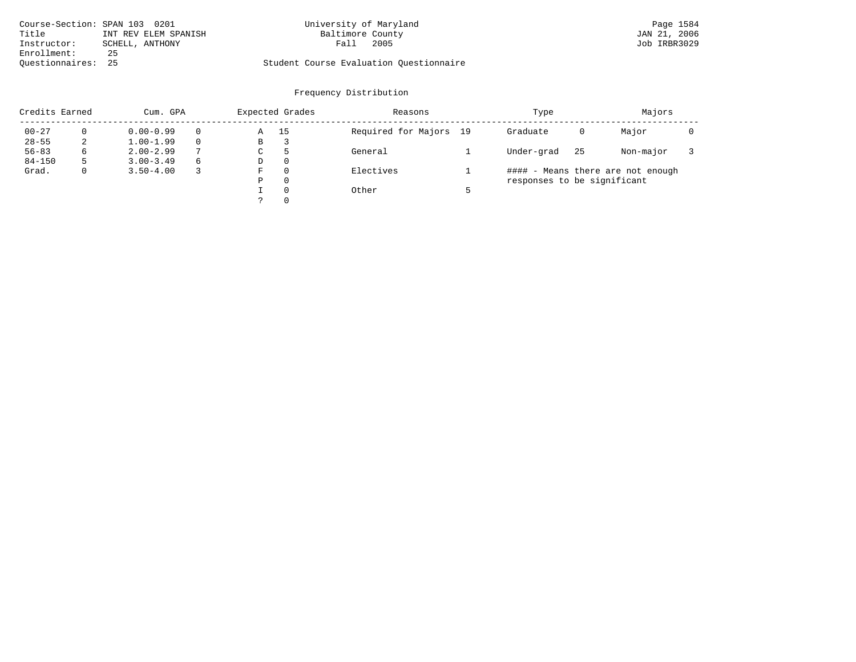| Course-Section: SPAN 103 0201 |                      | University of Maryland                  | Page 1584    |
|-------------------------------|----------------------|-----------------------------------------|--------------|
| Title                         | INT REV ELEM SPANISH | Baltimore County                        | JAN 21, 2006 |
| Instructor:                   | SCHELL, ANTHONY      | 2005<br>Fall                            | Job IRBR3029 |
| Enrollment:                   | 25                   |                                         |              |
| Ouestionnaires: 25            |                      | Student Course Evaluation Questionnaire |              |

# University of Maryland Page 1584<br>Baltimore County Bage 1584<br>
Baltimore County County County Day 21, 2006

| Credits Earned |   | Cum. GPA      |          |   | Expected Grades | Reasons                | Type                        |    | Majors                            |  |
|----------------|---|---------------|----------|---|-----------------|------------------------|-----------------------------|----|-----------------------------------|--|
| $00 - 27$      |   | $0.00 - 0.99$ | $\Omega$ | Α | 15              | Required for Majors 19 | Graduate                    | 0  | Major                             |  |
| $28 - 55$      | 2 | $1.00 - 1.99$ | $\Omega$ | В | 3               |                        |                             |    |                                   |  |
| $56 - 83$      | 6 | $2.00 - 2.99$ | 7        | C | ל               | General                | Under-grad                  | 25 | Non-major                         |  |
| $84 - 150$     |   | $3.00 - 3.49$ | 6        | D | 0               |                        |                             |    |                                   |  |
| Grad.          | 0 | $3.50 - 4.00$ |          | F | 0               | Electives              |                             |    | #### - Means there are not enough |  |
|                |   |               |          | Ρ | 0               |                        | responses to be significant |    |                                   |  |
|                |   |               |          |   | $\Omega$        | Other                  |                             |    |                                   |  |
|                |   |               |          |   | 0               |                        |                             |    |                                   |  |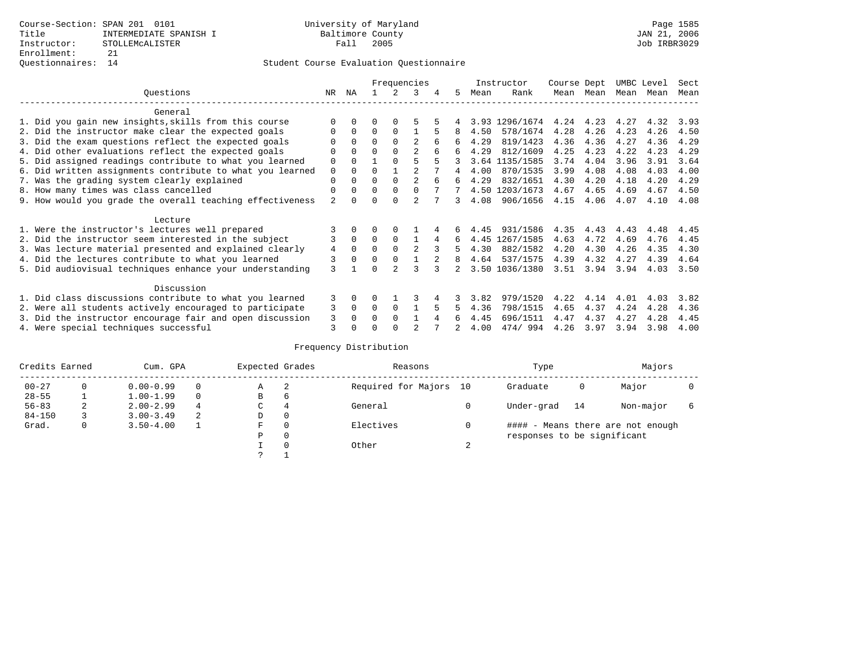|                                                           |                |              |          |          | Frequencies    |   |    |      | Instructor     | Course Dept |      | UMBC Level |      | Sect |
|-----------------------------------------------------------|----------------|--------------|----------|----------|----------------|---|----|------|----------------|-------------|------|------------|------|------|
| Questions                                                 | NR.            | ΝA           |          |          | 3              | 4 | 5. | Mean | Rank           | Mean        | Mean | Mean       | Mean | Mean |
| General                                                   |                |              |          |          |                |   |    |      |                |             |      |            |      |      |
| 1. Did you gain new insights, skills from this course     |                | $\Omega$     | O        |          |                |   |    |      | 3.93 1296/1674 | 4.24        | 4.23 | 4.27       | 4.32 | 3.93 |
| 2. Did the instructor make clear the expected goals       |                | $\Omega$     | $\Omega$ | $\Omega$ |                | 5 | 8  | 4.50 | 578/1674       | 4.28        | 4.26 | 4.23       | 4.26 | 4.50 |
| 3. Did the exam questions reflect the expected goals      |                | $\Omega$     | $\Omega$ | $\Omega$ | $\mathfrak{D}$ |   | 6  | 4.29 | 819/1423       | 4.36        | 4.36 | 4.27       | 4.36 | 4.29 |
| 4. Did other evaluations reflect the expected goals       | O              | $\Omega$     | O        | $\Omega$ | 2              |   | 6  | 4.29 | 812/1609       | 4.25        | 4.23 | 4.22       | 4.23 | 4.29 |
| 5. Did assigned readings contribute to what you learned   | 0              | $\Omega$     |          | $\Omega$ |                |   |    |      | 3.64 1135/1585 | 3.74        | 4.04 | 3.96       | 3.91 | 3.64 |
| 6. Did written assignments contribute to what you learned | 0              |              | U        |          |                |   |    | 4.00 | 870/1535       | 3.99        | 4.08 | 4.08       | 4.03 | 4.00 |
| 7. Was the grading system clearly explained               | 0              |              |          | $\Omega$ | $\mathfrak{D}$ |   | 6  | 4.29 | 832/1651       | 4.30        | 4.20 | 4.18       | 4.20 | 4.29 |
| 8. How many times was class cancelled                     | $\Omega$       | $\Omega$     | 0        | $\Omega$ | 0              |   |    |      | 4.50 1203/1673 | 4.67        | 4.65 | 4.69       | 4.67 | 4.50 |
| 9. How would you grade the overall teaching effectiveness | $\overline{a}$ |              |          | U        | $\mathcal{D}$  |   | 3  | 4.08 | 906/1656       | 4.15        | 4.06 | 4.07       | 4.10 | 4.08 |
| Lecture                                                   |                |              |          |          |                |   |    |      |                |             |      |            |      |      |
| 1. Were the instructor's lectures well prepared           |                |              |          |          |                |   |    | 4.45 | 931/1586       | 4.35        | 4.43 | 4.43       | 4.48 | 4.45 |
| 2. Did the instructor seem interested in the subject      |                | $\mathbf{0}$ | $\Omega$ | $\Omega$ |                | 4 | 6  | 4.45 | 1267/1585      | 4.63        | 4.72 | 4.69       | 4.76 | 4.45 |
| 3. Was lecture material presented and explained clearly   | 4              | $\Omega$     | O        |          | $\mathfrak{D}$ |   | 5  | 4.30 | 882/1582       | 4.20        | 4.30 | 4.26       | 4.35 | 4.30 |
| 4. Did the lectures contribute to what you learned        | 3              | $\Omega$     | $\Omega$ | $\Omega$ |                |   | 8  | 4.64 | 537/1575       | 4.39        | 4.32 | 4.27       | 4.39 | 4.64 |
| 5. Did audiovisual techniques enhance your understanding  | ζ              |              |          |          |                |   |    |      | 3.50 1036/1380 | 3.51        | 3.94 | 3.94       | 4.03 | 3.50 |
| Discussion                                                |                |              |          |          |                |   |    |      |                |             |      |            |      |      |
| 1. Did class discussions contribute to what you learned   | 3              | $\Omega$     | U        |          |                |   |    | 3.82 | 979/1520       | 4.22        | 4.14 | 4.01       | 4.03 | 3.82 |
| 2. Were all students actively encouraged to participate   | 3              | $\Omega$     | 0        | $\Omega$ |                |   |    | 4.36 | 798/1515       | 4.65        | 4.37 | 4.24       | 4.28 | 4.36 |
| 3. Did the instructor encourage fair and open discussion  | 3              |              | U        | $\Omega$ |                |   |    | 4.45 | 696/1511       | 4.47        | 4.37 | 4.27       | 4.28 | 4.45 |
| 4. Were special techniques successful                     | 3              |              |          |          |                |   |    | 4.00 | 474/994        | 4.26        | 3.97 | 3.94       | 3.98 | 4.00 |

| Credits Earned |   | Cum. GPA      |          | Expected Grades |              | Reasons                | Type                        |    | Majors                            |  |
|----------------|---|---------------|----------|-----------------|--------------|------------------------|-----------------------------|----|-----------------------------------|--|
| $00 - 27$      | 0 | $0.00 - 0.99$ | $\Omega$ | А               | -2           | Required for Majors 10 | Graduate                    | 0  | Major                             |  |
| $28 - 55$      |   | $1.00 - 1.99$ | $\Omega$ | В               | 6            |                        |                             |    |                                   |  |
| $56 - 83$      | 2 | $2.00 - 2.99$ | 4        | С<br>4          |              | General                | Under-grad                  | 14 | Non-major                         |  |
| $84 - 150$     |   | $3.00 - 3.49$ | 2        | D               | 0            |                        |                             |    |                                   |  |
| Grad.          | 0 | $3.50 - 4.00$ |          | F               | $\mathbf{0}$ | Electives              |                             |    | #### - Means there are not enough |  |
|                |   |               |          | Ρ               | $\mathbf{0}$ |                        | responses to be significant |    |                                   |  |
|                |   |               |          |                 | $\Omega$     | Other                  |                             |    |                                   |  |
|                |   |               |          | っ               |              |                        |                             |    |                                   |  |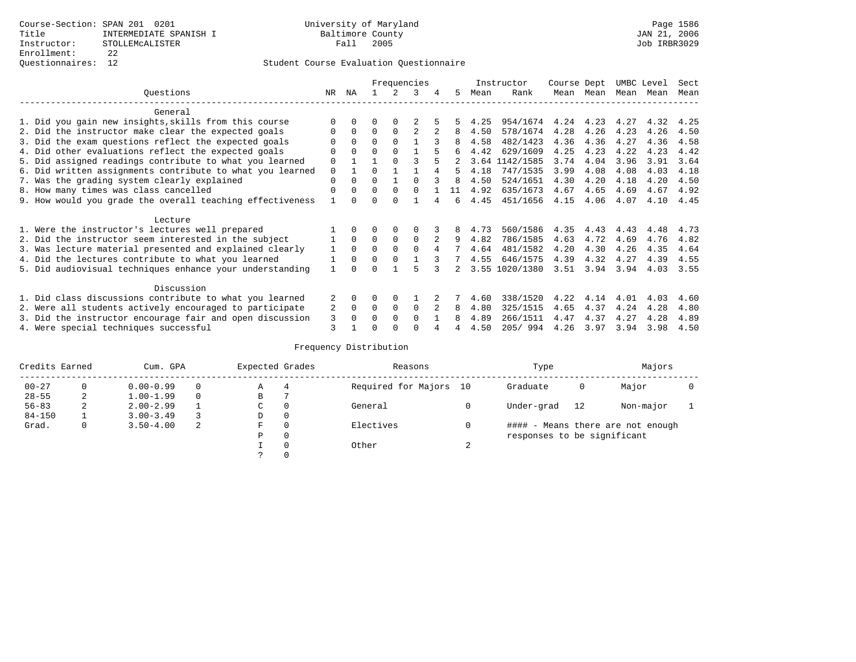## Questionnaires: 12 Student Course Evaluation Questionnaire

|                                                           |          |          |          |             | Frequencies  |   |    |      | Instructor     | Course Dept |      | UMBC Level |      | Sect |
|-----------------------------------------------------------|----------|----------|----------|-------------|--------------|---|----|------|----------------|-------------|------|------------|------|------|
| Ouestions                                                 | NR.      | ΝA       |          |             | २            | 4 | 5  | Mean | Rank           | Mean        | Mean | Mean Mean  |      | Mean |
| General                                                   |          |          |          |             |              |   |    |      |                |             |      |            |      |      |
| 1. Did you gain new insights, skills from this course     |          |          |          |             |              |   |    | 4.25 | 954/1674       | 4.24        | 4.23 | 4.27       | 4.32 | 4.25 |
| 2. Did the instructor make clear the expected goals       |          | $\Omega$ | $\Omega$ | $\Omega$    | 2            |   | 8  | 4.50 | 578/1674       | 4.28        | 4.26 | 4.23       | 4.26 | 4.50 |
| 3. Did the exam questions reflect the expected goals      |          | $\Omega$ | $\Omega$ | $\Omega$    |              |   |    | 4.58 | 482/1423       | 4.36        | 4.36 | 4.27       | 4.36 | 4.58 |
| 4. Did other evaluations reflect the expected goals       | 0        | $\Omega$ | O        | $\Omega$    |              |   | 6  | 4.42 | 629/1609       | 4.25        | 4.23 | 4.22       | 4.23 | 4.42 |
| 5. Did assigned readings contribute to what you learned   | 0        |          |          | $\cap$      |              |   |    | 3.64 | 1142/1585      | 3.74        | 4.04 | 3.96       | 3.91 | 3.64 |
| 6. Did written assignments contribute to what you learned | 0        |          |          |             |              |   | 5  | 4.18 | 747/1535       | 3.99        | 4.08 | 4.08       | 4.03 | 4.18 |
| 7. Was the grading system clearly explained               | $\Omega$ | $\Omega$ | U        |             |              |   | 8  | 4.50 | 524/1651       | 4.30        | 4.20 | 4.18       | 4.20 | 4.50 |
| 8. How many times was class cancelled                     | $\Omega$ | $\Omega$ | $\Omega$ | $\Omega$    | 0            |   | 11 | 4.92 | 635/1673       | 4.67        | 4.65 | 4.69       | 4.67 | 4.92 |
| 9. How would you grade the overall teaching effectiveness |          |          |          |             |              |   | б. | 4.45 | 451/1656       | 4.15        | 4.06 | 4.07       | 4.10 | 4.45 |
| Lecture                                                   |          |          |          |             |              |   |    |      |                |             |      |            |      |      |
| 1. Were the instructor's lectures well prepared           |          |          |          |             |              |   |    | 4.73 | 560/1586       | 4.35        | 4.43 | 4.43       | 4.48 | 4.73 |
| 2. Did the instructor seem interested in the subject      |          | $\Omega$ | $\Omega$ | $\mathbf 0$ | $\Omega$     |   | 9  | 4.82 | 786/1585       | 4.63        | 4.72 | 4.69       | 4.76 | 4.82 |
| 3. Was lecture material presented and explained clearly   |          | $\Omega$ | 0        | $\Omega$    | $\Omega$     |   |    | 4.64 | 481/1582       | 4.20        | 4.30 | 4.26       | 4.35 | 4.64 |
| 4. Did the lectures contribute to what you learned        |          | $\Omega$ | U        | $\Omega$    |              |   |    | 4.55 | 646/1575       | 4.39        | 4.32 | 4.27       | 4.39 | 4.55 |
| 5. Did audiovisual techniques enhance your understanding  |          |          |          |             |              |   |    |      | 3.55 1020/1380 | 3.51        | 3.94 | 3.94       | 4.03 | 3.55 |
| Discussion                                                |          |          |          |             |              |   |    |      |                |             |      |            |      |      |
| 1. Did class discussions contribute to what you learned   |          | 0        | O        | $\Omega$    |              |   |    | 4.60 | 338/1520       | 4.22        | 4.14 | 4.01       | 4.03 | 4.60 |
| 2. Were all students actively encouraged to participate   | 2        | $\Omega$ | $\Omega$ | $\Omega$    | $\Omega$     |   | 8  | 4.80 | 325/1515       | 4.65        | 4.37 | 4.24       | 4.28 | 4.80 |
| 3. Did the instructor encourage fair and open discussion  | 3        |          | U        | $\Omega$    | <sup>0</sup> |   |    | 4.89 | 266/1511       | 4.47        | 4.37 | 4.27       | 4.28 | 4.89 |
| 4. Were special techniques successful                     | 3        |          |          |             |              |   |    | 4.50 | 205/994        | 4.26        | 3.97 | 3.94       | 3.98 | 4.50 |

| Credits Earned |          | Cum. GPA      |   | Expected Grades |          | Reasons                |        | Type                        |    | Majors                            |  |
|----------------|----------|---------------|---|-----------------|----------|------------------------|--------|-----------------------------|----|-----------------------------------|--|
| $00 - 27$      | $\Omega$ | $0.00 - 0.99$ |   | А               | 4        | Required for Majors 10 |        | Graduate                    | 0  | Major                             |  |
| $28 - 55$      | 2        | $1.00 - 1.99$ |   | В               |          |                        |        |                             |    |                                   |  |
| $56 - 83$      | 2        | $2.00 - 2.99$ |   | $\sim$<br>◡     | 0        | General                |        | Under-grad                  | 12 | Non-major                         |  |
| $84 - 150$     |          | $3.00 - 3.49$ |   | D               | 0        |                        |        |                             |    |                                   |  |
| Grad.          | 0        | $3.50 - 4.00$ | 2 | F               | 0        | Electives              | 0      |                             |    | #### - Means there are not enough |  |
|                |          |               |   | Ρ               | 0        |                        |        | responses to be significant |    |                                   |  |
|                |          |               |   |                 | $\Omega$ | Other                  | $\sim$ |                             |    |                                   |  |
|                |          |               |   |                 |          |                        |        |                             |    |                                   |  |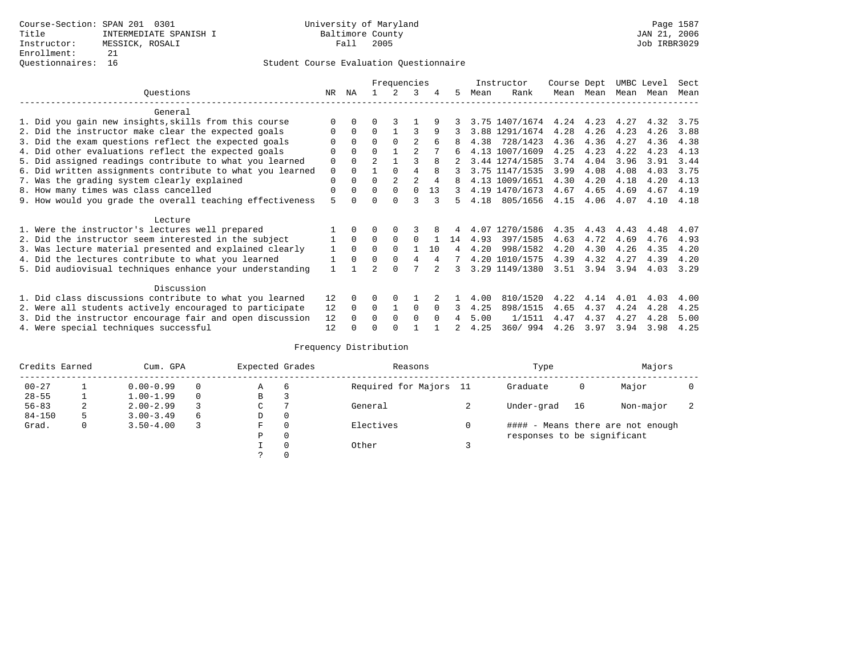## Questionnaires: 16 Student Course Evaluation Questionnaire

|                                                           |             |          |                | Frequencies    |                |          |    |      | Instructor     | Course Dept |           | UMBC Level |      | Sect |
|-----------------------------------------------------------|-------------|----------|----------------|----------------|----------------|----------|----|------|----------------|-------------|-----------|------------|------|------|
| Ouestions                                                 | NR          | ΝA       |                |                | 3              | 4        | 5. | Mean | Rank           |             | Mean Mean | Mean       | Mean | Mean |
| General                                                   |             |          |                |                |                |          |    |      |                |             |           |            |      |      |
| 1. Did you gain new insights, skills from this course     |             | $\Omega$ | 0              |                |                | 9        |    |      | 3.75 1407/1674 | 4.24        | 4.23      | 4.27       | 4.32 | 3.75 |
| 2. Did the instructor make clear the expected goals       | O           | $\Omega$ | $\Omega$       |                | 3              | 9        |    |      | 3.88 1291/1674 | 4.28        | 4.26      | 4.23       | 4.26 | 3.88 |
| 3. Did the exam questions reflect the expected goals      |             | $\Omega$ | 0              | $\Omega$       | $\mathfrak{D}$ |          |    | 4.38 | 728/1423       | 4.36        | 4.36      | 4.27       | 4.36 | 4.38 |
| 4. Did other evaluations reflect the expected goals       | O           | $\Omega$ | $\Omega$       |                | $\mathfrak{D}$ |          |    |      | 4.13 1007/1609 | 4.25        | 4.23      | 4.22       | 4.23 | 4.13 |
| 5. Did assigned readings contribute to what you learned   | 0           | $\Omega$ | $\mathfrak{D}$ |                |                | 8        |    |      | 3.44 1274/1585 | 3.74        | 4.04      | 3.96       | 3.91 | 3.44 |
| 6. Did written assignments contribute to what you learned | $\mathbf 0$ | $\Omega$ |                | $\Omega$       | 4              | 8        |    |      | 3.75 1147/1535 | 3.99        | 4.08      | 4.08       | 4.03 | 3.75 |
| 7. Was the grading system clearly explained               | $\Omega$    | $\Omega$ | O              | $\overline{a}$ | $\overline{a}$ | 4        |    |      | 4.13 1009/1651 | 4.30        | 4.20      | 4.18       | 4.20 | 4.13 |
| 8. How many times was class cancelled                     | 0           | $\Omega$ | $\Omega$       | $\Omega$       | <sup>0</sup>   | 13       | 3  |      | 4.19 1470/1673 | 4.67        | 4.65      | 4.69       | 4.67 | 4.19 |
| 9. How would you grade the overall teaching effectiveness | 5           |          | U              | $\cap$         |                |          | 5. | 4.18 | 805/1656       | 4.15        | 4.06      | 4.07       | 4.10 | 4.18 |
| Lecture                                                   |             |          |                |                |                |          |    |      |                |             |           |            |      |      |
| 1. Were the instructor's lectures well prepared           |             |          |                |                |                |          |    | 4.07 | 1270/1586      | 4.35        | 4.43      | 4.43       | 4.48 | 4.07 |
| 2. Did the instructor seem interested in the subject      |             | $\Omega$ | $\Omega$       | $\Omega$       | $\Omega$       |          | 14 | 4.93 | 397/1585       | 4.63        | 4.72      | 4.69       | 4.76 | 4.93 |
| 3. Was lecture material presented and explained clearly   | 1           | $\Omega$ | $\Omega$       | $\Omega$       |                | 10       | 4  | 4.20 | 998/1582       | 4.20        | 4.30      | 4.26       | 4.35 | 4.20 |
| 4. Did the lectures contribute to what you learned        |             | $\Omega$ | $\Omega$       | $\Omega$       | 4              | 4        |    |      | 4.20 1010/1575 | 4.39        | 4.32      | 4.27       | 4.39 | 4.20 |
| 5. Did audiovisual techniques enhance your understanding  |             |          |                | $\cap$         |                |          |    |      | 3.29 1149/1380 | 3.51        | 3.94      | 3.94       | 4.03 | 3.29 |
| Discussion                                                |             |          |                |                |                |          |    |      |                |             |           |            |      |      |
| 1. Did class discussions contribute to what you learned   | 12          | $\Omega$ | 0              | $\Omega$       |                |          |    | 4.00 | 810/1520       | 4.22        | 4.14      | 4.01       | 4.03 | 4.00 |
| 2. Were all students actively encouraged to participate   | 12          | $\Omega$ | $\Omega$       |                | $\Omega$       | $\Omega$ |    | 4.25 | 898/1515       | 4.65        | 4.37      | 4.24       | 4.28 | 4.25 |
| 3. Did the instructor encourage fair and open discussion  | 12          |          | U              | $\Omega$       | $\Omega$       | $\Omega$ | 4  | 5.00 | 1/1511         | 4.47        | 4.37      | 4.27       | 4.28 | 5.00 |
| 4. Were special techniques successful                     | 12          |          |                |                |                |          |    | 4.25 | 360/994        | 4.26        | 3.97      | 3.94       | 3.98 | 4.25 |

| Credits Earned |   | Cum. GPA      |   | Expected Grades |          | Reasons                | Type                        |    | Majors                            |                          |
|----------------|---|---------------|---|-----------------|----------|------------------------|-----------------------------|----|-----------------------------------|--------------------------|
| $00 - 27$      |   | $0.00 - 0.99$ |   | Α               | -6       | Required for Majors 11 | Graduate                    | 0  | Major                             |                          |
| $28 - 55$      |   | $1.00 - 1.99$ |   | В               |          |                        |                             |    |                                   |                          |
| $56 - 83$      | 2 | $2.00 - 2.99$ |   | C               |          | General                | Under-grad                  | 16 | Non-major                         | $\overline{\phantom{a}}$ |
| $84 - 150$     | 5 | $3.00 - 3.49$ | 6 | D               | $\Omega$ |                        |                             |    |                                   |                          |
| Grad.          | 0 | $3.50 - 4.00$ |   | F               | $\Omega$ | Electives              |                             |    | #### - Means there are not enough |                          |
|                |   |               |   | Ρ               | $\Omega$ |                        | responses to be significant |    |                                   |                          |
|                |   |               |   |                 | $\Omega$ | Other                  |                             |    |                                   |                          |
|                |   |               |   | $\mathcal{L}$   | $\Omega$ |                        |                             |    |                                   |                          |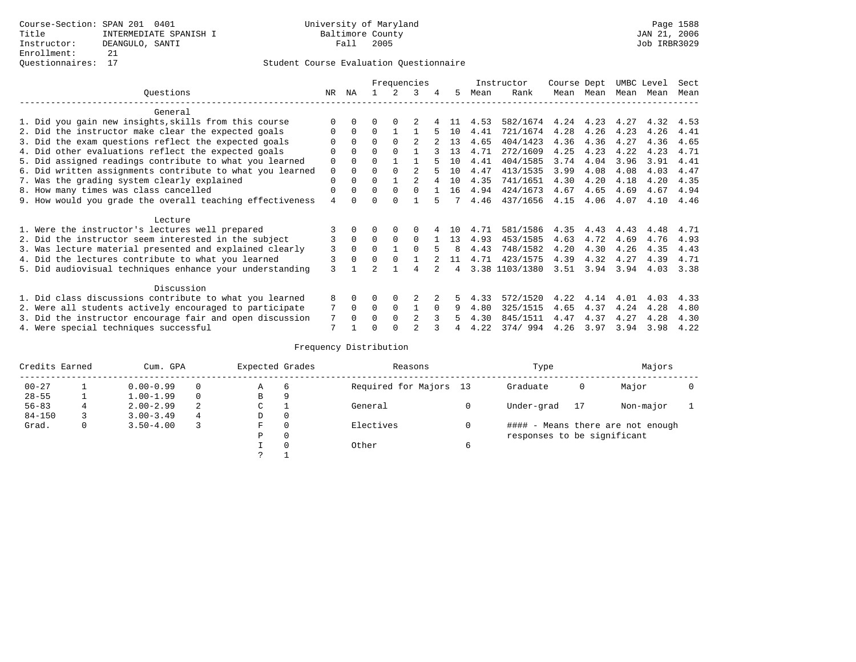|                                                           |                |              |          |          | Frequencies    |          |     |      | Instructor     | Course Dept |      | UMBC Level |      | Sect |
|-----------------------------------------------------------|----------------|--------------|----------|----------|----------------|----------|-----|------|----------------|-------------|------|------------|------|------|
| Ouestions                                                 | NR.            | ΝA           |          |          | 3              | 4        | 5.  | Mean | Rank           | Mean        | Mean | Mean       | Mean | Mean |
| General                                                   |                |              |          |          |                |          |     |      |                |             |      |            |      |      |
| 1. Did you gain new insights, skills from this course     | $\Omega$       | $\Omega$     | O        | $\Omega$ |                |          |     | 4.53 | 582/1674       | 4.24        | 4.23 | 4.27       | 4.32 | 4.53 |
| 2. Did the instructor make clear the expected goals       | O              | $\Omega$     | $\Omega$ |          |                |          | 10  | 4.41 | 721/1674       | 4.28        | 4.26 | 4.23       | 4.26 | 4.41 |
| 3. Did the exam questions reflect the expected goals      |                | $\Omega$     | $\Omega$ | $\Omega$ |                |          | 13  | 4.65 | 404/1423       | 4.36        | 4.36 | 4.27       | 4.36 | 4.65 |
| 4. Did other evaluations reflect the expected goals       | O              | $\Omega$     | $\Omega$ | $\Omega$ |                |          | 13  | 4.71 | 272/1609       | 4.25        | 4.23 | 4.22       | 4.23 | 4.71 |
| 5. Did assigned readings contribute to what you learned   | $\mathbf 0$    | $\Omega$     | 0        |          |                |          | 10  | 4.41 | 404/1585       | 3.74        | 4.04 | 3.96       | 3.91 | 4.41 |
| 6. Did written assignments contribute to what you learned | $\mathbf 0$    | $\Omega$     | $\Omega$ | $\Omega$ | $\mathfrak{D}$ |          | 10  | 4.47 | 413/1535       | 3.99        | 4.08 | 4.08       | 4.03 | 4.47 |
| 7. Was the grading system clearly explained               | $\Omega$       | $\Omega$     | $\Omega$ |          |                |          | 10  | 4.35 | 741/1651       | 4.30        | 4.20 | 4.18       | 4.20 | 4.35 |
| 8. How many times was class cancelled                     | 0              | $\Omega$     | $\Omega$ | $\Omega$ | $\cap$         |          | 16  | 4.94 | 424/1673       | 4.67        | 4.65 | 4.69       | 4.67 | 4.94 |
| 9. How would you grade the overall teaching effectiveness | $\overline{4}$ | <sup>n</sup> | U        | $\cap$   |                |          |     | 4.46 | 437/1656       | 4.15        | 4.06 | 4.07       | 4.10 | 4.46 |
| Lecture                                                   |                |              |          |          |                |          |     |      |                |             |      |            |      |      |
| 1. Were the instructor's lectures well prepared           |                |              |          |          |                |          | 1 O | 4.71 | 581/1586       | 4.35        | 4.43 | 4.43       | 4.48 | 4.71 |
| 2. Did the instructor seem interested in the subject      | 3              | $\Omega$     | $\Omega$ | $\Omega$ | $\Omega$       |          | 13  | 4.93 | 453/1585       | 4.63        | 4.72 | 4.69       | 4.76 | 4.93 |
| 3. Was lecture material presented and explained clearly   | 3              | $\Omega$     | $\Omega$ |          | $\cap$         |          | я   | 4.43 | 748/1582       | 4.20        | 4.30 | 4.26       | 4.35 | 4.43 |
| 4. Did the lectures contribute to what you learned        | 3              | $\Omega$     | $\Omega$ | $\Omega$ |                |          | 11  | 4.71 | 423/1575       | 4.39        | 4.32 | 4.27       | 4.39 | 4.71 |
| 5. Did audiovisual techniques enhance your understanding  | 3              |              |          |          | 4              |          | 4   |      | 3.38 1103/1380 | 3.51        | 3.94 | 3.94       | 4.03 | 3.38 |
| Discussion                                                |                |              |          |          |                |          |     |      |                |             |      |            |      |      |
| 1. Did class discussions contribute to what you learned   | 8              | $\Omega$     | O        | $\Omega$ |                |          | 5.  | 4.33 | 572/1520       | 4.22        | 4.14 | 4.01       | 4.03 | 4.33 |
| 2. Were all students actively encouraged to participate   |                | $\Omega$     | $\Omega$ | $\Omega$ |                | $\Omega$ | 9   | 4.80 | 325/1515       | 4.65        | 4.37 | 4.24       | 4.28 | 4.80 |
| 3. Did the instructor encourage fair and open discussion  | 7              | $\Omega$     | O        | $\Omega$ | $\mathfrak{D}$ |          |     | 4.30 | 845/1511       | 4.47        | 4.37 | 4.27       | 4.28 | 4.30 |
| 4. Were special techniques successful                     | 7              |              |          |          |                |          |     | 4.22 | 374/994        | 4.26        | 3.97 | 3.94       | 3.98 | 4.22 |

| Credits Earned |   | Cum. GPA      |   | Expected Grades |          | Reasons                | Type                        |    | Majors                            |  |
|----------------|---|---------------|---|-----------------|----------|------------------------|-----------------------------|----|-----------------------------------|--|
| $00 - 27$      |   | $0.00 - 0.99$ |   | Α               | -6       | Required for Majors 13 | Graduate                    | 0  | Major                             |  |
| $28 - 55$      |   | $1.00 - 1.99$ |   | B               | 9        |                        |                             |    |                                   |  |
| $56 - 83$      |   | $2.00 - 2.99$ | 2 | ◡               |          | General                | Under-grad                  | 17 | Non-major                         |  |
| $84 - 150$     |   | $3.00 - 3.49$ | 4 | D               | 0        |                        |                             |    |                                   |  |
| Grad.          | 0 | $3.50 - 4.00$ |   | F               | $\Omega$ | Electives              |                             |    | #### - Means there are not enough |  |
|                |   |               |   | Ρ               | 0        |                        | responses to be significant |    |                                   |  |
|                |   |               |   |                 | $\Omega$ | Other                  |                             |    |                                   |  |
|                |   |               |   | っ               |          |                        |                             |    |                                   |  |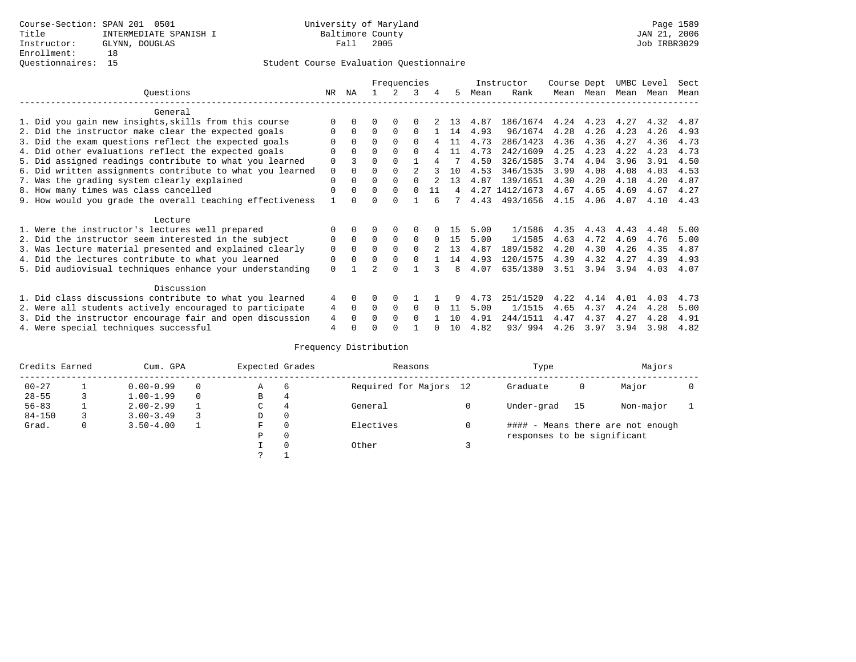|                                                           |          |              |          | Frequencies  |          |          |    |      | Instructor     | Course Dept |      | UMBC Level |      | Sect |
|-----------------------------------------------------------|----------|--------------|----------|--------------|----------|----------|----|------|----------------|-------------|------|------------|------|------|
| Ouestions                                                 | NR.      | ΝA           |          |              | 3        | 4        | 5  | Mean | Rank           | Mean        | Mean | Mean       | Mean | Mean |
| General                                                   |          |              |          |              |          |          |    |      |                |             |      |            |      |      |
| 1. Did you gain new insights, skills from this course     |          | <sup>0</sup> | U        | $\Omega$     |          |          | 13 | 4.87 | 186/1674       | 4.24        | 4.23 | 4.27       | 4.32 | 4.87 |
| 2. Did the instructor make clear the expected goals       |          | $\Omega$     | $\Omega$ | $\Omega$     | 0        |          | 14 | 4.93 | 96/1674        | 4.28        | 4.26 | 4.23       | 4.26 | 4.93 |
| 3. Did the exam questions reflect the expected goals      |          | $\Omega$     | $\Omega$ | $\Omega$     | 0        |          | 11 | 4.73 | 286/1423       | 4.36        | 4.36 | 4.27       | 4.36 | 4.73 |
| 4. Did other evaluations reflect the expected goals       | U        | $\Omega$     | 0        | $\Omega$     | $\Omega$ |          | 11 | 4.73 | 242/1609       | 4.25        | 4.23 | 4.22       | 4.23 | 4.73 |
| 5. Did assigned readings contribute to what you learned   | 0        |              | 0        | $\Omega$     |          |          |    | 4.50 | 326/1585       | 3.74        | 4.04 | 3.96       | 3.91 | 4.50 |
| 6. Did written assignments contribute to what you learned | 0        | $\Omega$     | U        |              |          |          | 10 | 4.53 | 346/1535       | 3.99        | 4.08 | 4.08       | 4.03 | 4.53 |
| 7. Was the grading system clearly explained               | 0        | 0            | U        | $\Omega$     |          |          | 13 | 4.87 | 139/1651       | 4.30        | 4.20 | 4.18       | 4.20 | 4.87 |
| 8. How many times was class cancelled                     | 0        | $\Omega$     | 0        | $\Omega$     | $\Omega$ | 11       | 4  |      | 4.27 1412/1673 | 4.67        | 4.65 | 4.69       | 4.67 | 4.27 |
| 9. How would you grade the overall teaching effectiveness |          |              |          | <sup>n</sup> |          |          |    | 4.43 | 493/1656       | 4.15        | 4.06 | 4.07       | 4.10 | 4.43 |
| Lecture                                                   |          |              |          |              |          |          |    |      |                |             |      |            |      |      |
| 1. Were the instructor's lectures well prepared           |          |              |          | $\Omega$     |          |          | 15 | 5.00 | 1/1586         | 4.35        | 4.43 | 4.43       | 4.48 | 5.00 |
| 2. Did the instructor seem interested in the subject      | 0        | $\Omega$     | $\Omega$ | $\Omega$     | $\Omega$ | $\Omega$ | 15 | 5.00 | 1/1585         | 4.63        | 4.72 | 4.69       | 4.76 | 5.00 |
| 3. Was lecture material presented and explained clearly   | 0        | $\Omega$     | U        | $\Omega$     | $\Omega$ |          | 13 | 4.87 | 189/1582       | 4.20        | 4.30 | 4.26       | 4.35 | 4.87 |
| 4. Did the lectures contribute to what you learned        | 0        | $\Omega$     | 0        | $\Omega$     |          |          | 14 | 4.93 | 120/1575       | 4.39        | 4.32 | 4.27       | 4.39 | 4.93 |
| 5. Did audiovisual techniques enhance your understanding  | $\Omega$ |              |          | $\cap$       |          |          | 8  | 4.07 | 635/1380       | 3.51        | 3.94 | 3.94       | 4.03 | 4.07 |
| Discussion                                                |          |              |          |              |          |          |    |      |                |             |      |            |      |      |
| 1. Did class discussions contribute to what you learned   | 4        | $\Omega$     | U        | $\Omega$     |          |          |    | 4.73 | 251/1520       | 4.22        | 4.14 | 4.01       | 4.03 | 4.73 |
| 2. Were all students actively encouraged to participate   | 4        | $\Omega$     | 0        | $\Omega$     | 0        |          | 11 | 5.00 | 1/1515         | 4.65        | 4.37 | 4.24       | 4.28 | 5.00 |
| 3. Did the instructor encourage fair and open discussion  | 4        |              |          | <sup>0</sup> | $\Omega$ |          | 10 | 4.91 | 244/1511       | 4.47        | 4.37 | 4.27       | 4.28 | 4.91 |
| 4. Were special techniques successful                     | 4        |              |          |              |          |          | 10 | 4.82 | 93/994         | 4.26        | 3.97 | 3.94       | 3.98 | 4.82 |

| Credits Earned |   | Cum. GPA      |          | Expected Grades |          | Reasons                | Type                        |     | Majors                            |  |
|----------------|---|---------------|----------|-----------------|----------|------------------------|-----------------------------|-----|-----------------------------------|--|
| $00 - 27$      |   | $0.00 - 0.99$ |          | Α               | 6        | Required for Majors 12 | Graduate                    | 0   | Major                             |  |
| $28 - 55$      |   | $1.00 - 1.99$ | $\Omega$ | В               | 4        |                        |                             |     |                                   |  |
| $56 - 83$      |   | $2.00 - 2.99$ |          | С               | 4        | General                | Under-grad                  | -15 | Non-major                         |  |
| $84 - 150$     |   | $3.00 - 3.49$ |          | D               | 0        |                        |                             |     |                                   |  |
| Grad.          | 0 | $3.50 - 4.00$ |          | F               | $\Omega$ | Electives              |                             |     | #### - Means there are not enough |  |
|                |   |               |          | Ρ               | 0        |                        | responses to be significant |     |                                   |  |
|                |   |               |          |                 | $\Omega$ | Other                  |                             |     |                                   |  |
|                |   |               |          |                 |          |                        |                             |     |                                   |  |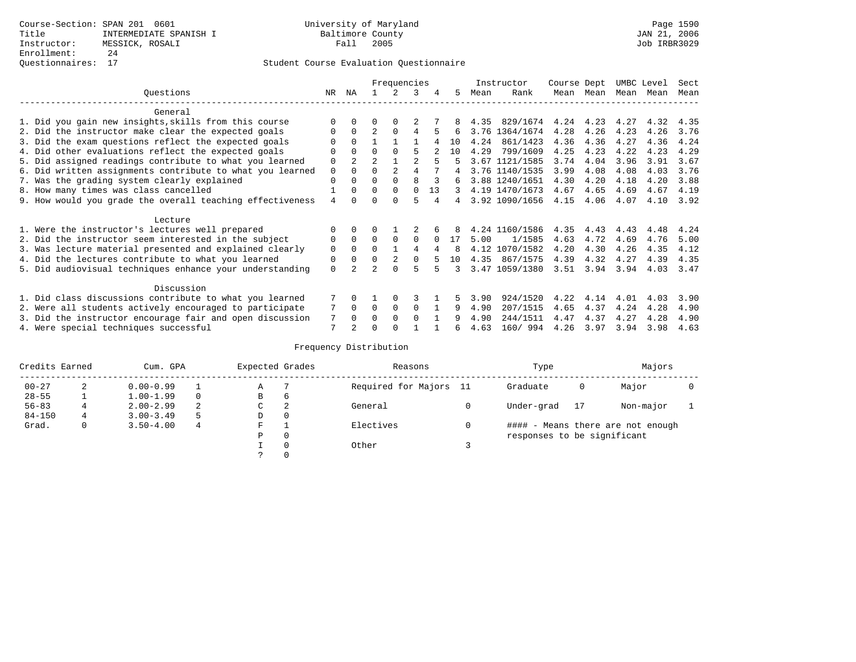## Questionnaires: 17 Student Course Evaluation Questionnaire

|                                                           |    |                |                | Frequencies    |                |    |               |      | Instructor     | Course Dept |           | UMBC Level |      | Sect |
|-----------------------------------------------------------|----|----------------|----------------|----------------|----------------|----|---------------|------|----------------|-------------|-----------|------------|------|------|
| Ouestions                                                 | NR | ΝA             |                | 2              | 3              | 4  | 5             | Mean | Rank           |             | Mean Mean | Mean       | Mean | Mean |
| General                                                   |    |                |                |                |                |    |               |      |                |             |           |            |      |      |
| 1. Did you gain new insights, skills from this course     |    | $\Omega$       | U              | $\Omega$       |                |    |               | 4.35 | 829/1674       | 4.24        | 4.23      | 4.27       | 4.32 | 4.35 |
| 2. Did the instructor make clear the expected goals       | 0  | $\Omega$       | $\overline{2}$ | $\Omega$       | 4              | 5  | 6             |      | 3.76 1364/1674 | 4.28        | 4.26      | 4.23       | 4.26 | 3.76 |
| 3. Did the exam questions reflect the expected goals      |    | $\Omega$       |                |                |                |    | 10            | 4.24 | 861/1423       | 4.36        | 4.36      | 4.27       | 4.36 | 4.24 |
| 4. Did other evaluations reflect the expected goals       |    | $\Omega$       | 0              | $\Omega$       | 5              |    | 10            | 4.29 | 799/1609       | 4.25        | 4.23      | 4.22       | 4.23 | 4.29 |
| 5. Did assigned readings contribute to what you learned   | 0  | $\overline{2}$ | $\overline{2}$ |                | $\mathfrak{D}$ | 5  |               |      | 3.67 1121/1585 | 3.74        | 4.04      | 3.96       | 3.91 | 3.67 |
| 6. Did written assignments contribute to what you learned | 0  | $\Omega$       | 0              | $\overline{2}$ |                |    | 4             |      | 3.76 1140/1535 | 3.99        | 4.08      | 4.08       | 4.03 | 3.76 |
| 7. Was the grading system clearly explained               | 0  | $\Omega$       | 0              | $\Omega$       | 8              |    | 6             |      | 3.88 1240/1651 | 4.30        | 4.20      | 4.18       | 4.20 | 3.88 |
| 8. How many times was class cancelled                     |    | $\Omega$       | $\Omega$       | $\Omega$       | $\Omega$       | 13 | $\mathcal{L}$ |      | 4.19 1470/1673 | 4.67        | 4.65      | 4.69       | 4.67 | 4.19 |
| 9. How would you grade the overall teaching effectiveness | 4  | <sup>n</sup>   |                | <sup>n</sup>   | г,             |    | 4             |      | 3.92 1090/1656 | 4.15        | 4.06      | 4.07       | 4.10 | 3.92 |
| Lecture                                                   |    |                |                |                |                |    |               |      |                |             |           |            |      |      |
| 1. Were the instructor's lectures well prepared           |    | $\Omega$       |                |                |                |    |               |      | 4.24 1160/1586 | 4.35        | 4.43      | 4.43       | 4.48 | 4.24 |
| 2. Did the instructor seem interested in the subject      | 0  | $\Omega$       | $\Omega$       | $\Omega$       | 0              |    | 17            | 5.00 | 1/1585         | 4.63        | 4.72      | 4.69       | 4.76 | 5.00 |
| 3. Was lecture material presented and explained clearly   | 0  | $\Omega$       | 0              |                | 4              |    | 8             |      | 4.12 1070/1582 | 4.20        | 4.30      | 4.26       | 4.35 | 4.12 |
| 4. Did the lectures contribute to what you learned        | 0  | $\Omega$       | $\Omega$       | 2              | $\Omega$       |    | 10            |      | 4.35 867/1575  | 4.39        | 4.32      | 4.27       | 4.39 | 4.35 |
| 5. Did audiovisual techniques enhance your understanding  | 0  |                |                |                | 5              |    | २             |      | 3.47 1059/1380 | 3.51        | 3.94      | 3.94       | 4.03 | 3.47 |
| Discussion                                                |    |                |                |                |                |    |               |      |                |             |           |            |      |      |
| 1. Did class discussions contribute to what you learned   |    | 0              |                | $\Omega$       | 3              |    |               | 3.90 | 924/1520       | 4.22        | 4.14      | 4.01       | 4.03 | 3.90 |
| 2. Were all students actively encouraged to participate   |    | $\mathbf 0$    | $\Omega$       | 0              | 0              |    | 9             | 4.90 | 207/1515       | 4.65        | 4.37      | 4.24       | 4.28 | 4.90 |
| 3. Did the instructor encourage fair and open discussion  | 7  | $\Omega$       | U              | $\Omega$       | $\Omega$       |    | 9             | 4.90 | 244/1511       | 4.47        | 4.37      | 4.27       | 4.28 | 4.90 |
| 4. Were special techniques successful                     | 7  | $\mathfrak{D}$ |                |                |                |    | б.            | 4.63 | 160/ 994       | 4.26        | 3.97      | 3.94       | 3.98 | 4.63 |

| Credits Earned |   | Cum. GPA      |    | Expected Grades |          | Reasons                | Type                        |    | Majors                            |  |
|----------------|---|---------------|----|-----------------|----------|------------------------|-----------------------------|----|-----------------------------------|--|
| $00 - 27$      | 2 | $0.00 - 0.99$ |    | Α               |          | Required for Majors 11 | Graduate                    | 0  | Major                             |  |
| $28 - 55$      |   | $1.00 - 1.99$ |    | B               | 6        |                        |                             |    |                                   |  |
| $56 - 83$      |   | $2.00 - 2.99$ | 2  | C               | 2        | General                | Under-grad                  | 17 | Non-major                         |  |
| $84 - 150$     | 4 | $3.00 - 3.49$ | .5 | D               | 0        |                        |                             |    |                                   |  |
| Grad.          | 0 | $3.50 - 4.00$ | 4  | F               |          | Electives              |                             |    | #### - Means there are not enough |  |
|                |   |               |    | Ρ               | 0        |                        | responses to be significant |    |                                   |  |
|                |   |               |    |                 | $\Omega$ | Other                  |                             |    |                                   |  |
|                |   |               |    |                 |          |                        |                             |    |                                   |  |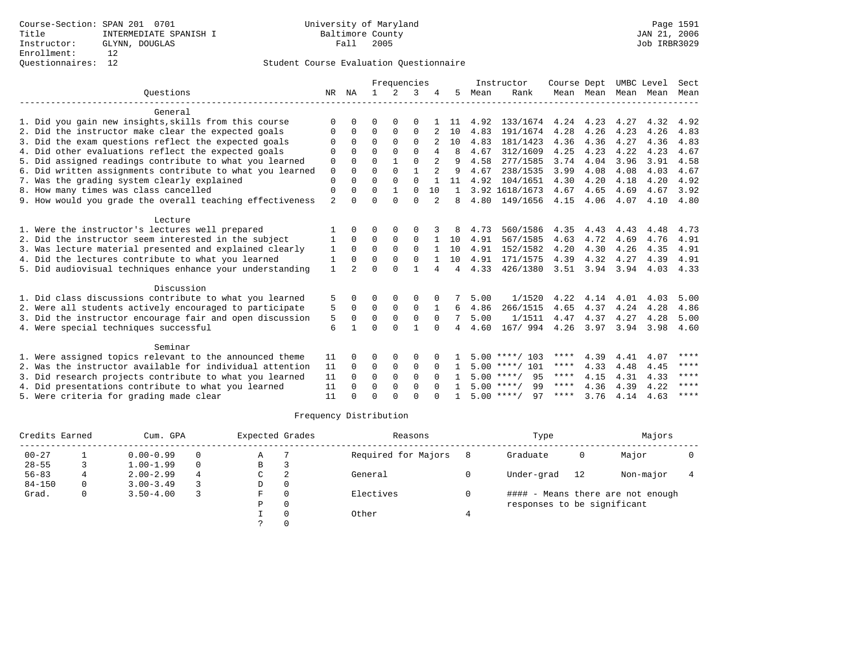|                                                           |                |                |              | Frequencies |          |          |              |      | Instructor         | Course Dept |           | UMBC Level |      | Sect        |
|-----------------------------------------------------------|----------------|----------------|--------------|-------------|----------|----------|--------------|------|--------------------|-------------|-----------|------------|------|-------------|
| Ouestions                                                 | NR             | ΝA             | $\mathbf{1}$ | $2^{1}$     | ζ        |          | 5.           | Mean | Rank               |             | Mean Mean | Mean       | Mean | Mean        |
| General                                                   |                |                |              |             |          |          |              |      |                    |             |           |            |      |             |
| 1. Did you gain new insights, skills from this course     | $\Omega$       | $\Omega$       | $\Omega$     | $\Omega$    | $\Omega$ |          | -11          | 4.92 | 133/1674           | 4.24        | 4.23      | 4.27       | 4.32 | 4.92        |
| 2. Did the instructor make clear the expected goals       | 0              | $\Omega$       | $\Omega$     | $\Omega$    | $\Omega$ |          | 10           | 4.83 | 191/1674           | 4.28        | 4.26      | 4.23       | 4.26 | 4.83        |
| 3. Did the exam questions reflect the expected goals      | $\Omega$       | $\Omega$       | $\Omega$     | $\Omega$    | $\Omega$ |          | 10           | 4.83 | 181/1423           | 4.36        | 4.36      | 4.27       | 4.36 | 4.83        |
| 4. Did other evaluations reflect the expected goals       | $\Omega$       | $\Omega$       | $\Omega$     | $\Omega$    | $\Omega$ | 4        | 8            | 4.67 | 312/1609           | 4.25        | 4.23      | 4.22       | 4.23 | 4.67        |
| 5. Did assigned readings contribute to what you learned   | $\mathbf 0$    | $\Omega$       | $\Omega$     |             | $\Omega$ |          | 9            | 4.58 | 277/1585           | 3.74        | 4.04      | 3.96       | 3.91 | 4.58        |
| 6. Did written assignments contribute to what you learned | $\mathbf 0$    | $\Omega$       | $\Omega$     | $\Omega$    |          |          | 9            | 4.67 | 238/1535           | 3.99        | 4.08      | 4.08       | 4.03 | 4.67        |
| 7. Was the grading system clearly explained               | $\Omega$       | $\cap$         | $\Omega$     | $\Omega$    | $\Omega$ |          | 11           | 4.92 | 104/1651           | 4.30        | 4.20      | 4.18       | 4.20 | 4.92        |
| 8. How many times was class cancelled                     | $\Omega$       |                | $\Omega$     |             | $\Omega$ | 10       | $\mathbf{1}$ |      | 3.92 1618/1673     | 4.67        | 4.65      | 4.69       | 4.67 | 3.92        |
| 9. How would you grade the overall teaching effectiveness | $\overline{2}$ | $\cap$         | $\Omega$     | $\cap$      | $\cap$   | 2        | 8            | 4.80 | 149/1656           | 4.15        | 4.06      | 4.07       | 4.10 | 4.80        |
| Lecture                                                   |                |                |              |             |          |          |              |      |                    |             |           |            |      |             |
| 1. Were the instructor's lectures well prepared           |                |                |              |             | O        |          |              | 4.73 | 560/1586           | 4.35        | 4.43      | 4.43       | 4.48 | 4.73        |
| 2. Did the instructor seem interested in the subject      |                | $\Omega$       | $\Omega$     | $\Omega$    | $\Omega$ |          | 10           | 4.91 | 567/1585           | 4.63        | 4.72      | 4.69       | 4.76 | 4.91        |
| 3. Was lecture material presented and explained clearly   | 1              | $\mathbf 0$    | 0            | $\mathbf 0$ | $\Omega$ |          | 10           | 4.91 | 152/1582           | 4.20        | 4.30      | 4.26       | 4.35 | 4.91        |
| 4. Did the lectures contribute to what you learned        | 1              | $\Omega$       | $\Omega$     | $\Omega$    | $\Omega$ |          | 10           | 4.91 | 171/1575           | 4.39        | 4.32      | 4.27       | 4.39 | 4.91        |
| 5. Did audiovisual techniques enhance your understanding  | $\mathbf{1}$   | $\overline{2}$ | $\Omega$     | $\cap$      |          |          | 4            | 4.33 | 426/1380           |             | 3.51 3.94 | 3.94       | 4.03 | 4.33        |
| Discussion                                                |                |                |              |             |          |          |              |      |                    |             |           |            |      |             |
| 1. Did class discussions contribute to what you learned   | 5              |                | ∩            | 0           | 0        |          |              | 5.00 | 1/1520             | 4.22        | 4.14      | 4.01       | 4.03 | 5.00        |
| 2. Were all students actively encouraged to participate   | 5              | $\Omega$       | $\Omega$     | $\Omega$    | $\Omega$ |          | 6            | 4.86 | 266/1515           | 4.65        | 4.37      | 4.24       | 4.28 | 4.86        |
| 3. Did the instructor encourage fair and open discussion  | 5              | $\Omega$       | $\Omega$     | $\Omega$    | $\Omega$ | $\Omega$ |              | 5.00 | 1/1511             | 4.47        | 4.37      | 4.27       | 4.28 | 5.00        |
| 4. Were special techniques successful                     | 6              |                | $\Omega$     | $\cap$      | 1        | $\cap$   | 4            | 4.60 | 167/ 994           | 4.26        | 3.97      | 3.94       | 3.98 | 4.60        |
| Seminar                                                   |                |                |              |             |          |          |              |      |                    |             |           |            |      |             |
| 1. Were assigned topics relevant to the announced theme   | 11             |                | $\Omega$     |             | $\Omega$ |          |              |      | $5.00$ ****/ 103   | ****        | 4.39      | 4.41       | 4.07 | ****        |
| 2. Was the instructor available for individual attention  | 11             | $\Omega$       | $\Omega$     | $\Omega$    | $\Omega$ | $\Omega$ | 1.           |      | $5.00$ ****/ 101   | ****        | 4.33      | 4.48       | 4.45 | ****        |
| 3. Did research projects contribute to what you learned   | 11             | $\Omega$       | $\Omega$     | $\Omega$    | $\Omega$ | $\Omega$ |              |      | $5.00$ ****/ 95    | $***$ * * * | 4.15      | 4.31       | 4.33 | $***$ * * * |
| 4. Did presentations contribute to what you learned       | 11             | $\cap$         | $\Omega$     | $\Omega$    | $\Omega$ |          | $\mathbf{1}$ |      | $5.00$ ****/<br>99 | $***$ * *   | 4.36      | 4.39       | 4.22 | ****        |
| 5. Were criteria for grading made clear                   | 11             |                | $\cap$       | $\cap$      | $\cap$   |          |              |      | $5.00$ ****/<br>97 | ****        | 3.76      | 4.14       | 4.63 | ****        |

| Credits Earned |   | Cum. GPA      |   | Expected Grades |          | Reasons             | Type                        |     | Majors                            |  |
|----------------|---|---------------|---|-----------------|----------|---------------------|-----------------------------|-----|-----------------------------------|--|
| $00 - 27$      |   | $0.00 - 0.99$ |   | Α               |          | Required for Majors | Graduate                    | 0   | Major                             |  |
| $28 - 55$      |   | $1.00 - 1.99$ |   | B               |          |                     |                             |     |                                   |  |
| $56 - 83$      |   | $2.00 - 2.99$ | 4 | C               | 2        | General             | Under-grad                  | -12 | Non-major                         |  |
| $84 - 150$     |   | $3.00 - 3.49$ |   | D               | 0        |                     |                             |     |                                   |  |
| Grad.          | 0 | $3.50 - 4.00$ |   | F               | $\Omega$ | Electives           |                             |     | #### - Means there are not enough |  |
|                |   |               |   | Ρ               | 0        |                     | responses to be significant |     |                                   |  |
|                |   |               |   |                 | $\Omega$ | Other               |                             |     |                                   |  |
|                |   |               |   |                 |          |                     |                             |     |                                   |  |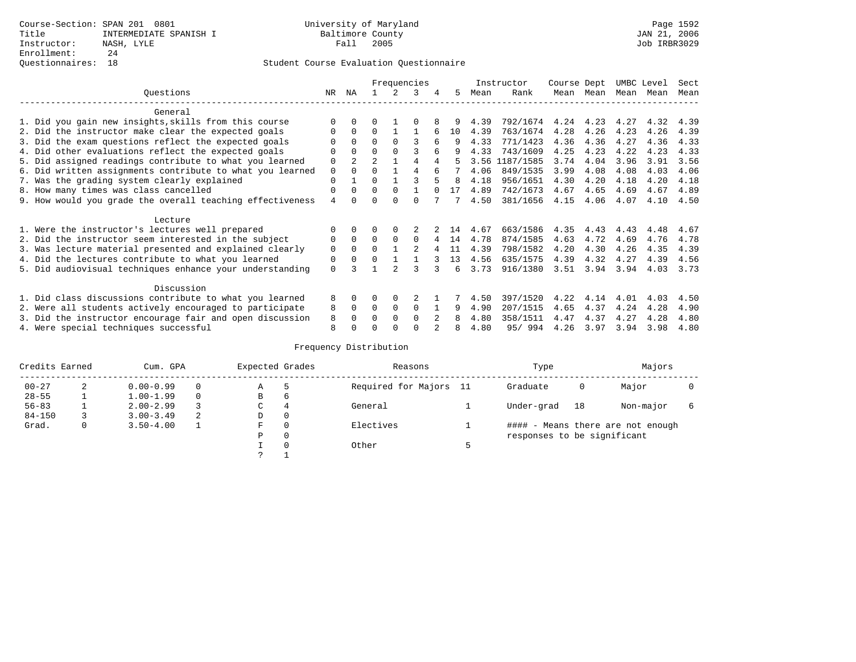|                                                           |     |                |                |               | Frequencies |   |    |      | Instructor | Course Dept |      | UMBC Level |      | Sect |
|-----------------------------------------------------------|-----|----------------|----------------|---------------|-------------|---|----|------|------------|-------------|------|------------|------|------|
| Ouestions                                                 | NR. | ΝA             |                |               | 3           | 4 | 5  | Mean | Rank       | Mean        | Mean | Mean       | Mean | Mean |
| General                                                   |     |                |                |               |             |   |    |      |            |             |      |            |      |      |
| 1. Did you gain new insights, skills from this course     |     | 0              |                |               |             |   |    | 4.39 | 792/1674   | 4.24        | 4.23 | 4.27       | 4.32 | 4.39 |
| 2. Did the instructor make clear the expected goals       |     | $\Omega$       | 0              |               |             |   | 10 | 4.39 | 763/1674   | 4.28        | 4.26 | 4.23       | 4.26 | 4.39 |
| 3. Did the exam questions reflect the expected goals      |     | $\Omega$       | $\Omega$       | $\Omega$      |             | б | 9  | 4.33 | 771/1423   | 4.36        | 4.36 | 4.27       | 4.36 | 4.33 |
| 4. Did other evaluations reflect the expected goals       | U   | $\Omega$       | 0              | $\Omega$      |             |   | q  | 4.33 | 743/1609   | 4.25        | 4.23 | 4.22       | 4.23 | 4.33 |
| 5. Did assigned readings contribute to what you learned   | 0   | $\overline{a}$ | $\mathfrak{D}$ |               |             |   |    | 3.56 | 1187/1585  | 3.74        | 4.04 | 3.96       | 3.91 | 3.56 |
| 6. Did written assignments contribute to what you learned | 0   | 0              | 0              |               | 4           |   |    | 4.06 | 849/1535   | 3.99        | 4.08 | 4.08       | 4.03 | 4.06 |
| 7. Was the grading system clearly explained               | 0   |                | U              |               |             |   | 8  | 4.18 | 956/1651   | 4.30        | 4.20 | 4.18       | 4.20 | 4.18 |
| 8. How many times was class cancelled                     | 0   | $\Omega$       | $\Omega$       | $\Omega$      |             |   | 17 | 4.89 | 742/1673   | 4.67        | 4.65 | 4.69       | 4.67 | 4.89 |
| 9. How would you grade the overall teaching effectiveness | 4   |                |                | <sup>n</sup>  | U           |   |    | 4.50 | 381/1656   | 4.15        | 4.06 | 4.07       | 4.10 | 4.50 |
|                                                           |     |                |                |               |             |   |    |      |            |             |      |            |      |      |
| Lecture                                                   |     |                |                |               |             |   |    |      |            |             |      |            |      |      |
| 1. Were the instructor's lectures well prepared           |     |                |                |               |             |   | 14 | 4.67 | 663/1586   | 4.35        | 4.43 | 4.43       | 4.48 | 4.67 |
| 2. Did the instructor seem interested in the subject      | 0   | $\Omega$       | 0              | $\Omega$      | 0           |   | 14 | 4.78 | 874/1585   | 4.63        | 4.72 | 4.69       | 4.76 | 4.78 |
| 3. Was lecture material presented and explained clearly   | 0   | $\Omega$       | 0              |               | 2           |   | 11 | 4.39 | 798/1582   | 4.20        | 4.30 | 4.26       | 4.35 | 4.39 |
| 4. Did the lectures contribute to what you learned        | 0   | 0              |                |               |             |   | 13 | 4.56 | 635/1575   | 4.39        | 4.32 | 4.27       | 4.39 | 4.56 |
| 5. Did audiovisual techniques enhance your understanding  | 0   |                |                | $\mathcal{D}$ | ς           |   | б. | 3.73 | 916/1380   | 3.51        | 3.94 | 3.94       | 4.03 | 3.73 |
|                                                           |     |                |                |               |             |   |    |      |            |             |      |            |      |      |
| Discussion                                                |     |                |                |               |             |   |    |      |            |             |      |            |      |      |
| 1. Did class discussions contribute to what you learned   | 8   | 0              | U              | $\Omega$      |             |   |    | 4.50 | 397/1520   | 4.22        | 4.14 | 4.01       | 4.03 | 4.50 |
| 2. Were all students actively encouraged to participate   | 8   | $\Omega$       | 0              | 0             | 0           |   | 9  | 4.90 | 207/1515   | 4.65        | 4.37 | 4.24       | 4.28 | 4.90 |
| 3. Did the instructor encourage fair and open discussion  | 8   |                |                | $\Omega$      | $\Omega$    |   | 8  | 4.80 | 358/1511   | 4.47        | 4.37 | 4.27       | 4.28 | 4.80 |
| 4. Were special techniques successful                     | 8   |                |                |               |             |   | 8  | 4.80 | 95/994     | 4.26        | 3.97 | 3.94       | 3.98 | 4.80 |

| Credits Earned |   | Cum. GPA      |   | Expected Grades |          | Reasons                | Type                        |    | Majors                            |  |
|----------------|---|---------------|---|-----------------|----------|------------------------|-----------------------------|----|-----------------------------------|--|
| $00 - 27$      | 2 | $0.00 - 0.99$ |   | Α               | 5        | Required for Majors 11 | Graduate                    | 0  | Major                             |  |
| $28 - 55$      | ᅩ | $1.00 - 1.99$ |   | В               | 6        |                        |                             |    |                                   |  |
| $56 - 83$      |   | $2.00 - 2.99$ |   | $\sim$<br>◡     | 4        | General                | Under-grad                  | 18 | Non-major                         |  |
| $84 - 150$     |   | $3.00 - 3.49$ | 2 | D               | 0        |                        |                             |    |                                   |  |
| Grad.          | 0 | $3.50 - 4.00$ |   | F               | 0        | Electives              |                             |    | #### - Means there are not enough |  |
|                |   |               |   | Ρ               | 0        |                        | responses to be significant |    |                                   |  |
|                |   |               |   |                 | $\Omega$ | Other                  |                             |    |                                   |  |
|                |   |               |   | C               |          |                        |                             |    |                                   |  |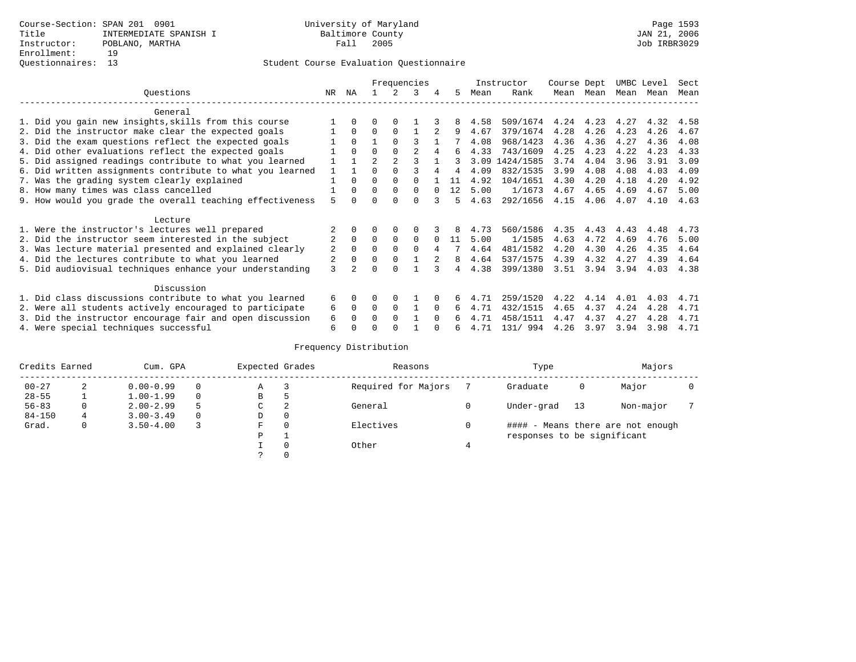|                                                           |                | Frequencies    |                |          |                |          |    |      | Instructor | Course Dept |      | UMBC Level |      | Sect |
|-----------------------------------------------------------|----------------|----------------|----------------|----------|----------------|----------|----|------|------------|-------------|------|------------|------|------|
| Questions                                                 | NR.            | ΝA             |                |          | 3              | 4        | 5. | Mean | Rank       | Mean        | Mean | Mean       | Mean | Mean |
| General                                                   |                |                |                |          |                |          |    |      |            |             |      |            |      |      |
| 1. Did you gain new insights, skills from this course     |                | $\Omega$       | O              | $\Omega$ |                |          | 8  | 4.58 | 509/1674   | 4.24        | 4.23 | 4.27       | 4.32 | 4.58 |
| 2. Did the instructor make clear the expected goals       |                | $\Omega$       | $\Omega$       | $\Omega$ |                |          | 9  | 4.67 | 379/1674   | 4.28        | 4.26 | 4.23       | 4.26 | 4.67 |
| 3. Did the exam questions reflect the expected goals      |                | $\Omega$       |                | $\Omega$ | ζ              |          |    | 4.08 | 968/1423   | 4.36        | 4.36 | 4.27       | 4.36 | 4.08 |
| 4. Did other evaluations reflect the expected goals       |                | $\Omega$       | 0              | $\Omega$ | $\mathfrak{D}$ | 4        | 6  | 4.33 | 743/1609   | 4.25        | 4.23 | 4.22       | 4.23 | 4.33 |
| 5. Did assigned readings contribute to what you learned   |                |                | $\mathfrak{D}$ |          |                |          |    | 3.09 | 1424/1585  | 3.74        | 4.04 | 3.96       | 3.91 | 3.09 |
| 6. Did written assignments contribute to what you learned |                |                |                |          |                |          |    | 4.09 | 832/1535   | 3.99        | 4.08 | 4.08       | 4.03 | 4.09 |
| 7. Was the grading system clearly explained               |                | $\Omega$       | 0              | $\Omega$ |                |          |    | 4.92 | 104/1651   | 4.30        | 4.20 | 4.18       | 4.20 | 4.92 |
| 8. How many times was class cancelled                     |                | $\Omega$       | $\Omega$       | $\Omega$ | 0              |          | 12 | 5.00 | 1/1673     | 4.67        | 4.65 | 4.69       | 4.67 | 5.00 |
| 9. How would you grade the overall teaching effectiveness | 5              |                |                | U        | U              |          | 5  | 4.63 | 292/1656   | 4.15        | 4.06 | 4.07       | 4.10 | 4.63 |
| Lecture                                                   |                |                |                |          |                |          |    |      |            |             |      |            |      |      |
| 1. Were the instructor's lectures well prepared           |                |                |                |          |                |          |    | 4.73 | 560/1586   | 4.35        | 4.43 | 4.43       | 4.48 | 4.73 |
| 2. Did the instructor seem interested in the subject      | $\overline{2}$ | $\Omega$       | $\Omega$       | $\Omega$ | $\Omega$       |          | 11 | 5.00 | 1/1585     | 4.63        | 4.72 | 4.69       | 4.76 | 5.00 |
| 3. Was lecture material presented and explained clearly   | 2              | $\Omega$       | 0              | $\Omega$ | $\Omega$       | 4        |    | 4.64 | 481/1582   | 4.20        | 4.30 | 4.26       | 4.35 | 4.64 |
| 4. Did the lectures contribute to what you learned        | 2              | $\mathbf 0$    | $\Omega$       | $\Omega$ |                |          | 8  | 4.64 | 537/1575   | 4.39        | 4.32 | 4.27       | 4.39 | 4.64 |
| 5. Did audiovisual techniques enhance your understanding  | $\mathcal{L}$  | $\mathfrak{D}$ |                | U        |                |          | 4  | 4.38 | 399/1380   | 3.51        | 3.94 | 3.94       | 4.03 | 4.38 |
| Discussion                                                |                |                |                |          |                |          |    |      |            |             |      |            |      |      |
| 1. Did class discussions contribute to what you learned   | 6              | $\Omega$       | O              | $\Omega$ |                |          |    | 4.71 | 259/1520   | 4.22        | 4.14 | 4.01       | 4.03 | 4.71 |
| 2. Were all students actively encouraged to participate   | 6              | $\Omega$       | $\Omega$       | $\Omega$ |                | $\Omega$ | 6  | 4.71 | 432/1515   | 4.65        | 4.37 | 4.24       | 4.28 | 4.71 |
| 3. Did the instructor encourage fair and open discussion  | 6              |                | U              | $\Omega$ |                | $\Omega$ |    | 4.71 | 458/1511   | 4.47        | 4.37 | 4.27       | 4.28 | 4.71 |
| 4. Were special techniques successful                     | 6              |                |                |          |                |          | ีค | 4.71 | 131/994    | 4.26        | 3.97 | 3.94       | 3.98 | 4.71 |

| Credits Earned |   | Cum. GPA      | Expected Grades |          | Reasons             |   | Type                        |     | Majors                            |  |
|----------------|---|---------------|-----------------|----------|---------------------|---|-----------------------------|-----|-----------------------------------|--|
| $00 - 27$      | 2 | $0.00 - 0.99$ | А               |          | Required for Majors |   | Graduate                    | 0   | Major                             |  |
| $28 - 55$      | ᅩ | $1.00 - 1.99$ | В               | 5        |                     |   |                             |     |                                   |  |
| $56 - 83$      | 0 | $2.00 - 2.99$ | C               | 2        | General             |   | Under-grad                  | -13 | Non-major                         |  |
| $84 - 150$     | 4 | $3.00 - 3.49$ | D               | 0        |                     |   |                             |     |                                   |  |
| Grad.          | 0 | $3.50 - 4.00$ | F               | 0        | Electives           | 0 |                             |     | #### - Means there are not enough |  |
|                |   |               | Ρ               |          |                     |   | responses to be significant |     |                                   |  |
|                |   |               |                 | $\Omega$ | Other               |   |                             |     |                                   |  |
|                |   |               |                 |          |                     |   |                             |     |                                   |  |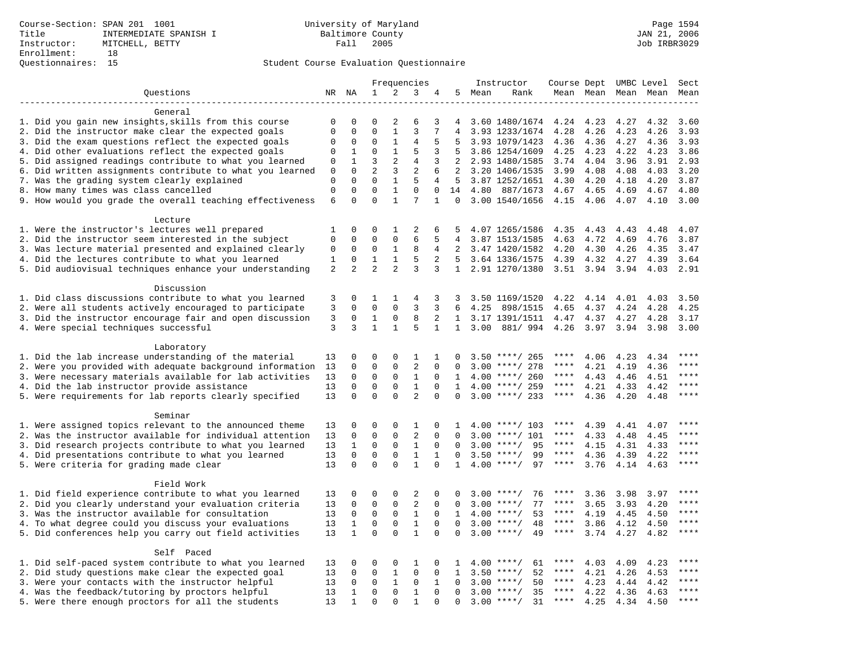|                                                           |                  |                      |                      |                              | Frequencies    |               |                |        | Instructor         | Course Dept UMBC Level |      |                     |              | Sect         |
|-----------------------------------------------------------|------------------|----------------------|----------------------|------------------------------|----------------|---------------|----------------|--------|--------------------|------------------------|------|---------------------|--------------|--------------|
| Questions                                                 |                  | NR NA                | 1                    | 2                            | 3              | 4             |                | 5 Mean | Rank               |                        |      | Mean Mean Mean Mean |              | Mean         |
|                                                           |                  |                      |                      |                              |                |               |                |        |                    |                        |      |                     |              |              |
| General                                                   |                  |                      |                      |                              |                |               |                |        |                    |                        |      |                     |              |              |
| 1. Did you gain new insights, skills from this course     | 0                | 0                    | $\Omega$             | 2                            | 6              | 3             | 4              |        | 3.60 1480/1674     | 4.24                   | 4.23 | 4.27                | 4.32         | 3.60         |
| 2. Did the instructor make clear the expected goals       | $\mathbf 0$      | $\Omega$             | $\Omega$             | $\mathbf{1}$                 | 3              | 7             | $\overline{4}$ |        | 3.93 1233/1674     | 4.28                   | 4.26 | 4.23                | 4.26         | 3.93         |
| 3. Did the exam questions reflect the expected goals      | 0                | $\mathbf 0$          | $\Omega$             | $\mathbf{1}$                 | 4              | 5             | 5              |        | 3.93 1079/1423     | 4.36                   | 4.36 | 4.27                | 4.36         | 3.93         |
| 4. Did other evaluations reflect the expected goals       | $\Omega$         | 1                    | $\Omega$             | $\mathbf{1}$                 | 5              | 3             | 5              |        | 3.86 1254/1609     | 4.25                   | 4.23 | 4.22                | 4.23         | 3.86         |
| 5. Did assigned readings contribute to what you learned   | $\mathsf 0$      | $\mathbf{1}$         | 3                    | 2                            | $\overline{4}$ | 3             | 2              |        | 2.93 1480/1585     | 3.74                   | 4.04 | 3.96                | 3.91         | 2.93         |
| 6. Did written assignments contribute to what you learned | $\mathbf 0$      | $\mathbf 0$          | $\overline{2}$       | 3                            | 2              | 6             | $2^{\circ}$    |        | 3.20 1406/1535     | 3.99                   | 4.08 | 4.08                | 4.03         | 3.20         |
| 7. Was the grading system clearly explained               | 0<br>$\mathbf 0$ | $\Omega$<br>$\Omega$ | $\Omega$<br>$\Omega$ | $\mathbf{1}$<br>$\mathbf{1}$ | 5<br>$\Omega$  | 4<br>$\Omega$ | -5             |        | 3.87 1252/1651     | 4.30                   | 4.20 | 4.18                | 4.20         | 3.87         |
| 8. How many times was class cancelled                     | 6                | $\Omega$             | $\Omega$             | $\mathbf{1}$                 | 7              | $\mathbf{1}$  | 14<br>$\Omega$ | 4.80   | 887/1673           | 4.67                   | 4.65 | 4.69                | 4.67<br>4.10 | 4.80<br>3.00 |
| 9. How would you grade the overall teaching effectiveness |                  |                      |                      |                              |                |               |                |        | 3.00 1540/1656     | 4.15                   | 4.06 | 4.07                |              |              |
| Lecture                                                   |                  |                      |                      |                              |                |               |                |        |                    |                        |      |                     |              |              |
| 1. Were the instructor's lectures well prepared           | 1                | 0                    | 0                    | 1                            | 2              | 6             | 5              |        | 4.07 1265/1586     | 4.35                   | 4.43 | 4.43                | 4.48         | 4.07         |
| 2. Did the instructor seem interested in the subject      | 0                | 0                    | 0                    | 0                            | 6              | 5             | 4              |        | 3.87 1513/1585     | 4.63                   | 4.72 | 4.69                | 4.76         | 3.87         |
| 3. Was lecture material presented and explained clearly   | 0                | 0                    | 0                    | 1                            | 8              | 4             | 2              |        | 3.47 1420/1582     | 4.20                   | 4.30 | 4.26                | 4.35         | 3.47         |
| 4. Did the lectures contribute to what you learned        | 1                | 0                    | 1                    | $\mathbf{1}$                 | 5              | 2             | 5              |        | 3.64 1336/1575     | 4.39                   | 4.32 | 4.27                | 4.39         | 3.64         |
| 5. Did audiovisual techniques enhance your understanding  | 2                | $\overline{2}$       | $\overline{a}$       | $\overline{2}$               | 3              | 3             |                |        | 1 2.91 1270/1380   | 3.51                   | 3.94 | 3.94                | 4.03         | 2.91         |
|                                                           |                  |                      |                      |                              |                |               |                |        |                    |                        |      |                     |              |              |
| Discussion                                                |                  |                      |                      |                              |                |               |                |        |                    |                        |      |                     |              |              |
| 1. Did class discussions contribute to what you learned   | 3                | 0                    | 1                    | 1                            | 4              | 3             | 3              |        | 3.50 1169/1520     | 4.22                   | 4.14 | 4.01                | 4.03         | 3.50         |
| 2. Were all students actively encouraged to participate   | 3                | 0                    | $\mathbf 0$          | $\mathbf 0$                  | $\overline{3}$ | 3             | 6              | 4.25   | 898/1515           | 4.65                   | 4.37 | 4.24                | 4.28         | 4.25         |
| 3. Did the instructor encourage fair and open discussion  | 3                | 0                    | 1                    | 0                            | 8              | 2             | $\mathbf{1}$   |        | 3.17 1391/1511     | 4.47                   | 4.37 | 4.27                | 4.28         | 3.17         |
| 4. Were special techniques successful                     | 3                | 3                    | $\mathbf{1}$         | $\mathbf{1}$                 | 5              | $\mathbf{1}$  | 1              | 3.00   | 881/994            | 4.26                   | 3.97 | 3.94                | 3.98         | 3.00         |
|                                                           |                  |                      |                      |                              |                |               |                |        |                    |                        |      |                     |              |              |
| Laboratory                                                |                  |                      |                      |                              |                |               |                |        |                    |                        |      |                     |              |              |
| 1. Did the lab increase understanding of the material     | 13               | 0                    | 0                    | 0                            | 1              | 1             | 0              |        | $3.50$ ****/ 265   | ****                   | 4.06 | 4.23                | 4.34         |              |
| 2. Were you provided with adequate background information | 13               | 0                    | $\mathbf 0$          | $\mathbf{0}$                 | 2              | 0             | 0              | 3.00   | ****/ 278          | ****                   | 4.21 | 4.19                | 4.36         | ****         |
| 3. Were necessary materials available for lab activities  | 13               | 0                    | 0                    | 0                            | 1              | $\Omega$      | 1              |        | $4.00$ ****/ 260   | ****                   | 4.43 | 4.46                | 4.51         | ****         |
| 4. Did the lab instructor provide assistance              | 13               | $\Omega$             | $\Omega$             | 0                            | $\mathbf{1}$   | $\Omega$      | $\mathbf{1}$   |        | $4.00$ ****/ 259   | ****                   | 4.21 | 4.33                | 4.42         | $***$        |
| 5. Were requirements for lab reports clearly specified    | 13               | $\Omega$             | $\Omega$             | $\Omega$                     | 2              | $\Omega$      | $\Omega$       |        | $3.00$ ****/ 233   | $***$ * * *            | 4.36 | 4.20                | 4.48         | ****         |
| Seminar                                                   |                  |                      |                      |                              |                |               |                |        |                    |                        |      |                     |              |              |
| 1. Were assigned topics relevant to the announced theme   | 13               | 0                    | 0                    | 0                            | 1              | $\mathbf 0$   | 1              |        | $4.00$ ****/ 103   | ****                   | 4.39 | 4.41                | 4.07         | ****         |
| 2. Was the instructor available for individual attention  | 13               | $\mathsf 0$          | $\mathbf 0$          | $\mathsf 0$                  | 2              | $\mathbf 0$   | 0              | 3.00   | ****/ 101          | ****                   | 4.33 | 4.48                | 4.45         |              |
| 3. Did research projects contribute to what you learned   | 13               | 1                    | $\mathbf 0$          | $\mathbf 0$                  | $\mathbf{1}$   | $\mathbf 0$   | 0              |        | $3.00$ ****/<br>95 | ****                   | 4.15 | 4.31                | 4.33         | ****         |
| 4. Did presentations contribute to what you learned       | 13               | $\mathbf 0$          | $\mathbf 0$          | 0                            | $\mathbf{1}$   | 1             | $\Omega$       |        | $3.50$ ****/<br>99 | ****                   | 4.36 | 4.39                | 4.22         | $***$        |
| 5. Were criteria for grading made clear                   | 13               | $\Omega$             | $\Omega$             | $\Omega$                     | $\mathbf{1}$   | $\Omega$      | $\mathbf{1}$   |        | $4.00$ ****/<br>97 | ****                   | 3.76 | 4.14                | 4.63         | $***$        |
|                                                           |                  |                      |                      |                              |                |               |                |        |                    |                        |      |                     |              |              |
| Field Work                                                |                  |                      |                      |                              |                |               |                |        |                    |                        |      |                     |              |              |
| 1. Did field experience contribute to what you learned    | 13               | 0                    | 0                    | 0                            | 2              | 0             | 0              |        | $3.00$ ****/<br>76 | ****                   | 3.36 | 3.98                | 3.97         | ****         |
| 2. Did you clearly understand your evaluation criteria    | 13               | 0                    | $\mathbf 0$          | 0                            | 2              | $\mathbf 0$   | $\Omega$       |        | $3.00$ ****/<br>77 | ****                   | 3.65 | 3.93                | 4.20         | ****         |
| 3. Was the instructor available for consultation          | 13               | 0                    | $\mathbf 0$          | $\mathbf{0}$                 | $\mathbf{1}$   | $\mathbf 0$   | 1              |        | $4.00$ ****/<br>53 | ****                   | 4.19 | 4.45                | 4.50         | ****         |
| 4. To what degree could you discuss your evaluations      | 13               | 1                    | $\mathbf 0$          | $\mathbf 0$                  | $\mathbf{1}$   | $\Omega$      | 0              |        | $3.00$ ****/<br>48 | $***$ * * *            | 3.86 | 4.12                | 4.50         | ****         |
| 5. Did conferences help you carry out field activities    | 13               | $\mathbf{1}$         | $\Omega$             | $\Omega$                     | $\mathbf{1}$   | $\Omega$      | $\Omega$       | 3.00   | 49<br>$***$ /      | $***$ * * *            | 3.74 | 4.27                | 4.82         | $***$        |
|                                                           |                  |                      |                      |                              |                |               |                |        |                    |                        |      |                     |              |              |
| Self Paced                                                |                  |                      |                      |                              |                |               |                |        |                    |                        |      |                     |              |              |
| 1. Did self-paced system contribute to what you learned   | 13               | 0                    | 0                    | $\mathbf 0$                  | 1              | 0             | 1              |        | $4.00$ ****/<br>61 | ****                   | 4.03 | 4.09                | 4.23         | ****         |
| 2. Did study questions make clear the expected goal       | 13               | $\mathbf 0$          | $\mathbf 0$          | 1                            | $\mathbf 0$    | $\mathbf 0$   | 1              |        | $3.50$ ****/<br>52 | $***$ * * *            | 4.21 | 4.26                | 4.53         | ****         |
| 3. Were your contacts with the instructor helpful         | 13               | $\Omega$             | 0                    | 1                            | 0              | $\mathbf{1}$  | $\Omega$       | 3.00   | $***/$<br>50       | ****                   | 4.23 | 4.44                | 4.42         | ****         |
| 4. Was the feedback/tutoring by proctors helpful          | 13               | 1                    | $\mathbf 0$          | $\mathbf 0$                  | $\mathbf{1}$   | $\mathbf 0$   | $\Omega$       |        | 35<br>$3.00$ ****/ | ****                   | 4.22 | 4.36                | 4.63         | ****         |
| 5. Were there enough proctors for all the students        | 13               | 1                    | $\Omega$             | $\Omega$                     | 1              | $\Omega$      | $\Omega$       |        | $3.00$ ****/<br>31 | $***$ * * *            | 4.25 | 4.34                | 4.50         | $***$        |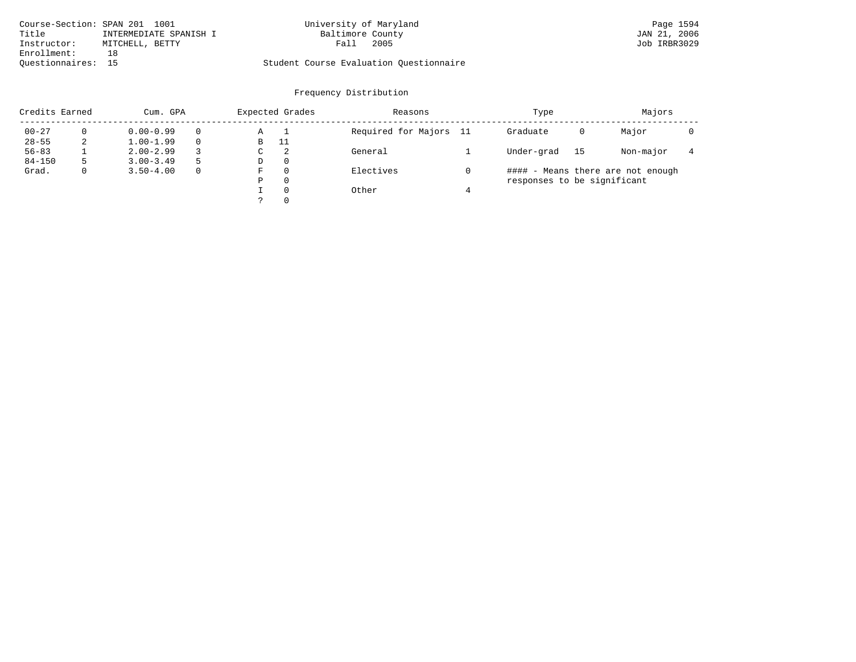| Course-Section: SPAN 201 1001 |                         | University of Maryland                  | Page 1594    |
|-------------------------------|-------------------------|-----------------------------------------|--------------|
| Title                         | INTERMEDIATE SPANISH I  | Baltimore County                        | JAN 21, 2006 |
| Instructor:                   | Fall<br>MITCHELL, BETTY | 2005                                    | Job IRBR3029 |
| Enrollment:                   |                         |                                         |              |
| Ouestionnaires: 15            |                         | Student Course Evaluation Questionnaire |              |

| Credits Earned |   | Cum. GPA      |   | Expected Grades |       | Reasons                | Type                        |    | Majors                            |  |
|----------------|---|---------------|---|-----------------|-------|------------------------|-----------------------------|----|-----------------------------------|--|
| $00 - 27$      | 0 | $0.00 - 0.99$ |   | Α               | ᅩ     | Required for Majors 11 | Graduate                    | 0  | Major                             |  |
| $28 - 55$      | 2 | $1.00 - 1.99$ |   | В               | 11    |                        |                             |    |                                   |  |
| $56 - 83$      |   | $2.00 - 2.99$ |   | $\sim$<br>◡     | -2    | General                | Under-grad                  | 15 | Non-major                         |  |
| $84 - 150$     | 5 | $3.00 - 3.49$ | 5 | D               | 0     |                        |                             |    |                                   |  |
| Grad.          | 0 | $3.50 - 4.00$ |   | F               |       | Electives              |                             |    | #### - Means there are not enough |  |
|                |   |               |   | Ρ               | 0     |                        | responses to be significant |    |                                   |  |
|                |   |               |   | $\Omega$        | Other |                        |                             |    |                                   |  |
|                |   |               |   | っ               | 0     |                        |                             |    |                                   |  |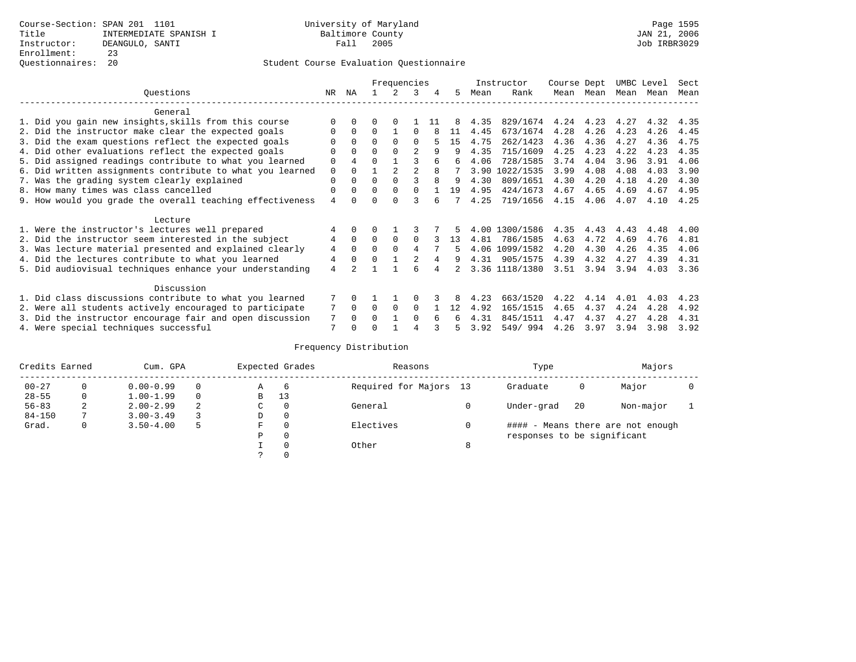|                                                           |             |              |          | Frequencies |              |     |    |      | Instructor     | Course Dept |           | UMBC Level |      | Sect |
|-----------------------------------------------------------|-------------|--------------|----------|-------------|--------------|-----|----|------|----------------|-------------|-----------|------------|------|------|
| Ouestions                                                 | NR          | ΝA           |          | 2           | 3            | 4   | 5  | Mean | Rank           |             | Mean Mean | Mean       | Mean | Mean |
| General                                                   |             |              |          |             |              |     |    |      |                |             |           |            |      |      |
| 1. Did you gain new insights, skills from this course     |             | $\Omega$     | 0        | $\Omega$    |              | -11 |    | 4.35 | 829/1674       | 4.24        | 4.23      | 4.27       | 4.32 | 4.35 |
| 2. Did the instructor make clear the expected goals       | 0           | $\Omega$     | 0        |             | O            |     | 11 | 4.45 | 673/1674       | 4.28        | 4.26      | 4.23       | 4.26 | 4.45 |
| 3. Did the exam questions reflect the expected goals      |             | $\Omega$     | $\Omega$ | $\Omega$    | $\Omega$     |     | 15 | 4.75 | 262/1423       | 4.36        | 4.36      | 4.27       | 4.36 | 4.75 |
| 4. Did other evaluations reflect the expected goals       |             | $\Omega$     | 0        | $\Omega$    | 2            | 9   | 9  | 4.35 | 715/1609       | 4.25        | 4.23      | 4.22       | 4.23 | 4.35 |
| 5. Did assigned readings contribute to what you learned   | 0           | 4            | $\Omega$ |             | ς            |     | 6  | 4.06 | 728/1585       | 3.74        | 4.04      | 3.96       | 3.91 | 4.06 |
| 6. Did written assignments contribute to what you learned | $\mathbf 0$ | $\Omega$     |          | 2           | 2            | 8   |    |      | 3.90 1022/1535 | 3.99        | 4.08      | 4.08       | 4.03 | 3.90 |
| 7. Was the grading system clearly explained               | 0           | $\Omega$     | 0        | $\Omega$    | $\mathbf{z}$ | 8   | 9  | 4.30 | 809/1651       | 4.30        | 4.20      | 4.18       | 4.20 | 4.30 |
| 8. How many times was class cancelled                     | 0           | $\Omega$     | $\Omega$ | $\Omega$    | $\Omega$     |     | 19 | 4.95 | 424/1673       | 4.67        | 4.65      | 4.69       | 4.67 | 4.95 |
| 9. How would you grade the overall teaching effectiveness | 4           | <sup>n</sup> |          | $\cap$      | ς            |     |    | 4.25 | 719/1656       | 4.15        | 4.06      | 4.07       | 4.10 | 4.25 |
| Lecture                                                   |             |              |          |             |              |     |    |      |                |             |           |            |      |      |
| 1. Were the instructor's lectures well prepared           |             | $\Omega$     |          |             |              |     |    |      | 4.00 1300/1586 | 4.35        | 4.43      | 4.43       | 4.48 | 4.00 |
| 2. Did the instructor seem interested in the subject      | 4           | $\Omega$     | $\Omega$ | $\Omega$    | $\Omega$     |     | 13 | 4.81 | 786/1585       | 4.63        | 4.72      | 4.69       | 4.76 | 4.81 |
| 3. Was lecture material presented and explained clearly   | 4           | $\Omega$     | 0        | $\Omega$    | 4            |     | 5  |      | 4.06 1099/1582 | 4.20        | 4.30      | 4.26       | 4.35 | 4.06 |
| 4. Did the lectures contribute to what you learned        | 4           | $\Omega$     |          |             | 2            | 4   | 9  |      | 4.31 905/1575  | 4.39        | 4.32      | 4.27       | 4.39 | 4.31 |
| 5. Did audiovisual techniques enhance your understanding  | 4           |              |          |             | F            |     |    |      | 3.36 1118/1380 | 3.51        | 3.94      | 3.94       | 4.03 | 3.36 |
| Discussion                                                |             |              |          |             |              |     |    |      |                |             |           |            |      |      |
| 1. Did class discussions contribute to what you learned   |             | 0            |          |             |              |     |    | 4.23 | 663/1520       | 4.22        | 4.14      | 4.01       | 4.03 | 4.23 |
| 2. Were all students actively encouraged to participate   |             | $\mathbf 0$  | 0        | $\Omega$    | 0            |     | 12 | 4.92 | 165/1515       | 4.65        | 4.37      | 4.24       | 4.28 | 4.92 |
| 3. Did the instructor encourage fair and open discussion  | 7           | 0            |          |             | $\Omega$     |     |    | 4.31 | 845/1511       | 4.47        | 4.37      | 4.27       | 4.28 | 4.31 |
| 4. Were special techniques successful                     | 7           |              |          |             |              |     |    | 3.92 | 549/994        | 4.26        | 3.97      | 3.94       | 3.98 | 3.92 |

| Credits Earned |   | Cum. GPA      |   |             | Expected Grades | Reasons                |   | Type                        |    | Majors                            |  |
|----------------|---|---------------|---|-------------|-----------------|------------------------|---|-----------------------------|----|-----------------------------------|--|
| $00 - 27$      | 0 | $0.00 - 0.99$ |   | Α           | -6              | Required for Majors 13 |   | Graduate                    | 0  | Major                             |  |
| $28 - 55$      | 0 | $1.00 - 1.99$ |   | B           | 13              |                        |   |                             |    |                                   |  |
| $56 - 83$      | 2 | $2.00 - 2.99$ | 2 | $\sim$<br>◡ | 0               | General                |   | Under-grad                  | 20 | Non-major                         |  |
| $84 - 150$     |   | $3.00 - 3.49$ |   | D           | 0               |                        |   |                             |    |                                   |  |
| Grad.          | 0 | $3.50 - 4.00$ | 5 | F           | 0               | Electives              |   |                             |    | #### - Means there are not enough |  |
|                |   |               |   | Ρ           | 0               |                        |   | responses to be significant |    |                                   |  |
|                |   |               |   |             | $\Omega$        | Other                  | 8 |                             |    |                                   |  |
|                |   |               |   | C.          |                 |                        |   |                             |    |                                   |  |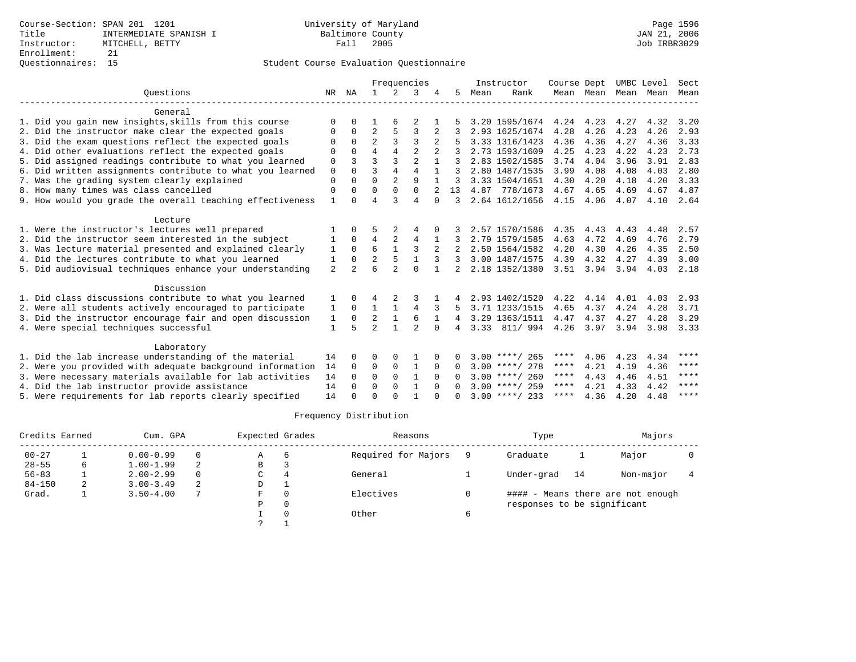|                                                           |                |                |                |                | Frequencies    |              |               |      | Instructor       | Course Dept |           | UMBC Level |      | Sect |
|-----------------------------------------------------------|----------------|----------------|----------------|----------------|----------------|--------------|---------------|------|------------------|-------------|-----------|------------|------|------|
| Ouestions                                                 | NR             | ΝA             | $\mathbf{1}$   | $\mathcal{L}$  | 3              |              | 5.            | Mean | Rank             |             | Mean Mean | Mean       | Mean | Mean |
| General                                                   |                |                |                |                |                |              |               |      |                  |             |           |            |      |      |
| 1. Did you gain new insights, skills from this course     | $\Omega$       |                |                |                |                |              |               |      | 3.20 1595/1674   | 4.24        | 4.23      | 4.27       | 4.32 | 3.20 |
| 2. Did the instructor make clear the expected goals       | O              | $\Omega$       | $\overline{2}$ | 5              | 3              | 2            |               |      | 2.93 1625/1674   | 4.28        | 4.26      | 4.23       | 4.26 | 2.93 |
| 3. Did the exam questions reflect the expected goals      | $\Omega$       | $\Omega$       | $\overline{a}$ | 3              | 3              |              |               |      | 3.33 1316/1423   | 4.36        | 4.36      | 4.27       | 4.36 | 3.33 |
| 4. Did other evaluations reflect the expected goals       | $\Omega$       | $\Omega$       | 4              | 4              | $\mathfrak{D}$ |              |               |      | 2.73 1593/1609   | 4.25        | 4.23      | 4.22       | 4.23 | 2.73 |
| 5. Did assigned readings contribute to what you learned   | 0              | 3              | 3              | 3              | $\overline{2}$ |              | 3             |      | 2.83 1502/1585   | 3.74        | 4.04      | 3.96       | 3.91 | 2.83 |
| 6. Did written assignments contribute to what you learned | $\mathbf 0$    | $\Omega$       | ζ              | 4              | $\overline{4}$ | $\mathbf{1}$ | 3             |      | 2.80 1487/1535   | 3.99        | 4.08      | 4.08       | 4.03 | 2.80 |
| 7. Was the grading system clearly explained               | $\Omega$       | $\Omega$       | $\Omega$       | $\overline{a}$ | 9              |              |               |      | 3.33 1504/1651   | 4.30        | 4.20      | 4.18       | 4.20 | 3.33 |
| 8. How many times was class cancelled                     | $\Omega$       | 0              | $\Omega$       | $\Omega$       | $\Omega$       |              | 13            |      | 4.87 778/1673    | 4.67        | 4.65      | 4.69       | 4.67 | 4.87 |
| 9. How would you grade the overall teaching effectiveness | 1              | U              | $\overline{4}$ | ζ              | $\overline{4}$ | $\Omega$     | 3             |      | 2.64 1612/1656   | 4.15        | 4.06      | 4.07       | 4.10 | 2.64 |
| Lecture                                                   |                |                |                |                |                |              |               |      |                  |             |           |            |      |      |
| 1. Were the instructor's lectures well prepared           |                |                |                |                |                |              |               |      | 2.57 1570/1586   | 4.35        | 4.43      | 4.43       | 4.48 | 2.57 |
| 2. Did the instructor seem interested in the subject      |                | 0              | $\overline{4}$ | 2              | $\overline{4}$ |              |               |      | 2.79 1579/1585   | 4.63        | 4.72      | 4.69       | 4.76 | 2.79 |
| 3. Was lecture material presented and explained clearly   | 1              | $\Omega$       | 6              | $\mathbf{1}$   | 3              |              |               |      | 2.50 1564/1582   | 4.20        | 4.30      | 4.26       | 4.35 | 2.50 |
| 4. Did the lectures contribute to what you learned        | 1              | $\Omega$       | 2              | 5              | $\mathbf{1}$   | 3            |               |      | 3.00 1487/1575   | 4.39        | 4.32      | 4.27       | 4.39 | 3.00 |
| 5. Did audiovisual techniques enhance your understanding  | $\overline{a}$ | $\mathfrak{D}$ | 6              | $\mathfrak{D}$ | $\Omega$       | $\mathbf{1}$ | $\mathcal{L}$ |      | 2.18 1352/1380   | 3.51        | 3.94      | 3.94       | 4.03 | 2.18 |
| Discussion                                                |                |                |                |                |                |              |               |      |                  |             |           |            |      |      |
| 1. Did class discussions contribute to what you learned   |                |                |                |                |                |              |               |      | 2.93 1402/1520   | 4.22        | 4.14      | 4.01       | 4.03 | 2.93 |
| 2. Were all students actively encouraged to participate   | 1              | $\Omega$       | $\mathbf{1}$   | 1              | 4              | 3            |               |      | 3.71 1233/1515   | 4.65        | 4.37      | 4.24       | 4.28 | 3.71 |
| 3. Did the instructor encourage fair and open discussion  | 1              | 0              | 2              | $\mathbf{1}$   | 6              |              | 4             |      | 3.29 1363/1511   | 4.47        | 4.37      | 4.27       | 4.28 | 3.29 |
| 4. Were special techniques successful                     | $\mathbf{1}$   | 5              | $\overline{a}$ |                | $\mathfrak{D}$ | $\Omega$     | 4             | 3.33 | 811/994          | 4.26        | 3.97      | 3.94       | 3.98 | 3.33 |
| Laboratory                                                |                |                |                |                |                |              |               |      |                  |             |           |            |      |      |
| 1. Did the lab increase understanding of the material     | 14             | 0              | 0              | 0              |                |              |               |      | $3.00$ ****/ 265 | ****        | 4.06      | 4.23       | 4.34 | **** |
| 2. Were you provided with adequate background information | 14             | $\Omega$       | 0              | $\mathbf 0$    | 1              | $\Omega$     | 0             |      | $3.00$ ****/ 278 | ****        | 4.21      | 4.19       | 4.36 | **** |
| 3. Were necessary materials available for lab activities  | 14             | $\Omega$       | $\Omega$       | $\Omega$       | $\mathbf{1}$   | $\Omega$     | 0             |      | $3.00$ ****/ 260 | ****        | 4.43      | 4.46       | 4.51 | **** |
| 4. Did the lab instructor provide assistance              | 14             | $\Omega$       | $\Omega$       | $\Omega$       | $\mathbf{1}$   | $\cap$       | <sup>n</sup>  |      | $3.00$ ****/ 259 | ****        | 4.21      | 4.33       | 4.42 | **** |
| 5. Were requirements for lab reports clearly specified    | 14             |                | $\Omega$       | $\cap$         |                |              | <sup>n</sup>  |      | $3.00$ ****/ 233 | ****        | 4.36      | 4.20       | 4.48 | **** |

| Credits Earned |   | Cum. GPA      |          | Expected Grades |     | Reasons             |   | Type                        |    | Majors                            |  |
|----------------|---|---------------|----------|-----------------|-----|---------------------|---|-----------------------------|----|-----------------------------------|--|
| $00 - 27$      |   | $0.00 - 0.99$ | $\Omega$ | Α               | - 6 | Required for Majors |   | Graduate                    |    | Major                             |  |
| $28 - 55$      | 6 | $1.00 - 1.99$ | 2        | В               |     |                     |   |                             |    |                                   |  |
| $56 - 83$      |   | $2.00 - 2.99$ | $\Omega$ | C               |     | General             |   | Under-grad                  | 14 | Non-major                         |  |
| $84 - 150$     | 2 | $3.00 - 3.49$ | 2        | D               |     |                     |   |                             |    |                                   |  |
| Grad.          |   | $3.50 - 4.00$ |          | F               |     | Electives           |   |                             |    | #### - Means there are not enough |  |
|                |   |               |          | P               |     |                     |   | responses to be significant |    |                                   |  |
|                |   |               |          |                 |     | Other               | 6 |                             |    |                                   |  |
|                |   |               |          |                 |     |                     |   |                             |    |                                   |  |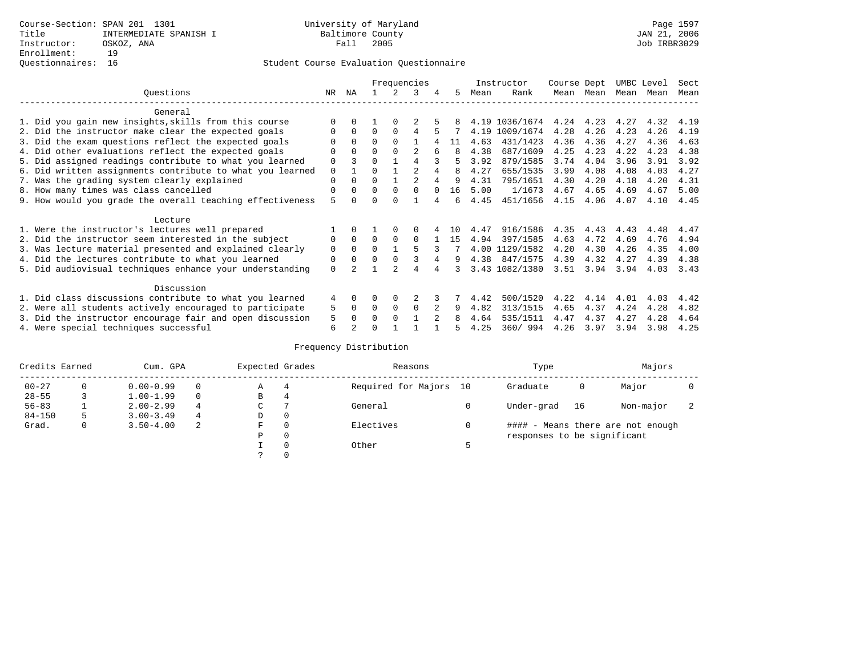|                                                           | Frequencies |              |          |          |               |          | Instructor | Course Dept |                | UMBC Level |      | Sect |      |      |
|-----------------------------------------------------------|-------------|--------------|----------|----------|---------------|----------|------------|-------------|----------------|------------|------|------|------|------|
| Ouestions                                                 | NR.         | ΝA           |          |          | 3             | 4        | 5.         | Mean        | Rank           | Mean       | Mean | Mean | Mean | Mean |
| General                                                   |             |              |          |          |               |          |            |             |                |            |      |      |      |      |
| 1. Did you gain new insights, skills from this course     |             | $\Omega$     |          | $\Omega$ |               |          |            |             | 4.19 1036/1674 | 4.24       | 4.23 | 4.27 | 4.32 | 4.19 |
| 2. Did the instructor make clear the expected goals       | O           | $\Omega$     | $\Omega$ | $\Omega$ | 4             |          |            |             | 4.19 1009/1674 | 4.28       | 4.26 | 4.23 | 4.26 | 4.19 |
| 3. Did the exam questions reflect the expected goals      |             | $\Omega$     | $\Omega$ | $\Omega$ |               |          | 11         | 4.63        | 431/1423       | 4.36       | 4.36 | 4.27 | 4.36 | 4.63 |
| 4. Did other evaluations reflect the expected goals       | O           | $\Omega$     | $\Omega$ | $\Omega$ |               |          | 8          | 4.38        | 687/1609       | 4.25       | 4.23 | 4.22 | 4.23 | 4.38 |
| 5. Did assigned readings contribute to what you learned   | $\mathbf 0$ |              | $\Omega$ |          |               |          |            | 3.92        | 879/1585       | 3.74       | 4.04 | 3.96 | 3.91 | 3.92 |
| 6. Did written assignments contribute to what you learned | $\mathbf 0$ |              | $\Omega$ |          | $\mathcal{D}$ |          | 8          | 4.27        | 655/1535       | 3.99       | 4.08 | 4.08 | 4.03 | 4.27 |
| 7. Was the grading system clearly explained               | $\Omega$    | $\Omega$     | $\Omega$ |          |               |          | 9          | 4.31        | 795/1651       | 4.30       | 4.20 | 4.18 | 4.20 | 4.31 |
| 8. How many times was class cancelled                     | $\Omega$    | $\Omega$     | $\Omega$ | $\Omega$ | $\Omega$      | $\Omega$ | 16         | 5.00        | 1/1673         | 4.67       | 4.65 | 4.69 | 4.67 | 5.00 |
| 9. How would you grade the overall teaching effectiveness | 5           | <sup>n</sup> | U        | $\cap$   |               |          | б.         | 4.45        | 451/1656       | 4.15       | 4.06 | 4.07 | 4.10 | 4.45 |
| Lecture                                                   |             |              |          |          |               |          |            |             |                |            |      |      |      |      |
| 1. Were the instructor's lectures well prepared           |             |              |          |          |               |          | 1 O        | 4.47        | 916/1586       | 4.35       | 4.43 | 4.43 | 4.48 | 4.47 |
| 2. Did the instructor seem interested in the subject      | 0           | $\Omega$     | $\Omega$ | $\Omega$ | $\Omega$      |          | 15         | 4.94        | 397/1585       | 4.63       | 4.72 | 4.69 | 4.76 | 4.94 |
| 3. Was lecture material presented and explained clearly   | $\mathbf 0$ | $\Omega$     | $\Omega$ |          |               |          |            |             | 4.00 1129/1582 | 4.20       | 4.30 | 4.26 | 4.35 | 4.00 |
| 4. Did the lectures contribute to what you learned        | 0           | $\Omega$     | $\Omega$ |          |               |          | 9          |             | 4.38 847/1575  | 4.39       | 4.32 | 4.27 | 4.39 | 4.38 |
| 5. Did audiovisual techniques enhance your understanding  | $\Omega$    |              |          |          | 4             |          |            |             | 3.43 1082/1380 | 3.51       | 3.94 | 3.94 | 4.03 | 3.43 |
| Discussion                                                |             |              |          |          |               |          |            |             |                |            |      |      |      |      |
| 1. Did class discussions contribute to what you learned   | 4           | $\Omega$     | O        | $\Omega$ |               |          |            | 4.42        | 500/1520       | 4.22       | 4.14 | 4.01 | 4.03 | 4.42 |
| 2. Were all students actively encouraged to participate   | 5           | $\Omega$     | $\Omega$ | $\Omega$ | $\Omega$      |          | 9          | 4.82        | 313/1515       | 4.65       | 4.37 | 4.24 | 4.28 | 4.82 |
| 3. Did the instructor encourage fair and open discussion  | 5           | $\Omega$     | 0        | $\Omega$ |               |          |            | 4.64        | 535/1511       | 4.47       | 4.37 | 4.27 | 4.28 | 4.64 |
| 4. Were special techniques successful                     | 6           |              |          |          |               |          |            | 4.25        | 360/994        | 4.26       | 3.97 | 3.94 | 3.98 | 4.25 |

| Credits Earned |              | Cum. GPA      |          | Expected Grades |          | Reasons                | Type                        |    | Majors                            |  |
|----------------|--------------|---------------|----------|-----------------|----------|------------------------|-----------------------------|----|-----------------------------------|--|
| $00 - 27$      |              | $0.00 - 0.99$ |          | Α               | 4        | Required for Majors 10 | Graduate                    | 0  | Major                             |  |
| $28 - 55$      |              | $1.00 - 1.99$ | $\Omega$ | В               | 4        |                        |                             |    |                                   |  |
| $56 - 83$      |              | $2.00 - 2.99$ | 4        | C.              |          | General                | Under-grad                  | 16 | Non-major                         |  |
| $84 - 150$     | 5            | $3.00 - 3.49$ | 4        | D               | 0        |                        |                             |    |                                   |  |
| Grad.          | $\mathbf{0}$ | $3.50 - 4.00$ | -2       | F               | $\Omega$ | Electives              |                             |    | #### - Means there are not enough |  |
|                |              |               |          | Ρ               | 0        |                        | responses to be significant |    |                                   |  |
|                |              |               |          |                 | $\Omega$ | Other                  |                             |    |                                   |  |
|                |              |               |          |                 |          |                        |                             |    |                                   |  |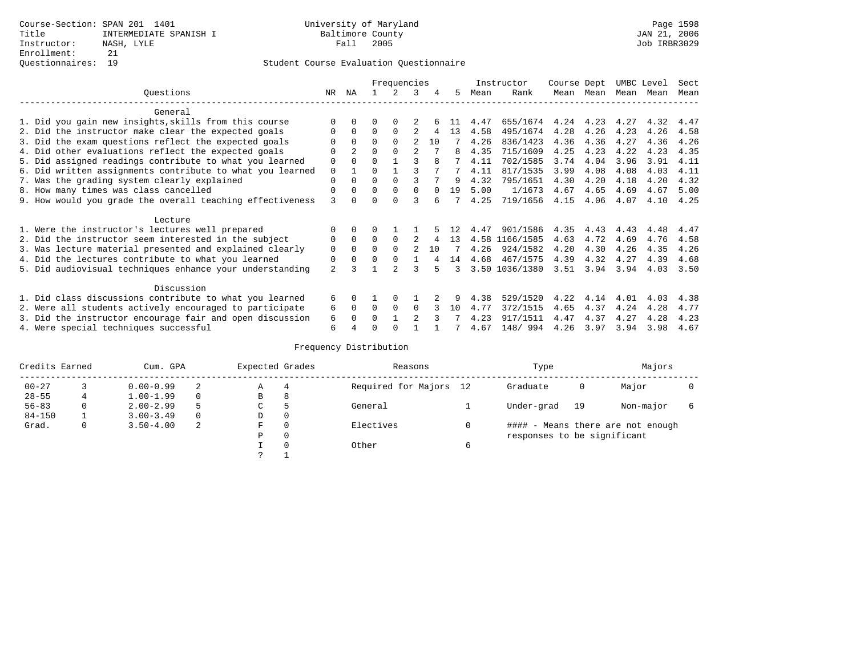|                                                           |                |                |          | Frequencies   |                |          |    |      | Instructor     | Course Dept |      | UMBC Level |      | Sect |
|-----------------------------------------------------------|----------------|----------------|----------|---------------|----------------|----------|----|------|----------------|-------------|------|------------|------|------|
| Ouestions                                                 | NR.            | ΝA             |          |               | 3              | 4        | 5  | Mean | Rank           | Mean        | Mean | Mean       | Mean | Mean |
| General                                                   |                |                |          |               |                |          |    |      |                |             |      |            |      |      |
| 1. Did you gain new insights, skills from this course     |                | <sup>0</sup>   |          | $\Omega$      |                |          |    | 4.47 | 655/1674       | 4.24        | 4.23 | 4.27       | 4.32 | 4.47 |
| 2. Did the instructor make clear the expected goals       |                | $\Omega$       | $\Omega$ | $\Omega$      |                | 4        | 13 | 4.58 | 495/1674       | 4.28        | 4.26 | 4.23       | 4.26 | 4.58 |
| 3. Did the exam questions reflect the expected goals      |                | $\Omega$       | $\Omega$ | $\Omega$      | 2              | 10       |    | 4.26 | 836/1423       | 4.36        | 4.36 | 4.27       | 4.36 | 4.26 |
| 4. Did other evaluations reflect the expected goals       |                | $\overline{2}$ | 0        | $\Omega$      | 2              |          | 8  | 4.35 | 715/1609       | 4.25        | 4.23 | 4.22       | 4.23 | 4.35 |
| 5. Did assigned readings contribute to what you learned   | 0              | $\Omega$       |          |               |                | 8        |    | 4.11 | 702/1585       | 3.74        | 4.04 | 3.96       | 3.91 | 4.11 |
| 6. Did written assignments contribute to what you learned | 0              |                | U        |               |                |          |    | 4.11 | 817/1535       | 3.99        | 4.08 | 4.08       | 4.03 | 4.11 |
| 7. Was the grading system clearly explained               | 0              | 0              |          | $\Omega$      |                |          | q  | 4.32 | 795/1651       | 4.30        | 4.20 | 4.18       | 4.20 | 4.32 |
| 8. How many times was class cancelled                     | 0              | $\Omega$       | $\Omega$ | $\Omega$      | $\Omega$       | $\Omega$ | 19 | 5.00 | 1/1673         | 4.67        | 4.65 | 4.69       | 4.67 | 5.00 |
| 9. How would you grade the overall teaching effectiveness | 3              |                |          | <sup>n</sup>  |                | б.       |    | 4.25 | 719/1656       | 4.15        | 4.06 | 4.07       | 4.10 | 4.25 |
|                                                           |                |                |          |               |                |          |    |      |                |             |      |            |      |      |
| Lecture                                                   |                |                |          |               |                |          |    |      |                |             |      |            |      |      |
| 1. Were the instructor's lectures well prepared           |                |                |          |               |                |          |    | 4.47 | 901/1586       | 4.35        | 4.43 | 4.43       | 4.48 | 4.47 |
| 2. Did the instructor seem interested in the subject      | 0              | $\Omega$       | 0        | $\Omega$      | 2              | 4        | 13 |      | 4.58 1166/1585 | 4.63        | 4.72 | 4.69       | 4.76 | 4.58 |
| 3. Was lecture material presented and explained clearly   | 0              | $\Omega$       | 0        | $\Omega$      | $\mathcal{L}$  | 10       |    | 4.26 | 924/1582       | 4.20        | 4.30 | 4.26       | 4.35 | 4.26 |
| 4. Did the lectures contribute to what you learned        | 0              | $\Omega$       |          | $\Omega$      |                |          | 14 | 4.68 | 467/1575       | 4.39        | 4.32 | 4.27       | 4.39 | 4.68 |
| 5. Did audiovisual techniques enhance your understanding  | $\overline{a}$ |                |          | $\mathcal{D}$ |                |          | 3  |      | 3.50 1036/1380 | 3.51        | 3.94 | 3.94       | 4.03 | 3.50 |
|                                                           |                |                |          |               |                |          |    |      |                |             |      |            |      |      |
| Discussion                                                |                |                |          |               |                |          |    |      |                |             |      |            |      |      |
| 1. Did class discussions contribute to what you learned   | б.             | 0              |          |               |                |          |    | 4.38 | 529/1520       | 4.22        | 4.14 | 4.01       | 4.03 | 4.38 |
| 2. Were all students actively encouraged to participate   | 6              | $\Omega$       | 0        | 0             | $\Omega$       |          | 10 | 4.77 | 372/1515       | 4.65        | 4.37 | 4.24       | 4.28 | 4.77 |
| 3. Did the instructor encourage fair and open discussion  | 6              |                |          |               | $\mathfrak{D}$ |          |    | 4.23 | 917/1511       | 4.47        | 4.37 | 4.27       | 4.28 | 4.23 |
| 4. Were special techniques successful                     | 6              |                |          |               |                |          |    | 4.67 | 148/ 994       | 4.26        | 3.97 | 3.94       | 3.98 | 4.67 |

| Credits Earned |   | Cum. GPA      |   | Expected Grades |          | Reasons                | Type                        |    | Majors                            |  |
|----------------|---|---------------|---|-----------------|----------|------------------------|-----------------------------|----|-----------------------------------|--|
| $00 - 27$      |   | $0.00 - 0.99$ |   | Α               | 4        | Required for Majors 12 | Graduate                    | 0  | Major                             |  |
| $28 - 55$      | 4 | $1.00 - 1.99$ |   | B               | 8        |                        |                             |    |                                   |  |
| $56 - 83$      | 0 | $2.00 - 2.99$ | 5 | C               | 5        | General                | Under-grad                  | 19 | Non-major                         |  |
| $84 - 150$     |   | $3.00 - 3.49$ |   | D               | 0        |                        |                             |    |                                   |  |
| Grad.          | 0 | $3.50 - 4.00$ | 2 | F               | 0        | Electives              |                             |    | #### - Means there are not enough |  |
|                |   |               |   | Ρ               | 0        |                        | responses to be significant |    |                                   |  |
|                |   |               |   |                 | $\Omega$ | Other                  |                             |    |                                   |  |
|                |   |               |   | っ               |          |                        |                             |    |                                   |  |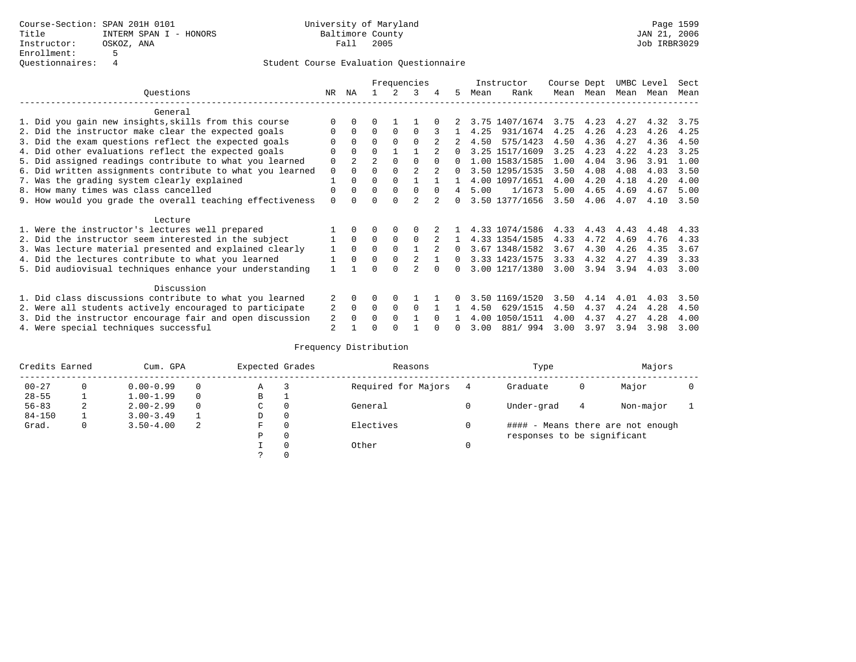|                                                           |          |                |                |          | Frequencies    |               |          |      | Instructor     | Course Dept |           | UMBC Level |      | Sect |
|-----------------------------------------------------------|----------|----------------|----------------|----------|----------------|---------------|----------|------|----------------|-------------|-----------|------------|------|------|
| Ouestions                                                 | NR       | ΝA             |                |          | 3              | 4             | 5.       | Mean | Rank           |             | Mean Mean | Mean       | Mean | Mean |
| General                                                   |          |                |                |          |                |               |          |      |                |             |           |            |      |      |
| 1. Did you gain new insights, skills from this course     |          | $\Omega$       | 0              |          |                |               |          |      | 3.75 1407/1674 | 3.75        | 4.23      | 4.27       | 4.32 | 3.75 |
| 2. Did the instructor make clear the expected goals       | O        | $\Omega$       | $\Omega$       | $\Omega$ | <sup>0</sup>   |               |          | 4.25 | 931/1674       | 4.25        | 4.26      | 4.23       | 4.26 | 4.25 |
| 3. Did the exam questions reflect the expected goals      |          | $\Omega$       | 0              | $\Omega$ | $\Omega$       |               |          | 4.50 | 575/1423       | 4.50        | 4.36      | 4.27       | 4.36 | 4.50 |
| 4. Did other evaluations reflect the expected goals       |          | $\Omega$       | $\Omega$       |          |                |               | $\cap$   |      | 3.25 1517/1609 | 3.25        | 4.23      | 4.22       | 4.23 | 3.25 |
| 5. Did assigned readings contribute to what you learned   | 0        | $\overline{a}$ | $\overline{a}$ | $\Omega$ | $\Omega$       | $\Omega$      | 0        |      | 1.00 1583/1585 | 1.00        | 4.04      | 3.96       | 3.91 | 1.00 |
| 6. Did written assignments contribute to what you learned | $\Omega$ | $\Omega$       | U              | $\Omega$ | $\mathfrak{D}$ | $\mathcal{L}$ | $\Omega$ |      | 3.50 1295/1535 | 3.50        | 4.08      | 4.08       | 4.03 | 3.50 |
| 7. Was the grading system clearly explained               |          | $\Omega$       | 0              | $\Omega$ |                |               |          |      | 4.00 1097/1651 | 4.00        | 4.20      | 4.18       | 4.20 | 4.00 |
| 8. How many times was class cancelled                     | $\Omega$ | $\Omega$       | $\Omega$       | $\Omega$ | 0              | $\Omega$      | 4        | 5.00 | 1/1673         | 5.00        | 4.65      | 4.69       | 4.67 | 5.00 |
| 9. How would you grade the overall teaching effectiveness | $\Omega$ | <sup>n</sup>   |                | U        | $\mathfrak{D}$ |               | $\cap$   |      | 3.50 1377/1656 | 3.50        | 4.06      | 4.07       | 4.10 | 3.50 |
| Lecture                                                   |          |                |                |          |                |               |          |      |                |             |           |            |      |      |
| 1. Were the instructor's lectures well prepared           |          |                |                | $\Omega$ | $\Omega$       |               |          |      | 4.33 1074/1586 | 4.33        | 4.43      | 4.43       | 4.48 | 4.33 |
| 2. Did the instructor seem interested in the subject      |          | $\Omega$       | $\Omega$       | $\Omega$ | $\Omega$       |               |          |      | 4.33 1354/1585 | 4.33        | 4.72      | 4.69       | 4.76 | 4.33 |
| 3. Was lecture material presented and explained clearly   |          | $\Omega$       | $\Omega$       | $\Omega$ |                |               | 0        |      | 3.67 1348/1582 | 3.67        | 4.30      | 4.26       | 4.35 | 3.67 |
| 4. Did the lectures contribute to what you learned        |          | $\Omega$       | 0              | $\Omega$ |                |               | $\Omega$ |      | 3.33 1423/1575 | 3.33        | 4.32      | 4.27       | 4.39 | 3.33 |
| 5. Did audiovisual techniques enhance your understanding  |          |                |                |          |                |               |          |      | 3.00 1217/1380 | 3.00        | 3.94      | 3.94       | 4.03 | 3.00 |
| Discussion                                                |          |                |                |          |                |               |          |      |                |             |           |            |      |      |
| 1. Did class discussions contribute to what you learned   |          | $\Omega$       | U              | $\Omega$ |                |               |          | 3.50 | 1169/1520      | 3.50        | 4.14      | 4.01       | 4.03 | 3.50 |
| 2. Were all students actively encouraged to participate   | 2        | $\Omega$       | $\Omega$       | $\Omega$ | $\Omega$       |               |          | 4.50 | 629/1515       | 4.50        | 4.37      | 4.24       | 4.28 | 4.50 |
| 3. Did the instructor encourage fair and open discussion  | 2        |                | U              | $\Omega$ |                | $\cap$        |          | 4.00 | 1050/1511      | 4.00        | 4.37      | 4.27       | 4.28 | 4.00 |
| 4. Were special techniques successful                     | 2        |                |                |          |                |               |          | 3.00 | 881/ 994       | 3.00        | 3.97      | 3.94       | 3.98 | 3.00 |

| Credits Earned |          | Cum. GPA      |   | Expected Grades |          | Reasons             |   | Type                        |   | Majors                            |  |
|----------------|----------|---------------|---|-----------------|----------|---------------------|---|-----------------------------|---|-----------------------------------|--|
| $00 - 27$      | $\Omega$ | $0.00 - 0.99$ |   | Α               |          | Required for Majors | 4 | Graduate                    | 0 | Major                             |  |
| $28 - 55$      | ᅩ        | $1.00 - 1.99$ |   | В               |          |                     |   |                             |   |                                   |  |
| $56 - 83$      | 2        | $2.00 - 2.99$ |   | $\sim$<br>◡     | 0        | General             |   | Under-grad                  | 4 | Non-major                         |  |
| $84 - 150$     |          | $3.00 - 3.49$ |   | D               | 0        |                     |   |                             |   |                                   |  |
| Grad.          | 0        | $3.50 - 4.00$ | 2 | F               | 0        | Electives           | 0 |                             |   | #### - Means there are not enough |  |
|                |          |               |   | Ρ               | 0        |                     |   | responses to be significant |   |                                   |  |
|                |          |               |   |                 | $\Omega$ | Other               |   |                             |   |                                   |  |
|                |          |               |   |                 |          |                     |   |                             |   |                                   |  |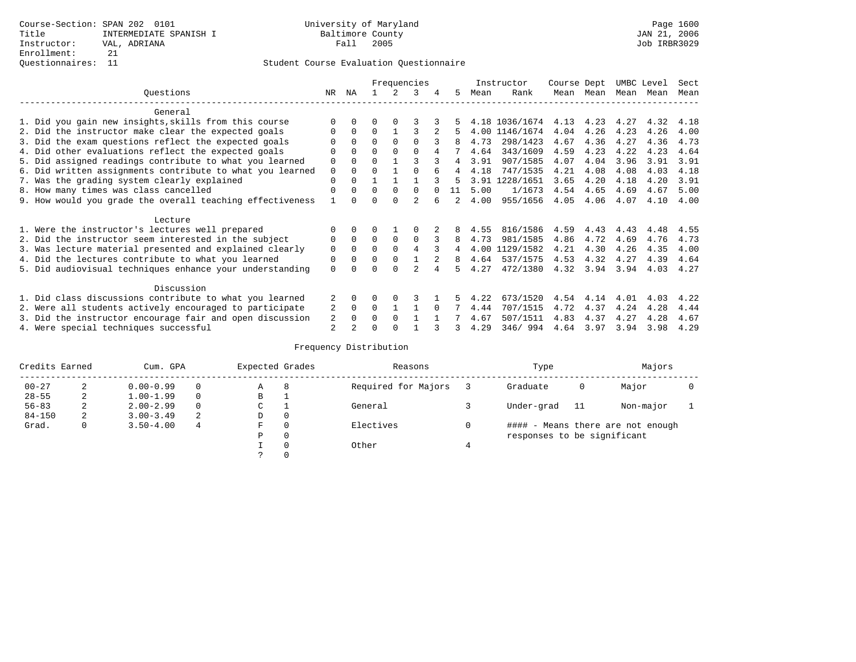|                                                           |          |              |          |          | Frequencies    |   |    |      | Instructor     | Course Dept |      | UMBC Level |      | Sect |
|-----------------------------------------------------------|----------|--------------|----------|----------|----------------|---|----|------|----------------|-------------|------|------------|------|------|
| Ouestions                                                 | NR.      | ΝA           |          |          | २              | 4 | 5  | Mean | Rank           | Mean        | Mean | Mean Mean  |      | Mean |
| General                                                   |          |              |          |          |                |   |    |      |                |             |      |            |      |      |
| 1. Did you gain new insights, skills from this course     |          |              |          |          |                |   |    |      | 4.18 1036/1674 | 4.13        | 4.23 | 4.27       | 4.32 | 4.18 |
| 2. Did the instructor make clear the expected goals       |          | $\Omega$     | $\Omega$ |          |                |   |    |      | 4.00 1146/1674 | 4.04        | 4.26 | 4.23       | 4.26 | 4.00 |
| 3. Did the exam questions reflect the expected goals      |          | $\Omega$     | 0        | $\Omega$ | $\Omega$       |   |    | 4.73 | 298/1423       | 4.67        | 4.36 | 4.27       | 4.36 | 4.73 |
| 4. Did other evaluations reflect the expected goals       | 0        | $\Omega$     | 0        | $\Omega$ | $\Omega$       |   |    | 4.64 | 343/1609       | 4.59        | 4.23 | 4.22       | 4.23 | 4.64 |
| 5. Did assigned readings contribute to what you learned   | 0        | $\Omega$     | U        |          |                |   |    | 3.91 | 907/1585       | 4.07        | 4.04 | 3.96       | 3.91 | 3.91 |
| 6. Did written assignments contribute to what you learned | 0        | $\Omega$     |          |          |                |   |    | 4.18 | 747/1535       | 4.21        | 4.08 | 4.08       | 4.03 | 4.18 |
| 7. Was the grading system clearly explained               | $\Omega$ | $\Omega$     |          |          |                |   | 5  |      | 3.91 1228/1651 | 3.65        | 4.20 | 4.18       | 4.20 | 3.91 |
| 8. How many times was class cancelled                     | $\Omega$ | $\Omega$     | $\Omega$ | $\Omega$ | 0              |   | 11 | 5.00 | 1/1673         | 4.54        | 4.65 | 4.69       | 4.67 | 5.00 |
| 9. How would you grade the overall teaching effectiveness |          |              |          |          | $\mathfrak{D}$ |   | 2  | 4.00 | 955/1656       | 4.05        | 4.06 | 4.07       | 4.10 | 4.00 |
| Lecture                                                   |          |              |          |          |                |   |    |      |                |             |      |            |      |      |
| 1. Were the instructor's lectures well prepared           |          |              |          |          |                |   |    | 4.55 | 816/1586       | 4.59        | 4.43 | 4.43       | 4.48 | 4.55 |
| 2. Did the instructor seem interested in the subject      | 0        | $\mathbf{0}$ | $\Omega$ | $\Omega$ | $\Omega$       |   | 8  | 4.73 | 981/1585       | 4.86        | 4.72 | 4.69       | 4.76 | 4.73 |
| 3. Was lecture material presented and explained clearly   | 0        | $\Omega$     | U        |          | 4              |   |    | 4.00 | 1129/1582      | 4.21        | 4.30 | 4.26       | 4.35 | 4.00 |
| 4. Did the lectures contribute to what you learned        | 0        | $\Omega$     | U        | $\Omega$ |                |   | 8  | 4.64 | 537/1575       | 4.53        | 4.32 | 4.27       | 4.39 | 4.64 |
| 5. Did audiovisual techniques enhance your understanding  | $\Omega$ |              |          | U        |                |   |    | 4.27 | 472/1380       | 4.32        | 3.94 | 3.94       | 4.03 | 4.27 |
| Discussion                                                |          |              |          |          |                |   |    |      |                |             |      |            |      |      |
| 1. Did class discussions contribute to what you learned   |          | 0            | O        | $\Omega$ | 3              |   |    | 4.22 | 673/1520       | 4.54        | 4.14 | 4.01       | 4.03 | 4.22 |
| 2. Were all students actively encouraged to participate   | 2        | $\Omega$     | 0        |          |                |   |    | 4.44 | 707/1515       | 4.72        | 4.37 | 4.24       | 4.28 | 4.44 |
| 3. Did the instructor encourage fair and open discussion  | 2        | $\Omega$     | U        | $\Omega$ |                |   |    | 4.67 | 507/1511       | 4.83        | 4.37 | 4.27       | 4.28 | 4.67 |
| 4. Were special techniques successful                     | 2        |              |          |          |                |   | 3  | 4.29 | 346/994        | 4.64        | 3.97 | 3.94       | 3.98 | 4.29 |

| Credits Earned |   | Cum. GPA      |          | Expected Grades |              | Reasons             | Type                        |     | Majors                            |  |
|----------------|---|---------------|----------|-----------------|--------------|---------------------|-----------------------------|-----|-----------------------------------|--|
| $00 - 27$      | 2 | $0.00 - 0.99$ | $\Omega$ | А               | 8            | Required for Majors | Graduate                    | 0   | Major                             |  |
| $28 - 55$      | 2 | $1.00 - 1.99$ | $\Omega$ | В               | ᅩ            |                     |                             |     |                                   |  |
| $56 - 83$      | 2 | $2.00 - 2.99$ | $\Omega$ | С               |              | General             | Under-grad                  | -11 | Non-major                         |  |
| $84 - 150$     | 2 | $3.00 - 3.49$ | 2        | D               | 0            |                     |                             |     |                                   |  |
| Grad.          | 0 | $3.50 - 4.00$ | 4        | F               | $\mathbf{0}$ | Electives           |                             |     | #### - Means there are not enough |  |
|                |   |               |          | Ρ               | $\mathbf{0}$ |                     | responses to be significant |     |                                   |  |
|                |   |               |          |                 | 0            | Other               |                             |     |                                   |  |
|                |   |               |          |                 | 0            |                     |                             |     |                                   |  |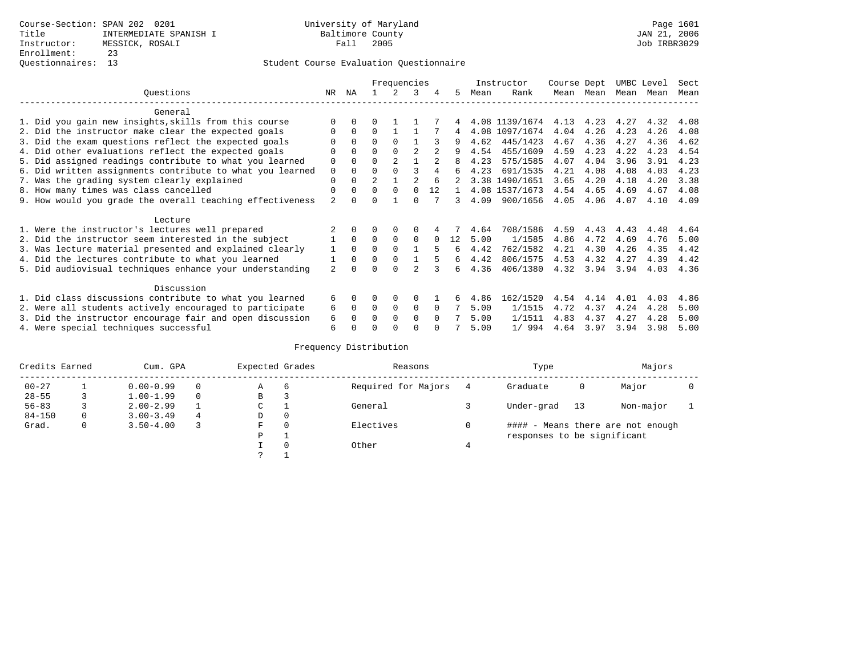|                                                           |                |              |          | Frequencies    |          |          |    |      | Instructor     | Course Dept |      | UMBC Level |      | Sect |
|-----------------------------------------------------------|----------------|--------------|----------|----------------|----------|----------|----|------|----------------|-------------|------|------------|------|------|
| Ouestions                                                 | NR.            | ΝA           |          |                | 3        | 4        | 5  | Mean | Rank           | Mean        | Mean | Mean       | Mean | Mean |
| General                                                   |                |              |          |                |          |          |    |      |                |             |      |            |      |      |
| 1. Did you gain new insights, skills from this course     |                | 0            | U        |                |          |          |    |      | 4.08 1139/1674 | 4.13        | 4.23 | 4.27       | 4.32 | 4.08 |
| 2. Did the instructor make clear the expected goals       |                | $\Omega$     | $\Omega$ |                |          |          | 4  |      | 4.08 1097/1674 | 4.04        | 4.26 | 4.23       | 4.26 | 4.08 |
| 3. Did the exam questions reflect the expected goals      |                | $\Omega$     | $\Omega$ | $\Omega$       |          |          | 9  | 4.62 | 445/1423       | 4.67        | 4.36 | 4.27       | 4.36 | 4.62 |
| 4. Did other evaluations reflect the expected goals       | U              | $\Omega$     | 0        | $\Omega$       | 2        |          | q  | 4.54 | 455/1609       | 4.59        | 4.23 | 4.22       | 4.23 | 4.54 |
| 5. Did assigned readings contribute to what you learned   | 0              | 0            | 0        | $\overline{2}$ |          |          |    | 4.23 | 575/1585       | 4.07        | 4.04 | 3.96       | 3.91 | 4.23 |
| 6. Did written assignments contribute to what you learned | 0              | $\Omega$     | U        |                |          |          | б. | 4.23 | 691/1535       | 4.21        | 4.08 | 4.08       | 4.03 | 4.23 |
| 7. Was the grading system clearly explained               | 0              |              |          |                |          | 6        |    |      | 3.38 1490/1651 | 3.65        | 4.20 | 4.18       | 4.20 | 3.38 |
| 8. How many times was class cancelled                     | 0              | $\Omega$     | $\Omega$ | $\Omega$       | $\Omega$ | 12       |    |      | 4.08 1537/1673 | 4.54        | 4.65 | 4.69       | 4.67 | 4.08 |
| 9. How would you grade the overall teaching effectiveness | $\overline{a}$ |              |          |                | U        |          | 3  | 4.09 | 900/1656       | 4.05        | 4.06 | 4.07       | 4.10 | 4.09 |
|                                                           |                |              |          |                |          |          |    |      |                |             |      |            |      |      |
| Lecture                                                   |                |              |          |                |          |          |    |      |                |             |      |            |      |      |
| 1. Were the instructor's lectures well prepared           |                |              |          |                |          |          |    | 4.64 | 708/1586       | 4.59        | 4.43 | 4.43       | 4.48 | 4.64 |
| 2. Did the instructor seem interested in the subject      |                | $\Omega$     | 0        | $\Omega$       | $\Omega$ |          | 12 | 5.00 | 1/1585         | 4.86        | 4.72 | 4.69       | 4.76 | 5.00 |
| 3. Was lecture material presented and explained clearly   |                | $\Omega$     | $\Omega$ | $\Omega$       |          | 5        | 6  | 4.42 | 762/1582       | 4.21        | 4.30 | 4.26       | 4.35 | 4.42 |
| 4. Did the lectures contribute to what you learned        |                | $\Omega$     | $\Omega$ | $\Omega$       |          |          | 6  | 4.42 | 806/1575       | 4.53        | 4.32 | 4.27       | 4.39 | 4.42 |
| 5. Did audiovisual techniques enhance your understanding  | $\mathfrak{D}$ |              |          |                |          |          | б. | 4.36 | 406/1380       | 4.32        | 3.94 | 3.94       | 4.03 | 4.36 |
|                                                           |                |              |          |                |          |          |    |      |                |             |      |            |      |      |
| Discussion                                                |                |              |          |                |          |          |    |      |                |             |      |            |      |      |
| 1. Did class discussions contribute to what you learned   | б.             | <sup>0</sup> | 0        | $\Omega$       | $\Omega$ |          |    | 4.86 | 162/1520       | 4.54        | 4.14 | 4.01       | 4.03 | 4.86 |
| 2. Were all students actively encouraged to participate   | 6              | $\Omega$     | 0        | 0              | 0        | $\Omega$ |    | 5.00 | 1/1515         | 4.72        | 4.37 | 4.24       | 4.28 | 5.00 |
| 3. Did the instructor encourage fair and open discussion  | 6              |              |          | $\Omega$       | $\Omega$ |          |    | 5.00 | 1/1511         | 4.83        | 4.37 | 4.27       | 4.28 | 5.00 |
| 4. Were special techniques successful                     | 6              |              |          |                |          |          |    | 5.00 | 1/994          | 4.64        | 3.97 | 3.94       | 3.98 | 5.00 |

| Credits Earned |   | Cum. GPA      |   | Expected Grades |          | Reasons             | Type                        |    | Majors                            |  |
|----------------|---|---------------|---|-----------------|----------|---------------------|-----------------------------|----|-----------------------------------|--|
| $00 - 27$      |   | $0.00 - 0.99$ |   | Α               | 6        | Required for Majors | Graduate                    | 0  | Major                             |  |
| $28 - 55$      |   | $1.00 - 1.99$ |   | B               | 3        |                     |                             |    |                                   |  |
| $56 - 83$      |   | $2.00 - 2.99$ |   | ◡               |          | General             | Under-grad                  | 13 | Non-major                         |  |
| $84 - 150$     | 0 | $3.00 - 3.49$ | 4 | D               | 0        |                     |                             |    |                                   |  |
| Grad.          | 0 | $3.50 - 4.00$ |   | F               | $\Omega$ | Electives           |                             |    | #### - Means there are not enough |  |
|                |   |               |   | Ρ               |          |                     | responses to be significant |    |                                   |  |
|                |   |               |   |                 | $\Omega$ | Other               |                             |    |                                   |  |
|                |   |               |   | っ               |          |                     |                             |    |                                   |  |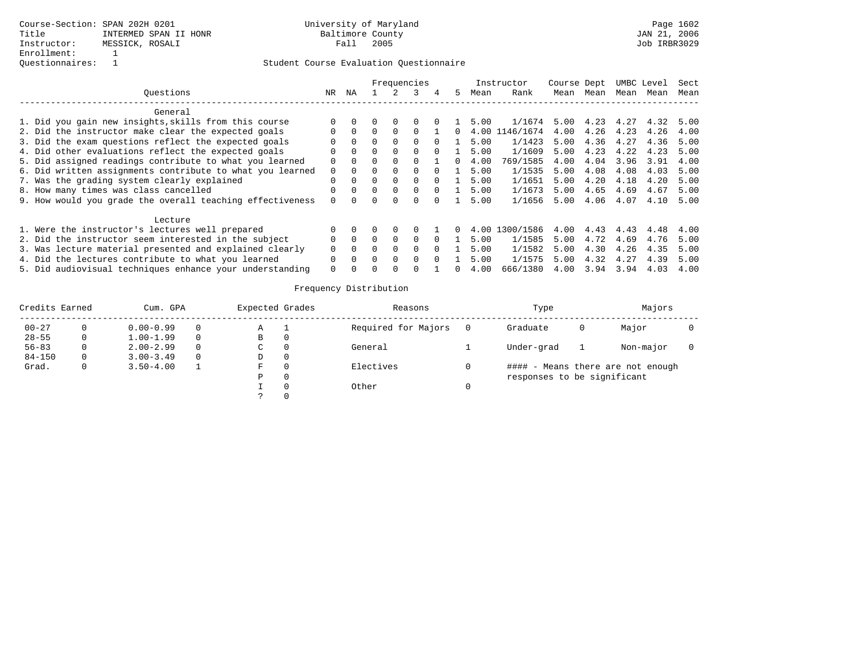|                                                           |              |          |              |              | Frequencies  |              |    |      | Instructor | Course Dept |      |      | UMBC Level | Sect |
|-----------------------------------------------------------|--------------|----------|--------------|--------------|--------------|--------------|----|------|------------|-------------|------|------|------------|------|
| Ouestions                                                 | NR           | ΝA       |              |              |              | 4            | 5. | Mean | Rank       | Mean        | Mean | Mean | Mean       | Mean |
| General                                                   |              |          |              |              |              |              |    |      |            |             |      |      |            |      |
| 1. Did you gain new insights, skills from this course     | $\Omega$     |          |              |              |              |              |    | 5.00 | 1/1674     | 5.00        | 4.23 | 4.27 | 4.32       | 5.00 |
| 2. Did the instructor make clear the expected goals       | <sup>n</sup> | $\Omega$ | 0            |              |              |              |    | 4.00 | 46/1674    | 4.00        | 4.26 | 4.23 | 4.26       | 4.00 |
| 3. Did the exam questions reflect the expected goals      |              | $\Omega$ | 0            |              | <sup>0</sup> |              |    | 5.00 | 1/1423     | 5.00        | 4.36 | 4.27 | 4.36       | 5.00 |
| 4. Did other evaluations reflect the expected goals       | $\Omega$     | $\Omega$ | 0            | 0            | 0            |              |    | 5.00 | 1/1609     | 5.00        | 4.23 | 4.22 | 4.23       | 5.00 |
| 5. Did assigned readings contribute to what you learned   | $\Omega$     | $\Omega$ | 0            |              |              |              |    | 4.00 | 769/1585   | 4.00        | 4.04 | 3.96 | 3.91       | 4.00 |
| 6. Did written assignments contribute to what you learned | $\Omega$     |          |              |              | $\Omega$     |              |    | 5.00 | 1/1535     | 5.00        | 4.08 | 4.08 | 4.03       | 5.00 |
| 7. Was the grading system clearly explained               | $\Omega$     |          | 0            | $\Omega$     | $\Omega$     |              |    | 5.00 | 1/1651     | 5.00        | 4.20 | 4.18 | 4.20       | 5.00 |
| 8. How many times was class cancelled                     | $\Omega$     | $\cap$   | $\Omega$     | $\Omega$     | $\Omega$     | <sup>0</sup> |    | 5.00 | 1/1673     | 5.00        | 4.65 | 4.69 | 4.67       | 5.00 |
| 9. How would you grade the overall teaching effectiveness | $\Omega$     |          |              |              |              |              |    | 5.00 | 1/1656     | 5.00        | 4.06 | 4.07 | 4.10       | 5.00 |
| Lecture                                                   |              |          |              |              |              |              |    |      |            |             |      |      |            |      |
| 1. Were the instructor's lectures well prepared           | $\Omega$     |          |              | <sup>0</sup> |              |              |    | 4.00 | 1300/1586  | 4.00        | 4.43 | 4.43 | 4.48       | 4.00 |
| 2. Did the instructor seem interested in the subject      | $\Omega$     |          | 0            | $\Omega$     | $\Omega$     |              |    | 5.00 | 1/1585     | 5.00        | 4.72 | 4.69 | 4.76       | 5.00 |
| 3. Was lecture material presented and explained clearly   |              | $\Omega$ | 0            |              | <sup>0</sup> |              |    | 5.00 | 1/1582     | 5.00        | 4.30 | 4.26 | 4.35       | 5.00 |
| 4. Did the lectures contribute to what you learned        | $\Omega$     |          | <sup>n</sup> | $\Omega$     | <sup>0</sup> | <sup>0</sup> |    | 5.00 | 1/1575     | 5.00        | 4.32 | 4.27 | 4.39       | 5.00 |
| 5. Did audiovisual techniques enhance your understanding  | $\Omega$     |          |              |              |              |              |    | 4.00 | 666/1380   | 4.00        | 3.94 | 3.94 | 4.03       | 4.00 |

| Credits Earned |   | Cum. GPA      |          | Expected Grades |          | Reasons             | Type                        |   | Majors                            |  |
|----------------|---|---------------|----------|-----------------|----------|---------------------|-----------------------------|---|-----------------------------------|--|
| $00 - 27$      |   | $0.00 - 0.99$ | 0        | Α               |          | Required for Majors | Graduate                    | O | Major                             |  |
| $28 - 55$      |   | $1.00 - 1.99$ | 0        | В               |          |                     |                             |   |                                   |  |
| $56 - 83$      |   | $2.00 - 2.99$ | $\Omega$ | C.              |          | General             | Under-grad                  |   | Non-major                         |  |
| $84 - 150$     | 0 | $3.00 - 3.49$ | $\Omega$ | D               |          |                     |                             |   |                                   |  |
| Grad.          |   | $3.50 - 4.00$ |          | F               |          | Electives           |                             |   | #### - Means there are not enough |  |
|                |   |               |          | P               | $\Omega$ |                     | responses to be significant |   |                                   |  |
|                |   |               |          |                 |          | Other               |                             |   |                                   |  |
|                |   |               |          |                 |          |                     |                             |   |                                   |  |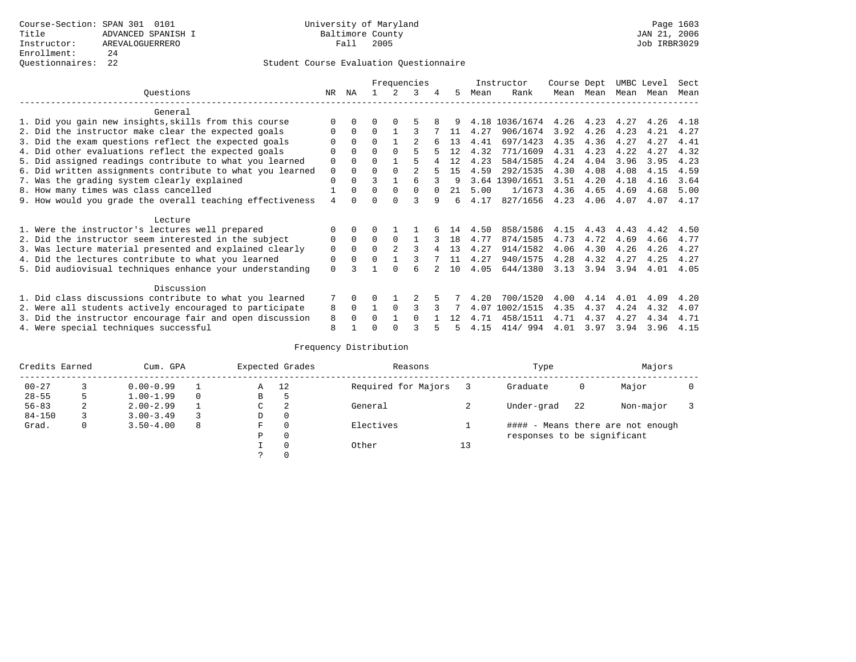|                                                           |             |          |          |                | Frequencies    |   |    |      | Instructor     | Course Dept |           | UMBC Level |      | Sect |
|-----------------------------------------------------------|-------------|----------|----------|----------------|----------------|---|----|------|----------------|-------------|-----------|------------|------|------|
| Ouestions                                                 | NR          | ΝA       |          |                | 3              | 4 | 5. | Mean | Rank           |             | Mean Mean | Mean       | Mean | Mean |
| General                                                   |             |          |          |                |                |   |    |      |                |             |           |            |      |      |
| 1. Did you gain new insights, skills from this course     |             | $\Omega$ | 0        | $\Omega$       |                |   |    |      | 4.18 1036/1674 | 4.26        | 4.23      | 4.27       | 4.26 | 4.18 |
| 2. Did the instructor make clear the expected goals       | O           | $\Omega$ | $\Omega$ |                |                |   | 11 | 4.27 | 906/1674       | 3.92        | 4.26      | 4.23       | 4.21 | 4.27 |
| 3. Did the exam questions reflect the expected goals      |             | $\Omega$ | $\Omega$ |                |                |   | 13 | 4.41 | 697/1423       | 4.35        | 4.36      | 4.27       | 4.27 | 4.41 |
| 4. Did other evaluations reflect the expected goals       | O           | $\Omega$ | 0        | $\Omega$       |                |   | 12 | 4.32 | 771/1609       | 4.31        | 4.23      | 4.22       | 4.27 | 4.32 |
| 5. Did assigned readings contribute to what you learned   | 0           | $\Omega$ | 0        |                | 5              |   | 12 | 4.23 | 584/1585       | 4.24        | 4.04      | 3.96       | 3.95 | 4.23 |
| 6. Did written assignments contribute to what you learned | $\mathbf 0$ | $\Omega$ | 0        | $\Omega$       | $\mathfrak{D}$ |   | 15 | 4.59 | 292/1535       | 4.30        | 4.08      | 4.08       | 4.15 | 4.59 |
| 7. Was the grading system clearly explained               | $\Omega$    | $\Omega$ | ς        |                |                |   | q  |      | 3.64 1390/1651 | 3.51        | 4.20      | 4.18       | 4.16 | 3.64 |
| 8. How many times was class cancelled                     |             | $\Omega$ | 0        | $\Omega$       | 0              |   | 21 | 5.00 | 1/1673         | 4.36        | 4.65      | 4.69       | 4.68 | 5.00 |
| 9. How would you grade the overall teaching effectiveness | 4           | $\cap$   |          | U              |                | 9 | 6  | 4.17 | 827/1656       | 4.23        | 4.06      | 4.07       | 4.07 | 4.17 |
| Lecture                                                   |             |          |          |                |                |   |    |      |                |             |           |            |      |      |
| 1. Were the instructor's lectures well prepared           | O           |          |          |                |                |   | 14 | 4.50 | 858/1586       | 4.15        | 4.43      | 4.43       | 4.42 | 4.50 |
| 2. Did the instructor seem interested in the subject      | 0           | $\Omega$ | $\Omega$ | $\Omega$       |                |   | 18 | 4.77 | 874/1585       | 4.73        | 4.72      | 4.69       | 4.66 | 4.77 |
| 3. Was lecture material presented and explained clearly   | 0           | $\Omega$ | $\Omega$ | $\mathfrak{D}$ |                |   | 13 | 4.27 | 914/1582       | 4.06        | 4.30      | 4.26       | 4.26 | 4.27 |
| 4. Did the lectures contribute to what you learned        | 0           | $\Omega$ |          |                |                |   | 11 | 4.27 | 940/1575       | 4.28        | 4.32      | 4.27       | 4.25 | 4.27 |
| 5. Did audiovisual techniques enhance your understanding  | $\Omega$    |          |          |                | б              |   | 10 | 4.05 | 644/1380       | 3.13        | 3.94      | 3.94       | 4.01 | 4.05 |
| Discussion                                                |             |          |          |                |                |   |    |      |                |             |           |            |      |      |
| 1. Did class discussions contribute to what you learned   |             | $\Omega$ | O        |                |                |   |    | 4.20 | 700/1520       | 4.00        | 4.14      | 4.01       | 4.09 | 4.20 |
| 2. Were all students actively encouraged to participate   | 8           | $\Omega$ |          | $\Omega$       |                |   |    | 4.07 | 1002/1515      | 4.35        | 4.37      | 4.24       | 4.32 | 4.07 |
| 3. Did the instructor encourage fair and open discussion  | 8           | $\Omega$ | U        |                | <sup>0</sup>   |   | 12 | 4.71 | 458/1511       | 4.71        | 4.37      | 4.27       | 4.34 | 4.71 |
| 4. Were special techniques successful                     | 8           |          |          |                |                |   |    | 4.15 | 414/994        | 4.01        | 3.97      | 3.94       | 3.96 | 4.15 |

| Credits Earned |   | Cum. GPA      |   |             | Expected Grades | Reasons             |    | Type                        |    | Majors                            |  |
|----------------|---|---------------|---|-------------|-----------------|---------------------|----|-----------------------------|----|-----------------------------------|--|
| $00 - 27$      |   | $0.00 - 0.99$ |   | Α           | 12              | Required for Majors |    | Graduate                    | 0  | Major                             |  |
| $28 - 55$      | 5 | $1.00 - 1.99$ |   | В           | 5               |                     |    |                             |    |                                   |  |
| $56 - 83$      | 2 | $2.00 - 2.99$ |   | $\sim$<br>◡ | 2               | General             |    | Under-grad                  | 22 | Non-major                         |  |
| $84 - 150$     |   | $3.00 - 3.49$ |   | D           | 0               |                     |    |                             |    |                                   |  |
| Grad.          | 0 | $3.50 - 4.00$ | 8 | F           | 0               | Electives           |    |                             |    | #### - Means there are not enough |  |
|                |   |               |   | Ρ           | 0               |                     |    | responses to be significant |    |                                   |  |
|                |   |               |   |             | $\Omega$        | Other               | 13 |                             |    |                                   |  |
|                |   |               |   |             |                 |                     |    |                             |    |                                   |  |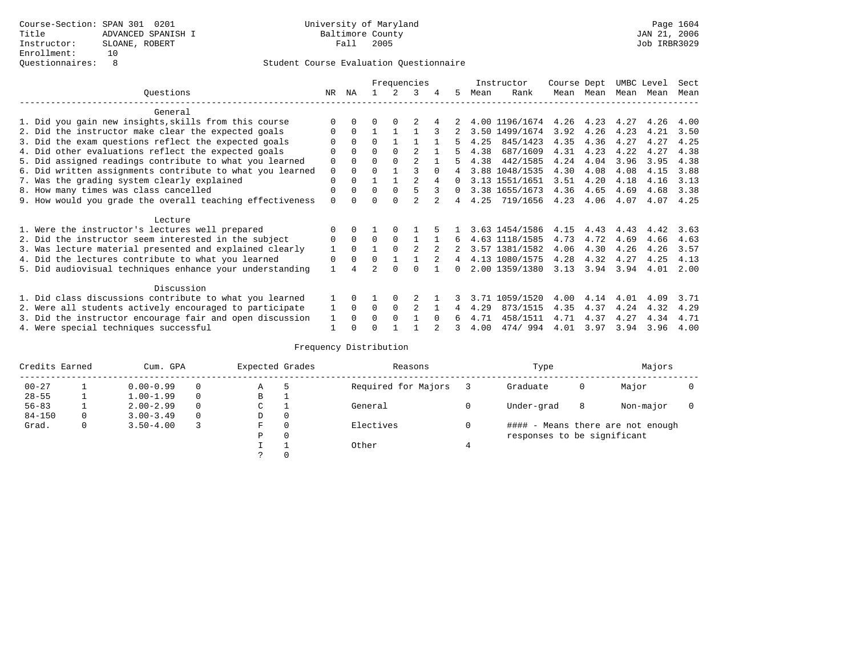|                                                           |              |              |          |          | Frequencies    |          |              |      | Instructor     | Course Dept |               | UMBC Level |      | Sect |
|-----------------------------------------------------------|--------------|--------------|----------|----------|----------------|----------|--------------|------|----------------|-------------|---------------|------------|------|------|
| Ouestions                                                 | NR.          | ΝA           |          |          | 3              |          | 5.           | Mean | Rank           | Mean        | Mean          | Mean       | Mean | Mean |
| General                                                   |              |              |          |          |                |          |              |      |                |             |               |            |      |      |
| 1. Did you gain new insights, skills from this course     |              | 0            | O        | $\Omega$ |                |          |              |      | 4.00 1196/1674 |             | $4.26$ $4.23$ | 4.27       | 4.26 | 4.00 |
| 2. Did the instructor make clear the expected goals       | O            | $\Omega$     |          |          |                |          |              |      | 3.50 1499/1674 | 3.92        | 4.26          | 4.23       | 4.21 | 3.50 |
| 3. Did the exam questions reflect the expected goals      |              | $\Omega$     | $\Omega$ |          |                |          | 5.           | 4.25 | 845/1423       | 4.35        | 4.36          | 4.27       | 4.27 | 4.25 |
| 4. Did other evaluations reflect the expected goals       | O            | $\Omega$     | $\Omega$ | $\Omega$ |                |          |              | 4.38 | 687/1609       | 4.31        | 4.23          | 4.22       | 4.27 | 4.38 |
| 5. Did assigned readings contribute to what you learned   | $\mathbf 0$  | $\Omega$     | $\Omega$ |          | $\mathfrak{D}$ |          |              | 4.38 | 442/1585       | 4.24        | 4.04          | 3.96       | 3.95 | 4.38 |
| 6. Did written assignments contribute to what you learned | $\mathbf 0$  | $\Omega$     |          |          |                | $\Omega$ |              |      | 3.88 1048/1535 | 4.30        | 4.08          | 4.08       | 4.15 | 3.88 |
| 7. Was the grading system clearly explained               | $\Omega$     |              |          |          |                | 4        | $\Omega$     |      | 3.13 1551/1651 | 3.51        | 4.20          | 4.18       | 4.16 | 3.13 |
| 8. How many times was class cancelled                     | 0            | $\Omega$     | $\Omega$ | $\Omega$ |                | 3        | $\Omega$     |      | 3.38 1655/1673 | 4.36        | 4.65          | 4.69       | 4.68 | 3.38 |
| 9. How would you grade the overall teaching effectiveness | $\Omega$     | <sup>n</sup> | U        | $\cap$   |                |          | 4            | 4.25 | 719/1656       | 4.23        | 4.06          | 4.07       | 4.07 | 4.25 |
|                                                           |              |              |          |          |                |          |              |      |                |             |               |            |      |      |
| Lecture                                                   |              |              |          |          |                |          |              |      |                |             |               |            |      |      |
| 1. Were the instructor's lectures well prepared           |              |              |          |          |                |          |              |      | 3.63 1454/1586 | 4.15        | 4.43          | 4.43       | 4.42 | 3.63 |
| 2. Did the instructor seem interested in the subject      | 0            | $\Omega$     | $\Omega$ | $\Omega$ |                |          | 6            |      | 4.63 1118/1585 | 4.73        | 4.72          | 4.69       | 4.66 | 4.63 |
| 3. Was lecture material presented and explained clearly   | 1            | $\Omega$     |          | $\Omega$ | $\mathfrak{D}$ |          |              |      | 3.57 1381/1582 | 4.06        | 4.30          | 4.26       | 4.26 | 3.57 |
| 4. Did the lectures contribute to what you learned        | 0            | $\Omega$     | $\Omega$ |          |                |          | 4            |      | 4.13 1080/1575 | 4.28        | 4.32          | 4.27       | 4.25 | 4.13 |
| 5. Did audiovisual techniques enhance your understanding  | $\mathbf{1}$ |              |          |          |                |          | <sup>n</sup> |      | 2.00 1359/1380 | 3.13        | 3.94          | 3.94       | 4.01 | 2.00 |
|                                                           |              |              |          |          |                |          |              |      |                |             |               |            |      |      |
| Discussion                                                |              |              |          |          |                |          |              |      |                |             |               |            |      |      |
| 1. Did class discussions contribute to what you learned   |              |              |          | $\Omega$ |                |          |              | 3.71 | 1059/1520      | 4.00        | 4.14          | 4.01       | 4.09 | 3.71 |
| 2. Were all students actively encouraged to participate   |              |              | $\Omega$ | $\Omega$ |                |          | 4            | 4.29 | 873/1515       | 4.35        | 4.37          | 4.24       | 4.32 | 4.29 |
| 3. Did the instructor encourage fair and open discussion  |              |              | 0        | $\Omega$ |                | $\Omega$ |              | 4.71 | 458/1511       | 4.71        | 4.37          | 4.27       | 4.34 | 4.71 |
| 4. Were special techniques successful                     |              |              |          |          |                |          |              | 4.00 | 474/994        | 4.01        | 3.97          | 3.94       | 3.96 | 4.00 |

| Credits Earned |   | Cum. GPA      | Expected Grades |             | Reasons |                     | Type |                             | Majors |                                   |  |
|----------------|---|---------------|-----------------|-------------|---------|---------------------|------|-----------------------------|--------|-----------------------------------|--|
| $00 - 27$      |   | $0.00 - 0.99$ |                 | Α           | 5       | Required for Majors |      | Graduate                    | 0      | Major                             |  |
| $28 - 55$      | ᅩ | $1.00 - 1.99$ |                 | В           |         |                     |      |                             |        |                                   |  |
| $56 - 83$      |   | $2.00 - 2.99$ |                 | $\sim$<br>J |         | General             |      | Under-grad                  | 8      | Non-major                         |  |
| $84 - 150$     | 0 | $3.00 - 3.49$ | $\Omega$        | D           | 0       |                     |      |                             |        |                                   |  |
| Grad.          | 0 | $3.50 - 4.00$ |                 | F           | 0       | Electives           | 0    |                             |        | #### - Means there are not enough |  |
|                |   |               |                 | Ρ           | 0       |                     |      | responses to be significant |        |                                   |  |
|                |   |               |                 |             |         | Other               |      |                             |        |                                   |  |
|                |   |               |                 |             |         |                     |      |                             |        |                                   |  |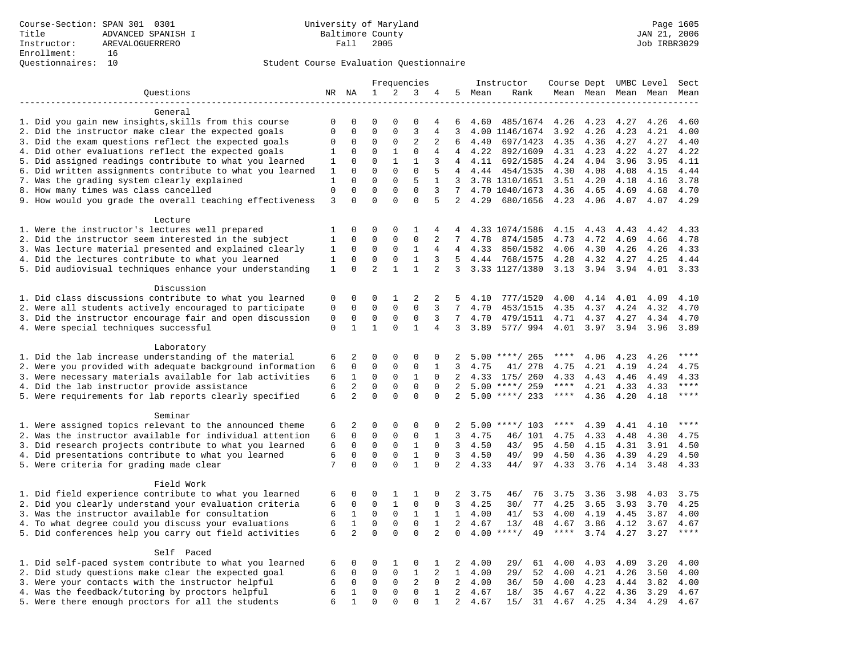|                                                                                                         |              | Frequencies    |                |              | Instructor     | Course Dept UMBC Level |                |                |                  | Sect        |      |      |                     |                        |
|---------------------------------------------------------------------------------------------------------|--------------|----------------|----------------|--------------|----------------|------------------------|----------------|----------------|------------------|-------------|------|------|---------------------|------------------------|
| Questions                                                                                               |              | NR NA          | 1              | 2            | 3              | 4                      | 5              | Mean           | Rank             |             |      |      | Mean Mean Mean Mean | Mean                   |
|                                                                                                         |              |                |                |              |                |                        |                |                |                  |             |      |      |                     |                        |
| General                                                                                                 |              |                |                |              |                |                        |                |                |                  |             |      |      |                     |                        |
| 1. Did you gain new insights, skills from this course                                                   | $\mathbf 0$  | 0              | $\mathbf 0$    | $\Omega$     | 0              | 4                      | 6              | 4.60           | 485/1674         | 4.26        | 4.23 | 4.27 | 4.26                | 4.60                   |
| 2. Did the instructor make clear the expected goals                                                     | $\mathbf 0$  | $\mathbf 0$    | $\mathbf{0}$   | $\mathbf 0$  | $\overline{3}$ | 4                      | 3              |                | 4.00 1146/1674   | 3.92        | 4.26 | 4.23 | 4.21                | 4.00                   |
| 3. Did the exam questions reflect the expected goals                                                    | 0            | 0              | 0              | $\mathbf 0$  | 2              | 2                      | 6              | 4.40           | 697/1423         | 4.35        | 4.36 | 4.27 | 4.27                | 4.40                   |
| 4. Did other evaluations reflect the expected goals                                                     | 1            | 0              | $\mathbf{0}$   | 1            | 0              | 4                      | $\overline{4}$ | 4.22           | 892/1609         | 4.31        | 4.23 | 4.22 | 4.27                | 4.22                   |
| 5. Did assigned readings contribute to what you learned                                                 | 1            | $\mathbf 0$    | $\mathbf{0}$   | $\mathbf{1}$ | $\mathbf{1}$   | 3                      | 4              | 4.11           | 692/1585         | 4.24        | 4.04 | 3.96 | 3.95                | 4.11                   |
| 6. Did written assignments contribute to what you learned                                               | 1            | 0              | $\mathbf{0}$   | $\Omega$     | $\mathbf{0}$   | 5                      | 4              | 4.44           | 454/1535         | 4.30        | 4.08 | 4.08 | 4.15                | 4.44                   |
| 7. Was the grading system clearly explained                                                             | $\mathbf{1}$ | $\Omega$       | $\Omega$       | $\Omega$     | 5              | $\mathbf 1$            | 3              |                | 3.78 1310/1651   | 3.51        | 4.20 | 4.18 | 4.16                | 3.78                   |
| 8. How many times was class cancelled                                                                   | $\Omega$     | $\Omega$       | $\Omega$       | $\Omega$     | $\Omega$       | 3                      | 7              |                | 4.70 1040/1673   | 4.36        | 4.65 | 4.69 | 4.68                | 4.70                   |
| 9. How would you grade the overall teaching effectiveness                                               | 3            | $\Omega$       | $\Omega$       | $\Omega$     | $\Omega$       | 5                      |                | 2, 4.29        | 680/1656         | 4.23        | 4.06 | 4.07 | 4.07                | 4.29                   |
|                                                                                                         |              |                |                |              |                |                        |                |                |                  |             |      |      |                     |                        |
| Lecture                                                                                                 | 1            | 0              | $\mathbf 0$    | $\Omega$     | 1              | 4                      | 4              |                | 4.33 1074/1586   | 4.15        | 4.43 | 4.43 | 4.42                | 4.33                   |
| 1. Were the instructor's lectures well prepared<br>2. Did the instructor seem interested in the subject | $\mathbf{1}$ | $\mathbf 0$    | $\mathbf{0}$   | $\Omega$     | $\mathbf{0}$   | 2                      | 7              | 4.78           |                  | 4.73        | 4.72 | 4.69 | 4.66                | 4.78                   |
|                                                                                                         |              |                | $\mathbf 0$    |              | $\mathbf{1}$   | 4                      | 4              | 4.33           | 874/1585         |             |      |      |                     |                        |
| 3. Was lecture material presented and explained clearly                                                 | 1            | 0              |                | 0            |                |                        |                |                | 850/1582         | 4.06        | 4.30 | 4.26 | 4.26                | 4.33                   |
| 4. Did the lectures contribute to what you learned                                                      | $\mathbf{1}$ | $\mathbf 0$    | $\mathbf{0}$   | $\mathbf 0$  | $\mathbf{1}$   | 3                      | 5              | 4.44           | 768/1575         | 4.28        | 4.32 | 4.27 | 4.25                | 4.44                   |
| 5. Did audiovisual techniques enhance your understanding                                                | 1            | $\Omega$       | $\overline{2}$ | $\mathbf{1}$ | $\mathbf{1}$   | 2                      | 3              |                | 3.33 1127/1380   | 3.13        | 3.94 | 3.94 | 4.01                | 3.33                   |
| Discussion                                                                                              |              |                |                |              |                |                        |                |                |                  |             |      |      |                     |                        |
| 1. Did class discussions contribute to what you learned                                                 | 0            | 0              | $\Omega$       | 1            | 2              | 2                      | .5             | 4.10           | 777/1520         | 4.00        | 4.14 | 4.01 | 4.09                | 4.10                   |
| 2. Were all students actively encouraged to participate                                                 | $\mathbf 0$  | $\mathbf 0$    | $\mathbf 0$    | $\mathbf 0$  | $\mathbf 0$    | 3                      | 7              | 4.70           | 453/1515         | 4.35        | 4.37 | 4.24 | 4.32                | 4.70                   |
| 3. Did the instructor encourage fair and open discussion                                                | 0            | 0              | $\mathbf 0$    | 0            | 0              | 3                      | 7              | 4.70           | 479/1511         | 4.71        | 4.37 | 4.27 | 4.34                | 4.70                   |
| 4. Were special techniques successful                                                                   | $\mathbf 0$  | 1              | $\mathbf{1}$   | 0            | 1              | 4                      | 3              | 3.89           | 577/994          | 4.01        | 3.97 | 3.94 | 3.96                | 3.89                   |
|                                                                                                         |              |                |                |              |                |                        |                |                |                  |             |      |      |                     |                        |
| Laboratory                                                                                              |              |                |                |              |                |                        |                |                |                  |             |      |      |                     |                        |
| 1. Did the lab increase understanding of the material                                                   | 6            | 2              | $\mathbf 0$    | $\mathbf 0$  | $\mathsf 0$    | 0                      | 2              |                | $5.00$ ****/ 265 | ****        | 4.06 | 4.23 | 4.26                |                        |
| 2. Were you provided with adequate background information                                               | 6            | $\mathbf 0$    | $\mathbf 0$    | $\mathbf 0$  | $\mathsf 0$    | 1                      | 3              | 4.75           | 41/ 278          | 4.75        | 4.21 | 4.19 | 4.24                | 4.75                   |
| 3. Were necessary materials available for lab activities                                                | 6            | $\mathbf{1}$   | 0              | $\mathbf 0$  | 1              | $\Omega$               | 2              | 4.33           | 175/ 260         | 4.33        | 4.43 | 4.46 | 4.49                | 4.33                   |
| 4. Did the lab instructor provide assistance                                                            | 6            | 2              | $\mathbf{0}$   | $\Omega$     | $\Omega$       | $\Omega$               | 2              |                | $5.00$ ****/ 259 | $***$ * *   | 4.21 | 4.33 | 4.33                | $***$                  |
| 5. Were requirements for lab reports clearly specified                                                  | 6            | $\overline{2}$ | $\Omega$       | $\Omega$     | $\Omega$       | $\Omega$               | 2              |                | $5.00$ ****/ 233 | $***$ * *   | 4.36 | 4.20 | 4.18                | $***$                  |
|                                                                                                         |              |                |                |              |                |                        |                |                |                  |             |      |      |                     |                        |
| Seminar                                                                                                 |              |                |                |              |                |                        |                |                |                  |             |      |      |                     |                        |
| 1. Were assigned topics relevant to the announced theme                                                 | 6            | 2              | $\mathbf 0$    | $\mathbf 0$  | 0              | 0                      | 2              |                | $5.00$ ****/ 103 | ****        | 4.39 | 4.41 | 4.10                | $\star\star\star\star$ |
| 2. Was the instructor available for individual attention                                                | 6            | 0              | 0              | $\mathbf 0$  | $\mathbf{0}$   | 1                      | 3              | 4.75           | 46/ 101          | 4.75        | 4.33 | 4.48 | 4.30                | 4.75                   |
| 3. Did research projects contribute to what you learned                                                 | 6            | $\mathbf 0$    | $\mathbf 0$    | $\mathbf 0$  | $\mathbf{1}$   | $\mathbf 0$            | 3              | 4.50           | 43/<br>95        | 4.50        | 4.15 | 4.31 | 3.91                | 4.50                   |
| 4. Did presentations contribute to what you learned                                                     | 6            | $\mathbf 0$    | $\mathbf{0}$   | $\mathbf 0$  | $\mathbf{1}$   | $\Omega$               | 3              | 4.50           | 49/<br>99        | 4.50        | 4.36 | 4.39 | 4.29                | 4.50                   |
| 5. Were criteria for grading made clear                                                                 | 7            | $\mathbf 0$    | $\mathbf{0}$   | $\Omega$     | $\mathbf{1}$   | $\mathbf 0$            | $\overline{2}$ | 4.33           | 97<br>44/        | 4.33        | 3.76 | 4.14 | 3.48                | 4.33                   |
|                                                                                                         |              |                |                |              |                |                        |                |                |                  |             |      |      |                     |                        |
| Field Work                                                                                              |              |                |                |              |                |                        |                |                |                  |             |      |      |                     |                        |
| 1. Did field experience contribute to what you learned                                                  | 6            | 0              | 0              | 1            | 1              | 0                      | 2              | 3.75           | 46/<br>76        | 3.75        | 3.36 | 3.98 | 4.03                | 3.75                   |
| 2. Did you clearly understand your evaluation criteria                                                  | 6            | $\mathbf 0$    | $\mathbf{0}$   | $\mathbf{1}$ | $\mathbf{0}$   | $\Omega$               | 3              | 4.25           | 77<br>30/        | 4.25        | 3.65 | 3.93 | 3.70                | 4.25                   |
| 3. Was the instructor available for consultation                                                        | 6            | $\mathbf{1}$   | $\mathbf 0$    | $\mathbf 0$  | $\mathbf{1}$   | $\mathbf{1}$           |                | $1 \quad 4.00$ | 41/<br>53        | 4.00        | 4.19 | 4.45 | 3.87                | 4.00                   |
| 4. To what degree could you discuss your evaluations                                                    | 6            | $\mathbf{1}$   | $\mathbf 0$    | $\mathbf 0$  | $\mathbf 0$    | $\mathbf{1}$           | 2              | 4.67           | 13/<br>48        | 4.67        | 3.86 | 4.12 | 3.67                | 4.67                   |
| 5. Did conferences help you carry out field activities                                                  | 6            | $\overline{2}$ | $\Omega$       | $\Omega$     | $\Omega$       | 2                      | $\Omega$       | 4.00           | $***$ /<br>49    | $***$ * * * | 3.74 | 4.27 | 3.27                | $***$                  |
|                                                                                                         |              |                |                |              |                |                        |                |                |                  |             |      |      |                     |                        |
| Self Paced                                                                                              |              |                |                |              |                |                        |                |                |                  |             |      |      |                     |                        |
| 1. Did self-paced system contribute to what you learned                                                 | 6            | 0              | $\mathbf 0$    | 1            | $\mathbf 0$    | 1                      | 2              | 4.00           | 29/<br>61        | 4.00        | 4.03 | 4.09 | 3.20                | 4.00                   |
| 2. Did study questions make clear the expected goal                                                     | 6            | $\mathbf 0$    | $\mathbf 0$    | $\mathbf 0$  | $\mathbf{1}$   | 2                      |                | $1 \quad 4.00$ | 29/<br>52        | 4.00        | 4.21 | 4.26 | 3.50                | 4.00                   |
| 3. Were your contacts with the instructor helpful                                                       | 6            | $\mathbf 0$    | $\mathbf 0$    | $\mathbf 0$  | $\overline{2}$ | $\mathbf 0$            | 2              | 4.00           | 50<br>36/        | 4.00        | 4.23 | 4.44 | 3.82                | 4.00                   |
| 4. Was the feedback/tutoring by proctors helpful                                                        | 6            | 1              | $\mathbf 0$    | $\mathbf 0$  | $\mathbf 0$    | $\mathbf{1}$           | 2              | 4.67           | 18/<br>35        | 4.67        | 4.22 | 4.36 | 3.29                | 4.67                   |
| 5. Were there enough proctors for all the students                                                      | 6            | $\mathbf{1}$   | $\mathbf{0}$   | $\Omega$     | $\mathbf{0}$   | $\mathbf{1}$           | 2              | 4.67           | 15/<br>31        | 4.67 4.25   |      | 4.34 | 4.29                | 4.67                   |
|                                                                                                         |              |                |                |              |                |                        |                |                |                  |             |      |      |                     |                        |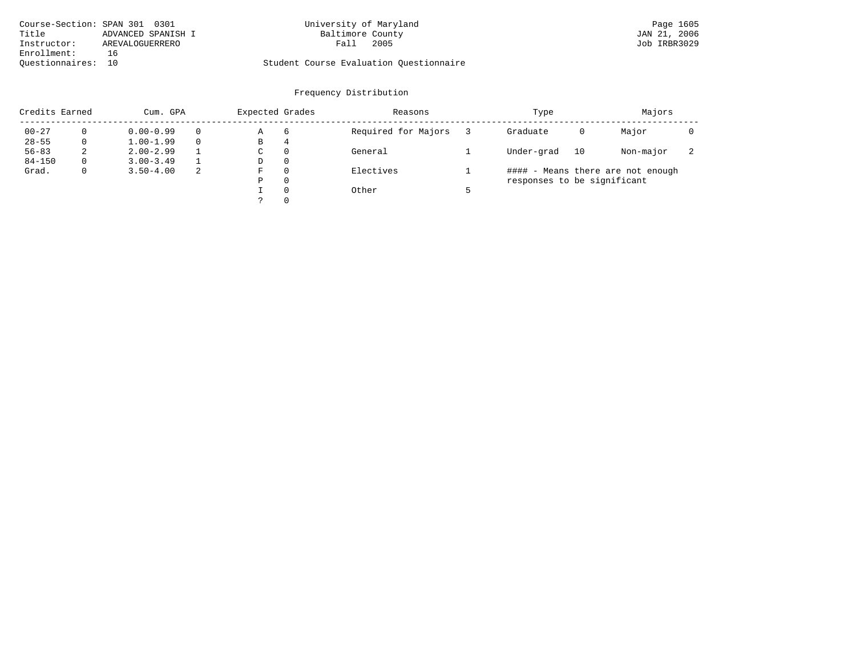| Course-Section: SPAN 301 0301 |                    | University of Maryland                  | Page 1605    |
|-------------------------------|--------------------|-----------------------------------------|--------------|
| Title                         | ADVANCED SPANISH I | Baltimore County                        | JAN 21, 2006 |
| Instructor:                   | AREVALOGUERRERO    | 2005<br>Fall                            | Job IRBR3029 |
| Enrollment:                   | 16                 |                                         |              |
| Ouestionnaires: 10            |                    | Student Course Evaluation Ouestionnaire |              |

# University of Maryland Page 1605<br>Baltimore County Band County (JAN 21, 2006

| Credits Earned |          | Cum. GPA      |    |   | Expected Grades | Reasons             | Type                        |    | Majors                            |                          |
|----------------|----------|---------------|----|---|-----------------|---------------------|-----------------------------|----|-----------------------------------|--------------------------|
| $00 - 27$      |          | $0.00 - 0.99$ |    | Α | 6               | Required for Majors | Graduate                    | 0  | Major                             |                          |
| $28 - 55$      | 0        | $1.00 - 1.99$ |    | В | 4               |                     |                             |    |                                   |                          |
| $56 - 83$      | 2        | $2.00 - 2.99$ |    | C | $\Omega$        | General             | Under-grad                  | 10 | Non-major                         | $\overline{\phantom{a}}$ |
| $84 - 150$     | $\Omega$ | $3.00 - 3.49$ |    | D | $\Omega$        |                     |                             |    |                                   |                          |
| Grad.          | 0        | $3.50 - 4.00$ | -2 | F | $\Omega$        | Electives           |                             |    | #### - Means there are not enough |                          |
|                |          |               |    | Ρ | $\Omega$        |                     | responses to be significant |    |                                   |                          |
|                |          |               |    |   | $\Omega$        | Other               |                             |    |                                   |                          |
|                |          |               |    |   | $\Omega$        |                     |                             |    |                                   |                          |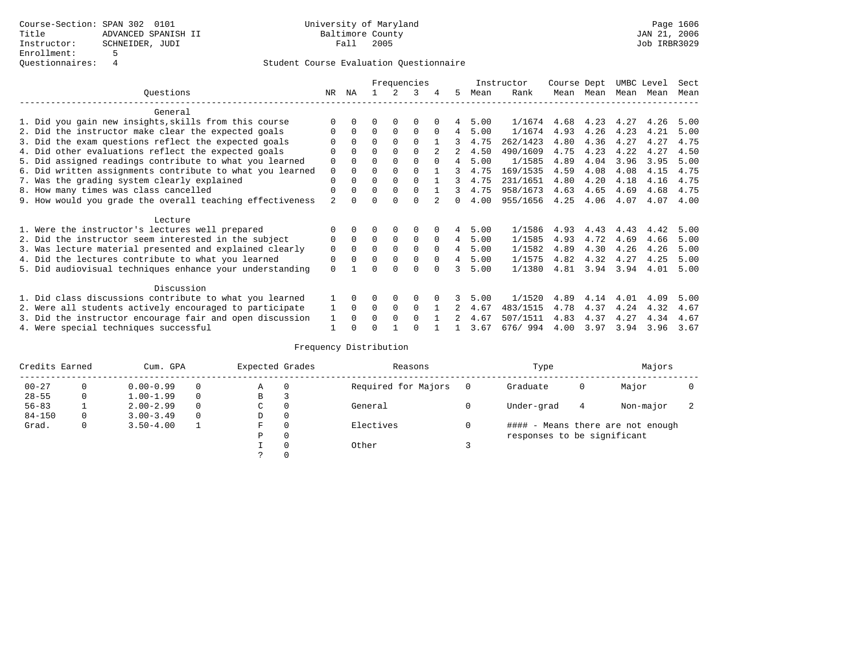|                                                           | Frequencies    |              |          |             |             |          |              |      | Instructor | Course Dept |      | UMBC Level |      | Sect |
|-----------------------------------------------------------|----------------|--------------|----------|-------------|-------------|----------|--------------|------|------------|-------------|------|------------|------|------|
| Ouestions                                                 | NR.            | ΝA           |          |             | 3           | 4        | 5.           | Mean | Rank       | Mean        | Mean | Mean       | Mean | Mean |
| General                                                   |                |              |          |             |             |          |              |      |            |             |      |            |      |      |
| 1. Did you gain new insights, skills from this course     |                | $\Omega$     | O        | $\Omega$    | $\Omega$    |          |              | 5.00 | 1/1674     | 4.68        | 4.23 | 4.27       | 4.26 | 5.00 |
| 2. Did the instructor make clear the expected goals       | O              | $\Omega$     | $\Omega$ | $\Omega$    | $\Omega$    | $\Omega$ | 4            | 5.00 | 1/1674     | 4.93        | 4.26 | 4.23       | 4.21 | 5.00 |
| 3. Did the exam questions reflect the expected goals      |                | $\Omega$     | $\Omega$ | $\Omega$    | $\Omega$    |          | 3            | 4.75 | 262/1423   | 4.80        | 4.36 | 4.27       | 4.27 | 4.75 |
| 4. Did other evaluations reflect the expected goals       | O              | $\Omega$     | $\Omega$ | $\Omega$    | $\Omega$    |          |              | 4.50 | 490/1609   | 4.75        | 4.23 | 4.22       | 4.27 | 4.50 |
| 5. Did assigned readings contribute to what you learned   | $\mathbf 0$    |              | $\Omega$ |             | $\Omega$    | $\Omega$ | 4            | 5.00 | 1/1585     | 4.89        | 4.04 | 3.96       | 3.95 | 5.00 |
| 6. Did written assignments contribute to what you learned | $\mathbf 0$    | $\Omega$     | $\Omega$ | $\Omega$    | $\Omega$    |          | 3            | 4.75 | 169/1535   | 4.59        | 4.08 | 4.08       | 4.15 | 4.75 |
| 7. Was the grading system clearly explained               | $\Omega$       | $\Omega$     | $\Omega$ | $\Omega$    | $\Omega$    |          |              | 4.75 | 231/1651   | 4.80        | 4.20 | 4.18       | 4.16 | 4.75 |
| 8. How many times was class cancelled                     | $\Omega$       | $\Omega$     | $\Omega$ | $\Omega$    | $\Omega$    |          | 3            | 4.75 | 958/1673   | 4.63        | 4.65 | 4.69       | 4.68 | 4.75 |
| 9. How would you grade the overall teaching effectiveness | $\mathfrak{D}$ | <sup>n</sup> | U        | $\cap$      | $\Omega$    |          | <sup>n</sup> | 4.00 | 955/1656   | 4.25        | 4.06 | 4.07       | 4.07 | 4.00 |
| Lecture                                                   |                |              |          |             |             |          |              |      |            |             |      |            |      |      |
| 1. Were the instructor's lectures well prepared           |                |              |          |             | $\Omega$    |          | 4            | 5.00 | 1/1586     | 4.93        | 4.43 | 4.43       | 4.42 | 5.00 |
| 2. Did the instructor seem interested in the subject      | 0              | $\Omega$     | $\Omega$ | $\mathbf 0$ | $\mathbf 0$ | $\Omega$ | 4            | 5.00 | 1/1585     | 4.93        | 4.72 | 4.69       | 4.66 | 5.00 |
| 3. Was lecture material presented and explained clearly   | $\mathbf 0$    | $\Omega$     | $\Omega$ | $\Omega$    | $\Omega$    | $\Omega$ | 4            | 5.00 | 1/1582     | 4.89        | 4.30 | 4.26       | 4.26 | 5.00 |
| 4. Did the lectures contribute to what you learned        | 0              | $\Omega$     | $\Omega$ | $\Omega$    | $\mathbf 0$ | $\Omega$ | 4            | 5.00 | 1/1575     | 4.82        | 4.32 | 4.27       | 4.25 | 5.00 |
| 5. Did audiovisual techniques enhance your understanding  | $\Omega$       |              |          |             | $\cap$      | $\cap$   | ર            | 5.00 | 1/1380     | 4.81        | 3.94 | 3.94       | 4.01 | 5.00 |
| Discussion                                                |                |              |          |             |             |          |              |      |            |             |      |            |      |      |
| 1. Did class discussions contribute to what you learned   |                |              | O        | $\Omega$    | $\Omega$    |          |              | 5.00 | 1/1520     | 4.89        | 4.14 | 4.01       | 4.09 | 5.00 |
| 2. Were all students actively encouraged to participate   |                |              | $\Omega$ | $\mathbf 0$ | $\Omega$    |          |              | 4.67 | 483/1515   | 4.78        | 4.37 | 4.24       | 4.32 | 4.67 |
| 3. Did the instructor encourage fair and open discussion  |                |              | 0        | $\Omega$    | $\Omega$    |          |              | 4.67 | 507/1511   | 4.83        | 4.37 | 4.27       | 4.34 | 4.67 |
| 4. Were special techniques successful                     | 1              |              |          |             |             |          |              | 3.67 | 676/994    | 4.00        | 3.97 | 3.94       | 3.96 | 3.67 |

| Credits Earned |          | Cum. GPA      | Expected Grades |             | Reasons  |                     | Type     |                             | Majors |                                   |  |
|----------------|----------|---------------|-----------------|-------------|----------|---------------------|----------|-----------------------------|--------|-----------------------------------|--|
| $00 - 27$      | $\Omega$ | $0.00 - 0.99$ |                 | А           | 0        | Required for Majors | $\Omega$ | Graduate                    | 0      | Major                             |  |
| $28 - 55$      | 0        | $1.00 - 1.99$ |                 | В           | 3        |                     |          |                             |        |                                   |  |
| $56 - 83$      |          | $2.00 - 2.99$ |                 | $\sim$<br>◡ | 0        | General             |          | Under-grad                  | 4      | Non-major                         |  |
| $84 - 150$     | 0        | $3.00 - 3.49$ | $\Omega$        | D           | 0        |                     |          |                             |        |                                   |  |
| Grad.          | 0        | $3.50 - 4.00$ |                 | F           | 0        | Electives           | 0        |                             |        | #### - Means there are not enough |  |
|                |          |               |                 | Ρ           | 0        |                     |          | responses to be significant |        |                                   |  |
|                |          |               |                 |             | $\Omega$ | Other               |          |                             |        |                                   |  |
|                |          |               |                 |             |          |                     |          |                             |        |                                   |  |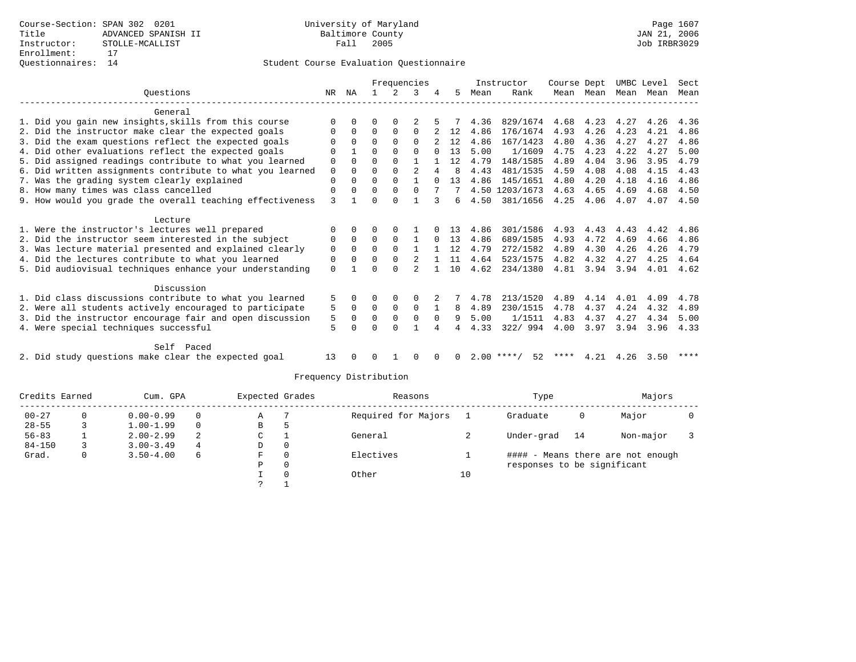|                                                     |                                                           |             |              | Frequencies |              |                |   |    |      | Instructor         | Course Dept |      | UMBC Level |      | Sect |
|-----------------------------------------------------|-----------------------------------------------------------|-------------|--------------|-------------|--------------|----------------|---|----|------|--------------------|-------------|------|------------|------|------|
|                                                     | Ouestions                                                 | NR          | ΝA           |             |              | 3              |   | 5  | Mean | Rank               | Mean        | Mean | Mean       | Mean | Mean |
|                                                     | General                                                   |             |              |             |              |                |   |    |      |                    |             |      |            |      |      |
|                                                     | 1. Did you gain new insights, skills from this course     | 0           | 0            |             |              |                |   |    | 4.36 | 829/1674           | 4.68        | 4.23 | 4.27       | 4.26 | 4.36 |
|                                                     | 2. Did the instructor make clear the expected goals       | 0           | $\Omega$     | 0           | $\Omega$     | 0              |   | 12 | 4.86 | 176/1674           | 4.93        | 4.26 | 4.23       | 4.21 | 4.86 |
|                                                     | 3. Did the exam questions reflect the expected goals      |             | $\Omega$     | $\Omega$    | $\Omega$     | $\Omega$       |   | 12 | 4.86 | 167/1423           | 4.80        | 4.36 | 4.27       | 4.27 | 4.86 |
|                                                     | 4. Did other evaluations reflect the expected goals       |             |              | 0           | $\Omega$     |                |   | 13 | 5.00 | 1/1609             | 4.75        | 4.23 | 4.22       | 4.27 | 5.00 |
|                                                     | 5. Did assigned readings contribute to what you learned   | 0           | $\Omega$     | 0           | $\Omega$     |                |   | 12 | 4.79 | 148/1585           | 4.89        | 4.04 | 3.96       | 3.95 | 4.79 |
|                                                     | 6. Did written assignments contribute to what you learned | $\mathbf 0$ | $\Omega$     | U           | $\Omega$     | 2              | 4 | 8  | 4.43 | 481/1535           | 4.59        | 4.08 | 4.08       | 4.15 | 4.43 |
|                                                     | 7. Was the grading system clearly explained               | 0           | $\Omega$     | $\Omega$    | $\Omega$     |                |   | 13 | 4.86 | 145/1651           | 4.80        | 4.20 | 4.18       | 4.16 | 4.86 |
|                                                     | 8. How many times was class cancelled                     | 0           | $\Omega$     | $\Omega$    | $\Omega$     | $\Omega$       |   |    |      | 4.50 1203/1673     | 4.63        | 4.65 | 4.69       | 4.68 | 4.50 |
|                                                     | 9. How would you grade the overall teaching effectiveness | 3           |              |             | <sup>0</sup> |                |   | б. | 4.50 | 381/1656           | 4.25        | 4.06 | 4.07       | 4.07 | 4.50 |
|                                                     | Lecture                                                   |             |              |             |              |                |   |    |      |                    |             |      |            |      |      |
|                                                     | 1. Were the instructor's lectures well prepared           | 0           | <sup>0</sup> |             |              |                |   | 13 | 4.86 | 301/1586           | 4.93        | 4.43 | 4.43       | 4.42 | 4.86 |
|                                                     | 2. Did the instructor seem interested in the subject      | 0           | $\Omega$     | 0           | $\Omega$     |                |   | 13 | 4.86 | 689/1585           | 4.93        | 4.72 | 4.69       | 4.66 | 4.86 |
|                                                     | 3. Was lecture material presented and explained clearly   | 0           | $\Omega$     | $\Omega$    | $\Omega$     |                |   | 12 | 4.79 | 272/1582           | 4.89        | 4.30 | 4.26       | 4.26 | 4.79 |
|                                                     | 4. Did the lectures contribute to what you learned        | 0           | $\Omega$     |             | 0            | 2              |   | 11 | 4.64 | 523/1575           | 4.82        | 4.32 | 4.27       | 4.25 | 4.64 |
|                                                     | 5. Did audiovisual techniques enhance your understanding  | $\Omega$    |              |             | $\Omega$     | $\mathfrak{D}$ |   | 10 | 4.62 | 234/1380           | 4.81        | 3.94 | 3.94       | 4.01 | 4.62 |
|                                                     | Discussion                                                |             |              |             |              |                |   |    |      |                    |             |      |            |      |      |
|                                                     | 1. Did class discussions contribute to what you learned   | 5           |              |             |              |                |   |    | 4.78 | 213/1520           | 4.89        | 4.14 | 4.01       | 4.09 | 4.78 |
|                                                     | 2. Were all students actively encouraged to participate   | 5           | $\Omega$     | $\Omega$    | $\Omega$     | $\Omega$       |   | 8  | 4.89 | 230/1515           | 4.78        | 4.37 | 4.24       | 4.32 | 4.89 |
|                                                     | 3. Did the instructor encourage fair and open discussion  | 5           | $\Omega$     | $\Omega$    | $\Omega$     | $\Omega$       |   | 9  | 5.00 | 1/1511             | 4.83        | 4.37 | 4.27       | 4.34 | 5.00 |
|                                                     | 4. Were special techniques successful                     | 5           | <sup>0</sup> |             | $\Omega$     |                |   |    | 4.33 | 322/994            | 4.00        | 3.97 | 3.94       | 3.96 | 4.33 |
| Self Paced                                          |                                                           |             |              |             |              |                |   |    |      |                    |             |      |            |      |      |
| 2. Did study questions make clear the expected goal |                                                           |             |              |             |              | 0              | 0 | 0  |      | 52<br>$2.00$ ****/ | ****        | 4.21 | 4.26       | 3.50 | **** |

| Credits Earned |  | Cum. GPA      | Expected Grades |   | Reasons |                     | Type |                             | Majors |                                   |  |
|----------------|--|---------------|-----------------|---|---------|---------------------|------|-----------------------------|--------|-----------------------------------|--|
| $00 - 27$      |  | $0.00 - 0.99$ | $\Omega$        | А |         | Required for Majors |      | Graduate                    | 0      | Major                             |  |
| $28 - 55$      |  | $1.00 - 1.99$ |                 | В | -5      |                     |      |                             |        |                                   |  |
| $56 - 83$      |  | $2.00 - 2.99$ |                 | C |         | General             |      | Under-grad                  | 14     | Non-major                         |  |
| $84 - 150$     |  | $3.00 - 3.49$ | 4               | D | 0       |                     |      |                             |        |                                   |  |
| Grad.          |  | $3.50 - 4.00$ | 6               | F | 0       | Electives           |      |                             |        | #### - Means there are not enough |  |
|                |  |               |                 | Р | 0       |                     |      | responses to be significant |        |                                   |  |
|                |  |               |                 |   | 0       | Other               | 10   |                             |        |                                   |  |
|                |  |               |                 |   |         |                     |      |                             |        |                                   |  |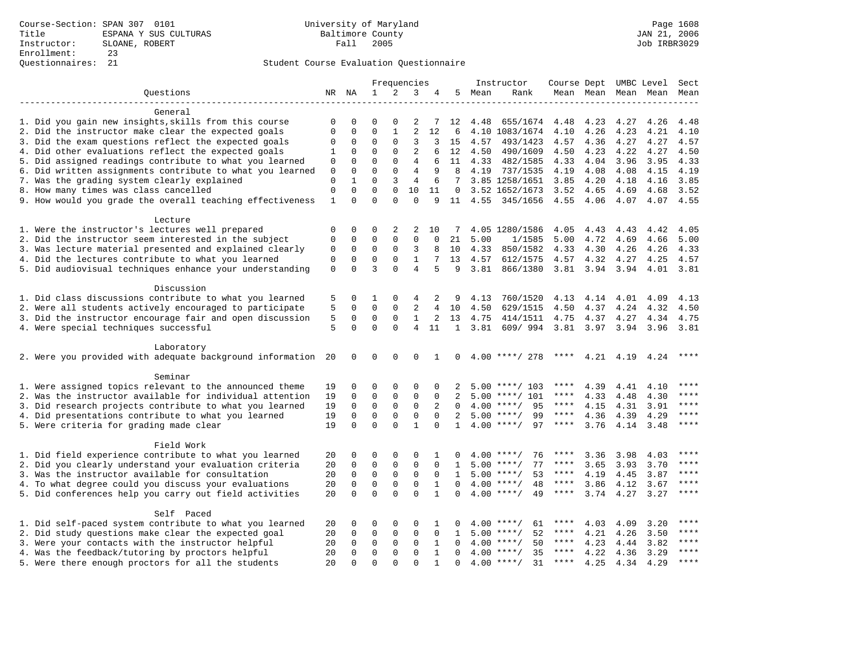|                                                                                                               |             |                      |              |              | Frequencies    |              |              |      | Instructor           | Course Dept UMBC Level Sect |               |              |                          |              |
|---------------------------------------------------------------------------------------------------------------|-------------|----------------------|--------------|--------------|----------------|--------------|--------------|------|----------------------|-----------------------------|---------------|--------------|--------------------------|--------------|
| Ouestions                                                                                                     |             | NR NA                | $\mathbf{1}$ | 2            | 3              | 4            | 5            | Mean | Rank                 |                             |               |              | Mean Mean Mean Mean Mean |              |
|                                                                                                               |             |                      |              |              |                |              |              |      |                      |                             |               |              |                          |              |
| General                                                                                                       |             |                      |              |              |                |              |              |      |                      |                             |               |              |                          |              |
| 1. Did you gain new insights, skills from this course                                                         | 0           | 0                    | $\Omega$     | 0            | 2              | 7            | 12           | 4.48 | 655/1674             | 4.48                        | 4.23          | 4.27         | 4.26                     | 4.48         |
| 2. Did the instructor make clear the expected goals                                                           | 0           | 0                    | $\mathsf 0$  | 1            | 2              | 12           | 6            |      | 4.10 1083/1674       | 4.10                        | 4.26          | 4.23         | 4.21                     | 4.10         |
| 3. Did the exam questions reflect the expected goals                                                          | 0           | 0                    | 0            | $\mathbf 0$  | 3              | 3            | 15           | 4.57 | 493/1423             | 4.57                        | 4.36          | 4.27         | 4.27                     | 4.57         |
| 4. Did other evaluations reflect the expected goals                                                           | 1           | 0                    | 0            | $\mathbf 0$  | 2              | 6            | 12           | 4.50 | 490/1609             | 4.50                        | 4.23          | 4.22         | 4.27                     | 4.50         |
| 5. Did assigned readings contribute to what you learned                                                       | $\mathbf 0$ | $\mathbf 0$          | $\mathbf 0$  | $\Omega$     | $\overline{4}$ | 6            | 11           |      | 4.33 482/1585        | 4.33                        | 4.04          | 3.96         | 3.95                     | 4.33         |
| 6. Did written assignments contribute to what you learned                                                     | 0           | $\mathbf 0$          | $\Omega$     | $\Omega$     | $\overline{4}$ | 9            | 8            | 4.19 | 737/1535             | 4.19                        | 4.08          | 4.08         | 4.15                     | 4.19         |
| 7. Was the grading system clearly explained                                                                   | $\mathbf 0$ | 1                    | $\Omega$     | 3            | $\overline{4}$ | 6            | 7            |      | 3.85 1258/1651       | 3.85                        | 4.20          | 4.18         | 4.16                     | 3.85         |
| 8. How many times was class cancelled                                                                         |             |                      | $\mathbf 0$  | 0            | 10             | 11           | 0            |      | 3.52 1652/1673       | 3.52                        | 4.65          | 4.69         | 4.68                     | 3.52         |
| 9. How would you grade the overall teaching effectiveness                                                     | 1           | $\Omega$             | $\Omega$     | $\Omega$     | $\Omega$       | 9            | 11           | 4.55 | 345/1656             | 4.55                        | 4.06          | 4.07         | 4.07                     | 4.55         |
| Lecture                                                                                                       |             |                      |              |              |                |              |              |      |                      |                             |               |              |                          |              |
| 1. Were the instructor's lectures well prepared                                                               | 0           | 0                    | 0            | 2            | 2              | 10           | 7            |      | 4.05 1280/1586       | 4.05                        | 4.43          | 4.43         | 4.42                     | 4.05         |
| 2. Did the instructor seem interested in the subject                                                          | 0           | 0                    | $\mathbf 0$  | $\mathbf{0}$ | $\mathbf 0$    | $\mathbf 0$  | 21           | 5.00 | 1/1585               | 5.00                        | 4.72          | 4.69         | 4.66                     | 5.00         |
|                                                                                                               | 0           | 0                    | 0            | 0            | 3              | 8            | 10           | 4.33 |                      |                             |               |              | 4.26                     |              |
| 3. Was lecture material presented and explained clearly<br>4. Did the lectures contribute to what you learned | 0           | 0                    | 0            | 0            | $\mathbf{1}$   | 7            | 13           | 4.57 | 850/1582<br>612/1575 | 4.33<br>4.57                | 4.30<br>4.32  | 4.26<br>4.27 | 4.25                     | 4.33<br>4.57 |
| 5. Did audiovisual techniques enhance your understanding                                                      | $\mathbf 0$ | $\Omega$             | 3            | $\Omega$     | $\overline{4}$ | 5            | 9            | 3.81 |                      |                             |               |              |                          | 3.81         |
|                                                                                                               |             |                      |              |              |                |              |              |      | 866/1380             |                             | $3.81$ $3.94$ | 3.94         | 4.01                     |              |
| Discussion                                                                                                    |             |                      |              |              |                |              |              |      |                      |                             |               |              |                          |              |
| 1. Did class discussions contribute to what you learned                                                       | 5           | 0                    | 1            | 0            | 4              | 2            | 9            | 4.13 | 760/1520             | 4.13                        | 4.14          | 4.01         | 4.09                     | 4.13         |
| 2. Were all students actively encouraged to participate                                                       | 5           | 0                    | $\mathbf 0$  | 0            | 2              | 4            | 10           | 4.50 | 629/1515             | 4.50                        | 4.37          | 4.24         | 4.32                     | 4.50         |
| 3. Did the instructor encourage fair and open discussion                                                      | 5           | $\mathbf 0$          | 0            | 0            | 1              | 2            | 13           | 4.75 | 414/1511             | 4.75                        | 4.37          | 4.27         | 4.34                     | 4.75         |
| 4. Were special techniques successful                                                                         | 5           | $\Omega$             | $\Omega$     | $\Omega$     | $\overline{4}$ | 11           | $\mathbf{1}$ | 3.81 | 609/994              | 3.81                        | 3.97          | 3.94         | 3.96                     | 3.81         |
|                                                                                                               |             |                      |              |              |                |              |              |      |                      |                             |               |              |                          |              |
| Laboratory                                                                                                    |             |                      |              |              |                |              |              |      |                      |                             |               |              |                          |              |
| 2. Were you provided with adequate background information                                                     | 20          | 0                    | 0            | 0            | 0              | 1            | 0            |      | $4.00$ ****/ 278     | ****                        | 4.21          | 4.19         | 4.24                     | $***$        |
| Seminar                                                                                                       |             |                      |              |              |                |              |              |      |                      |                             |               |              |                          |              |
| 1. Were assigned topics relevant to the announced theme                                                       | 19          | 0                    | 0            | 0            | $\Omega$       | $\Omega$     | 2            |      | $5.00$ ****/ 103     | ****                        | 4.39          | 4.41         | 4.10                     | $* * * *$    |
| 2. Was the instructor available for individual attention                                                      | 19          | $\mathbf 0$          | $\mathbf 0$  | $\mathbf{0}$ | $\mathbf 0$    | $\Omega$     | 2            |      | $5.00$ ****/ 101     | ****                        | 4.33          | 4.48         | 4.30                     | ****         |
| 3. Did research projects contribute to what you learned                                                       | 19          | $\mathbf 0$          | $\mathsf 0$  | $\mathsf 0$  | $\mathbf 0$    | 2            | $\Omega$     |      | $4.00$ ****/<br>95   | $***$ * * *                 | 4.15          | 4.31         | 3.91                     | $***$        |
| 4. Did presentations contribute to what you learned                                                           | 19          | 0                    | $\mathbf 0$  | $\mathbf{0}$ | 0              | $\Omega$     | 2            |      | $5.00$ ****/<br>99   | $***$ * * *                 | 4.36          | 4.39         | 4.29                     | $***$        |
| 5. Were criteria for grading made clear                                                                       | 19          | $\Omega$             | $\Omega$     | $\Omega$     | $\mathbf{1}$   | $\Omega$     | $\mathbf{1}$ |      | $4.00$ ****/<br>97   | $***$ * * *                 | 3.76          | 4.14         | 3.48                     | $***$        |
|                                                                                                               |             |                      |              |              |                |              |              |      |                      |                             |               |              |                          |              |
| Field Work                                                                                                    |             |                      |              |              |                |              |              |      |                      |                             |               |              |                          |              |
| 1. Did field experience contribute to what you learned                                                        | 20          | 0                    | 0            | 0            | 0              | 1            | $\Omega$     |      | $4.00$ ****/<br>76   | ****                        | 3.36          | 3.98         | 4.03                     | $***$        |
| 2. Did you clearly understand your evaluation criteria                                                        | 20          | 0                    | 0            | 0            | 0              | 0            | 1            |      | $5.00$ ****/<br>77   | ****                        | 3.65          | 3.93         | 3.70                     | ****         |
| 3. Was the instructor available for consultation                                                              | 20          | $\mathbf 0$          | $\mathbf 0$  | 0            | $\mathbf 0$    | $\mathbf 0$  | 1            |      | $5.00$ ****/<br>53   | $***$ * * *                 | 4.19          | 4.45         | 3.87                     | $***$        |
| 4. To what degree could you discuss your evaluations                                                          | 20          | $\mathbf 0$          | $\mathbf 0$  | $\mathbf{0}$ | $\mathbf 0$    | 1            | $\Omega$     |      | $4.00$ ****/<br>48   | $***$ * * *                 | 3.86          | 4.12         | 3.67                     | ****         |
| 5. Did conferences help you carry out field activities                                                        | 20          | $\Omega$             | $\Omega$     | $\Omega$     | $\Omega$       | $\mathbf{1}$ | $\Omega$     |      | $4.00$ ****/<br>49   | $\star\star\star\star$      | 3.74          | 4.27         | 3.27                     | ****         |
| Self Paced                                                                                                    |             |                      |              |              |                |              |              |      |                      |                             |               |              |                          |              |
| 1. Did self-paced system contribute to what you learned                                                       | 20          | 0                    | 0            | 0            | $\Omega$       | 1            | 0            |      | $4.00$ ****/<br>61   | ****                        | 4.03          | 4.09         | 3.20                     | $***$ * * *  |
| 2. Did study questions make clear the expected goal                                                           | 20          | 0                    | $\mathbf 0$  | 0            | $\mathbf 0$    | $\mathbf 0$  | 1            | 5.00 | $***/$<br>52         | ****                        | 4.21          | 4.26         | 3.50                     | $***$ * * *  |
| 3. Were your contacts with the instructor helpful                                                             | 20          | 0                    | 0            | 0            | 0              | 1            | $\Omega$     |      | 50<br>$4.00$ ****/   | ****                        | 4.23          | 4.44         | 3.82                     | ****         |
| 4. Was the feedback/tutoring by proctors helpful                                                              |             |                      | $\mathbf 0$  | $\Omega$     | $\Omega$       | $\mathbf{1}$ | $\Omega$     |      | $4.00$ ****/<br>35   | ****                        | 4.22          | 4.36         | 3.29                     | ****         |
| 5. Were there enough proctors for all the students                                                            | 20<br>2.0   | $\Omega$<br>$\Omega$ | $\Omega$     | $\Omega$     | $\Omega$       | $\mathbf{1}$ | $\Omega$     |      | $4.00$ ****/<br>31   | ****                        | 4.25          | 4.34         | 4.29                     | $* * * *$    |
|                                                                                                               |             |                      |              |              |                |              |              |      |                      |                             |               |              |                          |              |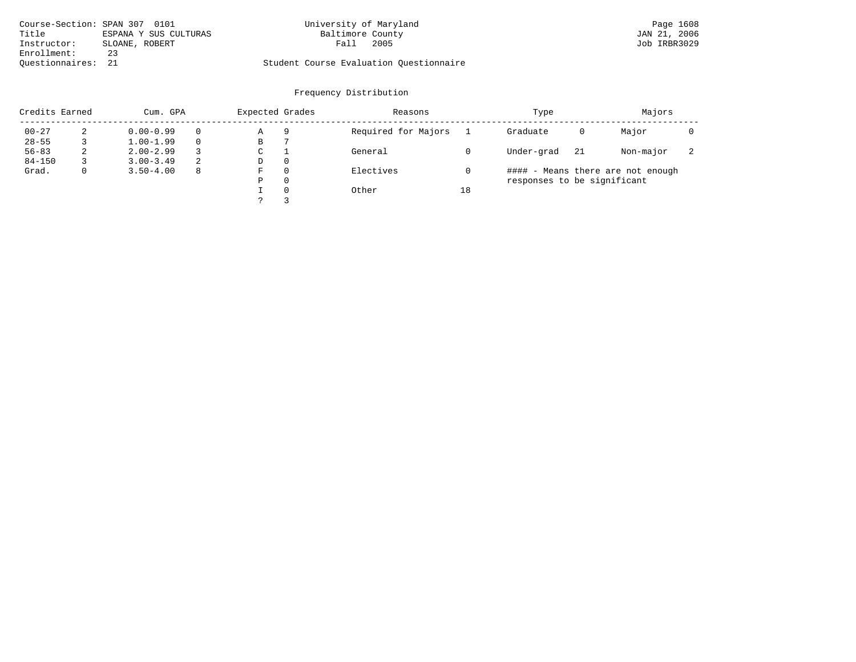|                    | Course-Section: SPAN 307 0101 | University of Maryland                  | Page 1608    |
|--------------------|-------------------------------|-----------------------------------------|--------------|
| Title              | ESPANA Y SUS CULTURAS         | Baltimore County                        | JAN 21, 2006 |
| Instructor:        | SLOANE, ROBERT                | 2005<br>Fall                            | Job IRBR3029 |
| Enrollment:        | 23                            |                                         |              |
| Ouestionnaires: 21 |                               | Student Course Evaluation Ouestionnaire |              |

| Credits Earned |   | Cum. GPA      | Expected Grades |             | Reasons  |                     | Type |                             | Majors |                                   |                          |
|----------------|---|---------------|-----------------|-------------|----------|---------------------|------|-----------------------------|--------|-----------------------------------|--------------------------|
| $00 - 27$      | 2 | $0.00 - 0.99$ |                 | Α           | 9        | Required for Majors |      | Graduate                    | 0      | Major                             |                          |
| $28 - 55$      |   | $1.00 - 1.99$ |                 | В           |          |                     |      |                             |        |                                   |                          |
| $56 - 83$      | 2 | $2.00 - 2.99$ |                 | $\sim$<br>◡ |          | General             |      | Under-grad                  | 21     | Non-major                         | $\overline{\phantom{a}}$ |
| $84 - 150$     |   | $3.00 - 3.49$ | 2               | D           | 0        |                     |      |                             |        |                                   |                          |
| Grad.          | 0 | $3.50 - 4.00$ | 8               | F           | 0        | Electives           |      |                             |        | #### - Means there are not enough |                          |
|                |   |               |                 | Ρ           | 0        |                     |      | responses to be significant |        |                                   |                          |
|                |   |               |                 |             | $\Omega$ | Other               | 18   |                             |        |                                   |                          |
|                |   |               |                 | っ           |          |                     |      |                             |        |                                   |                          |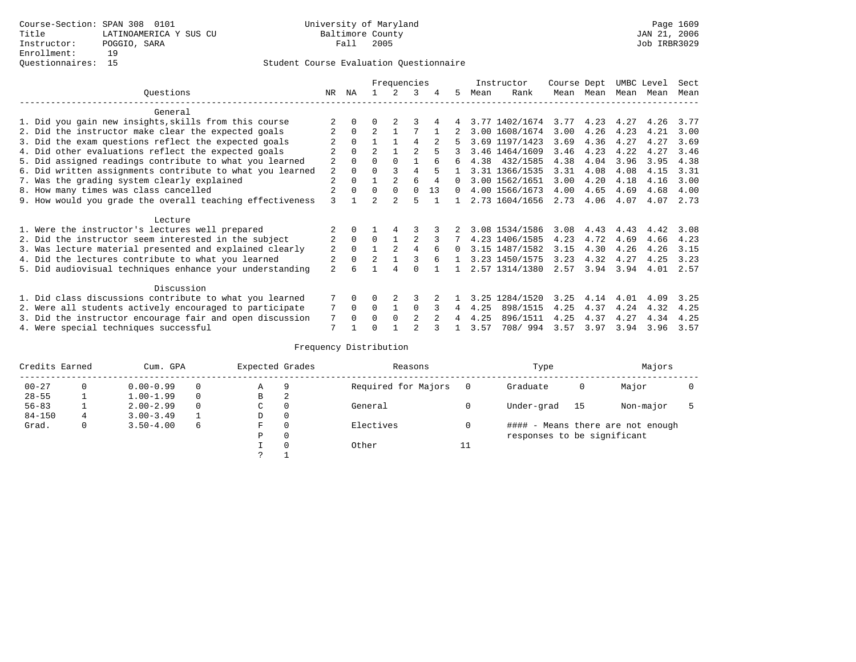|                                                           |                |          |                | Frequencies |                |    |          |      | Instructor     | Course Dept |      | UMBC Level |      | Sect |
|-----------------------------------------------------------|----------------|----------|----------------|-------------|----------------|----|----------|------|----------------|-------------|------|------------|------|------|
| Ouestions                                                 | NR.            | ΝA       |                |             | 3              |    | 5.       | Mean | Rank           | Mean        | Mean | Mean       | Mean | Mean |
| General                                                   |                |          |                |             |                |    |          |      |                |             |      |            |      |      |
| 1. Did you gain new insights, skills from this course     |                |          |                |             |                |    |          |      | 3.77 1402/1674 | 3.77        | 4.23 | 4.27       | 4.26 | 3.77 |
| 2. Did the instructor make clear the expected goals       |                | $\Omega$ | $\overline{2}$ |             |                |    |          |      | 3.00 1608/1674 | 3.00        | 4.26 | 4.23       | 4.21 | 3.00 |
| 3. Did the exam questions reflect the expected goals      |                | $\Omega$ |                |             | 4              |    |          |      | 3.69 1197/1423 | 3.69        | 4.36 | 4.27       | 4.27 | 3.69 |
| 4. Did other evaluations reflect the expected goals       |                | $\Omega$ | $\overline{a}$ |             |                |    |          |      | 3.46 1464/1609 | 3.46        | 4.23 | 4.22       | 4.27 | 3.46 |
| 5. Did assigned readings contribute to what you learned   | $\overline{a}$ |          |                | $\Omega$    |                |    | 6        | 4.38 | 432/1585       | 4.38        | 4.04 | 3.96       | 3.95 | 4.38 |
| 6. Did written assignments contribute to what you learned | 2              | $\Omega$ |                |             | 4              |    |          |      | 3.31 1366/1535 | 3.31        | 4.08 | 4.08       | 4.15 | 3.31 |
| 7. Was the grading system clearly explained               | $\overline{a}$ | $\Omega$ |                |             | 6              |    | $\Omega$ |      | 3.00 1562/1651 | 3.00        | 4.20 | 4.18       | 4.16 | 3.00 |
| 8. How many times was class cancelled                     |                | $\Omega$ | $\Omega$       | $\Omega$    | $\Omega$       | 13 | $\Omega$ |      | 4.00 1566/1673 | 4.00        | 4.65 | 4.69       | 4.68 | 4.00 |
| 9. How would you grade the overall teaching effectiveness | 3              |          | $\mathfrak{D}$ |             | 5              |    |          |      | 2.73 1604/1656 | 2.73        | 4.06 | 4.07       | 4.07 | 2.73 |
|                                                           |                |          |                |             |                |    |          |      |                |             |      |            |      |      |
| Lecture                                                   |                |          |                |             |                |    |          |      |                |             |      |            |      |      |
| 1. Were the instructor's lectures well prepared           |                |          |                |             |                |    |          |      | 3.08 1534/1586 | 3.08        | 4.43 | 4.43       | 4.42 | 3.08 |
| 2. Did the instructor seem interested in the subject      | $\overline{2}$ | $\Omega$ | $\Omega$       |             |                |    |          |      | 4.23 1406/1585 | 4.23        | 4.72 | 4.69       | 4.66 | 4.23 |
| 3. Was lecture material presented and explained clearly   | 2              | $\Omega$ |                |             | 4              |    | $\Omega$ |      | 3.15 1487/1582 | 3.15        | 4.30 | 4.26       | 4.26 | 3.15 |
| 4. Did the lectures contribute to what you learned        |                | $\Omega$ | $\mathfrak{D}$ |             |                |    |          |      | 3.23 1450/1575 | 3.23        | 4.32 | 4.27       | 4.25 | 3.23 |
| 5. Did audiovisual techniques enhance your understanding  | $\mathfrak{D}$ |          |                |             |                |    |          |      | 2.57 1314/1380 | 2.57        | 3.94 | 3.94       | 4.01 | 2.57 |
|                                                           |                |          |                |             |                |    |          |      |                |             |      |            |      |      |
| Discussion                                                |                |          |                |             |                |    |          |      |                |             |      |            |      |      |
| 1. Did class discussions contribute to what you learned   |                | $\Omega$ | O              |             | κ              |    |          | 3.25 | 1284/1520      | 3.25        | 4.14 | 4.01       | 4.09 | 3.25 |
| 2. Were all students actively encouraged to participate   |                | $\Omega$ | $\Omega$       |             | $\Omega$       |    | 4        | 4.25 | 898/1515       | 4.25        | 4.37 | 4.24       | 4.32 | 4.25 |
| 3. Did the instructor encourage fair and open discussion  | 7              | $\Omega$ | O              | $\Omega$    | $\mathfrak{D}$ |    |          | 4.25 | 896/1511       | 4.25        | 4.37 | 4.27       | 4.34 | 4.25 |
| 4. Were special techniques successful                     | 7              |          |                |             |                |    |          | 3.57 | 708/994        | 3.57        | 3.97 | 3.94       | 3.96 | 3.57 |

| Credits Earned |          | Cum. GPA      |   | Expected Grades |          | Reasons             |          | Type                        |      | Majors                            |  |
|----------------|----------|---------------|---|-----------------|----------|---------------------|----------|-----------------------------|------|-----------------------------------|--|
| $00 - 27$      | $\Omega$ | $0.00 - 0.99$ |   | Α               | 9        | Required for Majors | $\Omega$ | Graduate                    | 0    | Major                             |  |
| $28 - 55$      | ᅩ        | $1.00 - 1.99$ |   | В               | 2        |                     |          |                             |      |                                   |  |
| $56 - 83$      |          | $2.00 - 2.99$ |   | $\sim$<br>◡     | 0        | General             |          | Under-grad                  | - 15 | Non-major                         |  |
| $84 - 150$     | 4        | $3.00 - 3.49$ |   | D               | 0        |                     |          |                             |      |                                   |  |
| Grad.          | 0        | $3.50 - 4.00$ | 6 | F               | 0        | Electives           | 0        |                             |      | #### - Means there are not enough |  |
|                |          |               |   | Ρ               | 0        |                     |          | responses to be significant |      |                                   |  |
|                |          |               |   |                 | $\Omega$ | Other               | ⊥⊥       |                             |      |                                   |  |
|                |          |               |   | C               |          |                     |          |                             |      |                                   |  |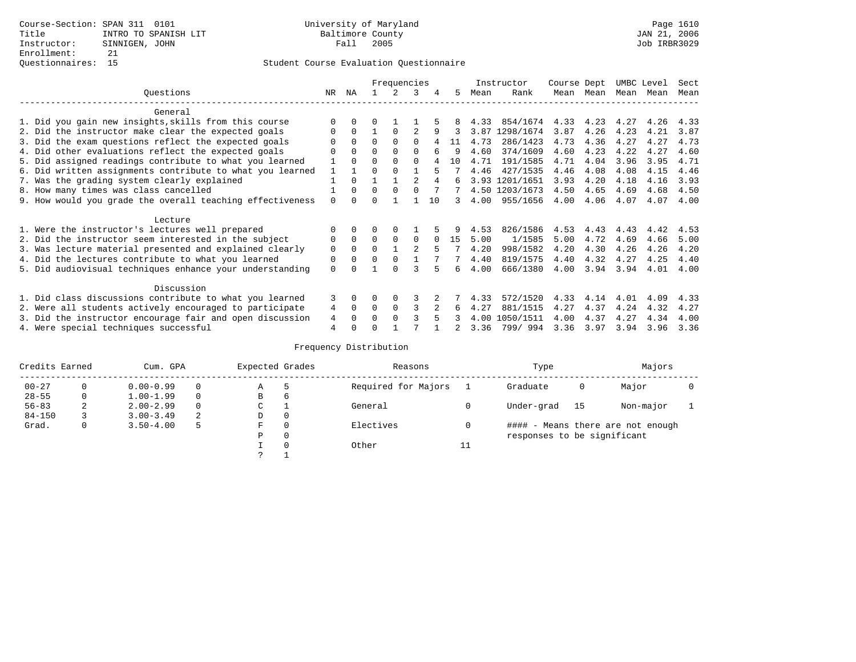|                                                           |          |             |          | Frequencies |                |    |    |      | Instructor     | Course Dept |           |      | UMBC Level | Sect |
|-----------------------------------------------------------|----------|-------------|----------|-------------|----------------|----|----|------|----------------|-------------|-----------|------|------------|------|
| Ouestions                                                 | NR       | ΝA          |          |             | 3              | 4  | 5. | Mean | Rank           |             | Mean Mean | Mean | Mean       | Mean |
| General                                                   |          |             |          |             |                |    |    |      |                |             |           |      |            |      |
| 1. Did you gain new insights, skills from this course     |          | $\Omega$    | U        |             |                |    |    | 4.33 | 854/1674       | 4.33        | 4.23      | 4.27 | 4.26       | 4.33 |
| 2. Did the instructor make clear the expected goals       | O        | $\Omega$    |          | $\Omega$    | $\mathfrak{D}$ | 9  |    | 3.87 | 1298/1674      | 3.87        | 4.26      | 4.23 | 4.21       | 3.87 |
| 3. Did the exam questions reflect the expected goals      |          | $\Omega$    | $\Omega$ | $\Omega$    | $\Omega$       |    | 11 | 4.73 | 286/1423       | 4.73        | 4.36      | 4.27 | 4.27       | 4.73 |
| 4. Did other evaluations reflect the expected goals       |          | $\Omega$    | O        | $\Omega$    | $\Omega$       | 6  | 9  | 4.60 | 374/1609       | 4.60        | 4.23      | 4.22 | 4.27       | 4.60 |
| 5. Did assigned readings contribute to what you learned   |          | $\Omega$    | 0        | $\Omega$    | $\Omega$       |    | 10 | 4.71 | 191/1585       | 4.71        | 4.04      | 3.96 | 3.95       | 4.71 |
| 6. Did written assignments contribute to what you learned |          |             | U        | $\Omega$    |                |    |    | 4.46 | 427/1535       | 4.46        | 4.08      | 4.08 | 4.15       | 4.46 |
| 7. Was the grading system clearly explained               |          | $\Omega$    |          |             |                |    | ีค |      | 3.93 1201/1651 | 3.93        | 4.20      | 4.18 | 4.16       | 3.93 |
| 8. How many times was class cancelled                     |          | $\Omega$    | $\Omega$ | $\Omega$    |                |    |    |      | 4.50 1203/1673 | 4.50        | 4.65      | 4.69 | 4.68       | 4.50 |
| 9. How would you grade the overall teaching effectiveness | $\Omega$ | $\cap$      |          |             |                | 10 | 3  | 4.00 | 955/1656       | 4.00        | 4.06      | 4.07 | 4.07       | 4.00 |
| Lecture                                                   |          |             |          |             |                |    |    |      |                |             |           |      |            |      |
| 1. Were the instructor's lectures well prepared           | O        |             |          |             |                |    |    | 4.53 | 826/1586       | 4.53        | 4.43      | 4.43 | 4.42       | 4.53 |
| 2. Did the instructor seem interested in the subject      | 0        | $\Omega$    | $\Omega$ | $\Omega$    | $\Omega$       |    | 15 | 5.00 | 1/1585         | 5.00        | 4.72      | 4.69 | 4.66       | 5.00 |
| 3. Was lecture material presented and explained clearly   | 0        | $\Omega$    | 0        |             | $\mathfrak{D}$ |    |    | 4.20 | 998/1582       | 4.20        | 4.30      | 4.26 | 4.26       | 4.20 |
| 4. Did the lectures contribute to what you learned        | 0        | $\mathbf 0$ | U        | $\Omega$    |                |    |    | 4.40 | 819/1575       | 4.40        | 4.32      | 4.27 | 4.25       | 4.40 |
| 5. Did audiovisual techniques enhance your understanding  | $\Omega$ |             |          |             |                |    | Б. | 4.00 | 666/1380       | 4.00        | 3.94      | 3.94 | 4.01       | 4.00 |
| Discussion                                                |          |             |          |             |                |    |    |      |                |             |           |      |            |      |
| 1. Did class discussions contribute to what you learned   | 3        | $\Omega$    | O        | $\Omega$    | 3              |    |    | 4.33 | 572/1520       | 4.33        | 4.14      | 4.01 | 4.09       | 4.33 |
| 2. Were all students actively encouraged to participate   | 4        | $\Omega$    | $\Omega$ | $\Omega$    | ς              |    | 6  | 4.27 | 881/1515       | 4.27        | 4.37      | 4.24 | 4.32       | 4.27 |
| 3. Did the instructor encourage fair and open discussion  | 4        | $\Omega$    | U        | $\Omega$    |                |    |    | 4.00 | 1050/1511      | 4.00        | 4.37      | 4.27 | 4.34       | 4.00 |
| 4. Were special techniques successful                     | 4        |             |          |             |                |    |    | 3.36 | 799/994        | 3.36        | 3.97      | 3.94 | 3.96       | 3.36 |

| Credits Earned |          | Cum. GPA      |   | Expected Grades |          | Reasons             |    | Type                        |     | Majors                            |  |
|----------------|----------|---------------|---|-----------------|----------|---------------------|----|-----------------------------|-----|-----------------------------------|--|
| $00 - 27$      | $\Omega$ | $0.00 - 0.99$ |   | Α               | 5        | Required for Majors |    | Graduate                    | 0   | Major                             |  |
| $28 - 55$      | 0        | $1.00 - 1.99$ |   | В               | 6        |                     |    |                             |     |                                   |  |
| $56 - 83$      | 2        | $2.00 - 2.99$ |   | $\sim$<br>◡     |          | General             |    | Under-grad                  | -15 | Non-major                         |  |
| $84 - 150$     |          | $3.00 - 3.49$ | 2 | D               | 0        |                     |    |                             |     |                                   |  |
| Grad.          | 0        | $3.50 - 4.00$ | 5 | F               | 0        | Electives           | 0  |                             |     | #### - Means there are not enough |  |
|                |          |               |   | Ρ               | 0        |                     |    | responses to be significant |     |                                   |  |
|                |          |               |   |                 | $\Omega$ | Other               | ⊥⊥ |                             |     |                                   |  |
|                |          |               |   | C               |          |                     |    |                             |     |                                   |  |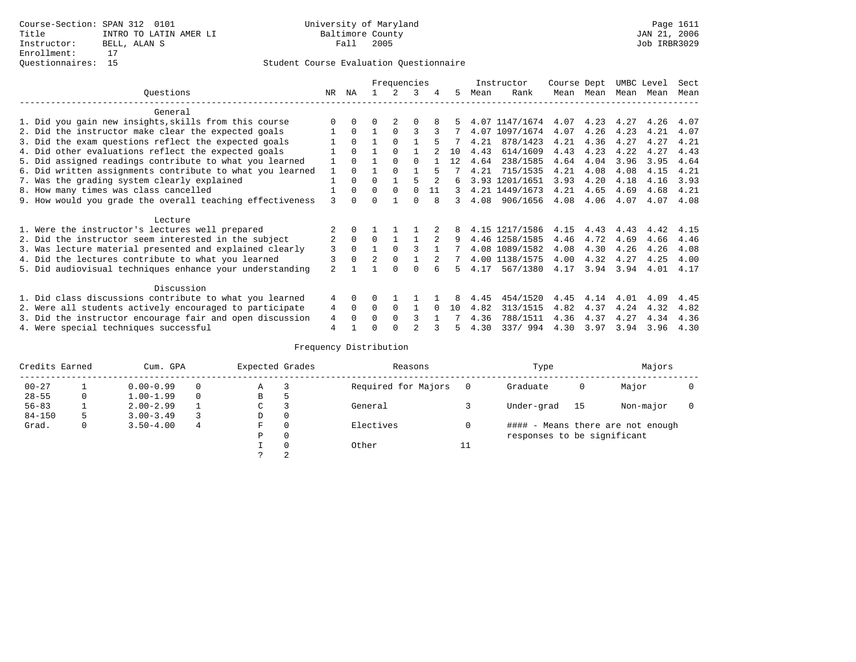|                                                           |                |          |                | Frequencies |          |    |    |      | Instructor     | Course Dept |      | UMBC Level |      | Sect |
|-----------------------------------------------------------|----------------|----------|----------------|-------------|----------|----|----|------|----------------|-------------|------|------------|------|------|
| Ouestions                                                 | NR.            | ΝA       |                |             | 3        | 4  | 5. | Mean | Rank           | Mean        | Mean | Mean       | Mean | Mean |
| General                                                   |                |          |                |             |          |    |    |      |                |             |      |            |      |      |
| 1. Did you gain new insights, skills from this course     |                | $\Omega$ | O              |             | O        |    |    |      | 4.07 1147/1674 | 4.07        | 4.23 | 4.27       | 4.26 | 4.07 |
| 2. Did the instructor make clear the expected goals       |                | $\Omega$ |                | $\Omega$    | ς        |    |    | 4.07 | 1097/1674      | 4.07        | 4.26 | 4.23       | 4.21 | 4.07 |
| 3. Did the exam questions reflect the expected goals      |                | $\Omega$ |                | $\Omega$    |          |    |    | 4.21 | 878/1423       | 4.21        | 4.36 | 4.27       | 4.27 | 4.21 |
| 4. Did other evaluations reflect the expected goals       |                | $\Omega$ |                | $\Omega$    |          |    | 10 | 4.43 | 614/1609       | 4.43        | 4.23 | 4.22       | 4.27 | 4.43 |
| 5. Did assigned readings contribute to what you learned   |                | $\Omega$ |                | $\Omega$    | $\Omega$ |    | 12 | 4.64 | 238/1585       | 4.64        | 4.04 | 3.96       | 3.95 | 4.64 |
| 6. Did written assignments contribute to what you learned | $\mathbf{1}$   | $\cap$   |                |             |          |    |    | 4.21 | 715/1535       | 4.21        | 4.08 | 4.08       | 4.15 | 4.21 |
| 7. Was the grading system clearly explained               |                | $\Omega$ | $\Omega$       |             |          |    | б. |      | 3.93 1201/1651 | 3.93        | 4.20 | 4.18       | 4.16 | 3.93 |
| 8. How many times was class cancelled                     |                | $\Omega$ | $\Omega$       | $\Omega$    | $\Omega$ | 11 | 3  |      | 4.21 1449/1673 | 4.21        | 4.65 | 4.69       | 4.68 | 4.21 |
| 9. How would you grade the overall teaching effectiveness | 3              | $\cap$   | U              |             | U        | 8  | 3  | 4.08 | 906/1656       | 4.08        | 4.06 | 4.07       | 4.07 | 4.08 |
| Lecture                                                   |                |          |                |             |          |    |    |      |                |             |      |            |      |      |
| 1. Were the instructor's lectures well prepared           |                |          |                |             |          |    |    |      | 4.15 1217/1586 | 4.15        | 4.43 | 4.43       | 4.42 | 4.15 |
| 2. Did the instructor seem interested in the subject      | $\overline{2}$ | $\Omega$ | $\Omega$       |             |          |    |    |      | 4.46 1258/1585 | 4.46        | 4.72 | 4.69       | 4.66 | 4.46 |
| 3. Was lecture material presented and explained clearly   | 3              | $\Omega$ |                | $\Omega$    |          |    |    |      | 4.08 1089/1582 | 4.08        | 4.30 | 4.26       | 4.26 | 4.08 |
| 4. Did the lectures contribute to what you learned        |                | $\Omega$ | $\mathfrak{D}$ | $\Omega$    |          |    |    |      | 4.00 1138/1575 | 4.00        | 4.32 | 4.27       | 4.25 | 4.00 |
| 5. Did audiovisual techniques enhance your understanding  | $\mathfrak{D}$ |          |                |             |          |    | 5  | 4.17 | 567/1380       | 4.17        | 3.94 | 3.94       | 4.01 | 4.17 |
| Discussion                                                |                |          |                |             |          |    |    |      |                |             |      |            |      |      |
| 1. Did class discussions contribute to what you learned   | 4              | $\Omega$ | U              |             |          |    |    | 4.45 | 454/1520       | 4.45        | 4.14 | 4.01       | 4.09 | 4.45 |
| 2. Were all students actively encouraged to participate   | 4              | $\Omega$ | $\Omega$       | $\Omega$    |          |    | 10 | 4.82 | 313/1515       | 4.82        | 4.37 | 4.24       | 4.32 | 4.82 |
| 3. Did the instructor encourage fair and open discussion  | 4              | $\Omega$ | O              |             |          |    |    | 4.36 | 788/1511       | 4.36        | 4.37 | 4.27       | 4.34 | 4.36 |
| 4. Were special techniques successful                     | 4              |          |                |             |          |    |    | 4.30 | 337/994        | 4.30        | 3.97 | 3.94       | 3.96 | 4.30 |

| Credits Earned |   | Cum. GPA      |   | Expected Grades |          | Reasons             |   | Type                        |    | Majors                            |  |
|----------------|---|---------------|---|-----------------|----------|---------------------|---|-----------------------------|----|-----------------------------------|--|
| $00 - 27$      |   | $0.00 - 0.99$ |   | Α               |          | Required for Majors |   | Graduate                    | 0  | Major                             |  |
| $28 - 55$      | 0 | $1.00 - 1.99$ |   | B               | 5        |                     |   |                             |    |                                   |  |
| $56 - 83$      |   | $2.00 - 2.99$ |   | C               |          | General             |   | Under-grad                  | 15 | Non-major                         |  |
| $84 - 150$     | 5 | $3.00 - 3.49$ |   | D               | 0        |                     |   |                             |    |                                   |  |
| Grad.          | 0 | $3.50 - 4.00$ | 4 | F               | 0        | Electives           |   |                             |    | #### - Means there are not enough |  |
|                |   |               |   | Ρ               | 0        |                     |   | responses to be significant |    |                                   |  |
|                |   |               |   |                 | $\Omega$ | Other               | ᅩ |                             |    |                                   |  |
|                |   |               |   |                 | 2        |                     |   |                             |    |                                   |  |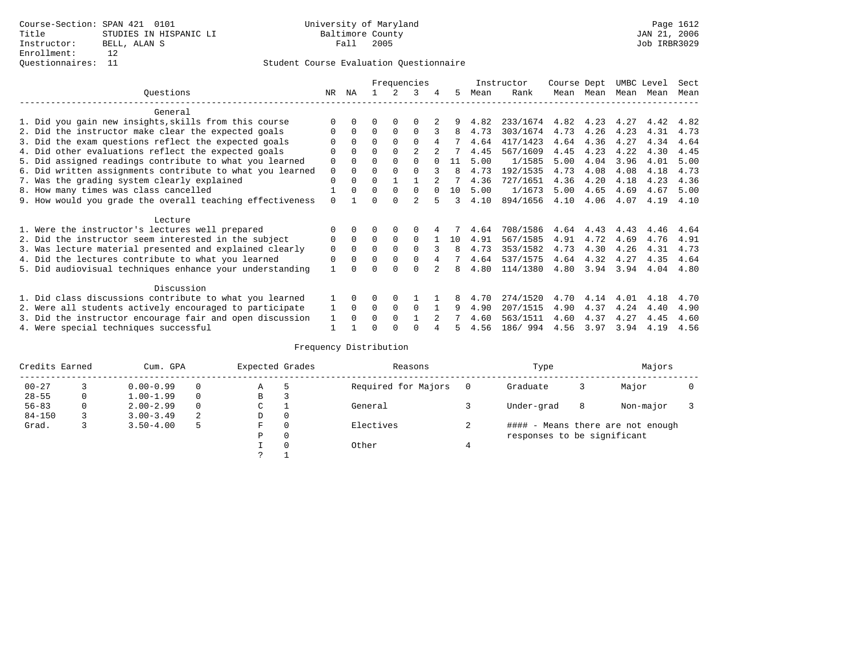## Questionnaires: 11 Student Course Evaluation Questionnaire

|                                                           |          |          |              |              | Frequencies    |   |    |      | Instructor | Course Dept |      | UMBC Level |      | Sect |
|-----------------------------------------------------------|----------|----------|--------------|--------------|----------------|---|----|------|------------|-------------|------|------------|------|------|
| Ouestions                                                 | NR.      | ΝA       |              |              | 3              | 4 | 5  | Mean | Rank       | Mean        | Mean | Mean       | Mean | Mean |
| General                                                   |          |          |              |              |                |   |    |      |            |             |      |            |      |      |
| 1. Did you gain new insights, skills from this course     |          | 0        | U            | $\Omega$     |                |   |    | 4.82 | 233/1674   | 4.82        | 4.23 | 4.27       | 4.42 | 4.82 |
| 2. Did the instructor make clear the expected goals       |          | $\Omega$ | $\Omega$     | $\Omega$     | $\Omega$       |   | 8  | 4.73 | 303/1674   | 4.73        | 4.26 | 4.23       | 4.31 | 4.73 |
| 3. Did the exam questions reflect the expected goals      |          | $\Omega$ | $\Omega$     | $\Omega$     | $\Omega$       | 4 |    | 4.64 | 417/1423   | 4.64        | 4.36 | 4.27       | 4.34 | 4.64 |
| 4. Did other evaluations reflect the expected goals       | U        | $\Omega$ | 0            | $\Omega$     | 2              |   |    | 4.45 | 567/1609   | 4.45        | 4.23 | 4.22       | 4.30 | 4.45 |
| 5. Did assigned readings contribute to what you learned   | 0        | $\Omega$ | 0            | $\Omega$     | 0              |   | 11 | 5.00 | 1/1585     | 5.00        | 4.04 | 3.96       | 4.01 | 5.00 |
| 6. Did written assignments contribute to what you learned | 0        | $\Omega$ | U            |              |                |   | 8  | 4.73 | 192/1535   | 4.73        | 4.08 | 4.08       | 4.18 | 4.73 |
| 7. Was the grading system clearly explained               | 0        | 0        | U            |              |                |   |    | 4.36 | 727/1651   | 4.36        | 4.20 | 4.18       | 4.23 | 4.36 |
| 8. How many times was class cancelled                     |          | $\Omega$ | <sup>0</sup> | $\Omega$     | $\Omega$       |   | 10 | 5.00 | 1/1673     | 5.00        | 4.65 | 4.69       | 4.67 | 5.00 |
| 9. How would you grade the overall teaching effectiveness | $\Omega$ |          |              | <sup>n</sup> | $\mathfrak{D}$ |   | ર  | 4.10 | 894/1656   | 4.10        | 4.06 | 4.07       | 4.19 | 4.10 |
| Lecture                                                   |          |          |              |              |                |   |    |      |            |             |      |            |      |      |
| 1. Were the instructor's lectures well prepared           |          |          |              |              |                |   |    | 4.64 | 708/1586   | 4.64        | 4.43 | 4.43       | 4.46 | 4.64 |
| 2. Did the instructor seem interested in the subject      | 0        | $\Omega$ | $\Omega$     | $\Omega$     | $\Omega$       |   | 10 | 4.91 | 567/1585   | 4.91        | 4.72 | 4.69       | 4.76 | 4.91 |
| 3. Was lecture material presented and explained clearly   | 0        | $\Omega$ | 0            | $\Omega$     | 0              |   | 8  | 4.73 | 353/1582   | 4.73        | 4.30 | 4.26       | 4.31 | 4.73 |
| 4. Did the lectures contribute to what you learned        | 0        | $\Omega$ | U            | $\Omega$     | 0              |   |    | 4.64 | 537/1575   | 4.64        | 4.32 | 4.27       | 4.35 | 4.64 |
| 5. Did audiovisual techniques enhance your understanding  |          |          |              |              |                |   | 8  | 4.80 | 114/1380   | 4.80        | 3.94 | 3.94       | 4.04 | 4.80 |
| Discussion                                                |          |          |              |              |                |   |    |      |            |             |      |            |      |      |
| 1. Did class discussions contribute to what you learned   |          | 0        | U            | $\Omega$     |                |   |    | 4.70 | 274/1520   | 4.70        | 4.14 | 4.01       | 4.18 | 4.70 |
| 2. Were all students actively encouraged to participate   |          | $\Omega$ | 0            | 0            | 0              |   | 9  | 4.90 | 207/1515   | 4.90        | 4.37 | 4.24       | 4.40 | 4.90 |
| 3. Did the instructor encourage fair and open discussion  |          |          | U            | $\Omega$     |                |   |    | 4.60 | 563/1511   | 4.60        | 4.37 | 4.27       | 4.45 | 4.60 |
| 4. Were special techniques successful                     |          |          |              |              |                |   |    | 4.56 | 186/ 994   | 4.56        | 3.97 | 3.94       | 4.19 | 4.56 |

| Credits Earned |   | Cum. GPA      |   | Expected Grades |          | Reasons             |   | Type                        |   | Majors                            |  |
|----------------|---|---------------|---|-----------------|----------|---------------------|---|-----------------------------|---|-----------------------------------|--|
| $00 - 27$      |   | $0.00 - 0.99$ |   | Α               | 5        | Required for Majors | 0 | Graduate                    | 3 | Major                             |  |
| $28 - 55$      | 0 | $1.00 - 1.99$ |   | В               | 3        |                     |   |                             |   |                                   |  |
| $56 - 83$      | 0 | $2.00 - 2.99$ |   | $\sim$<br>J     |          | General             |   | Under-grad                  | 8 | Non-major                         |  |
| $84 - 150$     |   | $3.00 - 3.49$ | 2 | D               | 0        |                     |   |                             |   |                                   |  |
| Grad.          |   | $3.50 - 4.00$ | 5 | F               | 0        | Electives           |   |                             |   | #### - Means there are not enough |  |
|                |   |               |   | Ρ               | 0        |                     |   | responses to be significant |   |                                   |  |
|                |   |               |   |                 | $\Omega$ | Other               |   |                             |   |                                   |  |
|                |   |               |   | っ               |          |                     |   |                             |   |                                   |  |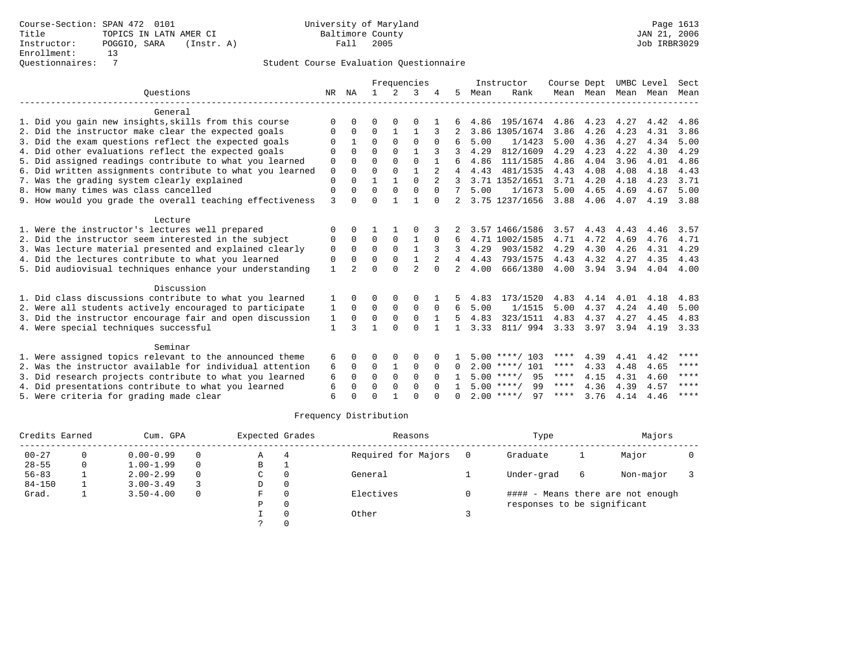|                                                           |              |               |              |                | Frequencies    |                |                |      | Instructor         | Course Dept       |           |      | UMBC Level | Sect        |
|-----------------------------------------------------------|--------------|---------------|--------------|----------------|----------------|----------------|----------------|------|--------------------|-------------------|-----------|------|------------|-------------|
| Ouestions                                                 | NR           | ΝA            | $\mathbf{1}$ | $\mathfrak{D}$ | 3              |                | 5              | Mean | Rank               |                   | Mean Mean |      | Mean Mean  | Mean        |
| General                                                   |              |               |              |                |                |                |                |      |                    |                   |           |      |            |             |
| 1. Did you gain new insights, skills from this course     | $\Omega$     | U             | O            | O              | O              |                |                | 4.86 | 195/1674           | 4.86              | 4.23      | 4.27 | 4.42       | 4.86        |
| 2. Did the instructor make clear the expected goals       | O            | 0             | 0            | 1              | 1              |                |                |      | 3.86 1305/1674     | 3.86              | 4.26      | 4.23 | 4.31       | 3.86        |
| 3. Did the exam questions reflect the expected goals      |              |               | $\Omega$     | $\Omega$       | $\Omega$       | $\Omega$       | 6              | 5.00 | 1/1423             | 5.00              | 4.36      | 4.27 | 4.34       | 5.00        |
| 4. Did other evaluations reflect the expected goals       | 0            | $\Omega$      | $\Omega$     | $\Omega$       | $\mathbf{1}$   | 3              |                | 4.29 | 812/1609           | 4.29              | 4.23      | 4.22 | 4.30       | 4.29        |
| 5. Did assigned readings contribute to what you learned   | 0            | $\Omega$      | $\Omega$     | $\Omega$       | $\Omega$       |                | 6              | 4.86 | 111/1585           | 4.86              | 4.04      | 3.96 | 4.01       | 4.86        |
| 6. Did written assignments contribute to what you learned | $\mathbf 0$  | $\cap$        | $\cap$       | $\Omega$       | $\mathbf{1}$   | $\overline{a}$ |                | 4.43 | 481/1535           | 4.43              | 4.08      | 4.08 | 4.18       | 4.43        |
| 7. Was the grading system clearly explained               | $\mathbf 0$  | $\Omega$      | 1            |                | $\Omega$       |                |                |      | 3.71 1352/1651     | 3.71              | 4.20      | 4.18 | 4.23       | 3.71        |
| 8. How many times was class cancelled                     | 0            | $\Omega$      | $\Omega$     | $\Omega$       | $\Omega$       | $\Omega$       | 7              | 5.00 | 1/1673             | 5.00              | 4.65      | 4.69 | 4.67       | 5.00        |
| 9. How would you grade the overall teaching effectiveness | 3            | O             | $\Omega$     | $\mathbf{1}$   | $\mathbf{1}$   | $\Omega$       |                |      | 3.75 1237/1656     | 3.88              | 4.06      | 4.07 | 4.19       | 3.88        |
| Lecture                                                   |              |               |              |                |                |                |                |      |                    |                   |           |      |            |             |
| 1. Were the instructor's lectures well prepared           | 0            | $\Omega$      |              |                |                |                |                |      | 3.57 1466/1586     | 3.57              | 4.43      | 4.43 | 4.46       | 3.57        |
| 2. Did the instructor seem interested in the subject      | 0            | 0             | 0            | $\mathbf 0$    | 1              | 0              | 6              |      | 4.71 1002/1585     | 4.71              | 4.72      | 4.69 | 4.76       | 4.71        |
| 3. Was lecture material presented and explained clearly   | 0            | $\Omega$      | $\Omega$     | $\Omega$       | $\mathbf{1}$   | 3              | 3              | 4.29 | 903/1582           | 4.29              | 4.30      | 4.26 | 4.31       | 4.29        |
| 4. Did the lectures contribute to what you learned        | 0            | $\Omega$      | $\Omega$     | 0              | 1              |                | 4              | 4.43 | 793/1575           | 4.43              | 4.32      | 4.27 | 4.35       | 4.43        |
| 5. Did audiovisual techniques enhance your understanding  | $\mathbf{1}$ | $\mathcal{D}$ | $\Omega$     | $\cap$         | $\overline{c}$ | $\Omega$       | $\overline{2}$ | 4.00 | 666/1380           | 4.00              | 3.94      | 3.94 | 4.04       | 4.00        |
| Discussion                                                |              |               |              |                |                |                |                |      |                    |                   |           |      |            |             |
| 1. Did class discussions contribute to what you learned   |              |               | 0            | $\Omega$       | 0              |                |                | 4.83 | 173/1520           | 4.83              | 4.14      | 4.01 | 4.18       | 4.83        |
| 2. Were all students actively encouraged to participate   | 1            | 0             | 0            | $\Omega$       | $\mathbf 0$    | $\Omega$       | 6              | 5.00 | 1/1515             | 5.00              | 4.37      | 4.24 | 4.40       | 5.00        |
| 3. Did the instructor encourage fair and open discussion  | 1            | $\mathbf 0$   | 0            | $\mathbf 0$    | $\mathbf 0$    |                | 5              | 4.83 | 323/1511           | 4.83              | 4.37      | 4.27 | 4.45       | 4.83        |
| 4. Were special techniques successful                     | 1            | ς             | 1            | $\cap$         | $\Omega$       | $\mathbf{1}$   | 1.             | 3.33 | 811/ 994           | $3.33 \quad 3.97$ |           | 3.94 |            | 4.19 3.33   |
| Seminar                                                   |              |               |              |                |                |                |                |      |                    |                   |           |      |            |             |
| 1. Were assigned topics relevant to the announced theme   | 6            | O             | O            | $\Omega$       | 0              |                |                |      | $5.00$ ****/ 103   | ****              | 4.39      | 4.41 | 4.42       | $***$ * * * |
| 2. Was the instructor available for individual attention  | 6            | $\Omega$      | $\Omega$     | 1              | $\mathbf 0$    | $\Omega$       | $\Omega$       |      | $2.00$ ****/ 101   | ****              | 4.33      | 4.48 | 4.65       | ****        |
| 3. Did research projects contribute to what you learned   | 6            | $\Omega$      | $\Omega$     | $\Omega$       | $\mathbf{0}$   | $\Omega$       |                |      | $5.00$ ****/<br>95 | ****              | 4.15      | 4.31 | 4.60       | ****        |
| 4. Did presentations contribute to what you learned       | 6            | $\Omega$      | $\Omega$     | $\Omega$       | $\Omega$       | $\cap$         |                |      | 99<br>$5.00$ ****/ | ****              | 4.36      | 4.39 | 4.57       | ****        |
| 5. Were criteria for grading made clear                   | 6            |               | $\Omega$     |                | $\cap$         |                | $\cap$         |      | $2.00$ ****/<br>97 | ****              | 3.76      | 4.14 | 4.46       | ****        |

| Credits Earned |          | Cum. GPA      |          | Expected Grades |             | Reasons             | Type                        |   | Majors                            |  |
|----------------|----------|---------------|----------|-----------------|-------------|---------------------|-----------------------------|---|-----------------------------------|--|
| $00 - 27$      | $\Omega$ | $0.00 - 0.99$ | $\Omega$ | Α               | 4           | Required for Majors | Graduate                    | ᅩ | Major                             |  |
| $28 - 55$      | $\Omega$ | $1.00 - 1.99$ | $\Omega$ | В               | л.          |                     |                             |   |                                   |  |
| $56 - 83$      |          | $2.00 - 2.99$ | $\Omega$ | C               | 0           | General             | Under-grad                  | 6 | Non-major                         |  |
| $84 - 150$     |          | $3.00 - 3.49$ |          | D               | $\mathbf 0$ |                     |                             |   |                                   |  |
| Grad.          |          | $3.50 - 4.00$ | 0        | F               | 0           | Electives           |                             |   | #### - Means there are not enough |  |
|                |          |               |          | P               | $\Omega$    |                     | responses to be significant |   |                                   |  |
|                |          |               |          |                 | $\Omega$    | Other               |                             |   |                                   |  |
|                |          |               |          |                 | $\Omega$    |                     |                             |   |                                   |  |